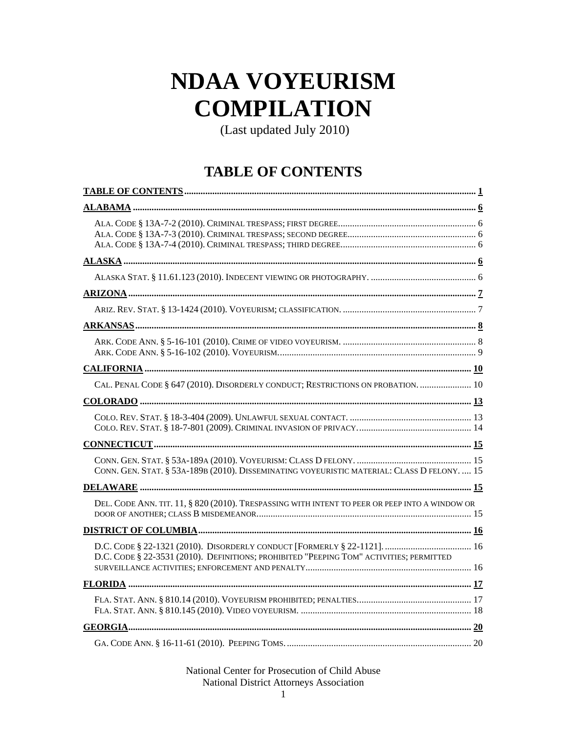# **NDAA VOYEURISM COMPILATION**

(Last updated July 2010)

# **TABLE OF CONTENTS**

| CAL. PENAL CODE § 647 (2010). DISORDERLY CONDUCT; RESTRICTIONS ON PROBATION.  10               |
|------------------------------------------------------------------------------------------------|
|                                                                                                |
|                                                                                                |
|                                                                                                |
| CONN. GEN. STAT. § 53A-189B (2010). DISSEMINATING VOYEURISTIC MATERIAL: CLASS D FELONY.  15    |
|                                                                                                |
| DEL. CODE ANN. TIT. 11, § 820 (2010). TRESPASSING WITH INTENT TO PEER OR PEEP INTO A WINDOW OR |
|                                                                                                |
| D.C. CODE § 22-3531 (2010). DEFINITIONS; PROHIBITED "PEEPING TOM" ACTIVITIES; PERMITTED        |
|                                                                                                |
|                                                                                                |
|                                                                                                |
|                                                                                                |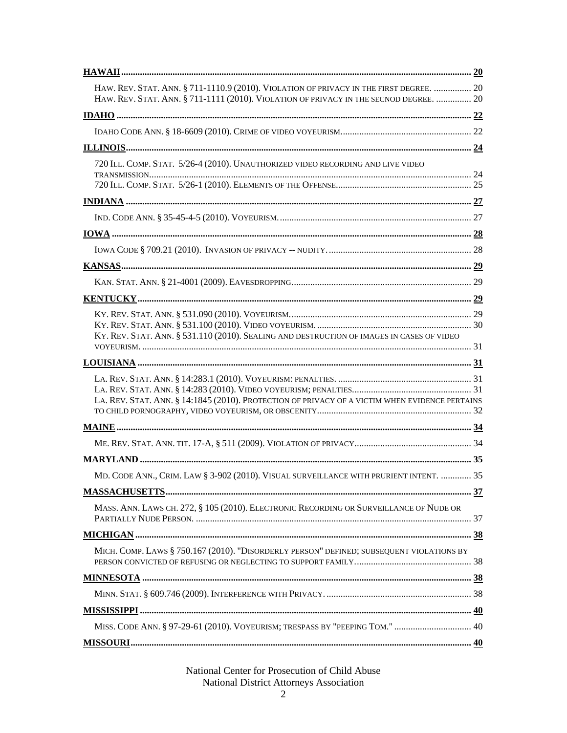| HAW. REV. STAT. ANN. § 711-1110.9 (2010). VIOLATION OF PRIVACY IN THE FIRST DEGREE.  20<br>HAW. REV. STAT. ANN. § 711-1111 (2010). VIOLATION OF PRIVACY IN THE SECNOD DEGREE.  20                                                                                                                                                                                                                |  |
|--------------------------------------------------------------------------------------------------------------------------------------------------------------------------------------------------------------------------------------------------------------------------------------------------------------------------------------------------------------------------------------------------|--|
|                                                                                                                                                                                                                                                                                                                                                                                                  |  |
|                                                                                                                                                                                                                                                                                                                                                                                                  |  |
|                                                                                                                                                                                                                                                                                                                                                                                                  |  |
| 720 ILL. COMP. STAT. 5/26-4 (2010). UNAUTHORIZED VIDEO RECORDING AND LIVE VIDEO                                                                                                                                                                                                                                                                                                                  |  |
|                                                                                                                                                                                                                                                                                                                                                                                                  |  |
|                                                                                                                                                                                                                                                                                                                                                                                                  |  |
|                                                                                                                                                                                                                                                                                                                                                                                                  |  |
|                                                                                                                                                                                                                                                                                                                                                                                                  |  |
|                                                                                                                                                                                                                                                                                                                                                                                                  |  |
|                                                                                                                                                                                                                                                                                                                                                                                                  |  |
|                                                                                                                                                                                                                                                                                                                                                                                                  |  |
|                                                                                                                                                                                                                                                                                                                                                                                                  |  |
| KY. REV. STAT. ANN. § 531.110 (2010). SEALING AND DESTRUCTION OF IMAGES IN CASES OF VIDEO                                                                                                                                                                                                                                                                                                        |  |
|                                                                                                                                                                                                                                                                                                                                                                                                  |  |
| $\underline{\text{LOUISIANA}}\text{}\dots\text{}\dots\text{}\dots\text{}\dots\text{}\dots\text{}\dots\text{}\dots\text{}\dots\text{}\dots\text{}\dots\text{}\dots\text{}\dots\text{}\dots\text{}\dots\text{}\dots\text{}\dots\text{}\dots\text{}\dots\text{}\dots\text{}\dots\text{}\dots\text{}\dots\text{}\dots\text{}\dots\text{}\dots\text{}\dots\text{}\dots\text{}\dots\text{}\dots\text{$ |  |
| LA. REV. STAT. ANN. § 14:1845 (2010). PROTECTION OF PRIVACY OF A VICTIM WHEN EVIDENCE PERTAINS                                                                                                                                                                                                                                                                                                   |  |
|                                                                                                                                                                                                                                                                                                                                                                                                  |  |
|                                                                                                                                                                                                                                                                                                                                                                                                  |  |
|                                                                                                                                                                                                                                                                                                                                                                                                  |  |
| MD. CODE ANN., CRIM. LAW § 3-902 (2010). VISUAL SURVEILLANCE WITH PRURIENT INTENT.  35                                                                                                                                                                                                                                                                                                           |  |
|                                                                                                                                                                                                                                                                                                                                                                                                  |  |
| MASS. ANN. LAWS CH. 272, § 105 (2010). ELECTRONIC RECORDING OR SURVEILLANCE OF NUDE OR                                                                                                                                                                                                                                                                                                           |  |
|                                                                                                                                                                                                                                                                                                                                                                                                  |  |
| MICH. COMP. LAWS § 750.167 (2010). "DISORDERLY PERSON" DEFINED; SUBSEQUENT VIOLATIONS BY                                                                                                                                                                                                                                                                                                         |  |
| $\underline{\text{MINNESOTA}}\text{}38$                                                                                                                                                                                                                                                                                                                                                          |  |
|                                                                                                                                                                                                                                                                                                                                                                                                  |  |
| $\underline{\text{MISSISSIPP1}}\text{}\dots\text{}\dots\text{}\dots\text{}\dots\text{}\dots\text{}\underline{40}$                                                                                                                                                                                                                                                                                |  |
| MISS. CODE ANN. § 97-29-61 (2010). VOYEURISM; TRESPASS BY "PEEPING TOM."  40                                                                                                                                                                                                                                                                                                                     |  |
|                                                                                                                                                                                                                                                                                                                                                                                                  |  |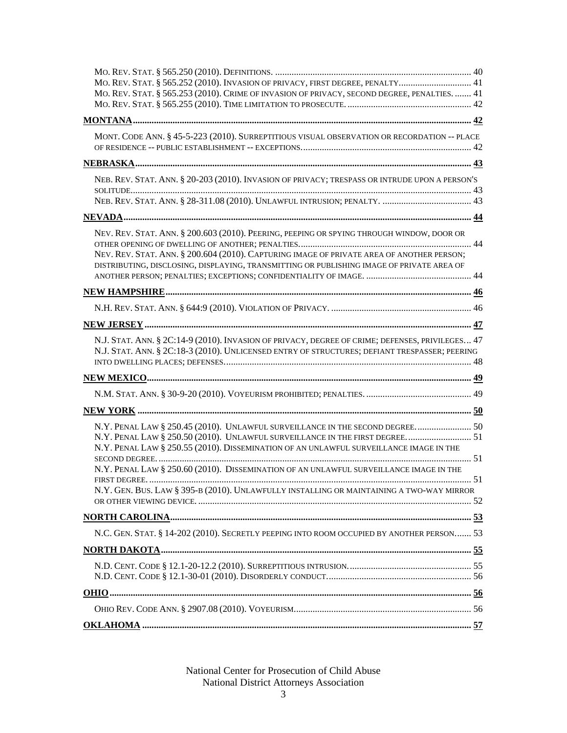| MO. REV. STAT. § 565.252 (2010). INVASION OF PRIVACY, FIRST DEGREE, PENALTY 41<br>MO. REV. STAT. § 565.253 (2010). CRIME OF INVASION OF PRIVACY, SECOND DEGREE, PENALTIES.  41                                                                                                      |    |
|-------------------------------------------------------------------------------------------------------------------------------------------------------------------------------------------------------------------------------------------------------------------------------------|----|
|                                                                                                                                                                                                                                                                                     |    |
| MONT. CODE ANN. § 45-5-223 (2010). SURREPTITIOUS VISUAL OBSERVATION OR RECORDATION -- PLACE                                                                                                                                                                                         |    |
|                                                                                                                                                                                                                                                                                     |    |
| NEB. REV. STAT. ANN. § 20-203 (2010). INVASION OF PRIVACY; TRESPASS OR INTRUDE UPON A PERSON'S                                                                                                                                                                                      |    |
|                                                                                                                                                                                                                                                                                     |    |
| NEV. REV. STAT. ANN. § 200.603 (2010). PEERING, PEEPING OR SPYING THROUGH WINDOW, DOOR OR<br>NEV. REV. STAT. ANN. § 200.604 (2010). CAPTURING IMAGE OF PRIVATE AREA OF ANOTHER PERSON;<br>DISTRIBUTING, DISCLOSING, DISPLAYING, TRANSMITTING OR PUBLISHING IMAGE OF PRIVATE AREA OF |    |
|                                                                                                                                                                                                                                                                                     |    |
|                                                                                                                                                                                                                                                                                     |    |
|                                                                                                                                                                                                                                                                                     |    |
| N.J. STAT. ANN. § 2C:14-9 (2010). INVASION OF PRIVACY, DEGREE OF CRIME; DEFENSES, PRIVILEGES 47<br>N.J. STAT. ANN. § 2C:18-3 (2010). UNLICENSED ENTRY OF STRUCTURES; DEFIANT TRESPASSER; PEERING                                                                                    |    |
|                                                                                                                                                                                                                                                                                     |    |
|                                                                                                                                                                                                                                                                                     |    |
|                                                                                                                                                                                                                                                                                     |    |
| N.Y. PENAL LAW § 250.45 (2010). UNLAWFUL SURVEILLANCE IN THE SECOND DEGREE 50<br>N.Y. PENAL LAW § 250.50 (2010). UNLAWFUL SURVEILLANCE IN THE FIRST DEGREE 51<br>N.Y. PENAL LAW § 250.55 (2010). DISSEMINATION OF AN UNLAWFUL SURVEILLANCE IMAGE IN THE                             |    |
| N.Y. PENAL LAW § 250.60 (2010). DISSEMINATION OF AN UNLAWFUL SURVEILLANCE IMAGE IN THE<br><b>FIRST DEGREE</b>                                                                                                                                                                       | 51 |
| N.Y. GEN. BUS. LAW § 395-B (2010). UNLAWFULLY INSTALLING OR MAINTAINING A TWO-WAY MIRROR                                                                                                                                                                                            |    |
|                                                                                                                                                                                                                                                                                     |    |
| N.C. GEN. STAT. § 14-202 (2010). SECRETLY PEEPING INTO ROOM OCCUPIED BY ANOTHER PERSON 53                                                                                                                                                                                           |    |
|                                                                                                                                                                                                                                                                                     |    |
|                                                                                                                                                                                                                                                                                     |    |
|                                                                                                                                                                                                                                                                                     |    |
|                                                                                                                                                                                                                                                                                     |    |
|                                                                                                                                                                                                                                                                                     |    |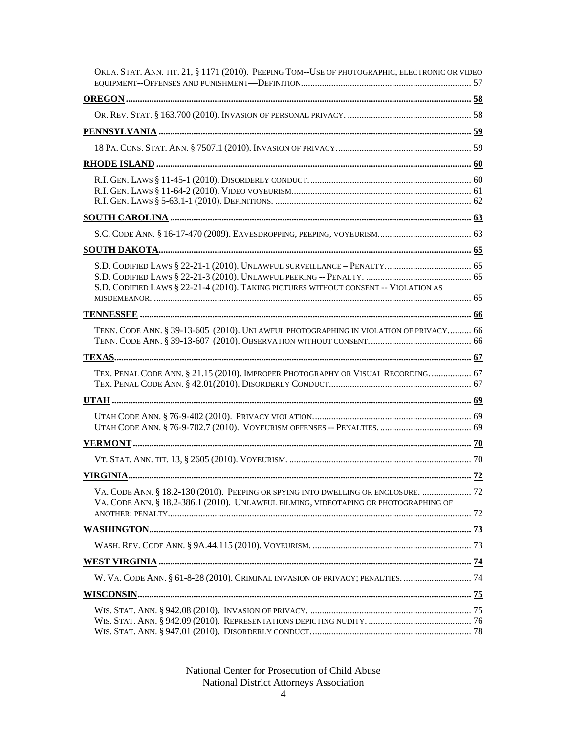| OKLA. STAT. ANN. TIT. 21, § 1171 (2010). PEEPING TOM--USE OF PHOTOGRAPHIC, ELECTRONIC OR VIDEO |  |
|------------------------------------------------------------------------------------------------|--|
|                                                                                                |  |
|                                                                                                |  |
|                                                                                                |  |
|                                                                                                |  |
|                                                                                                |  |
|                                                                                                |  |
|                                                                                                |  |
|                                                                                                |  |
|                                                                                                |  |
|                                                                                                |  |
|                                                                                                |  |
|                                                                                                |  |
|                                                                                                |  |
| S.D. CODIFIED LAWS § 22-21-4 (2010). TAKING PICTURES WITHOUT CONSENT -- VIOLATION AS           |  |
|                                                                                                |  |
|                                                                                                |  |
| TENN. CODE ANN. § 39-13-605 (2010). UNLAWFUL PHOTOGRAPHING IN VIOLATION OF PRIVACY 66          |  |
|                                                                                                |  |
|                                                                                                |  |
| TEX. PENAL CODE ANN. § 21.15 (2010). IMPROPER PHOTOGRAPHY OR VISUAL RECORDING.  67             |  |
|                                                                                                |  |
|                                                                                                |  |
|                                                                                                |  |
|                                                                                                |  |
|                                                                                                |  |
|                                                                                                |  |
|                                                                                                |  |
| VA. CODE ANN. § 18.2-130 (2010). PEEPING OR SPYING INTO DWELLING OR ENCLOSURE.  72             |  |
| VA. CODE ANN. § 18.2-386.1 (2010). UNLAWFUL FILMING, VIDEOTAPING OR PHOTOGRAPHING OF           |  |
|                                                                                                |  |
|                                                                                                |  |
|                                                                                                |  |
|                                                                                                |  |
| W. VA. CODE ANN. § 61-8-28 (2010). CRIMINAL INVASION OF PRIVACY; PENALTIES.  74                |  |
|                                                                                                |  |
|                                                                                                |  |
|                                                                                                |  |
|                                                                                                |  |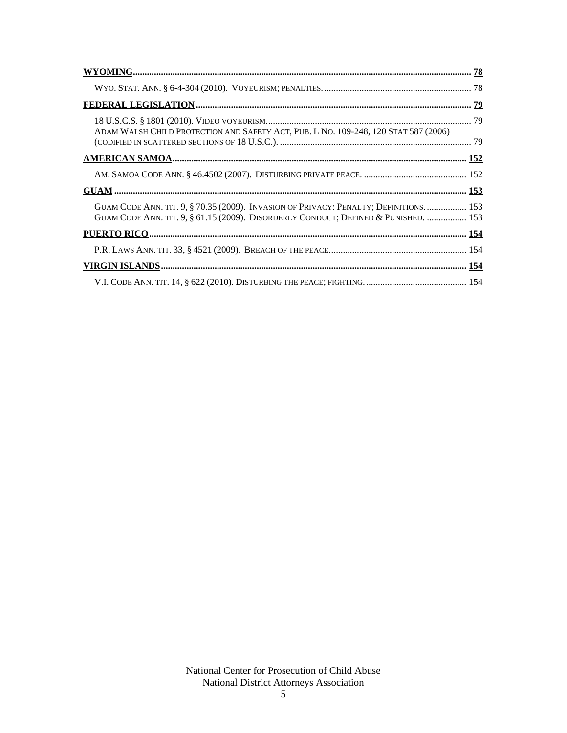| ADAM WALSH CHILD PROTECTION AND SAFETY ACT, PUB. L NO. 109-248, 120 STAT 587 (2006)                                                                                           |  |
|-------------------------------------------------------------------------------------------------------------------------------------------------------------------------------|--|
|                                                                                                                                                                               |  |
|                                                                                                                                                                               |  |
|                                                                                                                                                                               |  |
|                                                                                                                                                                               |  |
| GUAM CODE ANN. TIT. 9, § 70.35 (2009). INVASION OF PRIVACY: PENALTY; DEFINITIONS.  153<br>GUAM CODE ANN. TIT. 9, § 61.15 (2009). DISORDERLY CONDUCT; DEFINED & PUNISHED.  153 |  |
|                                                                                                                                                                               |  |
|                                                                                                                                                                               |  |
|                                                                                                                                                                               |  |
|                                                                                                                                                                               |  |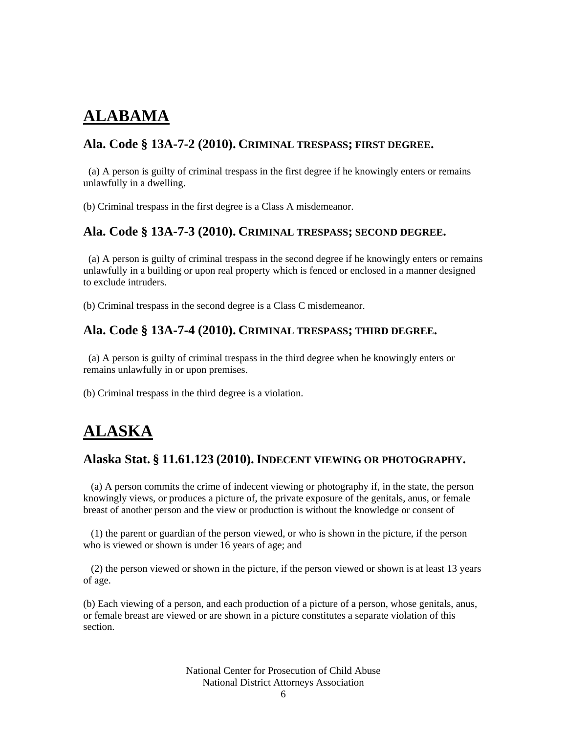# **ALABAMA**

#### **Ala. Code § 13A-7-2 (2010). CRIMINAL TRESPASS; FIRST DEGREE.**

 (a) A person is guilty of criminal trespass in the first degree if he knowingly enters or remains unlawfully in a dwelling.

(b) Criminal trespass in the first degree is a Class A misdemeanor.

### **Ala. Code § 13A-7-3 (2010). CRIMINAL TRESPASS; SECOND DEGREE.**

 (a) A person is guilty of criminal trespass in the second degree if he knowingly enters or remains unlawfully in a building or upon real property which is fenced or enclosed in a manner designed to exclude intruders.

(b) Criminal trespass in the second degree is a Class C misdemeanor.

#### **Ala. Code § 13A-7-4 (2010). CRIMINAL TRESPASS; THIRD DEGREE.**

 (a) A person is guilty of criminal trespass in the third degree when he knowingly enters or remains unlawfully in or upon premises.

(b) Criminal trespass in the third degree is a violation.

# **ALASKA**

#### **Alaska Stat. § 11.61.123 (2010). INDECENT VIEWING OR PHOTOGRAPHY.**

 (a) A person commits the crime of indecent viewing or photography if, in the state, the person knowingly views, or produces a picture of, the private exposure of the genitals, anus, or female breast of another person and the view or production is without the knowledge or consent of

 (1) the parent or guardian of the person viewed, or who is shown in the picture, if the person who is viewed or shown is under 16 years of age; and

 (2) the person viewed or shown in the picture, if the person viewed or shown is at least 13 years of age.

(b) Each viewing of a person, and each production of a picture of a person, whose genitals, anus, or female breast are viewed or are shown in a picture constitutes a separate violation of this section.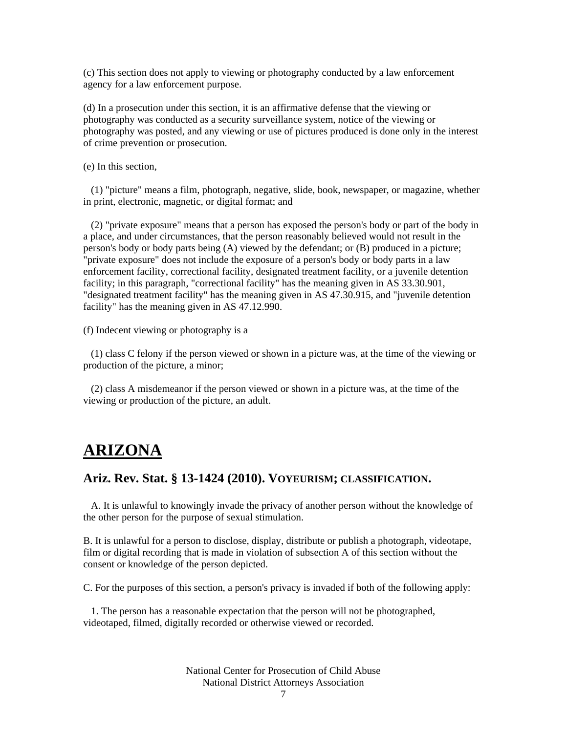(c) This section does not apply to viewing or photography conducted by a law enforcement agency for a law enforcement purpose.

(d) In a prosecution under this section, it is an affirmative defense that the viewing or photography was conducted as a security surveillance system, notice of the viewing or photography was posted, and any viewing or use of pictures produced is done only in the interest of crime prevention or prosecution.

(e) In this section,

 (1) "picture" means a film, photograph, negative, slide, book, newspaper, or magazine, whether in print, electronic, magnetic, or digital format; and

 (2) "private exposure" means that a person has exposed the person's body or part of the body in a place, and under circumstances, that the person reasonably believed would not result in the person's body or body parts being (A) viewed by the defendant; or (B) produced in a picture; "private exposure" does not include the exposure of a person's body or body parts in a law enforcement facility, correctional facility, designated treatment facility, or a juvenile detention facility; in this paragraph, "correctional facility" has the meaning given in AS 33.30.901, "designated treatment facility" has the meaning given in AS 47.30.915, and "juvenile detention facility" has the meaning given in AS 47.12.990.

(f) Indecent viewing or photography is a

 (1) class C felony if the person viewed or shown in a picture was, at the time of the viewing or production of the picture, a minor;

 (2) class A misdemeanor if the person viewed or shown in a picture was, at the time of the viewing or production of the picture, an adult.

# **ARIZONA**

#### **Ariz. Rev. Stat. § 13-1424 (2010). VOYEURISM; CLASSIFICATION.**

 A. It is unlawful to knowingly invade the privacy of another person without the knowledge of the other person for the purpose of sexual stimulation.

B. It is unlawful for a person to disclose, display, distribute or publish a photograph, videotape, film or digital recording that is made in violation of subsection A of this section without the consent or knowledge of the person depicted.

C. For the purposes of this section, a person's privacy is invaded if both of the following apply:

 1. The person has a reasonable expectation that the person will not be photographed, videotaped, filmed, digitally recorded or otherwise viewed or recorded.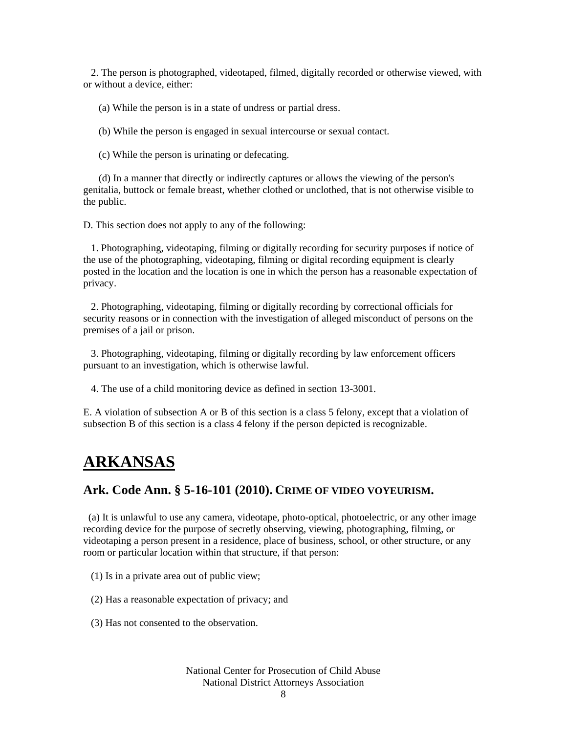2. The person is photographed, videotaped, filmed, digitally recorded or otherwise viewed, with or without a device, either:

(a) While the person is in a state of undress or partial dress.

(b) While the person is engaged in sexual intercourse or sexual contact.

(c) While the person is urinating or defecating.

 (d) In a manner that directly or indirectly captures or allows the viewing of the person's genitalia, buttock or female breast, whether clothed or unclothed, that is not otherwise visible to the public.

D. This section does not apply to any of the following:

 1. Photographing, videotaping, filming or digitally recording for security purposes if notice of the use of the photographing, videotaping, filming or digital recording equipment is clearly posted in the location and the location is one in which the person has a reasonable expectation of privacy.

 2. Photographing, videotaping, filming or digitally recording by correctional officials for security reasons or in connection with the investigation of alleged misconduct of persons on the premises of a jail or prison.

 3. Photographing, videotaping, filming or digitally recording by law enforcement officers pursuant to an investigation, which is otherwise lawful.

4. The use of a child monitoring device as defined in section 13-3001.

E. A violation of subsection A or B of this section is a class 5 felony, except that a violation of subsection B of this section is a class 4 felony if the person depicted is recognizable.

# **ARKANSAS**

#### **Ark. Code Ann. § 5-16-101 (2010). CRIME OF VIDEO VOYEURISM.**

 (a) It is unlawful to use any camera, videotape, photo-optical, photoelectric, or any other image recording device for the purpose of secretly observing, viewing, photographing, filming, or videotaping a person present in a residence, place of business, school, or other structure, or any room or particular location within that structure, if that person:

(1) Is in a private area out of public view;

(2) Has a reasonable expectation of privacy; and

(3) Has not consented to the observation.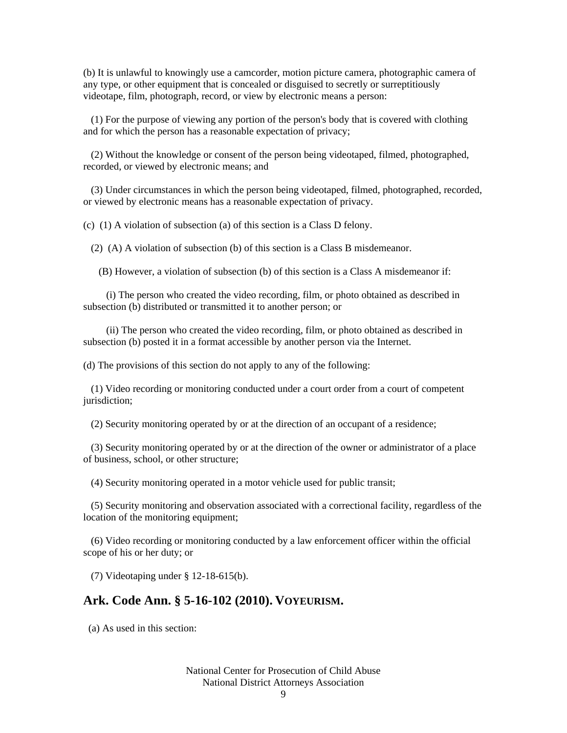(b) It is unlawful to knowingly use a camcorder, motion picture camera, photographic camera of any type, or other equipment that is concealed or disguised to secretly or surreptitiously videotape, film, photograph, record, or view by electronic means a person:

 (1) For the purpose of viewing any portion of the person's body that is covered with clothing and for which the person has a reasonable expectation of privacy;

 (2) Without the knowledge or consent of the person being videotaped, filmed, photographed, recorded, or viewed by electronic means; and

 (3) Under circumstances in which the person being videotaped, filmed, photographed, recorded, or viewed by electronic means has a reasonable expectation of privacy.

(c) (1) A violation of subsection (a) of this section is a Class D felony.

(2) (A) A violation of subsection (b) of this section is a Class B misdemeanor.

(B) However, a violation of subsection (b) of this section is a Class A misdemeanor if:

 (i) The person who created the video recording, film, or photo obtained as described in subsection (b) distributed or transmitted it to another person; or

 (ii) The person who created the video recording, film, or photo obtained as described in subsection (b) posted it in a format accessible by another person via the Internet.

(d) The provisions of this section do not apply to any of the following:

 (1) Video recording or monitoring conducted under a court order from a court of competent jurisdiction;

(2) Security monitoring operated by or at the direction of an occupant of a residence;

 (3) Security monitoring operated by or at the direction of the owner or administrator of a place of business, school, or other structure;

(4) Security monitoring operated in a motor vehicle used for public transit;

 (5) Security monitoring and observation associated with a correctional facility, regardless of the location of the monitoring equipment;

 (6) Video recording or monitoring conducted by a law enforcement officer within the official scope of his or her duty; or

(7) Videotaping under § 12-18-615(b).

#### **Ark. Code Ann. § 5-16-102 (2010). VOYEURISM.**

(a) As used in this section: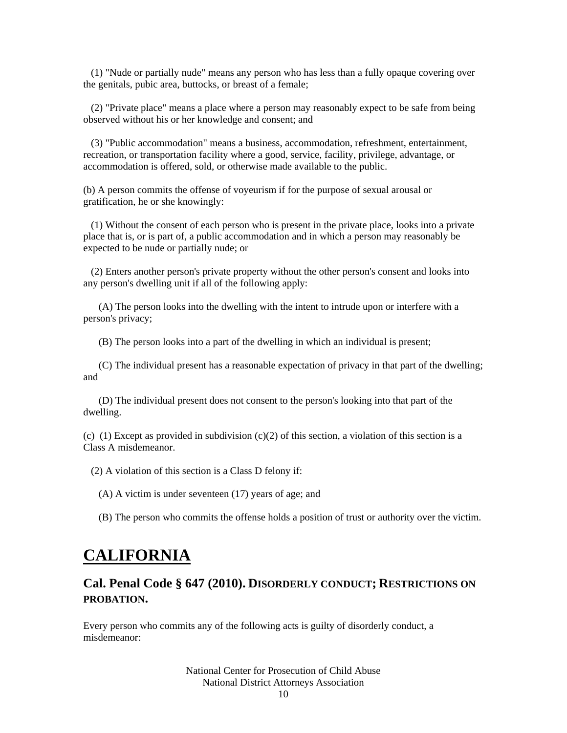(1) "Nude or partially nude" means any person who has less than a fully opaque covering over the genitals, pubic area, buttocks, or breast of a female;

 (2) "Private place" means a place where a person may reasonably expect to be safe from being observed without his or her knowledge and consent; and

 (3) "Public accommodation" means a business, accommodation, refreshment, entertainment, recreation, or transportation facility where a good, service, facility, privilege, advantage, or accommodation is offered, sold, or otherwise made available to the public.

(b) A person commits the offense of voyeurism if for the purpose of sexual arousal or gratification, he or she knowingly:

 (1) Without the consent of each person who is present in the private place, looks into a private place that is, or is part of, a public accommodation and in which a person may reasonably be expected to be nude or partially nude; or

 (2) Enters another person's private property without the other person's consent and looks into any person's dwelling unit if all of the following apply:

 (A) The person looks into the dwelling with the intent to intrude upon or interfere with a person's privacy;

(B) The person looks into a part of the dwelling in which an individual is present;

 (C) The individual present has a reasonable expectation of privacy in that part of the dwelling; and

 (D) The individual present does not consent to the person's looking into that part of the dwelling.

(c) (1) Except as provided in subdivision (c)(2) of this section, a violation of this section is a Class A misdemeanor.

(2) A violation of this section is a Class D felony if:

(A) A victim is under seventeen (17) years of age; and

(B) The person who commits the offense holds a position of trust or authority over the victim.

# **CALIFORNIA**

### **Cal. Penal Code § 647 (2010). DISORDERLY CONDUCT; RESTRICTIONS ON PROBATION.**

Every person who commits any of the following acts is guilty of disorderly conduct, a misdemeanor: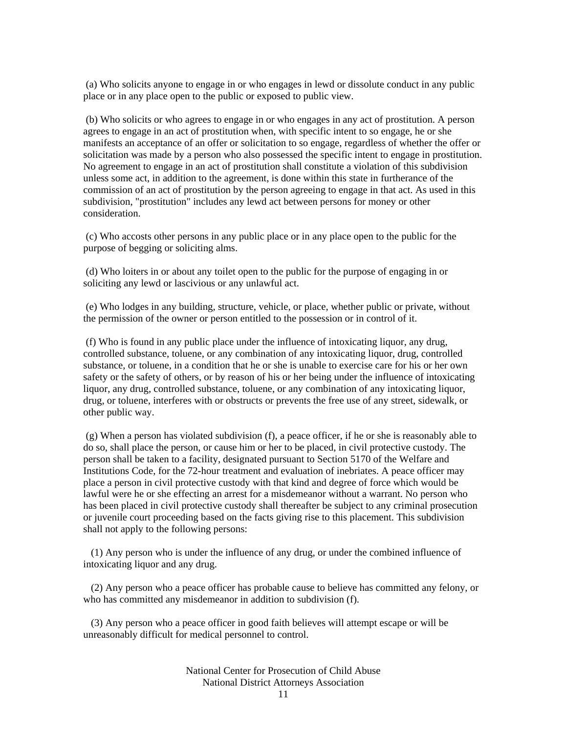(a) Who solicits anyone to engage in or who engages in lewd or dissolute conduct in any public place or in any place open to the public or exposed to public view.

 (b) Who solicits or who agrees to engage in or who engages in any act of prostitution. A person agrees to engage in an act of prostitution when, with specific intent to so engage, he or she manifests an acceptance of an offer or solicitation to so engage, regardless of whether the offer or solicitation was made by a person who also possessed the specific intent to engage in prostitution. No agreement to engage in an act of prostitution shall constitute a violation of this subdivision unless some act, in addition to the agreement, is done within this state in furtherance of the commission of an act of prostitution by the person agreeing to engage in that act. As used in this subdivision, "prostitution" includes any lewd act between persons for money or other consideration.

 (c) Who accosts other persons in any public place or in any place open to the public for the purpose of begging or soliciting alms.

 (d) Who loiters in or about any toilet open to the public for the purpose of engaging in or soliciting any lewd or lascivious or any unlawful act.

 (e) Who lodges in any building, structure, vehicle, or place, whether public or private, without the permission of the owner or person entitled to the possession or in control of it.

 (f) Who is found in any public place under the influence of intoxicating liquor, any drug, controlled substance, toluene, or any combination of any intoxicating liquor, drug, controlled substance, or toluene, in a condition that he or she is unable to exercise care for his or her own safety or the safety of others, or by reason of his or her being under the influence of intoxicating liquor, any drug, controlled substance, toluene, or any combination of any intoxicating liquor, drug, or toluene, interferes with or obstructs or prevents the free use of any street, sidewalk, or other public way.

 (g) When a person has violated subdivision (f), a peace officer, if he or she is reasonably able to do so, shall place the person, or cause him or her to be placed, in civil protective custody. The person shall be taken to a facility, designated pursuant to Section 5170 of the Welfare and Institutions Code, for the 72-hour treatment and evaluation of inebriates. A peace officer may place a person in civil protective custody with that kind and degree of force which would be lawful were he or she effecting an arrest for a misdemeanor without a warrant. No person who has been placed in civil protective custody shall thereafter be subject to any criminal prosecution or juvenile court proceeding based on the facts giving rise to this placement. This subdivision shall not apply to the following persons:

 (1) Any person who is under the influence of any drug, or under the combined influence of intoxicating liquor and any drug.

 (2) Any person who a peace officer has probable cause to believe has committed any felony, or who has committed any misdemeanor in addition to subdivision (f).

 (3) Any person who a peace officer in good faith believes will attempt escape or will be unreasonably difficult for medical personnel to control.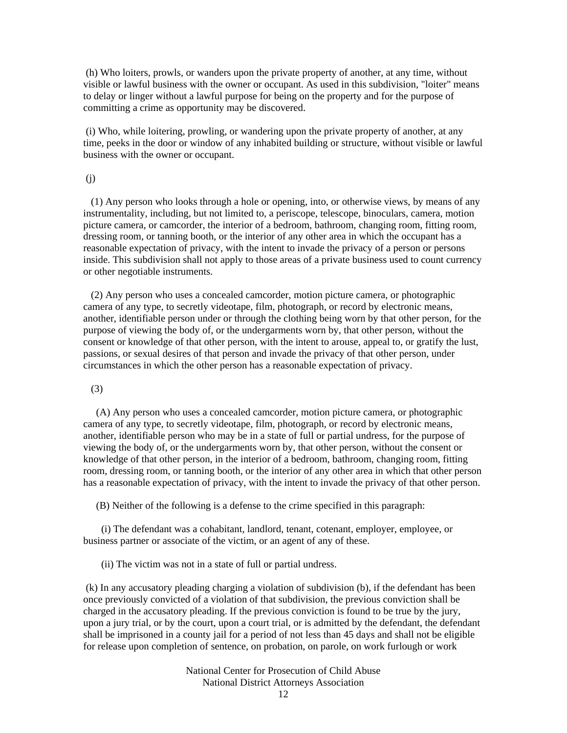(h) Who loiters, prowls, or wanders upon the private property of another, at any time, without visible or lawful business with the owner or occupant. As used in this subdivision, "loiter" means to delay or linger without a lawful purpose for being on the property and for the purpose of committing a crime as opportunity may be discovered.

 (i) Who, while loitering, prowling, or wandering upon the private property of another, at any time, peeks in the door or window of any inhabited building or structure, without visible or lawful business with the owner or occupant.

#### (j)

 (1) Any person who looks through a hole or opening, into, or otherwise views, by means of any instrumentality, including, but not limited to, a periscope, telescope, binoculars, camera, motion picture camera, or camcorder, the interior of a bedroom, bathroom, changing room, fitting room, dressing room, or tanning booth, or the interior of any other area in which the occupant has a reasonable expectation of privacy, with the intent to invade the privacy of a person or persons inside. This subdivision shall not apply to those areas of a private business used to count currency or other negotiable instruments.

 (2) Any person who uses a concealed camcorder, motion picture camera, or photographic camera of any type, to secretly videotape, film, photograph, or record by electronic means, another, identifiable person under or through the clothing being worn by that other person, for the purpose of viewing the body of, or the undergarments worn by, that other person, without the consent or knowledge of that other person, with the intent to arouse, appeal to, or gratify the lust, passions, or sexual desires of that person and invade the privacy of that other person, under circumstances in which the other person has a reasonable expectation of privacy.

#### (3)

 (A) Any person who uses a concealed camcorder, motion picture camera, or photographic camera of any type, to secretly videotape, film, photograph, or record by electronic means, another, identifiable person who may be in a state of full or partial undress, for the purpose of viewing the body of, or the undergarments worn by, that other person, without the consent or knowledge of that other person, in the interior of a bedroom, bathroom, changing room, fitting room, dressing room, or tanning booth, or the interior of any other area in which that other person has a reasonable expectation of privacy, with the intent to invade the privacy of that other person.

(B) Neither of the following is a defense to the crime specified in this paragraph:

 (i) The defendant was a cohabitant, landlord, tenant, cotenant, employer, employee, or business partner or associate of the victim, or an agent of any of these.

(ii) The victim was not in a state of full or partial undress.

 (k) In any accusatory pleading charging a violation of subdivision (b), if the defendant has been once previously convicted of a violation of that subdivision, the previous conviction shall be charged in the accusatory pleading. If the previous conviction is found to be true by the jury, upon a jury trial, or by the court, upon a court trial, or is admitted by the defendant, the defendant shall be imprisoned in a county jail for a period of not less than 45 days and shall not be eligible for release upon completion of sentence, on probation, on parole, on work furlough or work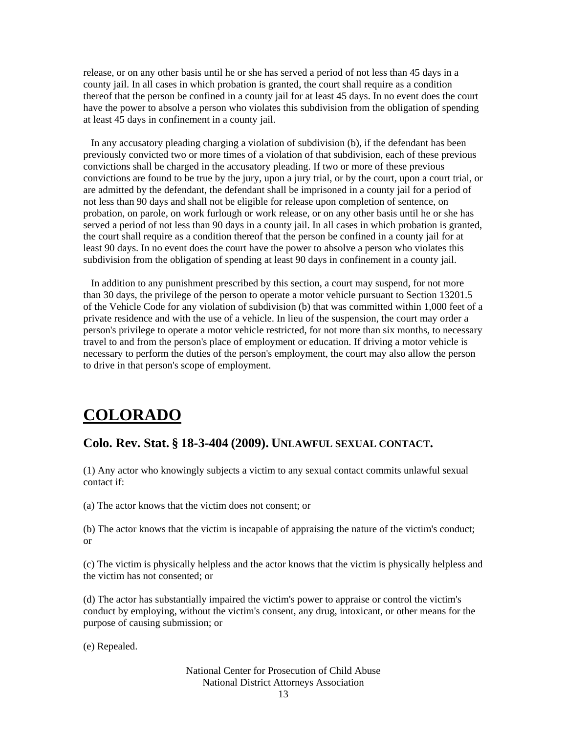release, or on any other basis until he or she has served a period of not less than 45 days in a county jail. In all cases in which probation is granted, the court shall require as a condition thereof that the person be confined in a county jail for at least 45 days. In no event does the court have the power to absolve a person who violates this subdivision from the obligation of spending at least 45 days in confinement in a county jail.

 In any accusatory pleading charging a violation of subdivision (b), if the defendant has been previously convicted two or more times of a violation of that subdivision, each of these previous convictions shall be charged in the accusatory pleading. If two or more of these previous convictions are found to be true by the jury, upon a jury trial, or by the court, upon a court trial, or are admitted by the defendant, the defendant shall be imprisoned in a county jail for a period of not less than 90 days and shall not be eligible for release upon completion of sentence, on probation, on parole, on work furlough or work release, or on any other basis until he or she has served a period of not less than 90 days in a county jail. In all cases in which probation is granted, the court shall require as a condition thereof that the person be confined in a county jail for at least 90 days. In no event does the court have the power to absolve a person who violates this subdivision from the obligation of spending at least 90 days in confinement in a county jail.

 In addition to any punishment prescribed by this section, a court may suspend, for not more than 30 days, the privilege of the person to operate a motor vehicle pursuant to Section 13201.5 of the Vehicle Code for any violation of subdivision (b) that was committed within 1,000 feet of a private residence and with the use of a vehicle. In lieu of the suspension, the court may order a person's privilege to operate a motor vehicle restricted, for not more than six months, to necessary travel to and from the person's place of employment or education. If driving a motor vehicle is necessary to perform the duties of the person's employment, the court may also allow the person to drive in that person's scope of employment.

# **COLORADO**

#### **Colo. Rev. Stat. § 18-3-404 (2009). UNLAWFUL SEXUAL CONTACT.**

(1) Any actor who knowingly subjects a victim to any sexual contact commits unlawful sexual contact if:

(a) The actor knows that the victim does not consent; or

(b) The actor knows that the victim is incapable of appraising the nature of the victim's conduct; or

(c) The victim is physically helpless and the actor knows that the victim is physically helpless and the victim has not consented; or

(d) The actor has substantially impaired the victim's power to appraise or control the victim's conduct by employing, without the victim's consent, any drug, intoxicant, or other means for the purpose of causing submission; or

(e) Repealed.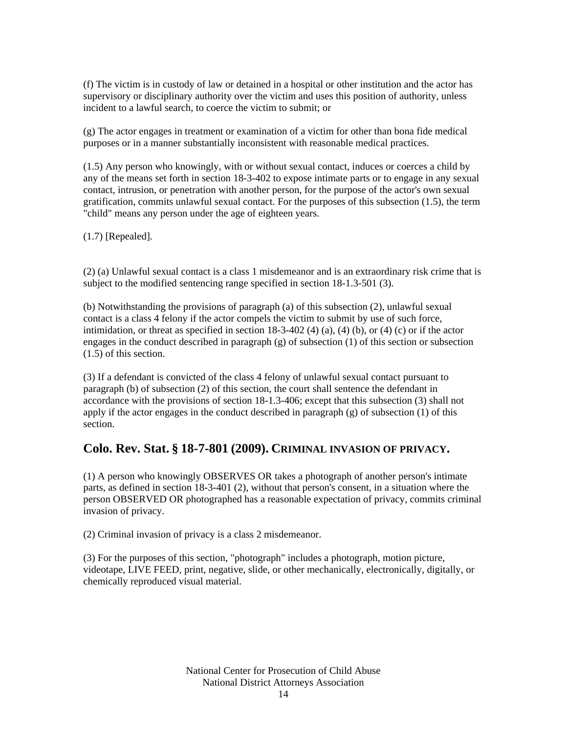(f) The victim is in custody of law or detained in a hospital or other institution and the actor has supervisory or disciplinary authority over the victim and uses this position of authority, unless incident to a lawful search, to coerce the victim to submit; or

(g) The actor engages in treatment or examination of a victim for other than bona fide medical purposes or in a manner substantially inconsistent with reasonable medical practices.

(1.5) Any person who knowingly, with or without sexual contact, induces or coerces a child by any of the means set forth in section 18-3-402 to expose intimate parts or to engage in any sexual contact, intrusion, or penetration with another person, for the purpose of the actor's own sexual gratification, commits unlawful sexual contact. For the purposes of this subsection (1.5), the term "child" means any person under the age of eighteen years.

(1.7) [Repealed].

(2) (a) Unlawful sexual contact is a class 1 misdemeanor and is an extraordinary risk crime that is subject to the modified sentencing range specified in section 18-1.3-501 (3).

(b) Notwithstanding the provisions of paragraph (a) of this subsection (2), unlawful sexual contact is a class 4 felony if the actor compels the victim to submit by use of such force, intimidation, or threat as specified in section  $18-3-402$  (4) (a),  $(4)$  (b), or (4) (c) or if the actor engages in the conduct described in paragraph  $(g)$  of subsection (1) of this section or subsection (1.5) of this section.

(3) If a defendant is convicted of the class 4 felony of unlawful sexual contact pursuant to paragraph (b) of subsection (2) of this section, the court shall sentence the defendant in accordance with the provisions of section 18-1.3-406; except that this subsection (3) shall not apply if the actor engages in the conduct described in paragraph (g) of subsection (1) of this section.

#### **Colo. Rev. Stat. § 18-7-801 (2009). CRIMINAL INVASION OF PRIVACY.**

(1) A person who knowingly OBSERVES OR takes a photograph of another person's intimate parts, as defined in section 18-3-401 (2), without that person's consent, in a situation where the person OBSERVED OR photographed has a reasonable expectation of privacy, commits criminal invasion of privacy.

(2) Criminal invasion of privacy is a class 2 misdemeanor.

(3) For the purposes of this section, "photograph" includes a photograph, motion picture, videotape, LIVE FEED, print, negative, slide, or other mechanically, electronically, digitally, or chemically reproduced visual material.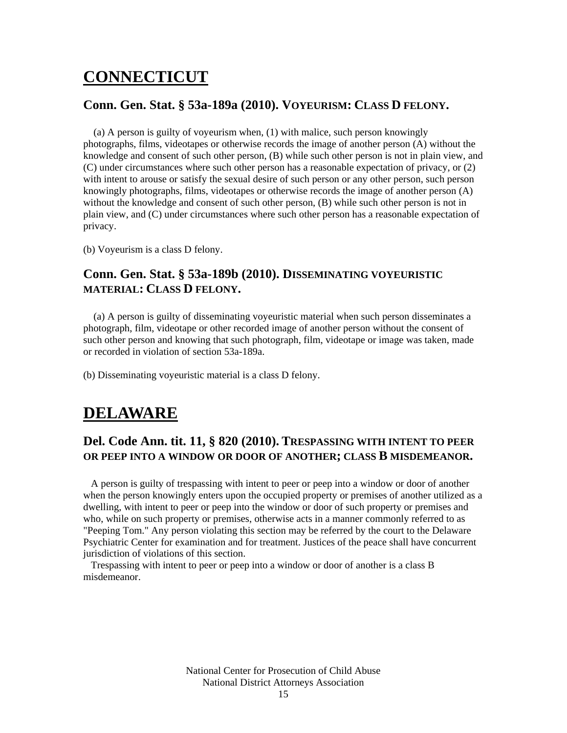# **CONNECTICUT**

#### **Conn. Gen. Stat. § 53a-189a (2010). VOYEURISM: CLASS D FELONY.**

 (a) A person is guilty of voyeurism when, (1) with malice, such person knowingly photographs, films, videotapes or otherwise records the image of another person (A) without the knowledge and consent of such other person, (B) while such other person is not in plain view, and (C) under circumstances where such other person has a reasonable expectation of privacy, or (2) with intent to arouse or satisfy the sexual desire of such person or any other person, such person knowingly photographs, films, videotapes or otherwise records the image of another person (A) without the knowledge and consent of such other person, (B) while such other person is not in plain view, and (C) under circumstances where such other person has a reasonable expectation of privacy.

(b) Voyeurism is a class D felony.

### **Conn. Gen. Stat. § 53a-189b (2010). DISSEMINATING VOYEURISTIC MATERIAL: CLASS D FELONY.**

 (a) A person is guilty of disseminating voyeuristic material when such person disseminates a photograph, film, videotape or other recorded image of another person without the consent of such other person and knowing that such photograph, film, videotape or image was taken, made or recorded in violation of section 53a-189a.

(b) Disseminating voyeuristic material is a class D felony.

# **DELAWARE**

### **Del. Code Ann. tit. 11, § 820 (2010). TRESPASSING WITH INTENT TO PEER OR PEEP INTO A WINDOW OR DOOR OF ANOTHER; CLASS B MISDEMEANOR.**

 A person is guilty of trespassing with intent to peer or peep into a window or door of another when the person knowingly enters upon the occupied property or premises of another utilized as a dwelling, with intent to peer or peep into the window or door of such property or premises and who, while on such property or premises, otherwise acts in a manner commonly referred to as "Peeping Tom." Any person violating this section may be referred by the court to the Delaware Psychiatric Center for examination and for treatment. Justices of the peace shall have concurrent jurisdiction of violations of this section.

 Trespassing with intent to peer or peep into a window or door of another is a class B misdemeanor.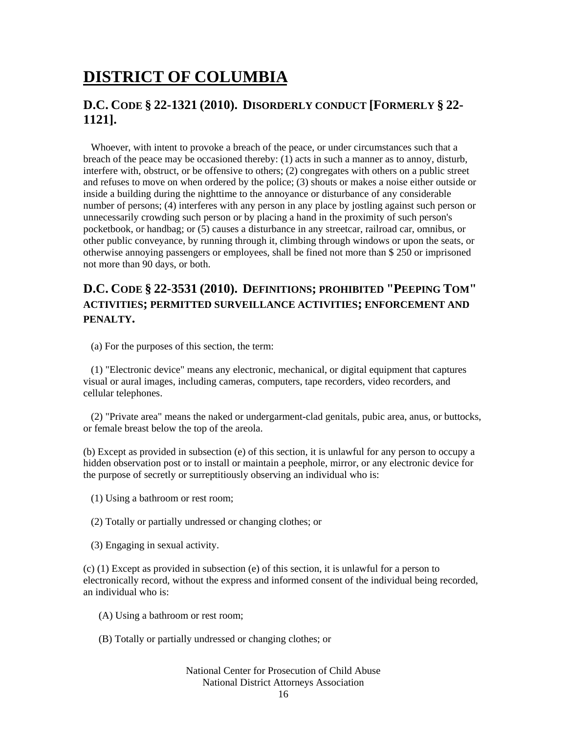# **DISTRICT OF COLUMBIA**

### **D.C. CODE § 22-1321 (2010). DISORDERLY CONDUCT [FORMERLY § 22- 1121].**

 Whoever, with intent to provoke a breach of the peace, or under circumstances such that a breach of the peace may be occasioned thereby: (1) acts in such a manner as to annoy, disturb, interfere with, obstruct, or be offensive to others; (2) congregates with others on a public street and refuses to move on when ordered by the police; (3) shouts or makes a noise either outside or inside a building during the nighttime to the annoyance or disturbance of any considerable number of persons; (4) interferes with any person in any place by jostling against such person or unnecessarily crowding such person or by placing a hand in the proximity of such person's pocketbook, or handbag; or (5) causes a disturbance in any streetcar, railroad car, omnibus, or other public conveyance, by running through it, climbing through windows or upon the seats, or otherwise annoying passengers or employees, shall be fined not more than \$ 250 or imprisoned not more than 90 days, or both.

### **D.C. CODE § 22-3531 (2010). DEFINITIONS; PROHIBITED "PEEPING TOM" ACTIVITIES; PERMITTED SURVEILLANCE ACTIVITIES; ENFORCEMENT AND PENALTY.**

(a) For the purposes of this section, the term:

 (1) "Electronic device" means any electronic, mechanical, or digital equipment that captures visual or aural images, including cameras, computers, tape recorders, video recorders, and cellular telephones.

 (2) "Private area" means the naked or undergarment-clad genitals, pubic area, anus, or buttocks, or female breast below the top of the areola.

(b) Except as provided in subsection (e) of this section, it is unlawful for any person to occupy a hidden observation post or to install or maintain a peephole, mirror, or any electronic device for the purpose of secretly or surreptitiously observing an individual who is:

(1) Using a bathroom or rest room;

(2) Totally or partially undressed or changing clothes; or

(3) Engaging in sexual activity.

(c) (1) Except as provided in subsection (e) of this section, it is unlawful for a person to electronically record, without the express and informed consent of the individual being recorded, an individual who is:

- (A) Using a bathroom or rest room;
- (B) Totally or partially undressed or changing clothes; or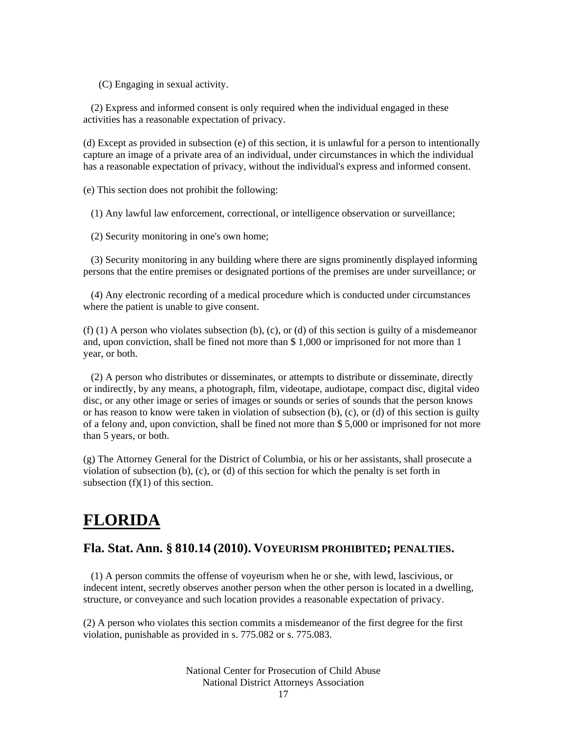(C) Engaging in sexual activity.

 (2) Express and informed consent is only required when the individual engaged in these activities has a reasonable expectation of privacy.

(d) Except as provided in subsection (e) of this section, it is unlawful for a person to intentionally capture an image of a private area of an individual, under circumstances in which the individual has a reasonable expectation of privacy, without the individual's express and informed consent.

(e) This section does not prohibit the following:

(1) Any lawful law enforcement, correctional, or intelligence observation or surveillance;

(2) Security monitoring in one's own home;

 (3) Security monitoring in any building where there are signs prominently displayed informing persons that the entire premises or designated portions of the premises are under surveillance; or

 (4) Any electronic recording of a medical procedure which is conducted under circumstances where the patient is unable to give consent.

(f) (1) A person who violates subsection (b), (c), or (d) of this section is guilty of a misdemeanor and, upon conviction, shall be fined not more than \$ 1,000 or imprisoned for not more than 1 year, or both.

 (2) A person who distributes or disseminates, or attempts to distribute or disseminate, directly or indirectly, by any means, a photograph, film, videotape, audiotape, compact disc, digital video disc, or any other image or series of images or sounds or series of sounds that the person knows or has reason to know were taken in violation of subsection (b), (c), or (d) of this section is guilty of a felony and, upon conviction, shall be fined not more than \$ 5,000 or imprisoned for not more than 5 years, or both.

(g) The Attorney General for the District of Columbia, or his or her assistants, shall prosecute a violation of subsection (b),  $(c)$ , or  $(d)$  of this section for which the penalty is set forth in subsection  $(f)(1)$  of this section.

# **FLORIDA**

#### **Fla. Stat. Ann. § 810.14 (2010). VOYEURISM PROHIBITED; PENALTIES.**

 (1) A person commits the offense of voyeurism when he or she, with lewd, lascivious, or indecent intent, secretly observes another person when the other person is located in a dwelling, structure, or conveyance and such location provides a reasonable expectation of privacy.

(2) A person who violates this section commits a misdemeanor of the first degree for the first violation, punishable as provided in s. 775.082 or s. 775.083.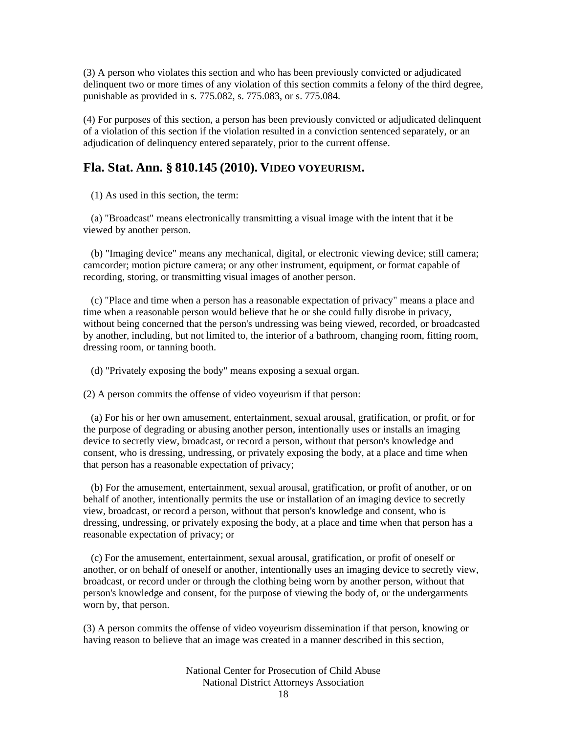(3) A person who violates this section and who has been previously convicted or adjudicated delinquent two or more times of any violation of this section commits a felony of the third degree, punishable as provided in s. 775.082, s. 775.083, or s. 775.084.

(4) For purposes of this section, a person has been previously convicted or adjudicated delinquent of a violation of this section if the violation resulted in a conviction sentenced separately, or an adjudication of delinquency entered separately, prior to the current offense.

#### **Fla. Stat. Ann. § 810.145 (2010). VIDEO VOYEURISM.**

(1) As used in this section, the term:

 (a) "Broadcast" means electronically transmitting a visual image with the intent that it be viewed by another person.

 (b) "Imaging device" means any mechanical, digital, or electronic viewing device; still camera; camcorder; motion picture camera; or any other instrument, equipment, or format capable of recording, storing, or transmitting visual images of another person.

 (c) "Place and time when a person has a reasonable expectation of privacy" means a place and time when a reasonable person would believe that he or she could fully disrobe in privacy, without being concerned that the person's undressing was being viewed, recorded, or broadcasted by another, including, but not limited to, the interior of a bathroom, changing room, fitting room, dressing room, or tanning booth.

(d) "Privately exposing the body" means exposing a sexual organ.

(2) A person commits the offense of video voyeurism if that person:

 (a) For his or her own amusement, entertainment, sexual arousal, gratification, or profit, or for the purpose of degrading or abusing another person, intentionally uses or installs an imaging device to secretly view, broadcast, or record a person, without that person's knowledge and consent, who is dressing, undressing, or privately exposing the body, at a place and time when that person has a reasonable expectation of privacy;

 (b) For the amusement, entertainment, sexual arousal, gratification, or profit of another, or on behalf of another, intentionally permits the use or installation of an imaging device to secretly view, broadcast, or record a person, without that person's knowledge and consent, who is dressing, undressing, or privately exposing the body, at a place and time when that person has a reasonable expectation of privacy; or

 (c) For the amusement, entertainment, sexual arousal, gratification, or profit of oneself or another, or on behalf of oneself or another, intentionally uses an imaging device to secretly view, broadcast, or record under or through the clothing being worn by another person, without that person's knowledge and consent, for the purpose of viewing the body of, or the undergarments worn by, that person.

(3) A person commits the offense of video voyeurism dissemination if that person, knowing or having reason to believe that an image was created in a manner described in this section,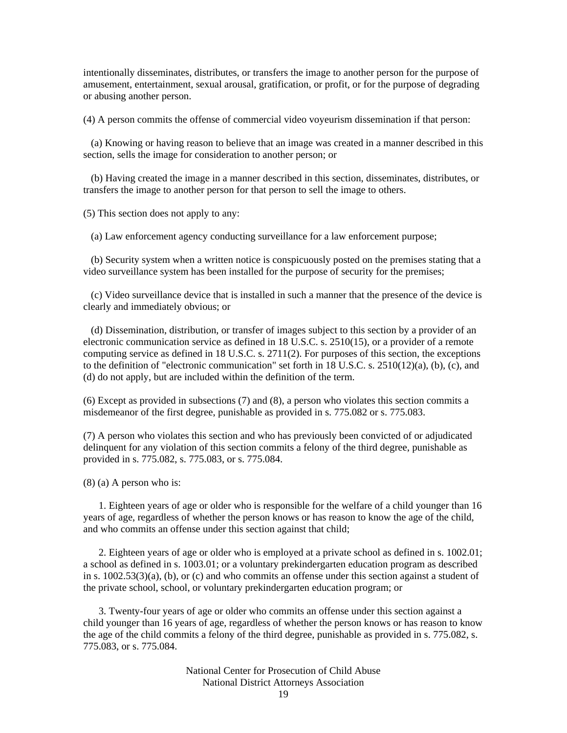intentionally disseminates, distributes, or transfers the image to another person for the purpose of amusement, entertainment, sexual arousal, gratification, or profit, or for the purpose of degrading or abusing another person.

(4) A person commits the offense of commercial video voyeurism dissemination if that person:

 (a) Knowing or having reason to believe that an image was created in a manner described in this section, sells the image for consideration to another person; or

 (b) Having created the image in a manner described in this section, disseminates, distributes, or transfers the image to another person for that person to sell the image to others.

(5) This section does not apply to any:

(a) Law enforcement agency conducting surveillance for a law enforcement purpose;

 (b) Security system when a written notice is conspicuously posted on the premises stating that a video surveillance system has been installed for the purpose of security for the premises;

 (c) Video surveillance device that is installed in such a manner that the presence of the device is clearly and immediately obvious; or

 (d) Dissemination, distribution, or transfer of images subject to this section by a provider of an electronic communication service as defined in 18 U.S.C. s. 2510(15), or a provider of a remote computing service as defined in 18 U.S.C. s. 2711(2). For purposes of this section, the exceptions to the definition of "electronic communication" set forth in 18 U.S.C. s. 2510(12)(a), (b), (c), and (d) do not apply, but are included within the definition of the term.

(6) Except as provided in subsections (7) and (8), a person who violates this section commits a misdemeanor of the first degree, punishable as provided in s. 775.082 or s. 775.083.

(7) A person who violates this section and who has previously been convicted of or adjudicated delinquent for any violation of this section commits a felony of the third degree, punishable as provided in s. 775.082, s. 775.083, or s. 775.084.

(8) (a) A person who is:

 1. Eighteen years of age or older who is responsible for the welfare of a child younger than 16 years of age, regardless of whether the person knows or has reason to know the age of the child, and who commits an offense under this section against that child;

 2. Eighteen years of age or older who is employed at a private school as defined in s. 1002.01; a school as defined in s. 1003.01; or a voluntary prekindergarten education program as described in s. 1002.53(3)(a), (b), or (c) and who commits an offense under this section against a student of the private school, school, or voluntary prekindergarten education program; or

 3. Twenty-four years of age or older who commits an offense under this section against a child younger than 16 years of age, regardless of whether the person knows or has reason to know the age of the child commits a felony of the third degree, punishable as provided in s. 775.082, s. 775.083, or s. 775.084.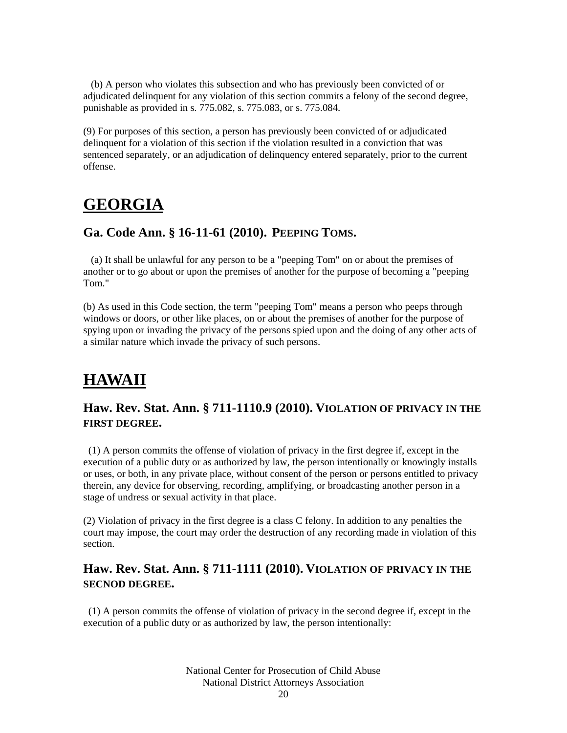(b) A person who violates this subsection and who has previously been convicted of or adjudicated delinquent for any violation of this section commits a felony of the second degree, punishable as provided in s. 775.082, s. 775.083, or s. 775.084.

(9) For purposes of this section, a person has previously been convicted of or adjudicated delinquent for a violation of this section if the violation resulted in a conviction that was sentenced separately, or an adjudication of delinquency entered separately, prior to the current offense.

# **GEORGIA**

### **Ga. Code Ann. § 16-11-61 (2010). PEEPING TOMS.**

 (a) It shall be unlawful for any person to be a "peeping Tom" on or about the premises of another or to go about or upon the premises of another for the purpose of becoming a "peeping Tom."

(b) As used in this Code section, the term "peeping Tom" means a person who peeps through windows or doors, or other like places, on or about the premises of another for the purpose of spying upon or invading the privacy of the persons spied upon and the doing of any other acts of a similar nature which invade the privacy of such persons.

# **HAWAII**

### **Haw. Rev. Stat. Ann. § 711-1110.9 (2010). VIOLATION OF PRIVACY IN THE FIRST DEGREE.**

 (1) A person commits the offense of violation of privacy in the first degree if, except in the execution of a public duty or as authorized by law, the person intentionally or knowingly installs or uses, or both, in any private place, without consent of the person or persons entitled to privacy therein, any device for observing, recording, amplifying, or broadcasting another person in a stage of undress or sexual activity in that place.

(2) Violation of privacy in the first degree is a class C felony. In addition to any penalties the court may impose, the court may order the destruction of any recording made in violation of this section.

### **Haw. Rev. Stat. Ann. § 711-1111 (2010). VIOLATION OF PRIVACY IN THE SECNOD DEGREE.**

 (1) A person commits the offense of violation of privacy in the second degree if, except in the execution of a public duty or as authorized by law, the person intentionally: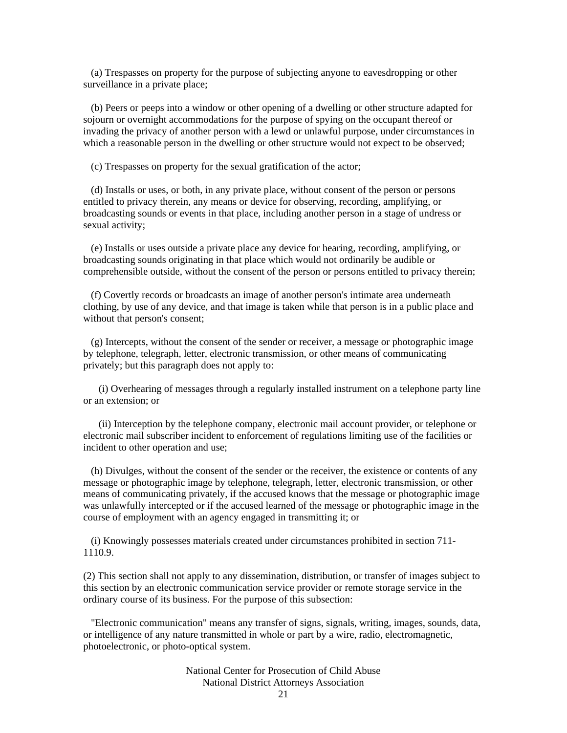(a) Trespasses on property for the purpose of subjecting anyone to eavesdropping or other surveillance in a private place;

 (b) Peers or peeps into a window or other opening of a dwelling or other structure adapted for sojourn or overnight accommodations for the purpose of spying on the occupant thereof or invading the privacy of another person with a lewd or unlawful purpose, under circumstances in which a reasonable person in the dwelling or other structure would not expect to be observed;

(c) Trespasses on property for the sexual gratification of the actor;

 (d) Installs or uses, or both, in any private place, without consent of the person or persons entitled to privacy therein, any means or device for observing, recording, amplifying, or broadcasting sounds or events in that place, including another person in a stage of undress or sexual activity;

 (e) Installs or uses outside a private place any device for hearing, recording, amplifying, or broadcasting sounds originating in that place which would not ordinarily be audible or comprehensible outside, without the consent of the person or persons entitled to privacy therein;

 (f) Covertly records or broadcasts an image of another person's intimate area underneath clothing, by use of any device, and that image is taken while that person is in a public place and without that person's consent;

 (g) Intercepts, without the consent of the sender or receiver, a message or photographic image by telephone, telegraph, letter, electronic transmission, or other means of communicating privately; but this paragraph does not apply to:

 (i) Overhearing of messages through a regularly installed instrument on a telephone party line or an extension; or

 (ii) Interception by the telephone company, electronic mail account provider, or telephone or electronic mail subscriber incident to enforcement of regulations limiting use of the facilities or incident to other operation and use;

 (h) Divulges, without the consent of the sender or the receiver, the existence or contents of any message or photographic image by telephone, telegraph, letter, electronic transmission, or other means of communicating privately, if the accused knows that the message or photographic image was unlawfully intercepted or if the accused learned of the message or photographic image in the course of employment with an agency engaged in transmitting it; or

 (i) Knowingly possesses materials created under circumstances prohibited in section 711- 1110.9.

(2) This section shall not apply to any dissemination, distribution, or transfer of images subject to this section by an electronic communication service provider or remote storage service in the ordinary course of its business. For the purpose of this subsection:

 "Electronic communication" means any transfer of signs, signals, writing, images, sounds, data, or intelligence of any nature transmitted in whole or part by a wire, radio, electromagnetic, photoelectronic, or photo-optical system.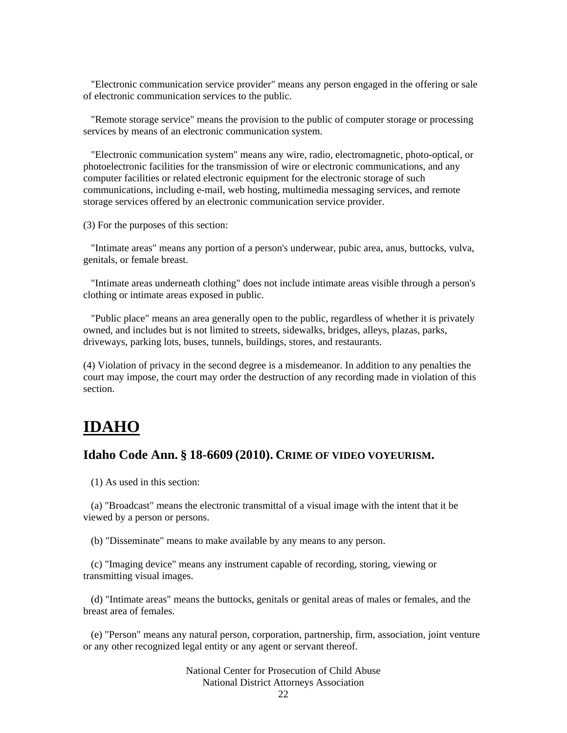"Electronic communication service provider" means any person engaged in the offering or sale of electronic communication services to the public.

 "Remote storage service" means the provision to the public of computer storage or processing services by means of an electronic communication system.

 "Electronic communication system" means any wire, radio, electromagnetic, photo-optical, or photoelectronic facilities for the transmission of wire or electronic communications, and any computer facilities or related electronic equipment for the electronic storage of such communications, including e-mail, web hosting, multimedia messaging services, and remote storage services offered by an electronic communication service provider.

(3) For the purposes of this section:

 "Intimate areas" means any portion of a person's underwear, pubic area, anus, buttocks, vulva, genitals, or female breast.

 "Intimate areas underneath clothing" does not include intimate areas visible through a person's clothing or intimate areas exposed in public.

 "Public place" means an area generally open to the public, regardless of whether it is privately owned, and includes but is not limited to streets, sidewalks, bridges, alleys, plazas, parks, driveways, parking lots, buses, tunnels, buildings, stores, and restaurants.

(4) Violation of privacy in the second degree is a misdemeanor. In addition to any penalties the court may impose, the court may order the destruction of any recording made in violation of this section.

### **IDAHO**

#### **Idaho Code Ann. § 18-6609 (2010). CRIME OF VIDEO VOYEURISM.**

(1) As used in this section:

 (a) "Broadcast" means the electronic transmittal of a visual image with the intent that it be viewed by a person or persons.

(b) "Disseminate" means to make available by any means to any person.

 (c) "Imaging device" means any instrument capable of recording, storing, viewing or transmitting visual images.

 (d) "Intimate areas" means the buttocks, genitals or genital areas of males or females, and the breast area of females.

 (e) "Person" means any natural person, corporation, partnership, firm, association, joint venture or any other recognized legal entity or any agent or servant thereof.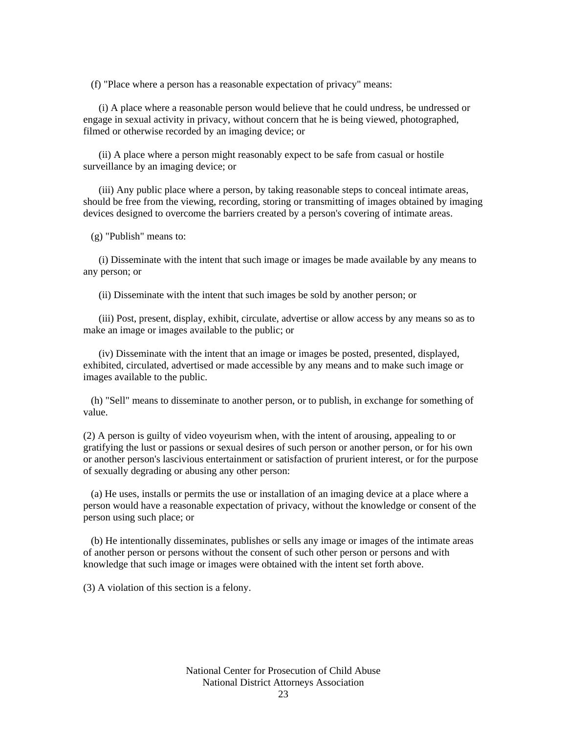(f) "Place where a person has a reasonable expectation of privacy" means:

 (i) A place where a reasonable person would believe that he could undress, be undressed or engage in sexual activity in privacy, without concern that he is being viewed, photographed, filmed or otherwise recorded by an imaging device; or

 (ii) A place where a person might reasonably expect to be safe from casual or hostile surveillance by an imaging device; or

 (iii) Any public place where a person, by taking reasonable steps to conceal intimate areas, should be free from the viewing, recording, storing or transmitting of images obtained by imaging devices designed to overcome the barriers created by a person's covering of intimate areas.

(g) "Publish" means to:

 (i) Disseminate with the intent that such image or images be made available by any means to any person; or

(ii) Disseminate with the intent that such images be sold by another person; or

 (iii) Post, present, display, exhibit, circulate, advertise or allow access by any means so as to make an image or images available to the public; or

 (iv) Disseminate with the intent that an image or images be posted, presented, displayed, exhibited, circulated, advertised or made accessible by any means and to make such image or images available to the public.

 (h) "Sell" means to disseminate to another person, or to publish, in exchange for something of value.

(2) A person is guilty of video voyeurism when, with the intent of arousing, appealing to or gratifying the lust or passions or sexual desires of such person or another person, or for his own or another person's lascivious entertainment or satisfaction of prurient interest, or for the purpose of sexually degrading or abusing any other person:

 (a) He uses, installs or permits the use or installation of an imaging device at a place where a person would have a reasonable expectation of privacy, without the knowledge or consent of the person using such place; or

 (b) He intentionally disseminates, publishes or sells any image or images of the intimate areas of another person or persons without the consent of such other person or persons and with knowledge that such image or images were obtained with the intent set forth above.

(3) A violation of this section is a felony.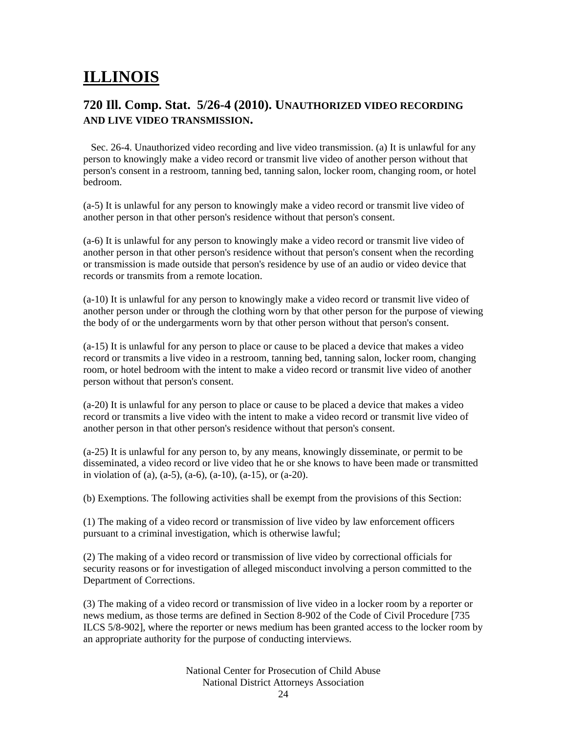# **ILLINOIS**

### **720 Ill. Comp. Stat. 5/26-4 (2010). UNAUTHORIZED VIDEO RECORDING AND LIVE VIDEO TRANSMISSION.**

 Sec. 26-4. Unauthorized video recording and live video transmission. (a) It is unlawful for any person to knowingly make a video record or transmit live video of another person without that person's consent in a restroom, tanning bed, tanning salon, locker room, changing room, or hotel bedroom.

(a-5) It is unlawful for any person to knowingly make a video record or transmit live video of another person in that other person's residence without that person's consent.

(a-6) It is unlawful for any person to knowingly make a video record or transmit live video of another person in that other person's residence without that person's consent when the recording or transmission is made outside that person's residence by use of an audio or video device that records or transmits from a remote location.

(a-10) It is unlawful for any person to knowingly make a video record or transmit live video of another person under or through the clothing worn by that other person for the purpose of viewing the body of or the undergarments worn by that other person without that person's consent.

(a-15) It is unlawful for any person to place or cause to be placed a device that makes a video record or transmits a live video in a restroom, tanning bed, tanning salon, locker room, changing room, or hotel bedroom with the intent to make a video record or transmit live video of another person without that person's consent.

(a-20) It is unlawful for any person to place or cause to be placed a device that makes a video record or transmits a live video with the intent to make a video record or transmit live video of another person in that other person's residence without that person's consent.

(a-25) It is unlawful for any person to, by any means, knowingly disseminate, or permit to be disseminated, a video record or live video that he or she knows to have been made or transmitted in violation of (a), (a-5), (a-6), (a-10), (a-15), or (a-20).

(b) Exemptions. The following activities shall be exempt from the provisions of this Section:

(1) The making of a video record or transmission of live video by law enforcement officers pursuant to a criminal investigation, which is otherwise lawful;

(2) The making of a video record or transmission of live video by correctional officials for security reasons or for investigation of alleged misconduct involving a person committed to the Department of Corrections.

(3) The making of a video record or transmission of live video in a locker room by a reporter or news medium, as those terms are defined in Section 8-902 of the Code of Civil Procedure [735 ILCS 5/8-902], where the reporter or news medium has been granted access to the locker room by an appropriate authority for the purpose of conducting interviews.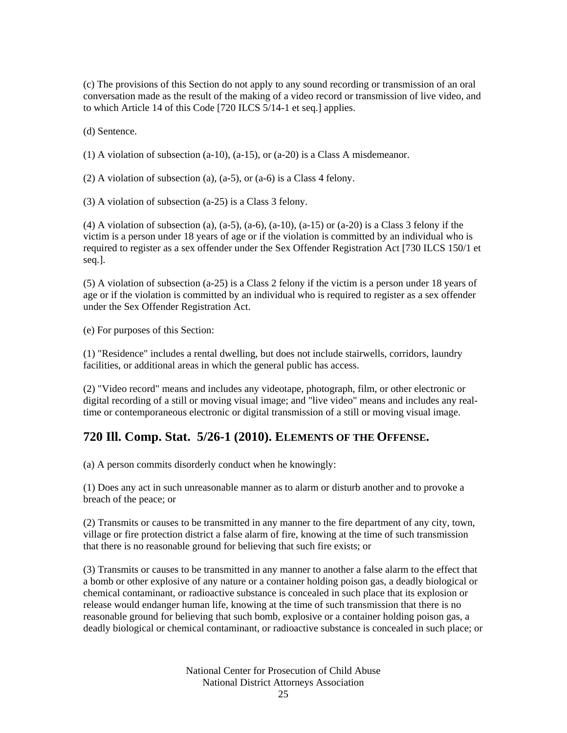(c) The provisions of this Section do not apply to any sound recording or transmission of an oral conversation made as the result of the making of a video record or transmission of live video, and to which Article 14 of this Code [720 ILCS 5/14-1 et seq.] applies.

(d) Sentence.

(1) A violation of subsection (a-10), (a-15), or (a-20) is a Class A misdemeanor.

(2) A violation of subsection (a),  $(a-5)$ , or  $(a-6)$  is a Class 4 felony.

(3) A violation of subsection (a-25) is a Class 3 felony.

 $(4)$  A violation of subsection (a), (a-5), (a-6), (a-10), (a-15) or (a-20) is a Class 3 felony if the victim is a person under 18 years of age or if the violation is committed by an individual who is required to register as a sex offender under the Sex Offender Registration Act [730 ILCS 150/1 et seq.].

(5) A violation of subsection (a-25) is a Class 2 felony if the victim is a person under 18 years of age or if the violation is committed by an individual who is required to register as a sex offender under the Sex Offender Registration Act.

(e) For purposes of this Section:

(1) "Residence" includes a rental dwelling, but does not include stairwells, corridors, laundry facilities, or additional areas in which the general public has access.

(2) "Video record" means and includes any videotape, photograph, film, or other electronic or digital recording of a still or moving visual image; and "live video" means and includes any realtime or contemporaneous electronic or digital transmission of a still or moving visual image.

#### **720 Ill. Comp. Stat. 5/26-1 (2010). ELEMENTS OF THE OFFENSE.**

(a) A person commits disorderly conduct when he knowingly:

(1) Does any act in such unreasonable manner as to alarm or disturb another and to provoke a breach of the peace; or

(2) Transmits or causes to be transmitted in any manner to the fire department of any city, town, village or fire protection district a false alarm of fire, knowing at the time of such transmission that there is no reasonable ground for believing that such fire exists; or

(3) Transmits or causes to be transmitted in any manner to another a false alarm to the effect that a bomb or other explosive of any nature or a container holding poison gas, a deadly biological or chemical contaminant, or radioactive substance is concealed in such place that its explosion or release would endanger human life, knowing at the time of such transmission that there is no reasonable ground for believing that such bomb, explosive or a container holding poison gas, a deadly biological or chemical contaminant, or radioactive substance is concealed in such place; or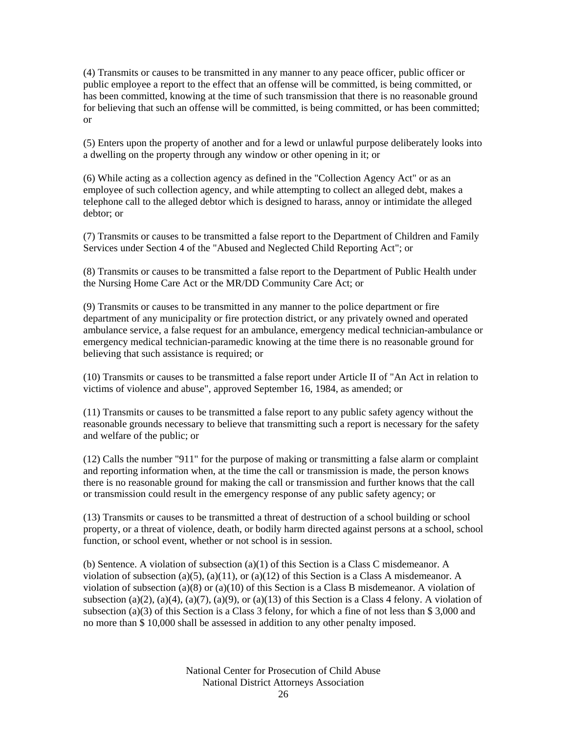(4) Transmits or causes to be transmitted in any manner to any peace officer, public officer or public employee a report to the effect that an offense will be committed, is being committed, or has been committed, knowing at the time of such transmission that there is no reasonable ground for believing that such an offense will be committed, is being committed, or has been committed; or

(5) Enters upon the property of another and for a lewd or unlawful purpose deliberately looks into a dwelling on the property through any window or other opening in it; or

(6) While acting as a collection agency as defined in the "Collection Agency Act" or as an employee of such collection agency, and while attempting to collect an alleged debt, makes a telephone call to the alleged debtor which is designed to harass, annoy or intimidate the alleged debtor; or

(7) Transmits or causes to be transmitted a false report to the Department of Children and Family Services under Section 4 of the "Abused and Neglected Child Reporting Act"; or

(8) Transmits or causes to be transmitted a false report to the Department of Public Health under the Nursing Home Care Act or the MR/DD Community Care Act; or

(9) Transmits or causes to be transmitted in any manner to the police department or fire department of any municipality or fire protection district, or any privately owned and operated ambulance service, a false request for an ambulance, emergency medical technician-ambulance or emergency medical technician-paramedic knowing at the time there is no reasonable ground for believing that such assistance is required; or

(10) Transmits or causes to be transmitted a false report under Article II of "An Act in relation to victims of violence and abuse", approved September 16, 1984, as amended; or

(11) Transmits or causes to be transmitted a false report to any public safety agency without the reasonable grounds necessary to believe that transmitting such a report is necessary for the safety and welfare of the public; or

(12) Calls the number "911" for the purpose of making or transmitting a false alarm or complaint and reporting information when, at the time the call or transmission is made, the person knows there is no reasonable ground for making the call or transmission and further knows that the call or transmission could result in the emergency response of any public safety agency; or

(13) Transmits or causes to be transmitted a threat of destruction of a school building or school property, or a threat of violence, death, or bodily harm directed against persons at a school, school function, or school event, whether or not school is in session.

(b) Sentence. A violation of subsection (a)(1) of this Section is a Class C misdemeanor. A violation of subsection (a)(5), (a)(11), or (a)(12) of this Section is a Class A misdemeanor. A violation of subsection (a)(8) or (a)(10) of this Section is a Class B misdemeanor. A violation of subsection (a)(2), (a)(4), (a)(7), (a)(9), or (a)(13) of this Section is a Class 4 felony. A violation of subsection (a)(3) of this Section is a Class 3 felony, for which a fine of not less than \$ 3,000 and no more than \$ 10,000 shall be assessed in addition to any other penalty imposed.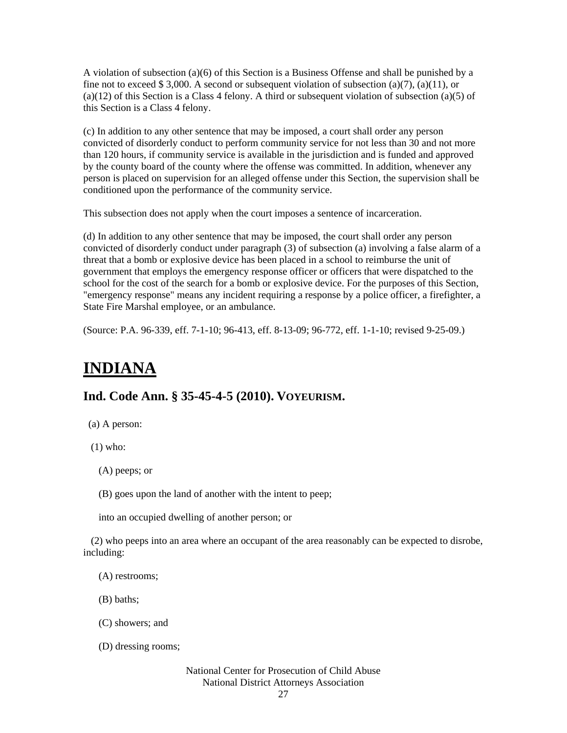A violation of subsection (a)(6) of this Section is a Business Offense and shall be punished by a fine not to exceed \$3,000. A second or subsequent violation of subsection (a)(7), (a)(11), or  $(a)(12)$  of this Section is a Class 4 felony. A third or subsequent violation of subsection  $(a)(5)$  of this Section is a Class 4 felony.

(c) In addition to any other sentence that may be imposed, a court shall order any person convicted of disorderly conduct to perform community service for not less than 30 and not more than 120 hours, if community service is available in the jurisdiction and is funded and approved by the county board of the county where the offense was committed. In addition, whenever any person is placed on supervision for an alleged offense under this Section, the supervision shall be conditioned upon the performance of the community service.

This subsection does not apply when the court imposes a sentence of incarceration.

(d) In addition to any other sentence that may be imposed, the court shall order any person convicted of disorderly conduct under paragraph (3) of subsection (a) involving a false alarm of a threat that a bomb or explosive device has been placed in a school to reimburse the unit of government that employs the emergency response officer or officers that were dispatched to the school for the cost of the search for a bomb or explosive device. For the purposes of this Section, "emergency response" means any incident requiring a response by a police officer, a firefighter, a State Fire Marshal employee, or an ambulance.

(Source: P.A. 96-339, eff. 7-1-10; 96-413, eff. 8-13-09; 96-772, eff. 1-1-10; revised 9-25-09.)

# **INDIANA**

### **Ind. Code Ann. § 35-45-4-5 (2010). VOYEURISM.**

(a) A person:

(1) who:

(A) peeps; or

(B) goes upon the land of another with the intent to peep;

into an occupied dwelling of another person; or

 (2) who peeps into an area where an occupant of the area reasonably can be expected to disrobe, including:

(A) restrooms;

(B) baths;

- (C) showers; and
- (D) dressing rooms;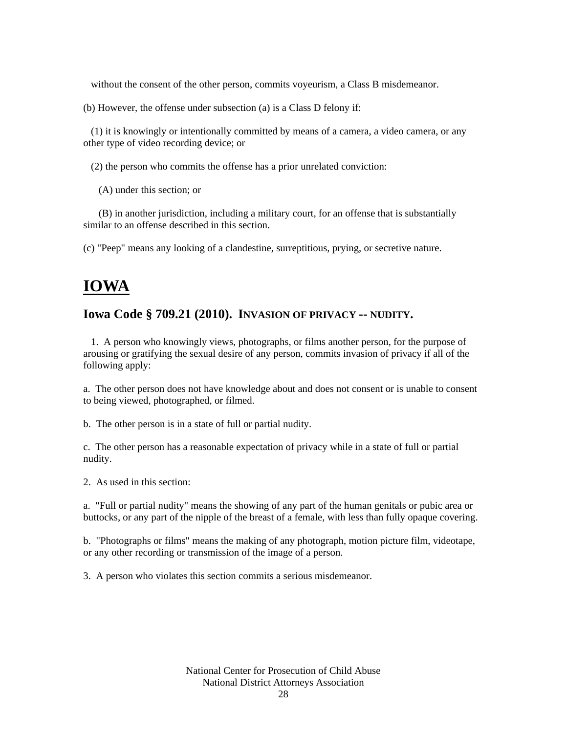without the consent of the other person, commits voyeurism, a Class B misdemeanor.

(b) However, the offense under subsection (a) is a Class D felony if:

 (1) it is knowingly or intentionally committed by means of a camera, a video camera, or any other type of video recording device; or

(2) the person who commits the offense has a prior unrelated conviction:

(A) under this section; or

 (B) in another jurisdiction, including a military court, for an offense that is substantially similar to an offense described in this section.

(c) "Peep" means any looking of a clandestine, surreptitious, prying, or secretive nature.

# **IOWA**

### **Iowa Code § 709.21 (2010). INVASION OF PRIVACY -- NUDITY.**

 1. A person who knowingly views, photographs, or films another person, for the purpose of arousing or gratifying the sexual desire of any person, commits invasion of privacy if all of the following apply:

a. The other person does not have knowledge about and does not consent or is unable to consent to being viewed, photographed, or filmed.

b. The other person is in a state of full or partial nudity.

c. The other person has a reasonable expectation of privacy while in a state of full or partial nudity.

2. As used in this section:

a. "Full or partial nudity" means the showing of any part of the human genitals or pubic area or buttocks, or any part of the nipple of the breast of a female, with less than fully opaque covering.

b. "Photographs or films" means the making of any photograph, motion picture film, videotape, or any other recording or transmission of the image of a person.

3. A person who violates this section commits a serious misdemeanor.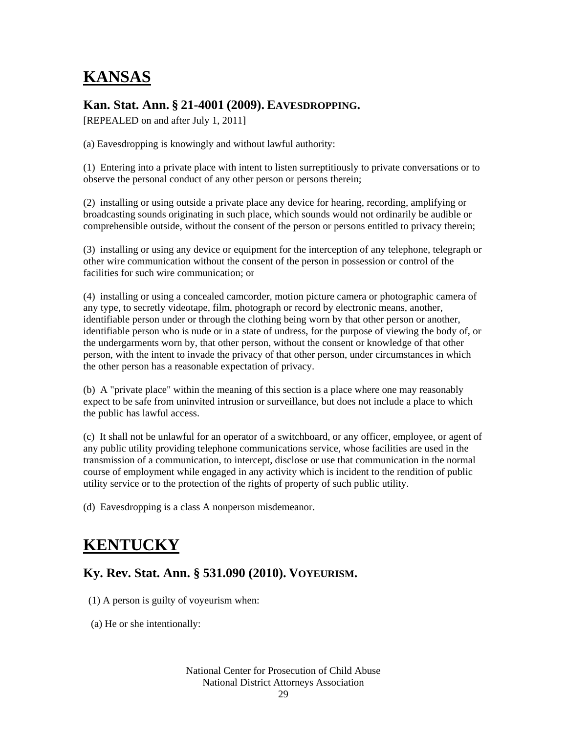# **KANSAS**

### **Kan. Stat. Ann. § 21-4001 (2009). EAVESDROPPING.**

[REPEALED on and after July 1, 2011]

(a) Eavesdropping is knowingly and without lawful authority:

(1) Entering into a private place with intent to listen surreptitiously to private conversations or to observe the personal conduct of any other person or persons therein;

(2) installing or using outside a private place any device for hearing, recording, amplifying or broadcasting sounds originating in such place, which sounds would not ordinarily be audible or comprehensible outside, without the consent of the person or persons entitled to privacy therein;

(3) installing or using any device or equipment for the interception of any telephone, telegraph or other wire communication without the consent of the person in possession or control of the facilities for such wire communication; or

(4) installing or using a concealed camcorder, motion picture camera or photographic camera of any type, to secretly videotape, film, photograph or record by electronic means, another, identifiable person under or through the clothing being worn by that other person or another, identifiable person who is nude or in a state of undress, for the purpose of viewing the body of, or the undergarments worn by, that other person, without the consent or knowledge of that other person, with the intent to invade the privacy of that other person, under circumstances in which the other person has a reasonable expectation of privacy.

(b) A "private place" within the meaning of this section is a place where one may reasonably expect to be safe from uninvited intrusion or surveillance, but does not include a place to which the public has lawful access.

(c) It shall not be unlawful for an operator of a switchboard, or any officer, employee, or agent of any public utility providing telephone communications service, whose facilities are used in the transmission of a communication, to intercept, disclose or use that communication in the normal course of employment while engaged in any activity which is incident to the rendition of public utility service or to the protection of the rights of property of such public utility.

(d) Eavesdropping is a class A nonperson misdemeanor.

# **KENTUCKY**

### **Ky. Rev. Stat. Ann. § 531.090 (2010). VOYEURISM.**

- (1) A person is guilty of voyeurism when:
- (a) He or she intentionally: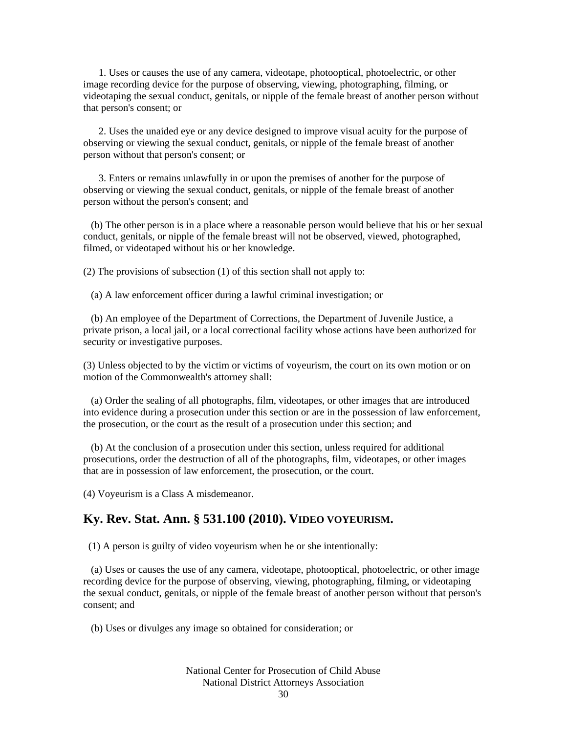1. Uses or causes the use of any camera, videotape, photooptical, photoelectric, or other image recording device for the purpose of observing, viewing, photographing, filming, or videotaping the sexual conduct, genitals, or nipple of the female breast of another person without that person's consent; or

 2. Uses the unaided eye or any device designed to improve visual acuity for the purpose of observing or viewing the sexual conduct, genitals, or nipple of the female breast of another person without that person's consent; or

 3. Enters or remains unlawfully in or upon the premises of another for the purpose of observing or viewing the sexual conduct, genitals, or nipple of the female breast of another person without the person's consent; and

 (b) The other person is in a place where a reasonable person would believe that his or her sexual conduct, genitals, or nipple of the female breast will not be observed, viewed, photographed, filmed, or videotaped without his or her knowledge.

(2) The provisions of subsection (1) of this section shall not apply to:

(a) A law enforcement officer during a lawful criminal investigation; or

 (b) An employee of the Department of Corrections, the Department of Juvenile Justice, a private prison, a local jail, or a local correctional facility whose actions have been authorized for security or investigative purposes.

(3) Unless objected to by the victim or victims of voyeurism, the court on its own motion or on motion of the Commonwealth's attorney shall:

 (a) Order the sealing of all photographs, film, videotapes, or other images that are introduced into evidence during a prosecution under this section or are in the possession of law enforcement, the prosecution, or the court as the result of a prosecution under this section; and

 (b) At the conclusion of a prosecution under this section, unless required for additional prosecutions, order the destruction of all of the photographs, film, videotapes, or other images that are in possession of law enforcement, the prosecution, or the court.

(4) Voyeurism is a Class A misdemeanor.

#### **Ky. Rev. Stat. Ann. § 531.100 (2010). VIDEO VOYEURISM.**

(1) A person is guilty of video voyeurism when he or she intentionally:

 (a) Uses or causes the use of any camera, videotape, photooptical, photoelectric, or other image recording device for the purpose of observing, viewing, photographing, filming, or videotaping the sexual conduct, genitals, or nipple of the female breast of another person without that person's consent; and

(b) Uses or divulges any image so obtained for consideration; or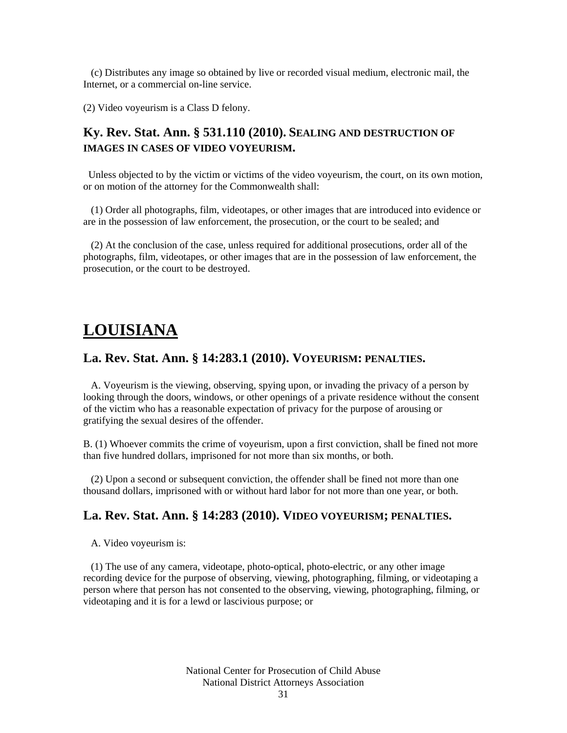(c) Distributes any image so obtained by live or recorded visual medium, electronic mail, the Internet, or a commercial on-line service.

(2) Video voyeurism is a Class D felony.

### **Ky. Rev. Stat. Ann. § 531.110 (2010). SEALING AND DESTRUCTION OF IMAGES IN CASES OF VIDEO VOYEURISM.**

 Unless objected to by the victim or victims of the video voyeurism, the court, on its own motion, or on motion of the attorney for the Commonwealth shall:

 (1) Order all photographs, film, videotapes, or other images that are introduced into evidence or are in the possession of law enforcement, the prosecution, or the court to be sealed; and

 (2) At the conclusion of the case, unless required for additional prosecutions, order all of the photographs, film, videotapes, or other images that are in the possession of law enforcement, the prosecution, or the court to be destroyed.

### **LOUISIANA**

#### **La. Rev. Stat. Ann. § 14:283.1 (2010). VOYEURISM: PENALTIES.**

 A. Voyeurism is the viewing, observing, spying upon, or invading the privacy of a person by looking through the doors, windows, or other openings of a private residence without the consent of the victim who has a reasonable expectation of privacy for the purpose of arousing or gratifying the sexual desires of the offender.

B. (1) Whoever commits the crime of voyeurism, upon a first conviction, shall be fined not more than five hundred dollars, imprisoned for not more than six months, or both.

 (2) Upon a second or subsequent conviction, the offender shall be fined not more than one thousand dollars, imprisoned with or without hard labor for not more than one year, or both.

### **La. Rev. Stat. Ann. § 14:283 (2010). VIDEO VOYEURISM; PENALTIES.**

A. Video voyeurism is:

 (1) The use of any camera, videotape, photo-optical, photo-electric, or any other image recording device for the purpose of observing, viewing, photographing, filming, or videotaping a person where that person has not consented to the observing, viewing, photographing, filming, or videotaping and it is for a lewd or lascivious purpose; or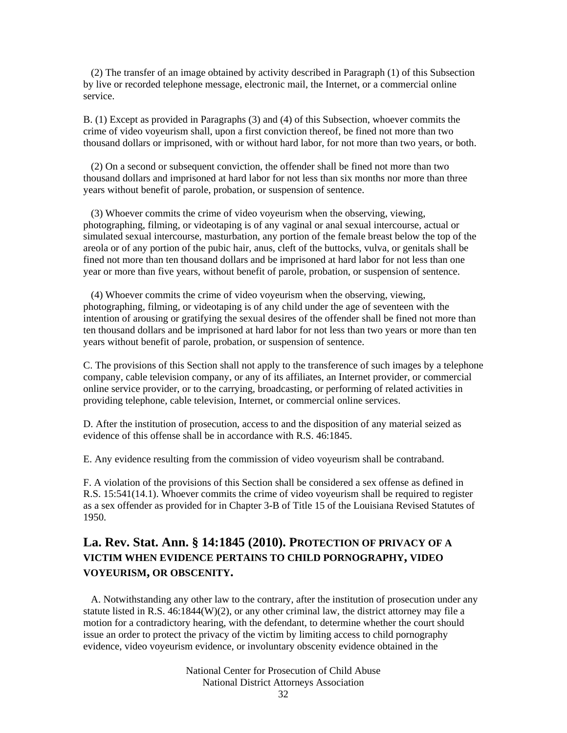(2) The transfer of an image obtained by activity described in Paragraph (1) of this Subsection by live or recorded telephone message, electronic mail, the Internet, or a commercial online service.

B. (1) Except as provided in Paragraphs (3) and (4) of this Subsection, whoever commits the crime of video voyeurism shall, upon a first conviction thereof, be fined not more than two thousand dollars or imprisoned, with or without hard labor, for not more than two years, or both.

 (2) On a second or subsequent conviction, the offender shall be fined not more than two thousand dollars and imprisoned at hard labor for not less than six months nor more than three years without benefit of parole, probation, or suspension of sentence.

 (3) Whoever commits the crime of video voyeurism when the observing, viewing, photographing, filming, or videotaping is of any vaginal or anal sexual intercourse, actual or simulated sexual intercourse, masturbation, any portion of the female breast below the top of the areola or of any portion of the pubic hair, anus, cleft of the buttocks, vulva, or genitals shall be fined not more than ten thousand dollars and be imprisoned at hard labor for not less than one year or more than five years, without benefit of parole, probation, or suspension of sentence.

 (4) Whoever commits the crime of video voyeurism when the observing, viewing, photographing, filming, or videotaping is of any child under the age of seventeen with the intention of arousing or gratifying the sexual desires of the offender shall be fined not more than ten thousand dollars and be imprisoned at hard labor for not less than two years or more than ten years without benefit of parole, probation, or suspension of sentence.

C. The provisions of this Section shall not apply to the transference of such images by a telephone company, cable television company, or any of its affiliates, an Internet provider, or commercial online service provider, or to the carrying, broadcasting, or performing of related activities in providing telephone, cable television, Internet, or commercial online services.

D. After the institution of prosecution, access to and the disposition of any material seized as evidence of this offense shall be in accordance with R.S. 46:1845.

E. Any evidence resulting from the commission of video voyeurism shall be contraband.

F. A violation of the provisions of this Section shall be considered a sex offense as defined in R.S. 15:541(14.1). Whoever commits the crime of video voyeurism shall be required to register as a sex offender as provided for in Chapter 3-B of Title 15 of the Louisiana Revised Statutes of 1950.

### **La. Rev. Stat. Ann. § 14:1845 (2010). PROTECTION OF PRIVACY OF A VICTIM WHEN EVIDENCE PERTAINS TO CHILD PORNOGRAPHY, VIDEO VOYEURISM, OR OBSCENITY.**

 A. Notwithstanding any other law to the contrary, after the institution of prosecution under any statute listed in R.S. 46:1844(W)(2), or any other criminal law, the district attorney may file a motion for a contradictory hearing, with the defendant, to determine whether the court should issue an order to protect the privacy of the victim by limiting access to child pornography evidence, video voyeurism evidence, or involuntary obscenity evidence obtained in the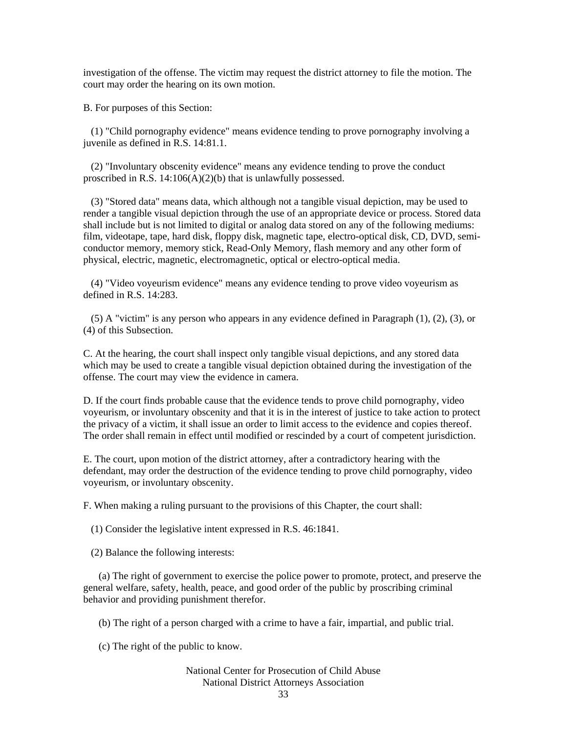investigation of the offense. The victim may request the district attorney to file the motion. The court may order the hearing on its own motion.

B. For purposes of this Section:

 (1) "Child pornography evidence" means evidence tending to prove pornography involving a juvenile as defined in R.S. 14:81.1.

 (2) "Involuntary obscenity evidence" means any evidence tending to prove the conduct proscribed in R.S. 14:106(A)(2)(b) that is unlawfully possessed.

 (3) "Stored data" means data, which although not a tangible visual depiction, may be used to render a tangible visual depiction through the use of an appropriate device or process. Stored data shall include but is not limited to digital or analog data stored on any of the following mediums: film, videotape, tape, hard disk, floppy disk, magnetic tape, electro-optical disk, CD, DVD, semiconductor memory, memory stick, Read-Only Memory, flash memory and any other form of physical, electric, magnetic, electromagnetic, optical or electro-optical media.

 (4) "Video voyeurism evidence" means any evidence tending to prove video voyeurism as defined in R.S. 14:283.

 (5) A "victim" is any person who appears in any evidence defined in Paragraph (1), (2), (3), or (4) of this Subsection.

C. At the hearing, the court shall inspect only tangible visual depictions, and any stored data which may be used to create a tangible visual depiction obtained during the investigation of the offense. The court may view the evidence in camera.

D. If the court finds probable cause that the evidence tends to prove child pornography, video voyeurism, or involuntary obscenity and that it is in the interest of justice to take action to protect the privacy of a victim, it shall issue an order to limit access to the evidence and copies thereof. The order shall remain in effect until modified or rescinded by a court of competent jurisdiction.

E. The court, upon motion of the district attorney, after a contradictory hearing with the defendant, may order the destruction of the evidence tending to prove child pornography, video voyeurism, or involuntary obscenity.

F. When making a ruling pursuant to the provisions of this Chapter, the court shall:

(1) Consider the legislative intent expressed in R.S. 46:1841.

(2) Balance the following interests:

 (a) The right of government to exercise the police power to promote, protect, and preserve the general welfare, safety, health, peace, and good order of the public by proscribing criminal behavior and providing punishment therefor.

(b) The right of a person charged with a crime to have a fair, impartial, and public trial.

(c) The right of the public to know.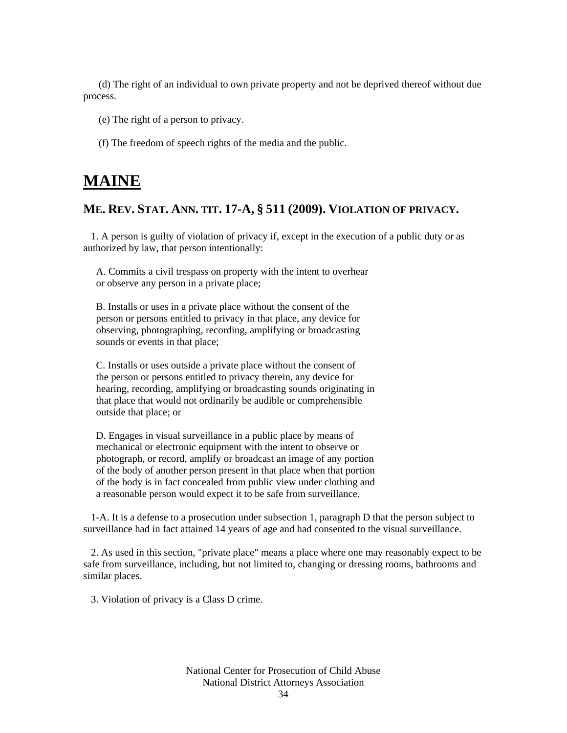(d) The right of an individual to own private property and not be deprived thereof without due process.

(e) The right of a person to privacy.

(f) The freedom of speech rights of the media and the public.

### **MAINE**

#### **ME. REV. STAT. ANN. TIT. 17-A, § 511 (2009). VIOLATION OF PRIVACY.**

 1. A person is guilty of violation of privacy if, except in the execution of a public duty or as authorized by law, that person intentionally:

 A. Commits a civil trespass on property with the intent to overhear or observe any person in a private place;

 B. Installs or uses in a private place without the consent of the person or persons entitled to privacy in that place, any device for observing, photographing, recording, amplifying or broadcasting sounds or events in that place;

 C. Installs or uses outside a private place without the consent of the person or persons entitled to privacy therein, any device for hearing, recording, amplifying or broadcasting sounds originating in that place that would not ordinarily be audible or comprehensible outside that place; or

 D. Engages in visual surveillance in a public place by means of mechanical or electronic equipment with the intent to observe or photograph, or record, amplify or broadcast an image of any portion of the body of another person present in that place when that portion of the body is in fact concealed from public view under clothing and a reasonable person would expect it to be safe from surveillance.

 1-A. It is a defense to a prosecution under subsection 1, paragraph D that the person subject to surveillance had in fact attained 14 years of age and had consented to the visual surveillance.

 2. As used in this section, "private place" means a place where one may reasonably expect to be safe from surveillance, including, but not limited to, changing or dressing rooms, bathrooms and similar places.

3. Violation of privacy is a Class D crime.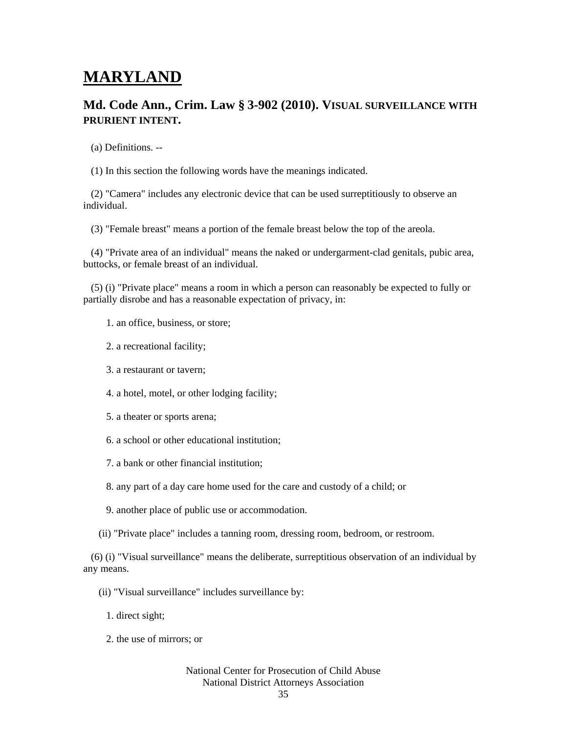# **MARYLAND**

### **Md. Code Ann., Crim. Law § 3-902 (2010). VISUAL SURVEILLANCE WITH PRURIENT INTENT.**

(a) Definitions. --

(1) In this section the following words have the meanings indicated.

 (2) "Camera" includes any electronic device that can be used surreptitiously to observe an individual.

(3) "Female breast" means a portion of the female breast below the top of the areola.

 (4) "Private area of an individual" means the naked or undergarment-clad genitals, pubic area, buttocks, or female breast of an individual.

 (5) (i) "Private place" means a room in which a person can reasonably be expected to fully or partially disrobe and has a reasonable expectation of privacy, in:

1. an office, business, or store;

2. a recreational facility;

3. a restaurant or tavern;

4. a hotel, motel, or other lodging facility;

5. a theater or sports arena;

6. a school or other educational institution;

7. a bank or other financial institution;

8. any part of a day care home used for the care and custody of a child; or

9. another place of public use or accommodation.

(ii) "Private place" includes a tanning room, dressing room, bedroom, or restroom.

 (6) (i) "Visual surveillance" means the deliberate, surreptitious observation of an individual by any means.

(ii) "Visual surveillance" includes surveillance by:

1. direct sight;

2. the use of mirrors; or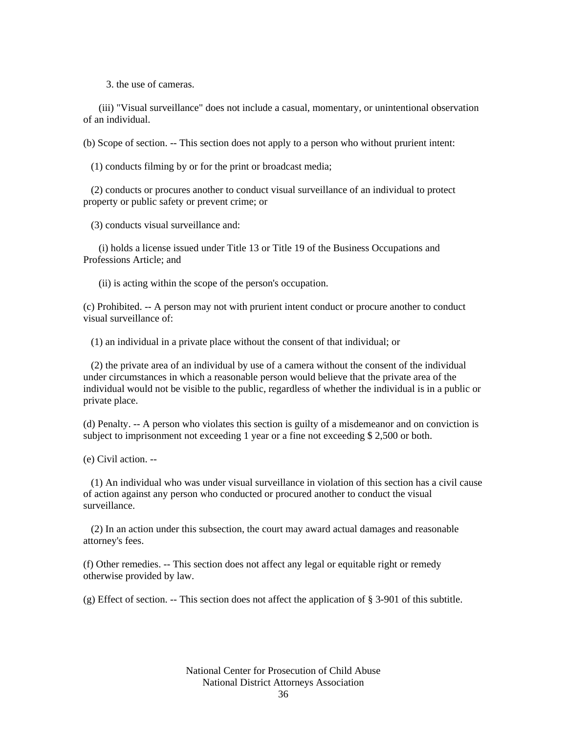3. the use of cameras.

 (iii) "Visual surveillance" does not include a casual, momentary, or unintentional observation of an individual.

(b) Scope of section. -- This section does not apply to a person who without prurient intent:

(1) conducts filming by or for the print or broadcast media;

 (2) conducts or procures another to conduct visual surveillance of an individual to protect property or public safety or prevent crime; or

(3) conducts visual surveillance and:

 (i) holds a license issued under Title 13 or Title 19 of the Business Occupations and Professions Article: and

(ii) is acting within the scope of the person's occupation.

(c) Prohibited. -- A person may not with prurient intent conduct or procure another to conduct visual surveillance of:

(1) an individual in a private place without the consent of that individual; or

 (2) the private area of an individual by use of a camera without the consent of the individual under circumstances in which a reasonable person would believe that the private area of the individual would not be visible to the public, regardless of whether the individual is in a public or private place.

(d) Penalty. -- A person who violates this section is guilty of a misdemeanor and on conviction is subject to imprisonment not exceeding 1 year or a fine not exceeding \$ 2,500 or both.

(e) Civil action. --

 (1) An individual who was under visual surveillance in violation of this section has a civil cause of action against any person who conducted or procured another to conduct the visual surveillance.

 (2) In an action under this subsection, the court may award actual damages and reasonable attorney's fees.

(f) Other remedies. -- This section does not affect any legal or equitable right or remedy otherwise provided by law.

(g) Effect of section. -- This section does not affect the application of § 3-901 of this subtitle.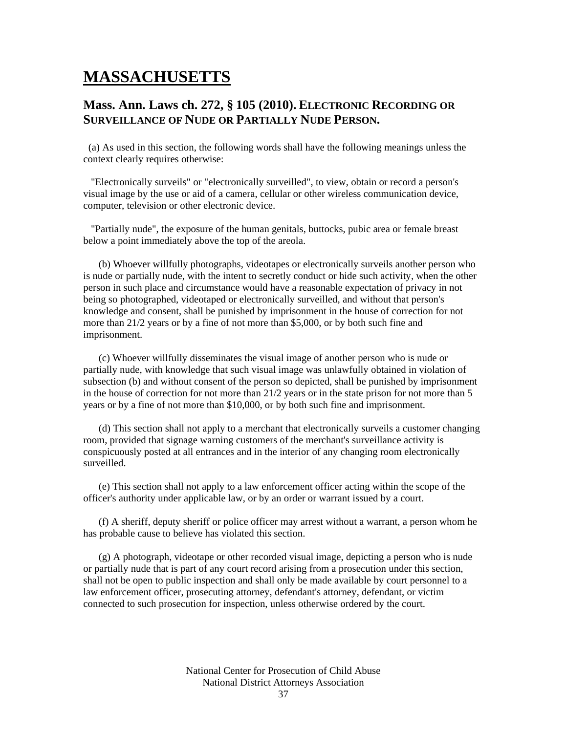# **MASSACHUSETTS**

### **Mass. Ann. Laws ch. 272, § 105 (2010). ELECTRONIC RECORDING OR SURVEILLANCE OF NUDE OR PARTIALLY NUDE PERSON.**

 (a) As used in this section, the following words shall have the following meanings unless the context clearly requires otherwise:

 "Electronically surveils" or "electronically surveilled", to view, obtain or record a person's visual image by the use or aid of a camera, cellular or other wireless communication device, computer, television or other electronic device.

 "Partially nude", the exposure of the human genitals, buttocks, pubic area or female breast below a point immediately above the top of the areola.

 (b) Whoever willfully photographs, videotapes or electronically surveils another person who is nude or partially nude, with the intent to secretly conduct or hide such activity, when the other person in such place and circumstance would have a reasonable expectation of privacy in not being so photographed, videotaped or electronically surveilled, and without that person's knowledge and consent, shall be punished by imprisonment in the house of correction for not more than 21/2 years or by a fine of not more than \$5,000, or by both such fine and imprisonment.

 (c) Whoever willfully disseminates the visual image of another person who is nude or partially nude, with knowledge that such visual image was unlawfully obtained in violation of subsection (b) and without consent of the person so depicted, shall be punished by imprisonment in the house of correction for not more than  $21/2$  years or in the state prison for not more than 5 years or by a fine of not more than \$10,000, or by both such fine and imprisonment.

 (d) This section shall not apply to a merchant that electronically surveils a customer changing room, provided that signage warning customers of the merchant's surveillance activity is conspicuously posted at all entrances and in the interior of any changing room electronically surveilled.

 (e) This section shall not apply to a law enforcement officer acting within the scope of the officer's authority under applicable law, or by an order or warrant issued by a court.

 (f) A sheriff, deputy sheriff or police officer may arrest without a warrant, a person whom he has probable cause to believe has violated this section.

 (g) A photograph, videotape or other recorded visual image, depicting a person who is nude or partially nude that is part of any court record arising from a prosecution under this section, shall not be open to public inspection and shall only be made available by court personnel to a law enforcement officer, prosecuting attorney, defendant's attorney, defendant, or victim connected to such prosecution for inspection, unless otherwise ordered by the court.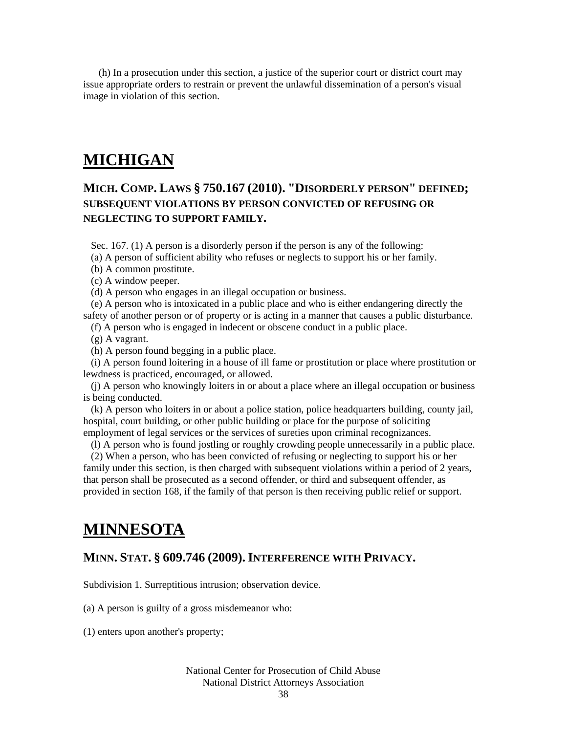(h) In a prosecution under this section, a justice of the superior court or district court may issue appropriate orders to restrain or prevent the unlawful dissemination of a person's visual image in violation of this section.

### **MICHIGAN**

### **MICH. COMP. LAWS § 750.167 (2010). "DISORDERLY PERSON" DEFINED; SUBSEQUENT VIOLATIONS BY PERSON CONVICTED OF REFUSING OR NEGLECTING TO SUPPORT FAMILY.**

Sec. 167. (1) A person is a disorderly person if the person is any of the following:

(a) A person of sufficient ability who refuses or neglects to support his or her family.

(b) A common prostitute.

(c) A window peeper.

(d) A person who engages in an illegal occupation or business.

 (e) A person who is intoxicated in a public place and who is either endangering directly the safety of another person or of property or is acting in a manner that causes a public disturbance.

(f) A person who is engaged in indecent or obscene conduct in a public place.

(g) A vagrant.

(h) A person found begging in a public place.

 (i) A person found loitering in a house of ill fame or prostitution or place where prostitution or lewdness is practiced, encouraged, or allowed.

 (j) A person who knowingly loiters in or about a place where an illegal occupation or business is being conducted.

 (k) A person who loiters in or about a police station, police headquarters building, county jail, hospital, court building, or other public building or place for the purpose of soliciting employment of legal services or the services of sureties upon criminal recognizances.

(l) A person who is found jostling or roughly crowding people unnecessarily in a public place.

 (2) When a person, who has been convicted of refusing or neglecting to support his or her family under this section, is then charged with subsequent violations within a period of 2 years, that person shall be prosecuted as a second offender, or third and subsequent offender, as provided in section 168, if the family of that person is then receiving public relief or support.

### **MINNESOTA**

#### **MINN. STAT. § 609.746 (2009). INTERFERENCE WITH PRIVACY.**

Subdivision 1. Surreptitious intrusion; observation device.

(a) A person is guilty of a gross misdemeanor who:

(1) enters upon another's property;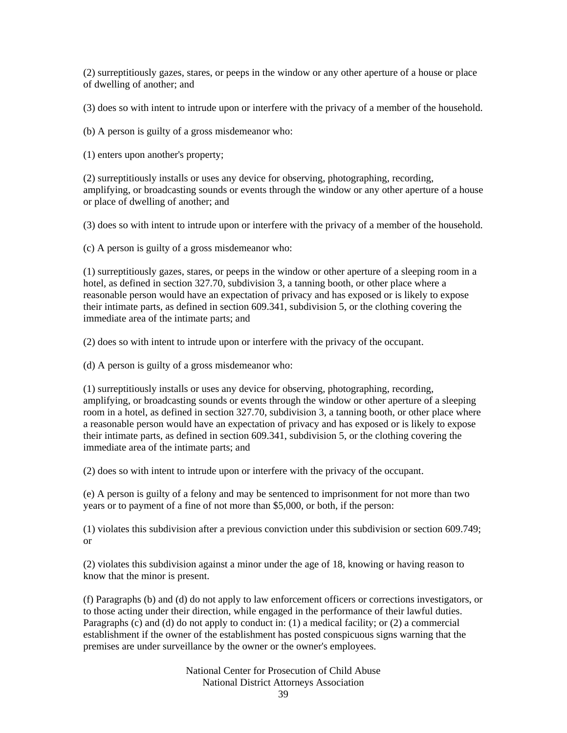(2) surreptitiously gazes, stares, or peeps in the window or any other aperture of a house or place of dwelling of another; and

(3) does so with intent to intrude upon or interfere with the privacy of a member of the household.

(b) A person is guilty of a gross misdemeanor who:

(1) enters upon another's property;

(2) surreptitiously installs or uses any device for observing, photographing, recording, amplifying, or broadcasting sounds or events through the window or any other aperture of a house or place of dwelling of another; and

(3) does so with intent to intrude upon or interfere with the privacy of a member of the household.

(c) A person is guilty of a gross misdemeanor who:

(1) surreptitiously gazes, stares, or peeps in the window or other aperture of a sleeping room in a hotel, as defined in section 327.70, subdivision 3, a tanning booth, or other place where a reasonable person would have an expectation of privacy and has exposed or is likely to expose their intimate parts, as defined in section 609.341, subdivision 5, or the clothing covering the immediate area of the intimate parts; and

(2) does so with intent to intrude upon or interfere with the privacy of the occupant.

(d) A person is guilty of a gross misdemeanor who:

(1) surreptitiously installs or uses any device for observing, photographing, recording, amplifying, or broadcasting sounds or events through the window or other aperture of a sleeping room in a hotel, as defined in section 327.70, subdivision 3, a tanning booth, or other place where a reasonable person would have an expectation of privacy and has exposed or is likely to expose their intimate parts, as defined in section 609.341, subdivision 5, or the clothing covering the immediate area of the intimate parts; and

(2) does so with intent to intrude upon or interfere with the privacy of the occupant.

(e) A person is guilty of a felony and may be sentenced to imprisonment for not more than two years or to payment of a fine of not more than \$5,000, or both, if the person:

(1) violates this subdivision after a previous conviction under this subdivision or section 609.749; or

(2) violates this subdivision against a minor under the age of 18, knowing or having reason to know that the minor is present.

(f) Paragraphs (b) and (d) do not apply to law enforcement officers or corrections investigators, or to those acting under their direction, while engaged in the performance of their lawful duties. Paragraphs (c) and (d) do not apply to conduct in: (1) a medical facility; or (2) a commercial establishment if the owner of the establishment has posted conspicuous signs warning that the premises are under surveillance by the owner or the owner's employees.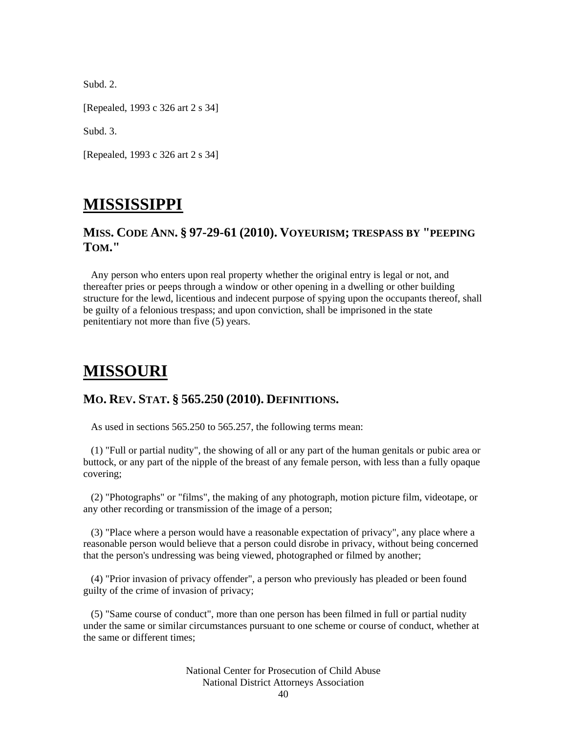$Subd$  2.

[Repealed, 1993 c 326 art 2 s 34]

Subd. 3.

[Repealed, 1993 c 326 art 2 s 34]

# **MISSISSIPPI**

### **MISS. CODE ANN. § 97-29-61 (2010). VOYEURISM; TRESPASS BY "PEEPING TOM."**

 Any person who enters upon real property whether the original entry is legal or not, and thereafter pries or peeps through a window or other opening in a dwelling or other building structure for the lewd, licentious and indecent purpose of spying upon the occupants thereof, shall be guilty of a felonious trespass; and upon conviction, shall be imprisoned in the state penitentiary not more than five (5) years.

# **MISSOURI**

#### **MO. REV. STAT. § 565.250 (2010). DEFINITIONS.**

As used in sections 565.250 to 565.257, the following terms mean:

 (1) "Full or partial nudity", the showing of all or any part of the human genitals or pubic area or buttock, or any part of the nipple of the breast of any female person, with less than a fully opaque covering;

 (2) "Photographs" or "films", the making of any photograph, motion picture film, videotape, or any other recording or transmission of the image of a person;

 (3) "Place where a person would have a reasonable expectation of privacy", any place where a reasonable person would believe that a person could disrobe in privacy, without being concerned that the person's undressing was being viewed, photographed or filmed by another;

 (4) "Prior invasion of privacy offender", a person who previously has pleaded or been found guilty of the crime of invasion of privacy;

 (5) "Same course of conduct", more than one person has been filmed in full or partial nudity under the same or similar circumstances pursuant to one scheme or course of conduct, whether at the same or different times;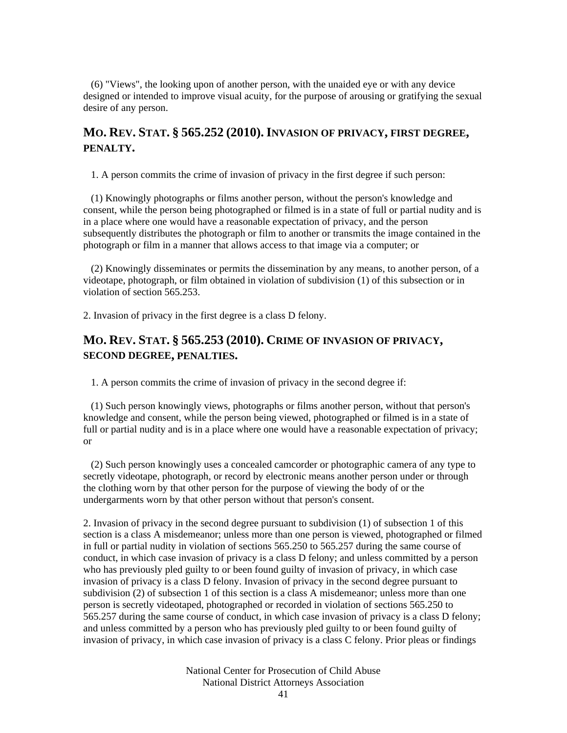(6) "Views", the looking upon of another person, with the unaided eye or with any device designed or intended to improve visual acuity, for the purpose of arousing or gratifying the sexual desire of any person.

#### **MO. REV. STAT. § 565.252 (2010).INVASION OF PRIVACY, FIRST DEGREE, PENALTY.**

1. A person commits the crime of invasion of privacy in the first degree if such person:

 (1) Knowingly photographs or films another person, without the person's knowledge and consent, while the person being photographed or filmed is in a state of full or partial nudity and is in a place where one would have a reasonable expectation of privacy, and the person subsequently distributes the photograph or film to another or transmits the image contained in the photograph or film in a manner that allows access to that image via a computer; or

 (2) Knowingly disseminates or permits the dissemination by any means, to another person, of a videotape, photograph, or film obtained in violation of subdivision (1) of this subsection or in violation of section 565.253.

2. Invasion of privacy in the first degree is a class D felony.

#### **MO. REV. STAT. § 565.253 (2010). CRIME OF INVASION OF PRIVACY, SECOND DEGREE, PENALTIES.**

1. A person commits the crime of invasion of privacy in the second degree if:

 (1) Such person knowingly views, photographs or films another person, without that person's knowledge and consent, while the person being viewed, photographed or filmed is in a state of full or partial nudity and is in a place where one would have a reasonable expectation of privacy; or

 (2) Such person knowingly uses a concealed camcorder or photographic camera of any type to secretly videotape, photograph, or record by electronic means another person under or through the clothing worn by that other person for the purpose of viewing the body of or the undergarments worn by that other person without that person's consent.

2. Invasion of privacy in the second degree pursuant to subdivision (1) of subsection 1 of this section is a class A misdemeanor; unless more than one person is viewed, photographed or filmed in full or partial nudity in violation of sections 565.250 to 565.257 during the same course of conduct, in which case invasion of privacy is a class D felony; and unless committed by a person who has previously pled guilty to or been found guilty of invasion of privacy, in which case invasion of privacy is a class D felony. Invasion of privacy in the second degree pursuant to subdivision (2) of subsection 1 of this section is a class A misdemeanor; unless more than one person is secretly videotaped, photographed or recorded in violation of sections 565.250 to 565.257 during the same course of conduct, in which case invasion of privacy is a class D felony; and unless committed by a person who has previously pled guilty to or been found guilty of invasion of privacy, in which case invasion of privacy is a class C felony. Prior pleas or findings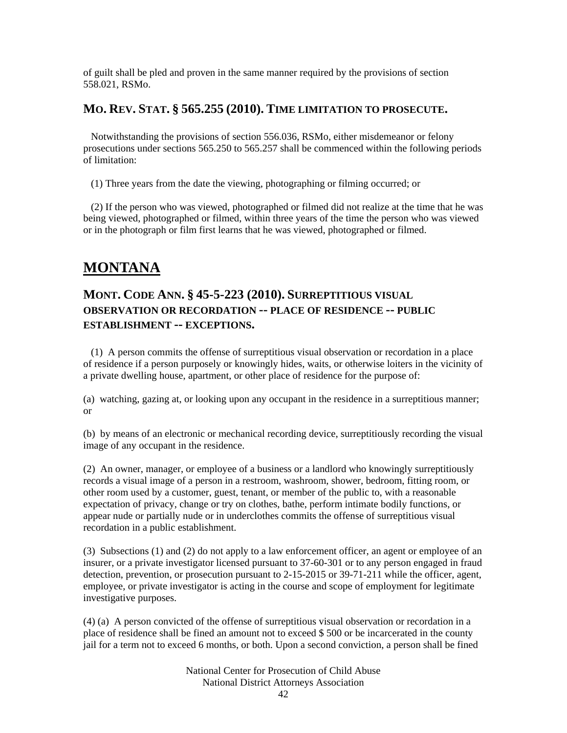of guilt shall be pled and proven in the same manner required by the provisions of section 558.021, RSMo.

#### **MO. REV. STAT. § 565.255 (2010). TIME LIMITATION TO PROSECUTE.**

 Notwithstanding the provisions of section 556.036, RSMo, either misdemeanor or felony prosecutions under sections 565.250 to 565.257 shall be commenced within the following periods of limitation:

(1) Three years from the date the viewing, photographing or filming occurred; or

 (2) If the person who was viewed, photographed or filmed did not realize at the time that he was being viewed, photographed or filmed, within three years of the time the person who was viewed or in the photograph or film first learns that he was viewed, photographed or filmed.

### **MONTANA**

### **MONT. CODE ANN. § 45-5-223 (2010). SURREPTITIOUS VISUAL OBSERVATION OR RECORDATION -- PLACE OF RESIDENCE -- PUBLIC ESTABLISHMENT -- EXCEPTIONS.**

 (1) A person commits the offense of surreptitious visual observation or recordation in a place of residence if a person purposely or knowingly hides, waits, or otherwise loiters in the vicinity of a private dwelling house, apartment, or other place of residence for the purpose of:

(a) watching, gazing at, or looking upon any occupant in the residence in a surreptitious manner; or

(b) by means of an electronic or mechanical recording device, surreptitiously recording the visual image of any occupant in the residence.

(2) An owner, manager, or employee of a business or a landlord who knowingly surreptitiously records a visual image of a person in a restroom, washroom, shower, bedroom, fitting room, or other room used by a customer, guest, tenant, or member of the public to, with a reasonable expectation of privacy, change or try on clothes, bathe, perform intimate bodily functions, or appear nude or partially nude or in underclothes commits the offense of surreptitious visual recordation in a public establishment.

(3) Subsections (1) and (2) do not apply to a law enforcement officer, an agent or employee of an insurer, or a private investigator licensed pursuant to 37-60-301 or to any person engaged in fraud detection, prevention, or prosecution pursuant to 2-15-2015 or 39-71-211 while the officer, agent, employee, or private investigator is acting in the course and scope of employment for legitimate investigative purposes.

(4) (a) A person convicted of the offense of surreptitious visual observation or recordation in a place of residence shall be fined an amount not to exceed \$ 500 or be incarcerated in the county jail for a term not to exceed 6 months, or both. Upon a second conviction, a person shall be fined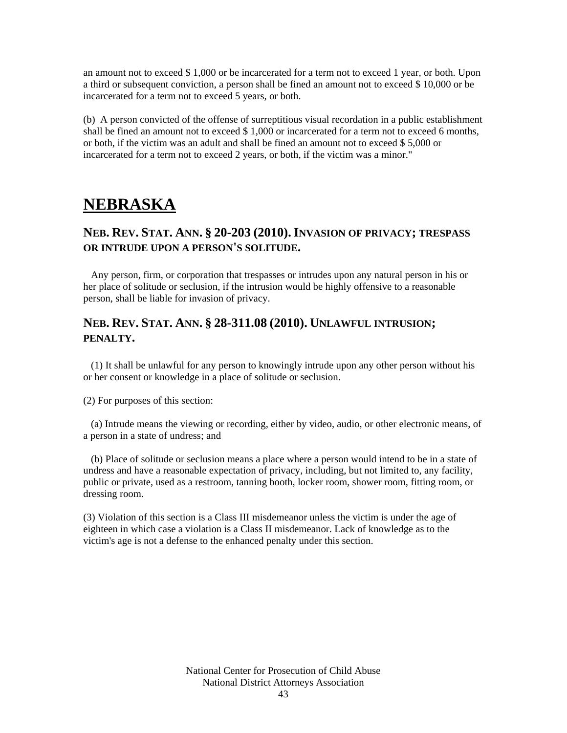an amount not to exceed \$ 1,000 or be incarcerated for a term not to exceed 1 year, or both. Upon a third or subsequent conviction, a person shall be fined an amount not to exceed \$ 10,000 or be incarcerated for a term not to exceed 5 years, or both.

(b) A person convicted of the offense of surreptitious visual recordation in a public establishment shall be fined an amount not to exceed \$ 1,000 or incarcerated for a term not to exceed 6 months, or both, if the victim was an adult and shall be fined an amount not to exceed \$ 5,000 or incarcerated for a term not to exceed 2 years, or both, if the victim was a minor."

## **NEBRASKA**

### **NEB. REV. STAT. ANN. § 20-203 (2010). INVASION OF PRIVACY; TRESPASS OR INTRUDE UPON A PERSON'S SOLITUDE.**

 Any person, firm, or corporation that trespasses or intrudes upon any natural person in his or her place of solitude or seclusion, if the intrusion would be highly offensive to a reasonable person, shall be liable for invasion of privacy.

#### **NEB. REV. STAT. ANN. § 28-311.08 (2010). UNLAWFUL INTRUSION; PENALTY.**

 (1) It shall be unlawful for any person to knowingly intrude upon any other person without his or her consent or knowledge in a place of solitude or seclusion.

(2) For purposes of this section:

 (a) Intrude means the viewing or recording, either by video, audio, or other electronic means, of a person in a state of undress; and

 (b) Place of solitude or seclusion means a place where a person would intend to be in a state of undress and have a reasonable expectation of privacy, including, but not limited to, any facility, public or private, used as a restroom, tanning booth, locker room, shower room, fitting room, or dressing room.

(3) Violation of this section is a Class III misdemeanor unless the victim is under the age of eighteen in which case a violation is a Class II misdemeanor. Lack of knowledge as to the victim's age is not a defense to the enhanced penalty under this section.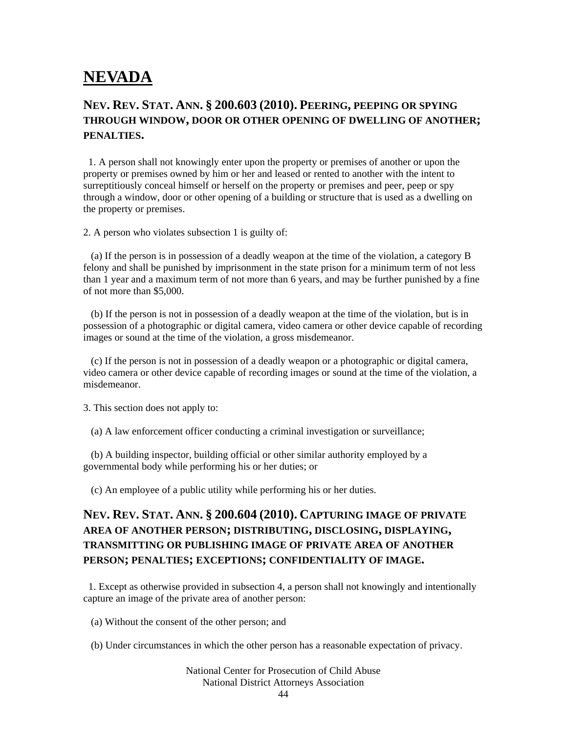# **NEVADA**

### **NEV. REV. STAT. ANN. § 200.603 (2010). PEERING, PEEPING OR SPYING THROUGH WINDOW, DOOR OR OTHER OPENING OF DWELLING OF ANOTHER; PENALTIES.**

 1. A person shall not knowingly enter upon the property or premises of another or upon the property or premises owned by him or her and leased or rented to another with the intent to surreptitiously conceal himself or herself on the property or premises and peer, peep or spy through a window, door or other opening of a building or structure that is used as a dwelling on the property or premises.

2. A person who violates subsection 1 is guilty of:

 (a) If the person is in possession of a deadly weapon at the time of the violation, a category B felony and shall be punished by imprisonment in the state prison for a minimum term of not less than 1 year and a maximum term of not more than 6 years, and may be further punished by a fine of not more than \$5,000.

 (b) If the person is not in possession of a deadly weapon at the time of the violation, but is in possession of a photographic or digital camera, video camera or other device capable of recording images or sound at the time of the violation, a gross misdemeanor.

 (c) If the person is not in possession of a deadly weapon or a photographic or digital camera, video camera or other device capable of recording images or sound at the time of the violation, a misdemeanor.

3. This section does not apply to:

(a) A law enforcement officer conducting a criminal investigation or surveillance;

 (b) A building inspector, building official or other similar authority employed by a governmental body while performing his or her duties; or

(c) An employee of a public utility while performing his or her duties.

### **NEV. REV. STAT. ANN. § 200.604 (2010). CAPTURING IMAGE OF PRIVATE AREA OF ANOTHER PERSON; DISTRIBUTING, DISCLOSING, DISPLAYING, TRANSMITTING OR PUBLISHING IMAGE OF PRIVATE AREA OF ANOTHER PERSON; PENALTIES; EXCEPTIONS; CONFIDENTIALITY OF IMAGE.**

 1. Except as otherwise provided in subsection 4, a person shall not knowingly and intentionally capture an image of the private area of another person:

(a) Without the consent of the other person; and

(b) Under circumstances in which the other person has a reasonable expectation of privacy.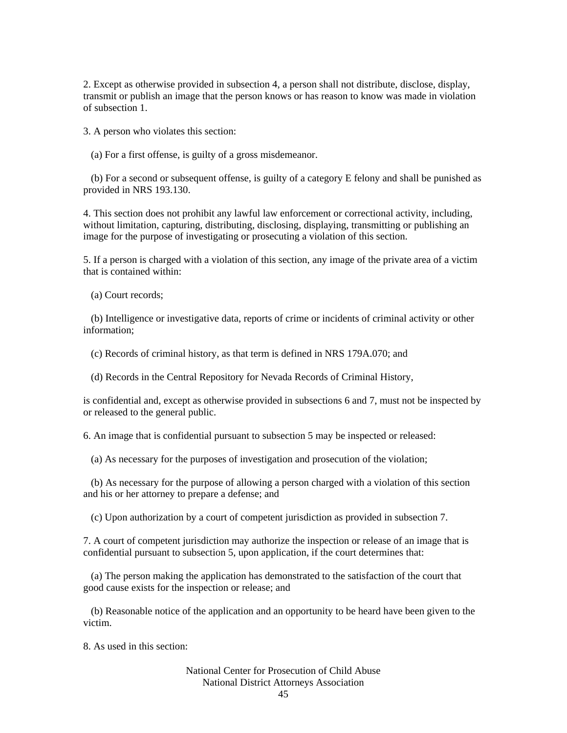2. Except as otherwise provided in subsection 4, a person shall not distribute, disclose, display, transmit or publish an image that the person knows or has reason to know was made in violation of subsection 1.

3. A person who violates this section:

(a) For a first offense, is guilty of a gross misdemeanor.

 (b) For a second or subsequent offense, is guilty of a category E felony and shall be punished as provided in NRS 193.130.

4. This section does not prohibit any lawful law enforcement or correctional activity, including, without limitation, capturing, distributing, disclosing, displaying, transmitting or publishing an image for the purpose of investigating or prosecuting a violation of this section.

5. If a person is charged with a violation of this section, any image of the private area of a victim that is contained within:

(a) Court records;

 (b) Intelligence or investigative data, reports of crime or incidents of criminal activity or other information;

(c) Records of criminal history, as that term is defined in NRS 179A.070; and

(d) Records in the Central Repository for Nevada Records of Criminal History,

is confidential and, except as otherwise provided in subsections 6 and 7, must not be inspected by or released to the general public.

6. An image that is confidential pursuant to subsection 5 may be inspected or released:

(a) As necessary for the purposes of investigation and prosecution of the violation;

 (b) As necessary for the purpose of allowing a person charged with a violation of this section and his or her attorney to prepare a defense; and

(c) Upon authorization by a court of competent jurisdiction as provided in subsection 7.

7. A court of competent jurisdiction may authorize the inspection or release of an image that is confidential pursuant to subsection 5, upon application, if the court determines that:

 (a) The person making the application has demonstrated to the satisfaction of the court that good cause exists for the inspection or release; and

 (b) Reasonable notice of the application and an opportunity to be heard have been given to the victim.

8. As used in this section: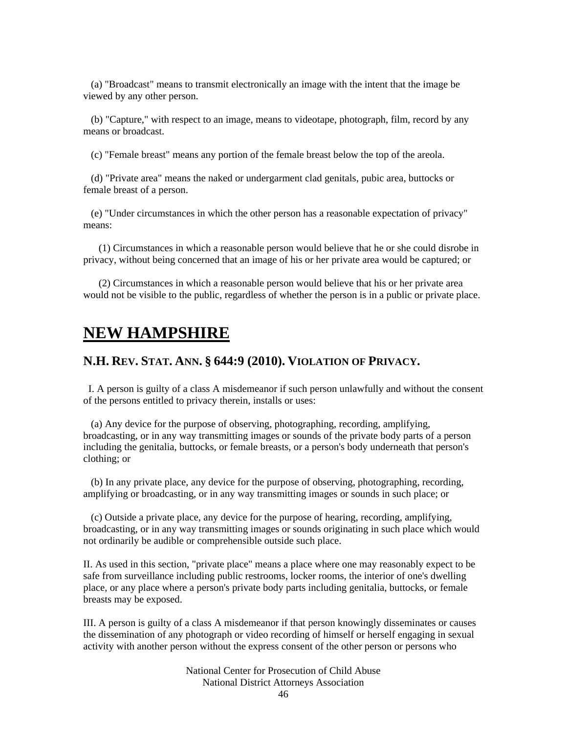(a) "Broadcast" means to transmit electronically an image with the intent that the image be viewed by any other person.

 (b) "Capture," with respect to an image, means to videotape, photograph, film, record by any means or broadcast.

(c) "Female breast" means any portion of the female breast below the top of the areola.

 (d) "Private area" means the naked or undergarment clad genitals, pubic area, buttocks or female breast of a person.

 (e) "Under circumstances in which the other person has a reasonable expectation of privacy" means:

 (1) Circumstances in which a reasonable person would believe that he or she could disrobe in privacy, without being concerned that an image of his or her private area would be captured; or

 (2) Circumstances in which a reasonable person would believe that his or her private area would not be visible to the public, regardless of whether the person is in a public or private place.

### **NEW HAMPSHIRE**

#### **N.H. REV. STAT. ANN. § 644:9 (2010). VIOLATION OF PRIVACY.**

 I. A person is guilty of a class A misdemeanor if such person unlawfully and without the consent of the persons entitled to privacy therein, installs or uses:

 (a) Any device for the purpose of observing, photographing, recording, amplifying, broadcasting, or in any way transmitting images or sounds of the private body parts of a person including the genitalia, buttocks, or female breasts, or a person's body underneath that person's clothing; or

 (b) In any private place, any device for the purpose of observing, photographing, recording, amplifying or broadcasting, or in any way transmitting images or sounds in such place; or

 (c) Outside a private place, any device for the purpose of hearing, recording, amplifying, broadcasting, or in any way transmitting images or sounds originating in such place which would not ordinarily be audible or comprehensible outside such place.

II. As used in this section, "private place" means a place where one may reasonably expect to be safe from surveillance including public restrooms, locker rooms, the interior of one's dwelling place, or any place where a person's private body parts including genitalia, buttocks, or female breasts may be exposed.

III. A person is guilty of a class A misdemeanor if that person knowingly disseminates or causes the dissemination of any photograph or video recording of himself or herself engaging in sexual activity with another person without the express consent of the other person or persons who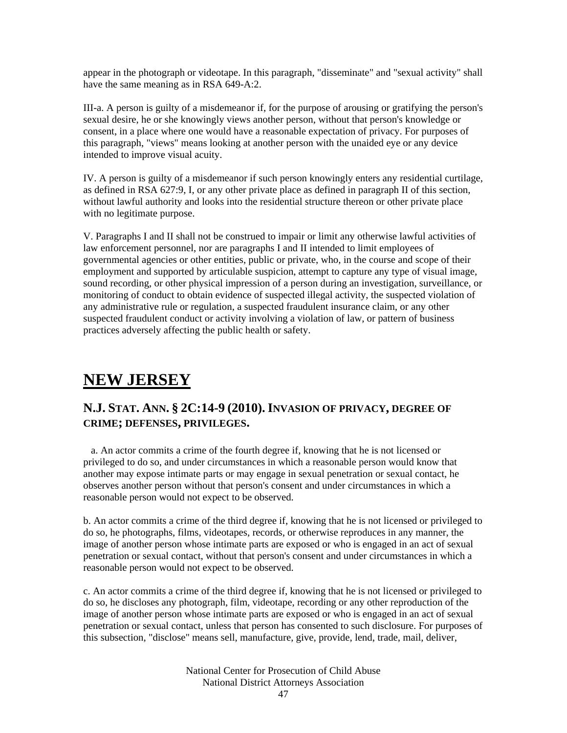appear in the photograph or videotape. In this paragraph, "disseminate" and "sexual activity" shall have the same meaning as in RSA 649-A:2.

III-a. A person is guilty of a misdemeanor if, for the purpose of arousing or gratifying the person's sexual desire, he or she knowingly views another person, without that person's knowledge or consent, in a place where one would have a reasonable expectation of privacy. For purposes of this paragraph, "views" means looking at another person with the unaided eye or any device intended to improve visual acuity.

IV. A person is guilty of a misdemeanor if such person knowingly enters any residential curtilage, as defined in RSA 627:9, I, or any other private place as defined in paragraph II of this section, without lawful authority and looks into the residential structure thereon or other private place with no legitimate purpose.

V. Paragraphs I and II shall not be construed to impair or limit any otherwise lawful activities of law enforcement personnel, nor are paragraphs I and II intended to limit employees of governmental agencies or other entities, public or private, who, in the course and scope of their employment and supported by articulable suspicion, attempt to capture any type of visual image, sound recording, or other physical impression of a person during an investigation, surveillance, or monitoring of conduct to obtain evidence of suspected illegal activity, the suspected violation of any administrative rule or regulation, a suspected fraudulent insurance claim, or any other suspected fraudulent conduct or activity involving a violation of law, or pattern of business practices adversely affecting the public health or safety.

# **NEW JERSEY**

### **N.J. STAT. ANN. § 2C:14-9 (2010). INVASION OF PRIVACY, DEGREE OF CRIME; DEFENSES, PRIVILEGES.**

 a. An actor commits a crime of the fourth degree if, knowing that he is not licensed or privileged to do so, and under circumstances in which a reasonable person would know that another may expose intimate parts or may engage in sexual penetration or sexual contact, he observes another person without that person's consent and under circumstances in which a reasonable person would not expect to be observed.

b. An actor commits a crime of the third degree if, knowing that he is not licensed or privileged to do so, he photographs, films, videotapes, records, or otherwise reproduces in any manner, the image of another person whose intimate parts are exposed or who is engaged in an act of sexual penetration or sexual contact, without that person's consent and under circumstances in which a reasonable person would not expect to be observed.

c. An actor commits a crime of the third degree if, knowing that he is not licensed or privileged to do so, he discloses any photograph, film, videotape, recording or any other reproduction of the image of another person whose intimate parts are exposed or who is engaged in an act of sexual penetration or sexual contact, unless that person has consented to such disclosure. For purposes of this subsection, "disclose" means sell, manufacture, give, provide, lend, trade, mail, deliver,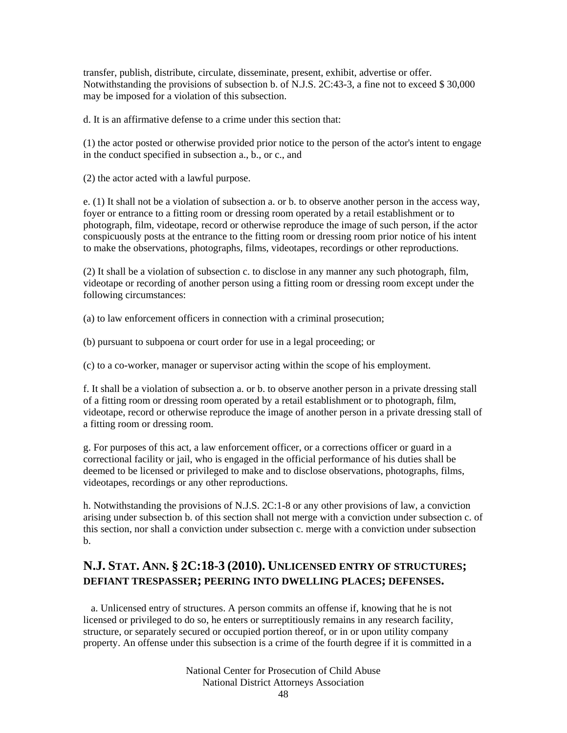transfer, publish, distribute, circulate, disseminate, present, exhibit, advertise or offer. Notwithstanding the provisions of subsection b. of N.J.S. 2C:43-3, a fine not to exceed \$ 30,000 may be imposed for a violation of this subsection.

d. It is an affirmative defense to a crime under this section that:

(1) the actor posted or otherwise provided prior notice to the person of the actor's intent to engage in the conduct specified in subsection a., b., or c., and

(2) the actor acted with a lawful purpose.

e. (1) It shall not be a violation of subsection a. or b. to observe another person in the access way, foyer or entrance to a fitting room or dressing room operated by a retail establishment or to photograph, film, videotape, record or otherwise reproduce the image of such person, if the actor conspicuously posts at the entrance to the fitting room or dressing room prior notice of his intent to make the observations, photographs, films, videotapes, recordings or other reproductions.

(2) It shall be a violation of subsection c. to disclose in any manner any such photograph, film, videotape or recording of another person using a fitting room or dressing room except under the following circumstances:

(a) to law enforcement officers in connection with a criminal prosecution;

(b) pursuant to subpoena or court order for use in a legal proceeding; or

(c) to a co-worker, manager or supervisor acting within the scope of his employment.

f. It shall be a violation of subsection a. or b. to observe another person in a private dressing stall of a fitting room or dressing room operated by a retail establishment or to photograph, film, videotape, record or otherwise reproduce the image of another person in a private dressing stall of a fitting room or dressing room.

g. For purposes of this act, a law enforcement officer, or a corrections officer or guard in a correctional facility or jail, who is engaged in the official performance of his duties shall be deemed to be licensed or privileged to make and to disclose observations, photographs, films, videotapes, recordings or any other reproductions.

h. Notwithstanding the provisions of N.J.S. 2C:1-8 or any other provisions of law, a conviction arising under subsection b. of this section shall not merge with a conviction under subsection c. of this section, nor shall a conviction under subsection c. merge with a conviction under subsection b.

### **N.J. STAT. ANN. § 2C:18-3 (2010). UNLICENSED ENTRY OF STRUCTURES; DEFIANT TRESPASSER; PEERING INTO DWELLING PLACES; DEFENSES.**

 a. Unlicensed entry of structures. A person commits an offense if, knowing that he is not licensed or privileged to do so, he enters or surreptitiously remains in any research facility, structure, or separately secured or occupied portion thereof, or in or upon utility company property. An offense under this subsection is a crime of the fourth degree if it is committed in a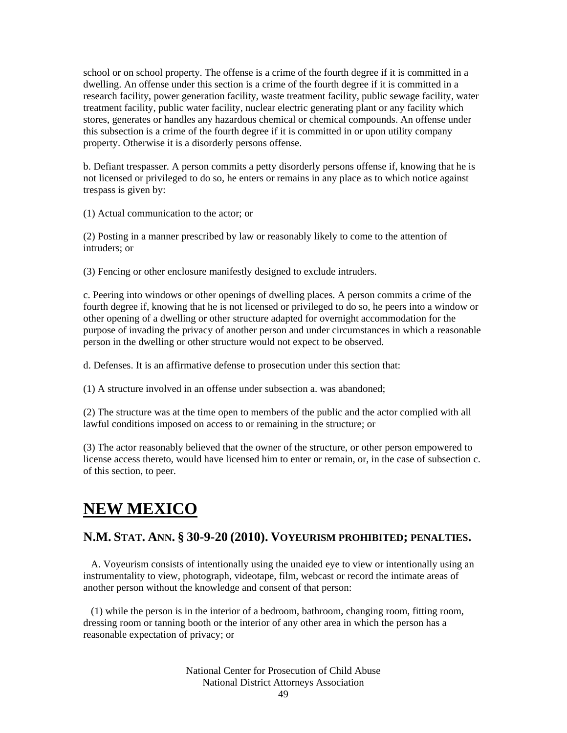school or on school property. The offense is a crime of the fourth degree if it is committed in a dwelling. An offense under this section is a crime of the fourth degree if it is committed in a research facility, power generation facility, waste treatment facility, public sewage facility, water treatment facility, public water facility, nuclear electric generating plant or any facility which stores, generates or handles any hazardous chemical or chemical compounds. An offense under this subsection is a crime of the fourth degree if it is committed in or upon utility company property. Otherwise it is a disorderly persons offense.

b. Defiant trespasser. A person commits a petty disorderly persons offense if, knowing that he is not licensed or privileged to do so, he enters or remains in any place as to which notice against trespass is given by:

(1) Actual communication to the actor; or

(2) Posting in a manner prescribed by law or reasonably likely to come to the attention of intruders; or

(3) Fencing or other enclosure manifestly designed to exclude intruders.

c. Peering into windows or other openings of dwelling places. A person commits a crime of the fourth degree if, knowing that he is not licensed or privileged to do so, he peers into a window or other opening of a dwelling or other structure adapted for overnight accommodation for the purpose of invading the privacy of another person and under circumstances in which a reasonable person in the dwelling or other structure would not expect to be observed.

d. Defenses. It is an affirmative defense to prosecution under this section that:

(1) A structure involved in an offense under subsection a. was abandoned;

(2) The structure was at the time open to members of the public and the actor complied with all lawful conditions imposed on access to or remaining in the structure; or

(3) The actor reasonably believed that the owner of the structure, or other person empowered to license access thereto, would have licensed him to enter or remain, or, in the case of subsection c. of this section, to peer.

# **NEW MEXICO**

### **N.M. STAT. ANN. § 30-9-20 (2010). VOYEURISM PROHIBITED; PENALTIES.**

 A. Voyeurism consists of intentionally using the unaided eye to view or intentionally using an instrumentality to view, photograph, videotape, film, webcast or record the intimate areas of another person without the knowledge and consent of that person:

 (1) while the person is in the interior of a bedroom, bathroom, changing room, fitting room, dressing room or tanning booth or the interior of any other area in which the person has a reasonable expectation of privacy; or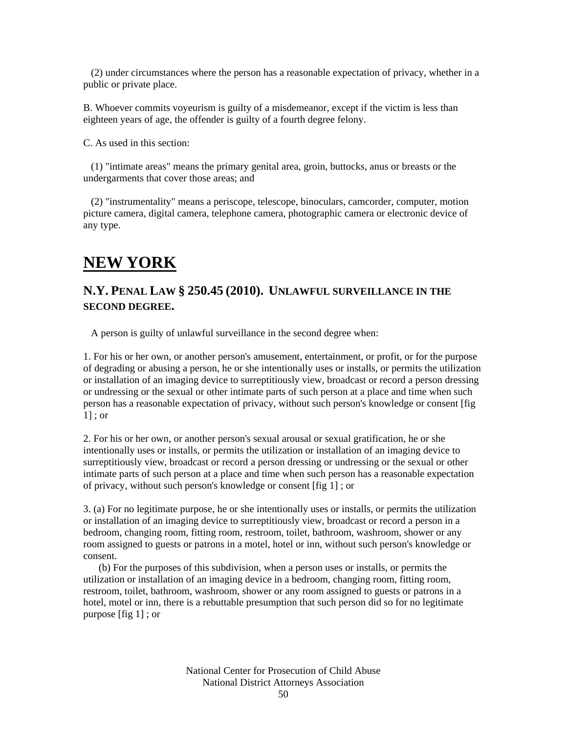(2) under circumstances where the person has a reasonable expectation of privacy, whether in a public or private place.

B. Whoever commits voyeurism is guilty of a misdemeanor, except if the victim is less than eighteen years of age, the offender is guilty of a fourth degree felony.

C. As used in this section:

 (1) "intimate areas" means the primary genital area, groin, buttocks, anus or breasts or the undergarments that cover those areas; and

 (2) "instrumentality" means a periscope, telescope, binoculars, camcorder, computer, motion picture camera, digital camera, telephone camera, photographic camera or electronic device of any type.

## **NEW YORK**

#### **N.Y. PENAL LAW § 250.45 (2010). UNLAWFUL SURVEILLANCE IN THE SECOND DEGREE.**

A person is guilty of unlawful surveillance in the second degree when:

1. For his or her own, or another person's amusement, entertainment, or profit, or for the purpose of degrading or abusing a person, he or she intentionally uses or installs, or permits the utilization or installation of an imaging device to surreptitiously view, broadcast or record a person dressing or undressing or the sexual or other intimate parts of such person at a place and time when such person has a reasonable expectation of privacy, without such person's knowledge or consent [fig 1] ; or

2. For his or her own, or another person's sexual arousal or sexual gratification, he or she intentionally uses or installs, or permits the utilization or installation of an imaging device to surreptitiously view, broadcast or record a person dressing or undressing or the sexual or other intimate parts of such person at a place and time when such person has a reasonable expectation of privacy, without such person's knowledge or consent [fig 1] ; or

3. (a) For no legitimate purpose, he or she intentionally uses or installs, or permits the utilization or installation of an imaging device to surreptitiously view, broadcast or record a person in a bedroom, changing room, fitting room, restroom, toilet, bathroom, washroom, shower or any room assigned to guests or patrons in a motel, hotel or inn, without such person's knowledge or consent.

 (b) For the purposes of this subdivision, when a person uses or installs, or permits the utilization or installation of an imaging device in a bedroom, changing room, fitting room, restroom, toilet, bathroom, washroom, shower or any room assigned to guests or patrons in a hotel, motel or inn, there is a rebuttable presumption that such person did so for no legitimate purpose [fig 1] ; or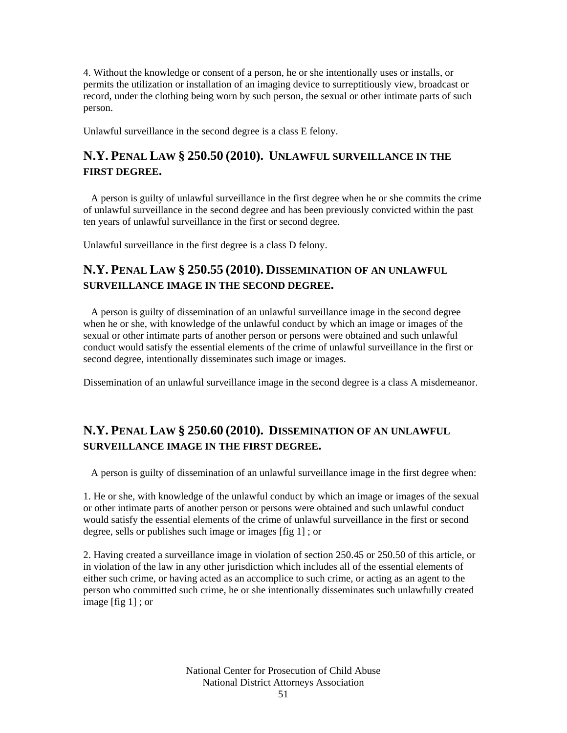4. Without the knowledge or consent of a person, he or she intentionally uses or installs, or permits the utilization or installation of an imaging device to surreptitiously view, broadcast or record, under the clothing being worn by such person, the sexual or other intimate parts of such person.

Unlawful surveillance in the second degree is a class E felony.

#### **N.Y. PENAL LAW § 250.50 (2010). UNLAWFUL SURVEILLANCE IN THE FIRST DEGREE.**

 A person is guilty of unlawful surveillance in the first degree when he or she commits the crime of unlawful surveillance in the second degree and has been previously convicted within the past ten years of unlawful surveillance in the first or second degree.

Unlawful surveillance in the first degree is a class D felony.

#### **N.Y. PENAL LAW § 250.55 (2010). DISSEMINATION OF AN UNLAWFUL SURVEILLANCE IMAGE IN THE SECOND DEGREE.**

 A person is guilty of dissemination of an unlawful surveillance image in the second degree when he or she, with knowledge of the unlawful conduct by which an image or images of the sexual or other intimate parts of another person or persons were obtained and such unlawful conduct would satisfy the essential elements of the crime of unlawful surveillance in the first or second degree, intentionally disseminates such image or images.

Dissemination of an unlawful surveillance image in the second degree is a class A misdemeanor.

### **N.Y. PENAL LAW § 250.60 (2010). DISSEMINATION OF AN UNLAWFUL SURVEILLANCE IMAGE IN THE FIRST DEGREE.**

A person is guilty of dissemination of an unlawful surveillance image in the first degree when:

1. He or she, with knowledge of the unlawful conduct by which an image or images of the sexual or other intimate parts of another person or persons were obtained and such unlawful conduct would satisfy the essential elements of the crime of unlawful surveillance in the first or second degree, sells or publishes such image or images [fig 1] ; or

2. Having created a surveillance image in violation of section 250.45 or 250.50 of this article, or in violation of the law in any other jurisdiction which includes all of the essential elements of either such crime, or having acted as an accomplice to such crime, or acting as an agent to the person who committed such crime, he or she intentionally disseminates such unlawfully created image [fig 1] ; or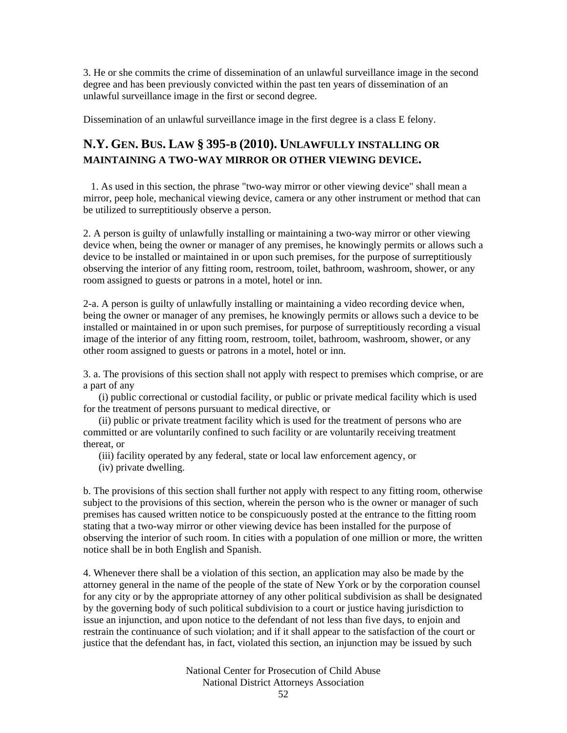3. He or she commits the crime of dissemination of an unlawful surveillance image in the second degree and has been previously convicted within the past ten years of dissemination of an unlawful surveillance image in the first or second degree.

Dissemination of an unlawful surveillance image in the first degree is a class E felony.

### **N.Y. GEN. BUS. LAW § 395-B (2010). UNLAWFULLY INSTALLING OR MAINTAINING A TWO-WAY MIRROR OR OTHER VIEWING DEVICE.**

 1. As used in this section, the phrase "two-way mirror or other viewing device" shall mean a mirror, peep hole, mechanical viewing device, camera or any other instrument or method that can be utilized to surreptitiously observe a person.

2. A person is guilty of unlawfully installing or maintaining a two-way mirror or other viewing device when, being the owner or manager of any premises, he knowingly permits or allows such a device to be installed or maintained in or upon such premises, for the purpose of surreptitiously observing the interior of any fitting room, restroom, toilet, bathroom, washroom, shower, or any room assigned to guests or patrons in a motel, hotel or inn.

2-a. A person is guilty of unlawfully installing or maintaining a video recording device when, being the owner or manager of any premises, he knowingly permits or allows such a device to be installed or maintained in or upon such premises, for purpose of surreptitiously recording a visual image of the interior of any fitting room, restroom, toilet, bathroom, washroom, shower, or any other room assigned to guests or patrons in a motel, hotel or inn.

3. a. The provisions of this section shall not apply with respect to premises which comprise, or are a part of any

 (i) public correctional or custodial facility, or public or private medical facility which is used for the treatment of persons pursuant to medical directive, or

 (ii) public or private treatment facility which is used for the treatment of persons who are committed or are voluntarily confined to such facility or are voluntarily receiving treatment thereat, or

(iii) facility operated by any federal, state or local law enforcement agency, or

(iv) private dwelling.

b. The provisions of this section shall further not apply with respect to any fitting room, otherwise subject to the provisions of this section, wherein the person who is the owner or manager of such premises has caused written notice to be conspicuously posted at the entrance to the fitting room stating that a two-way mirror or other viewing device has been installed for the purpose of observing the interior of such room. In cities with a population of one million or more, the written notice shall be in both English and Spanish.

4. Whenever there shall be a violation of this section, an application may also be made by the attorney general in the name of the people of the state of New York or by the corporation counsel for any city or by the appropriate attorney of any other political subdivision as shall be designated by the governing body of such political subdivision to a court or justice having jurisdiction to issue an injunction, and upon notice to the defendant of not less than five days, to enjoin and restrain the continuance of such violation; and if it shall appear to the satisfaction of the court or justice that the defendant has, in fact, violated this section, an injunction may be issued by such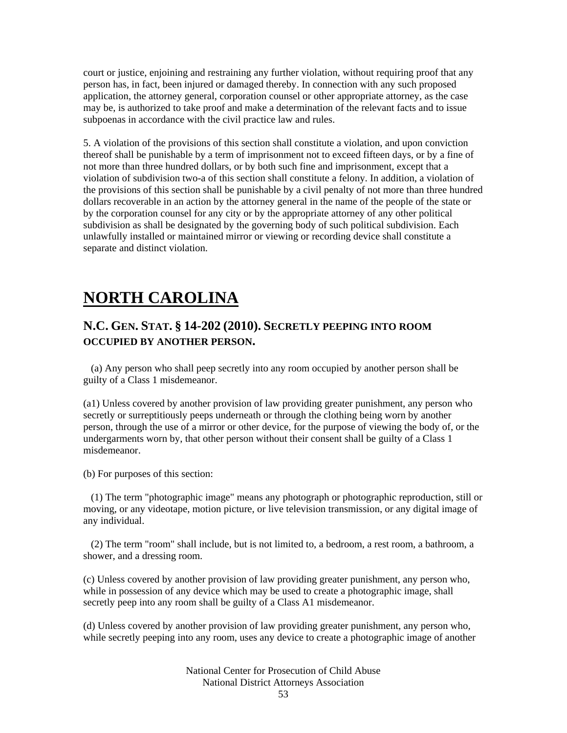court or justice, enjoining and restraining any further violation, without requiring proof that any person has, in fact, been injured or damaged thereby. In connection with any such proposed application, the attorney general, corporation counsel or other appropriate attorney, as the case may be, is authorized to take proof and make a determination of the relevant facts and to issue subpoenas in accordance with the civil practice law and rules.

5. A violation of the provisions of this section shall constitute a violation, and upon conviction thereof shall be punishable by a term of imprisonment not to exceed fifteen days, or by a fine of not more than three hundred dollars, or by both such fine and imprisonment, except that a violation of subdivision two-a of this section shall constitute a felony. In addition, a violation of the provisions of this section shall be punishable by a civil penalty of not more than three hundred dollars recoverable in an action by the attorney general in the name of the people of the state or by the corporation counsel for any city or by the appropriate attorney of any other political subdivision as shall be designated by the governing body of such political subdivision. Each unlawfully installed or maintained mirror or viewing or recording device shall constitute a separate and distinct violation.

# **NORTH CAROLINA**

### **N.C. GEN. STAT. § 14-202 (2010). SECRETLY PEEPING INTO ROOM OCCUPIED BY ANOTHER PERSON.**

 (a) Any person who shall peep secretly into any room occupied by another person shall be guilty of a Class 1 misdemeanor.

(a1) Unless covered by another provision of law providing greater punishment, any person who secretly or surreptitiously peeps underneath or through the clothing being worn by another person, through the use of a mirror or other device, for the purpose of viewing the body of, or the undergarments worn by, that other person without their consent shall be guilty of a Class 1 misdemeanor.

(b) For purposes of this section:

 (1) The term "photographic image" means any photograph or photographic reproduction, still or moving, or any videotape, motion picture, or live television transmission, or any digital image of any individual.

 (2) The term "room" shall include, but is not limited to, a bedroom, a rest room, a bathroom, a shower, and a dressing room.

(c) Unless covered by another provision of law providing greater punishment, any person who, while in possession of any device which may be used to create a photographic image, shall secretly peep into any room shall be guilty of a Class A1 misdemeanor.

(d) Unless covered by another provision of law providing greater punishment, any person who, while secretly peeping into any room, uses any device to create a photographic image of another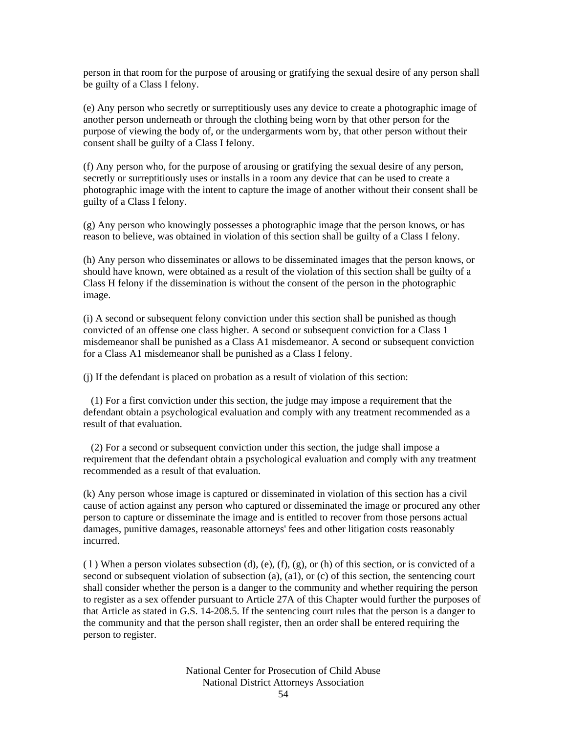person in that room for the purpose of arousing or gratifying the sexual desire of any person shall be guilty of a Class I felony.

(e) Any person who secretly or surreptitiously uses any device to create a photographic image of another person underneath or through the clothing being worn by that other person for the purpose of viewing the body of, or the undergarments worn by, that other person without their consent shall be guilty of a Class I felony.

(f) Any person who, for the purpose of arousing or gratifying the sexual desire of any person, secretly or surreptitiously uses or installs in a room any device that can be used to create a photographic image with the intent to capture the image of another without their consent shall be guilty of a Class I felony.

(g) Any person who knowingly possesses a photographic image that the person knows, or has reason to believe, was obtained in violation of this section shall be guilty of a Class I felony.

(h) Any person who disseminates or allows to be disseminated images that the person knows, or should have known, were obtained as a result of the violation of this section shall be guilty of a Class H felony if the dissemination is without the consent of the person in the photographic image.

(i) A second or subsequent felony conviction under this section shall be punished as though convicted of an offense one class higher. A second or subsequent conviction for a Class 1 misdemeanor shall be punished as a Class A1 misdemeanor. A second or subsequent conviction for a Class A1 misdemeanor shall be punished as a Class I felony.

(j) If the defendant is placed on probation as a result of violation of this section:

 (1) For a first conviction under this section, the judge may impose a requirement that the defendant obtain a psychological evaluation and comply with any treatment recommended as a result of that evaluation.

 (2) For a second or subsequent conviction under this section, the judge shall impose a requirement that the defendant obtain a psychological evaluation and comply with any treatment recommended as a result of that evaluation.

(k) Any person whose image is captured or disseminated in violation of this section has a civil cause of action against any person who captured or disseminated the image or procured any other person to capture or disseminate the image and is entitled to recover from those persons actual damages, punitive damages, reasonable attorneys' fees and other litigation costs reasonably incurred.

 $(1)$  When a person violates subsection (d), (e), (f), (g), or (h) of this section, or is convicted of a second or subsequent violation of subsection (a), (a1), or (c) of this section, the sentencing court shall consider whether the person is a danger to the community and whether requiring the person to register as a sex offender pursuant to Article 27A of this Chapter would further the purposes of that Article as stated in G.S. 14-208.5. If the sentencing court rules that the person is a danger to the community and that the person shall register, then an order shall be entered requiring the person to register.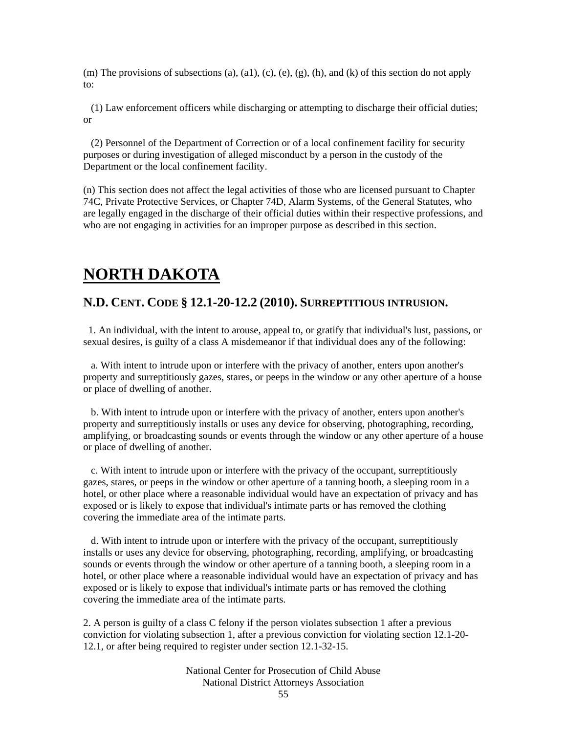$(m)$  The provisions of subsections (a), (a1), (c), (e), (g), (h), and (k) of this section do not apply to:

 (1) Law enforcement officers while discharging or attempting to discharge their official duties; or

 (2) Personnel of the Department of Correction or of a local confinement facility for security purposes or during investigation of alleged misconduct by a person in the custody of the Department or the local confinement facility.

(n) This section does not affect the legal activities of those who are licensed pursuant to Chapter 74C, Private Protective Services, or Chapter 74D, Alarm Systems, of the General Statutes, who are legally engaged in the discharge of their official duties within their respective professions, and who are not engaging in activities for an improper purpose as described in this section.

# **NORTH DAKOTA**

#### **N.D. CENT. CODE § 12.1-20-12.2 (2010). SURREPTITIOUS INTRUSION.**

 1. An individual, with the intent to arouse, appeal to, or gratify that individual's lust, passions, or sexual desires, is guilty of a class A misdemeanor if that individual does any of the following:

 a. With intent to intrude upon or interfere with the privacy of another, enters upon another's property and surreptitiously gazes, stares, or peeps in the window or any other aperture of a house or place of dwelling of another.

 b. With intent to intrude upon or interfere with the privacy of another, enters upon another's property and surreptitiously installs or uses any device for observing, photographing, recording, amplifying, or broadcasting sounds or events through the window or any other aperture of a house or place of dwelling of another.

 c. With intent to intrude upon or interfere with the privacy of the occupant, surreptitiously gazes, stares, or peeps in the window or other aperture of a tanning booth, a sleeping room in a hotel, or other place where a reasonable individual would have an expectation of privacy and has exposed or is likely to expose that individual's intimate parts or has removed the clothing covering the immediate area of the intimate parts.

 d. With intent to intrude upon or interfere with the privacy of the occupant, surreptitiously installs or uses any device for observing, photographing, recording, amplifying, or broadcasting sounds or events through the window or other aperture of a tanning booth, a sleeping room in a hotel, or other place where a reasonable individual would have an expectation of privacy and has exposed or is likely to expose that individual's intimate parts or has removed the clothing covering the immediate area of the intimate parts.

2. A person is guilty of a class C felony if the person violates subsection 1 after a previous conviction for violating subsection 1, after a previous conviction for violating section 12.1-20- 12.1, or after being required to register under section 12.1-32-15.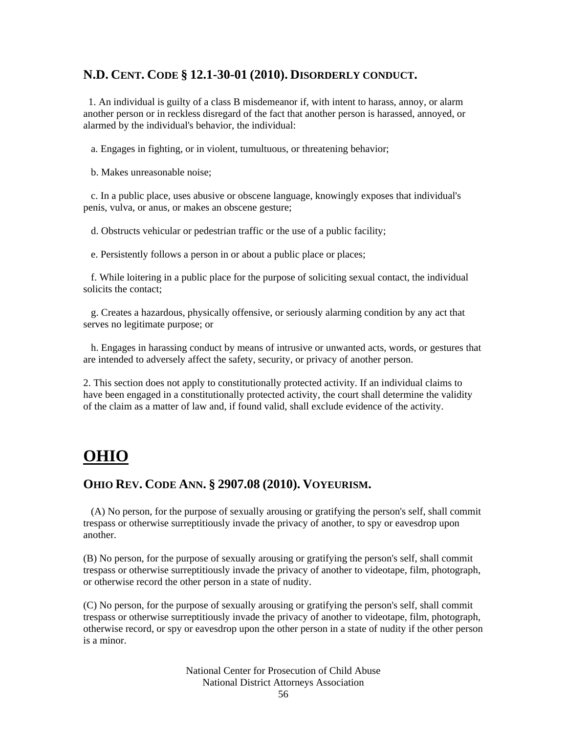#### **N.D. CENT. CODE § 12.1-30-01 (2010). DISORDERLY CONDUCT.**

 1. An individual is guilty of a class B misdemeanor if, with intent to harass, annoy, or alarm another person or in reckless disregard of the fact that another person is harassed, annoyed, or alarmed by the individual's behavior, the individual:

a. Engages in fighting, or in violent, tumultuous, or threatening behavior;

b. Makes unreasonable noise;

 c. In a public place, uses abusive or obscene language, knowingly exposes that individual's penis, vulva, or anus, or makes an obscene gesture;

d. Obstructs vehicular or pedestrian traffic or the use of a public facility;

e. Persistently follows a person in or about a public place or places;

 f. While loitering in a public place for the purpose of soliciting sexual contact, the individual solicits the contact;

 g. Creates a hazardous, physically offensive, or seriously alarming condition by any act that serves no legitimate purpose; or

 h. Engages in harassing conduct by means of intrusive or unwanted acts, words, or gestures that are intended to adversely affect the safety, security, or privacy of another person.

2. This section does not apply to constitutionally protected activity. If an individual claims to have been engaged in a constitutionally protected activity, the court shall determine the validity of the claim as a matter of law and, if found valid, shall exclude evidence of the activity.

# **OHIO**

### **OHIO REV. CODE ANN. § 2907.08 (2010). VOYEURISM.**

 (A) No person, for the purpose of sexually arousing or gratifying the person's self, shall commit trespass or otherwise surreptitiously invade the privacy of another, to spy or eavesdrop upon another.

(B) No person, for the purpose of sexually arousing or gratifying the person's self, shall commit trespass or otherwise surreptitiously invade the privacy of another to videotape, film, photograph, or otherwise record the other person in a state of nudity.

(C) No person, for the purpose of sexually arousing or gratifying the person's self, shall commit trespass or otherwise surreptitiously invade the privacy of another to videotape, film, photograph, otherwise record, or spy or eavesdrop upon the other person in a state of nudity if the other person is a minor.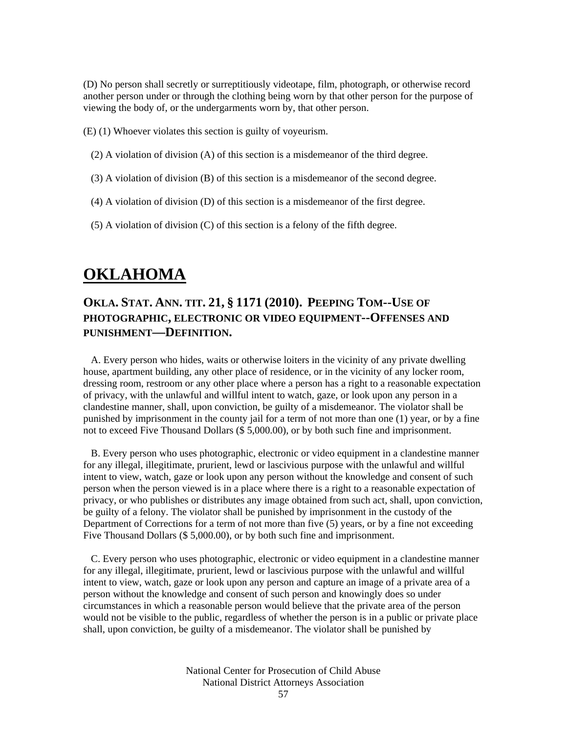(D) No person shall secretly or surreptitiously videotape, film, photograph, or otherwise record another person under or through the clothing being worn by that other person for the purpose of viewing the body of, or the undergarments worn by, that other person.

(E) (1) Whoever violates this section is guilty of voyeurism.

- (2) A violation of division (A) of this section is a misdemeanor of the third degree.
- (3) A violation of division (B) of this section is a misdemeanor of the second degree.
- (4) A violation of division (D) of this section is a misdemeanor of the first degree.
- (5) A violation of division (C) of this section is a felony of the fifth degree.

# **OKLAHOMA**

### **OKLA. STAT. ANN. TIT. 21, § 1171 (2010). PEEPING TOM--USE OF PHOTOGRAPHIC, ELECTRONIC OR VIDEO EQUIPMENT--OFFENSES AND PUNISHMENT—DEFINITION.**

 A. Every person who hides, waits or otherwise loiters in the vicinity of any private dwelling house, apartment building, any other place of residence, or in the vicinity of any locker room, dressing room, restroom or any other place where a person has a right to a reasonable expectation of privacy, with the unlawful and willful intent to watch, gaze, or look upon any person in a clandestine manner, shall, upon conviction, be guilty of a misdemeanor. The violator shall be punished by imprisonment in the county jail for a term of not more than one (1) year, or by a fine not to exceed Five Thousand Dollars (\$ 5,000.00), or by both such fine and imprisonment.

 B. Every person who uses photographic, electronic or video equipment in a clandestine manner for any illegal, illegitimate, prurient, lewd or lascivious purpose with the unlawful and willful intent to view, watch, gaze or look upon any person without the knowledge and consent of such person when the person viewed is in a place where there is a right to a reasonable expectation of privacy, or who publishes or distributes any image obtained from such act, shall, upon conviction, be guilty of a felony. The violator shall be punished by imprisonment in the custody of the Department of Corrections for a term of not more than five (5) years, or by a fine not exceeding Five Thousand Dollars (\$ 5,000.00), or by both such fine and imprisonment.

 C. Every person who uses photographic, electronic or video equipment in a clandestine manner for any illegal, illegitimate, prurient, lewd or lascivious purpose with the unlawful and willful intent to view, watch, gaze or look upon any person and capture an image of a private area of a person without the knowledge and consent of such person and knowingly does so under circumstances in which a reasonable person would believe that the private area of the person would not be visible to the public, regardless of whether the person is in a public or private place shall, upon conviction, be guilty of a misdemeanor. The violator shall be punished by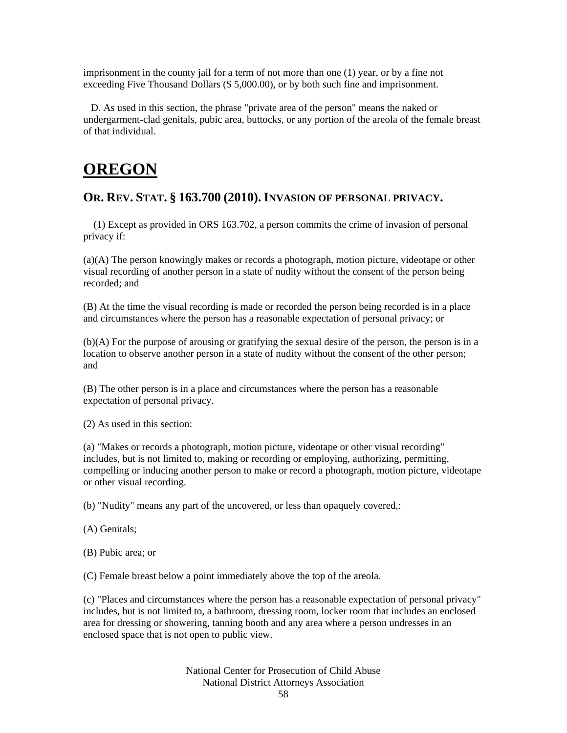imprisonment in the county jail for a term of not more than one (1) year, or by a fine not exceeding Five Thousand Dollars (\$ 5,000.00), or by both such fine and imprisonment.

 D. As used in this section, the phrase "private area of the person" means the naked or undergarment-clad genitals, pubic area, buttocks, or any portion of the areola of the female breast of that individual.

### **OREGON**

#### **OR. REV. STAT. § 163.700 (2010).INVASION OF PERSONAL PRIVACY.**

 (1) Except as provided in ORS 163.702, a person commits the crime of invasion of personal privacy if:

(a)(A) The person knowingly makes or records a photograph, motion picture, videotape or other visual recording of another person in a state of nudity without the consent of the person being recorded; and

(B) At the time the visual recording is made or recorded the person being recorded is in a place and circumstances where the person has a reasonable expectation of personal privacy; or

(b)(A) For the purpose of arousing or gratifying the sexual desire of the person, the person is in a location to observe another person in a state of nudity without the consent of the other person; and

(B) The other person is in a place and circumstances where the person has a reasonable expectation of personal privacy.

(2) As used in this section:

(a) "Makes or records a photograph, motion picture, videotape or other visual recording" includes, but is not limited to, making or recording or employing, authorizing, permitting, compelling or inducing another person to make or record a photograph, motion picture, videotape or other visual recording.

(b) "Nudity" means any part of the uncovered, or less than opaquely covered,:

(A) Genitals;

(B) Pubic area; or

(C) Female breast below a point immediately above the top of the areola.

(c) "Places and circumstances where the person has a reasonable expectation of personal privacy" includes, but is not limited to, a bathroom, dressing room, locker room that includes an enclosed area for dressing or showering, tanning booth and any area where a person undresses in an enclosed space that is not open to public view.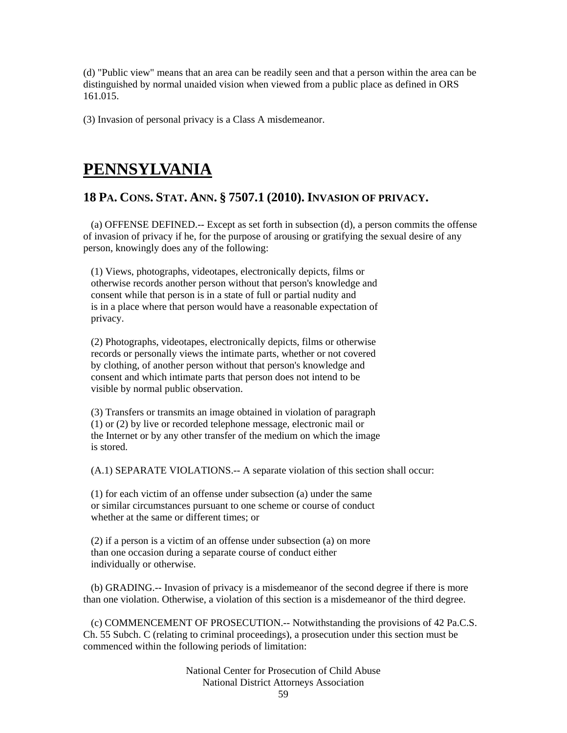(d) "Public view" means that an area can be readily seen and that a person within the area can be distinguished by normal unaided vision when viewed from a public place as defined in ORS 161.015.

(3) Invasion of personal privacy is a Class A misdemeanor.

## **PENNSYLVANIA**

### **18 PA. CONS. STAT. ANN. § 7507.1 (2010). INVASION OF PRIVACY.**

 (a) OFFENSE DEFINED.-- Except as set forth in subsection (d), a person commits the offense of invasion of privacy if he, for the purpose of arousing or gratifying the sexual desire of any person, knowingly does any of the following:

 (1) Views, photographs, videotapes, electronically depicts, films or otherwise records another person without that person's knowledge and consent while that person is in a state of full or partial nudity and is in a place where that person would have a reasonable expectation of privacy.

 (2) Photographs, videotapes, electronically depicts, films or otherwise records or personally views the intimate parts, whether or not covered by clothing, of another person without that person's knowledge and consent and which intimate parts that person does not intend to be visible by normal public observation.

 (3) Transfers or transmits an image obtained in violation of paragraph (1) or (2) by live or recorded telephone message, electronic mail or the Internet or by any other transfer of the medium on which the image is stored.

(A.1) SEPARATE VIOLATIONS.-- A separate violation of this section shall occur:

 (1) for each victim of an offense under subsection (a) under the same or similar circumstances pursuant to one scheme or course of conduct whether at the same or different times; or

 (2) if a person is a victim of an offense under subsection (a) on more than one occasion during a separate course of conduct either individually or otherwise.

 (b) GRADING.-- Invasion of privacy is a misdemeanor of the second degree if there is more than one violation. Otherwise, a violation of this section is a misdemeanor of the third degree.

 (c) COMMENCEMENT OF PROSECUTION.-- Notwithstanding the provisions of 42 Pa.C.S. Ch. 55 Subch. C (relating to criminal proceedings), a prosecution under this section must be commenced within the following periods of limitation: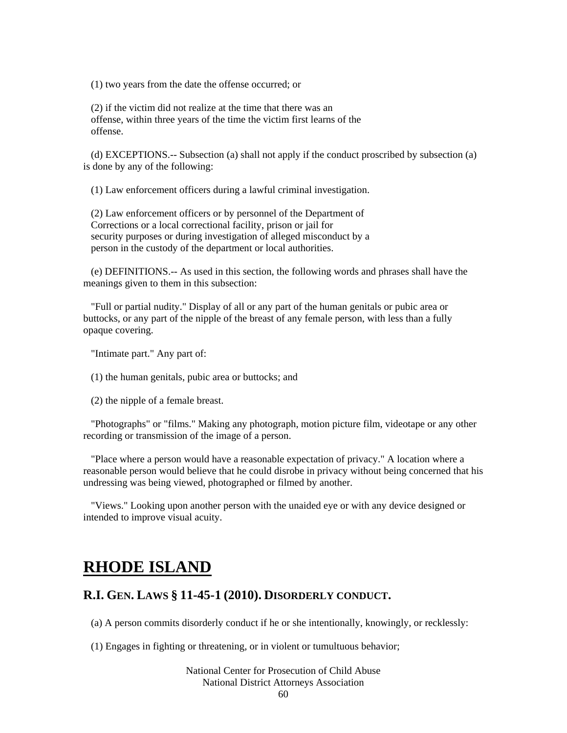(1) two years from the date the offense occurred; or

 (2) if the victim did not realize at the time that there was an offense, within three years of the time the victim first learns of the offense.

 (d) EXCEPTIONS.-- Subsection (a) shall not apply if the conduct proscribed by subsection (a) is done by any of the following:

(1) Law enforcement officers during a lawful criminal investigation.

 (2) Law enforcement officers or by personnel of the Department of Corrections or a local correctional facility, prison or jail for security purposes or during investigation of alleged misconduct by a person in the custody of the department or local authorities.

 (e) DEFINITIONS.-- As used in this section, the following words and phrases shall have the meanings given to them in this subsection:

 "Full or partial nudity." Display of all or any part of the human genitals or pubic area or buttocks, or any part of the nipple of the breast of any female person, with less than a fully opaque covering.

"Intimate part." Any part of:

(1) the human genitals, pubic area or buttocks; and

(2) the nipple of a female breast.

 "Photographs" or "films." Making any photograph, motion picture film, videotape or any other recording or transmission of the image of a person.

 "Place where a person would have a reasonable expectation of privacy." A location where a reasonable person would believe that he could disrobe in privacy without being concerned that his undressing was being viewed, photographed or filmed by another.

 "Views." Looking upon another person with the unaided eye or with any device designed or intended to improve visual acuity.

# **RHODE ISLAND**

#### **R.I. GEN. LAWS § 11-45-1 (2010). DISORDERLY CONDUCT.**

(a) A person commits disorderly conduct if he or she intentionally, knowingly, or recklessly:

(1) Engages in fighting or threatening, or in violent or tumultuous behavior;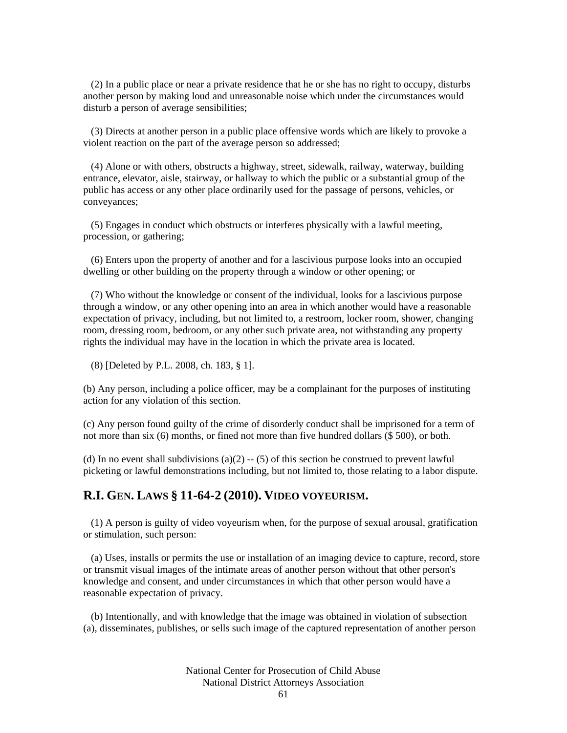(2) In a public place or near a private residence that he or she has no right to occupy, disturbs another person by making loud and unreasonable noise which under the circumstances would disturb a person of average sensibilities;

 (3) Directs at another person in a public place offensive words which are likely to provoke a violent reaction on the part of the average person so addressed;

 (4) Alone or with others, obstructs a highway, street, sidewalk, railway, waterway, building entrance, elevator, aisle, stairway, or hallway to which the public or a substantial group of the public has access or any other place ordinarily used for the passage of persons, vehicles, or conveyances;

 (5) Engages in conduct which obstructs or interferes physically with a lawful meeting, procession, or gathering;

 (6) Enters upon the property of another and for a lascivious purpose looks into an occupied dwelling or other building on the property through a window or other opening; or

 (7) Who without the knowledge or consent of the individual, looks for a lascivious purpose through a window, or any other opening into an area in which another would have a reasonable expectation of privacy, including, but not limited to, a restroom, locker room, shower, changing room, dressing room, bedroom, or any other such private area, not withstanding any property rights the individual may have in the location in which the private area is located.

(8) [Deleted by P.L. 2008, ch. 183, § 1].

(b) Any person, including a police officer, may be a complainant for the purposes of instituting action for any violation of this section.

(c) Any person found guilty of the crime of disorderly conduct shall be imprisoned for a term of not more than six (6) months, or fined not more than five hundred dollars (\$ 500), or both.

(d) In no event shall subdivisions (a)(2) -- (5) of this section be construed to prevent lawful picketing or lawful demonstrations including, but not limited to, those relating to a labor dispute.

#### **R.I. GEN. LAWS § 11-64-2 (2010). VIDEO VOYEURISM.**

 (1) A person is guilty of video voyeurism when, for the purpose of sexual arousal, gratification or stimulation, such person:

 (a) Uses, installs or permits the use or installation of an imaging device to capture, record, store or transmit visual images of the intimate areas of another person without that other person's knowledge and consent, and under circumstances in which that other person would have a reasonable expectation of privacy.

 (b) Intentionally, and with knowledge that the image was obtained in violation of subsection (a), disseminates, publishes, or sells such image of the captured representation of another person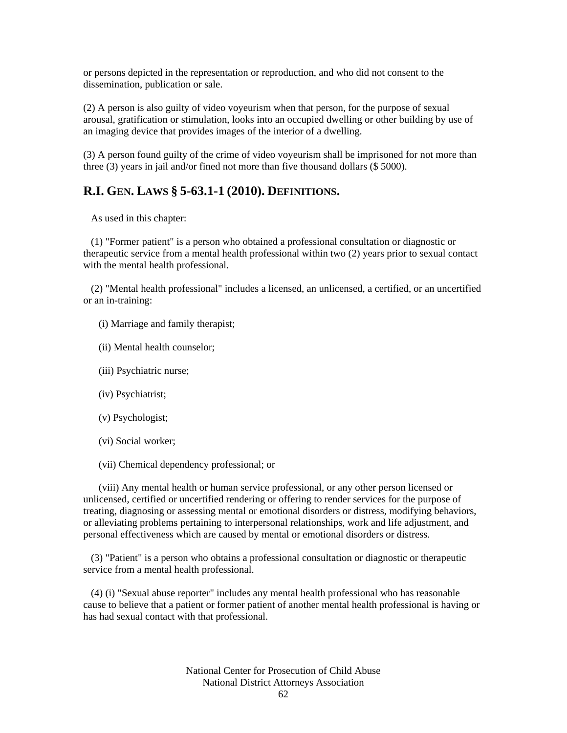or persons depicted in the representation or reproduction, and who did not consent to the dissemination, publication or sale.

(2) A person is also guilty of video voyeurism when that person, for the purpose of sexual arousal, gratification or stimulation, looks into an occupied dwelling or other building by use of an imaging device that provides images of the interior of a dwelling.

(3) A person found guilty of the crime of video voyeurism shall be imprisoned for not more than three (3) years in jail and/or fined not more than five thousand dollars (\$ 5000).

#### **R.I. GEN. LAWS § 5-63.1-1 (2010). DEFINITIONS.**

As used in this chapter:

 (1) "Former patient" is a person who obtained a professional consultation or diagnostic or therapeutic service from a mental health professional within two (2) years prior to sexual contact with the mental health professional.

 (2) "Mental health professional" includes a licensed, an unlicensed, a certified, or an uncertified or an in-training:

(i) Marriage and family therapist;

- (ii) Mental health counselor;
- (iii) Psychiatric nurse;
- (iv) Psychiatrist;
- (v) Psychologist;
- (vi) Social worker;
- (vii) Chemical dependency professional; or

 (viii) Any mental health or human service professional, or any other person licensed or unlicensed, certified or uncertified rendering or offering to render services for the purpose of treating, diagnosing or assessing mental or emotional disorders or distress, modifying behaviors, or alleviating problems pertaining to interpersonal relationships, work and life adjustment, and personal effectiveness which are caused by mental or emotional disorders or distress.

 (3) "Patient" is a person who obtains a professional consultation or diagnostic or therapeutic service from a mental health professional.

 (4) (i) "Sexual abuse reporter" includes any mental health professional who has reasonable cause to believe that a patient or former patient of another mental health professional is having or has had sexual contact with that professional.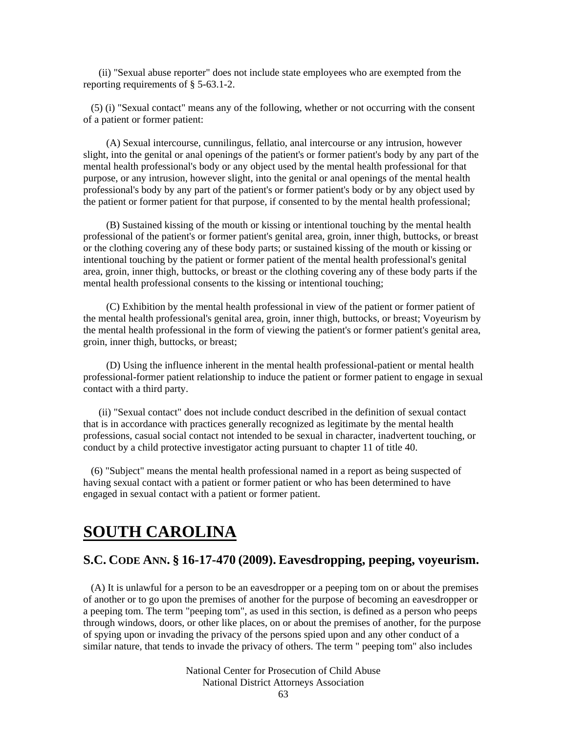(ii) "Sexual abuse reporter" does not include state employees who are exempted from the reporting requirements of § 5-63.1-2.

 (5) (i) "Sexual contact" means any of the following, whether or not occurring with the consent of a patient or former patient:

 (A) Sexual intercourse, cunnilingus, fellatio, anal intercourse or any intrusion, however slight, into the genital or anal openings of the patient's or former patient's body by any part of the mental health professional's body or any object used by the mental health professional for that purpose, or any intrusion, however slight, into the genital or anal openings of the mental health professional's body by any part of the patient's or former patient's body or by any object used by the patient or former patient for that purpose, if consented to by the mental health professional;

 (B) Sustained kissing of the mouth or kissing or intentional touching by the mental health professional of the patient's or former patient's genital area, groin, inner thigh, buttocks, or breast or the clothing covering any of these body parts; or sustained kissing of the mouth or kissing or intentional touching by the patient or former patient of the mental health professional's genital area, groin, inner thigh, buttocks, or breast or the clothing covering any of these body parts if the mental health professional consents to the kissing or intentional touching;

 (C) Exhibition by the mental health professional in view of the patient or former patient of the mental health professional's genital area, groin, inner thigh, buttocks, or breast; Voyeurism by the mental health professional in the form of viewing the patient's or former patient's genital area, groin, inner thigh, buttocks, or breast;

 (D) Using the influence inherent in the mental health professional-patient or mental health professional-former patient relationship to induce the patient or former patient to engage in sexual contact with a third party.

 (ii) "Sexual contact" does not include conduct described in the definition of sexual contact that is in accordance with practices generally recognized as legitimate by the mental health professions, casual social contact not intended to be sexual in character, inadvertent touching, or conduct by a child protective investigator acting pursuant to chapter 11 of title 40.

 (6) "Subject" means the mental health professional named in a report as being suspected of having sexual contact with a patient or former patient or who has been determined to have engaged in sexual contact with a patient or former patient.

### **SOUTH CAROLINA**

#### **S.C. CODE ANN. § 16-17-470 (2009). Eavesdropping, peeping, voyeurism.**

 (A) It is unlawful for a person to be an eavesdropper or a peeping tom on or about the premises of another or to go upon the premises of another for the purpose of becoming an eavesdropper or a peeping tom. The term "peeping tom", as used in this section, is defined as a person who peeps through windows, doors, or other like places, on or about the premises of another, for the purpose of spying upon or invading the privacy of the persons spied upon and any other conduct of a similar nature, that tends to invade the privacy of others. The term " peeping tom" also includes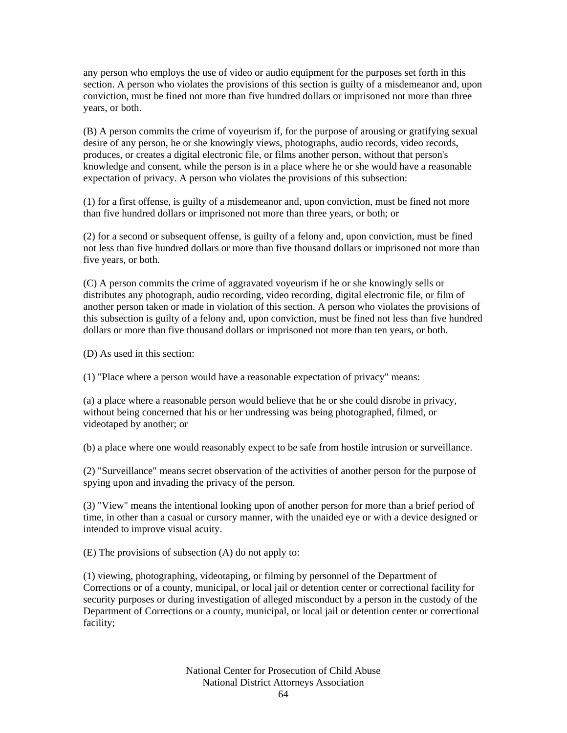any person who employs the use of video or audio equipment for the purposes set forth in this section. A person who violates the provisions of this section is guilty of a misdemeanor and, upon conviction, must be fined not more than five hundred dollars or imprisoned not more than three years, or both.

(B) A person commits the crime of voyeurism if, for the purpose of arousing or gratifying sexual desire of any person, he or she knowingly views, photographs, audio records, video records, produces, or creates a digital electronic file, or films another person, without that person's knowledge and consent, while the person is in a place where he or she would have a reasonable expectation of privacy. A person who violates the provisions of this subsection:

(1) for a first offense, is guilty of a misdemeanor and, upon conviction, must be fined not more than five hundred dollars or imprisoned not more than three years, or both; or

(2) for a second or subsequent offense, is guilty of a felony and, upon conviction, must be fined not less than five hundred dollars or more than five thousand dollars or imprisoned not more than five years, or both.

(C) A person commits the crime of aggravated voyeurism if he or she knowingly sells or distributes any photograph, audio recording, video recording, digital electronic file, or film of another person taken or made in violation of this section. A person who violates the provisions of this subsection is guilty of a felony and, upon conviction, must be fined not less than five hundred dollars or more than five thousand dollars or imprisoned not more than ten years, or both.

(D) As used in this section:

(1) "Place where a person would have a reasonable expectation of privacy" means:

(a) a place where a reasonable person would believe that he or she could disrobe in privacy, without being concerned that his or her undressing was being photographed, filmed, or videotaped by another; or

(b) a place where one would reasonably expect to be safe from hostile intrusion or surveillance.

(2) "Surveillance" means secret observation of the activities of another person for the purpose of spying upon and invading the privacy of the person.

(3) "View" means the intentional looking upon of another person for more than a brief period of time, in other than a casual or cursory manner, with the unaided eye or with a device designed or intended to improve visual acuity.

(E) The provisions of subsection (A) do not apply to:

(1) viewing, photographing, videotaping, or filming by personnel of the Department of Corrections or of a county, municipal, or local jail or detention center or correctional facility for security purposes or during investigation of alleged misconduct by a person in the custody of the Department of Corrections or a county, municipal, or local jail or detention center or correctional facility;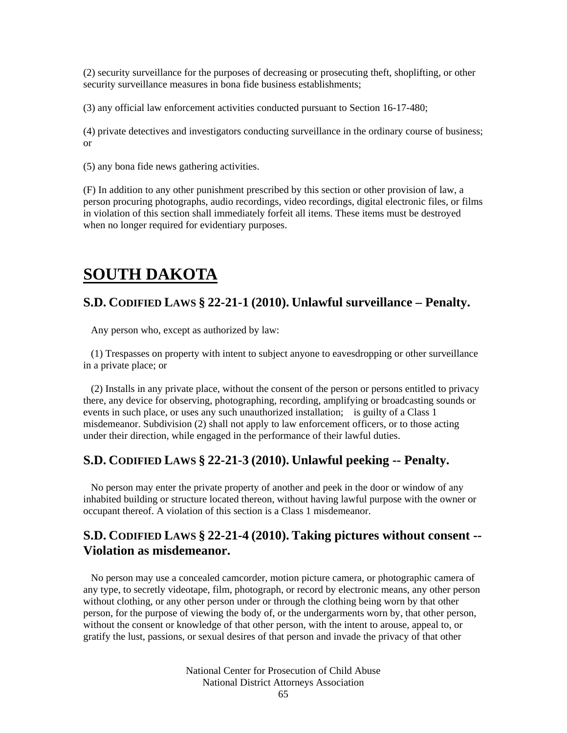(2) security surveillance for the purposes of decreasing or prosecuting theft, shoplifting, or other security surveillance measures in bona fide business establishments;

(3) any official law enforcement activities conducted pursuant to Section 16-17-480;

(4) private detectives and investigators conducting surveillance in the ordinary course of business; or

(5) any bona fide news gathering activities.

(F) In addition to any other punishment prescribed by this section or other provision of law, a person procuring photographs, audio recordings, video recordings, digital electronic files, or films in violation of this section shall immediately forfeit all items. These items must be destroyed when no longer required for evidentiary purposes.

## **SOUTH DAKOTA**

#### **S.D. CODIFIED LAWS § 22-21-1 (2010). Unlawful surveillance – Penalty.**

Any person who, except as authorized by law:

 (1) Trespasses on property with intent to subject anyone to eavesdropping or other surveillance in a private place; or

 (2) Installs in any private place, without the consent of the person or persons entitled to privacy there, any device for observing, photographing, recording, amplifying or broadcasting sounds or events in such place, or uses any such unauthorized installation; is guilty of a Class 1 misdemeanor. Subdivision (2) shall not apply to law enforcement officers, or to those acting under their direction, while engaged in the performance of their lawful duties.

#### **S.D. CODIFIED LAWS § 22-21-3 (2010). Unlawful peeking -- Penalty.**

 No person may enter the private property of another and peek in the door or window of any inhabited building or structure located thereon, without having lawful purpose with the owner or occupant thereof. A violation of this section is a Class 1 misdemeanor.

#### **S.D. CODIFIED LAWS § 22-21-4 (2010). Taking pictures without consent -- Violation as misdemeanor.**

 No person may use a concealed camcorder, motion picture camera, or photographic camera of any type, to secretly videotape, film, photograph, or record by electronic means, any other person without clothing, or any other person under or through the clothing being worn by that other person, for the purpose of viewing the body of, or the undergarments worn by, that other person, without the consent or knowledge of that other person, with the intent to arouse, appeal to, or gratify the lust, passions, or sexual desires of that person and invade the privacy of that other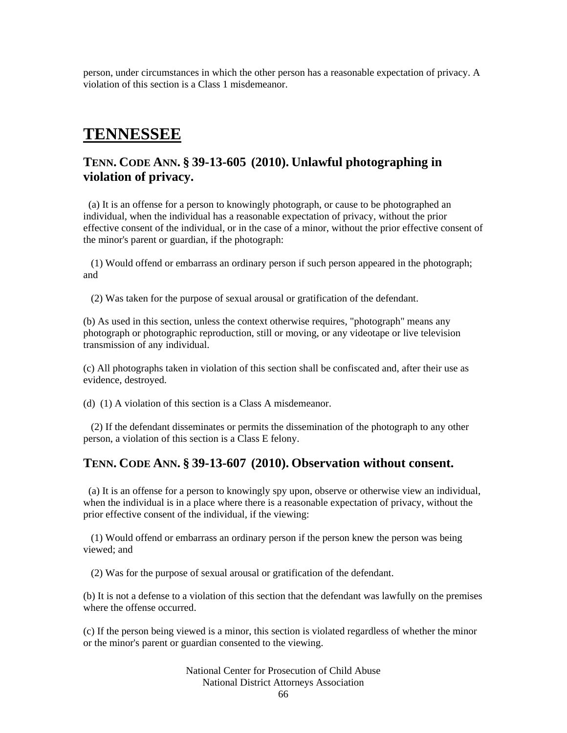person, under circumstances in which the other person has a reasonable expectation of privacy. A violation of this section is a Class 1 misdemeanor.

## **TENNESSEE**

### **TENN. CODE ANN. § 39-13-605 (2010). Unlawful photographing in violation of privacy.**

 (a) It is an offense for a person to knowingly photograph, or cause to be photographed an individual, when the individual has a reasonable expectation of privacy, without the prior effective consent of the individual, or in the case of a minor, without the prior effective consent of the minor's parent or guardian, if the photograph:

 (1) Would offend or embarrass an ordinary person if such person appeared in the photograph; and

(2) Was taken for the purpose of sexual arousal or gratification of the defendant.

(b) As used in this section, unless the context otherwise requires, "photograph" means any photograph or photographic reproduction, still or moving, or any videotape or live television transmission of any individual.

(c) All photographs taken in violation of this section shall be confiscated and, after their use as evidence, destroyed.

(d) (1) A violation of this section is a Class A misdemeanor.

 (2) If the defendant disseminates or permits the dissemination of the photograph to any other person, a violation of this section is a Class E felony.

### **TENN. CODE ANN. § 39-13-607 (2010). Observation without consent.**

 (a) It is an offense for a person to knowingly spy upon, observe or otherwise view an individual, when the individual is in a place where there is a reasonable expectation of privacy, without the prior effective consent of the individual, if the viewing:

 (1) Would offend or embarrass an ordinary person if the person knew the person was being viewed; and

(2) Was for the purpose of sexual arousal or gratification of the defendant.

(b) It is not a defense to a violation of this section that the defendant was lawfully on the premises where the offense occurred.

(c) If the person being viewed is a minor, this section is violated regardless of whether the minor or the minor's parent or guardian consented to the viewing.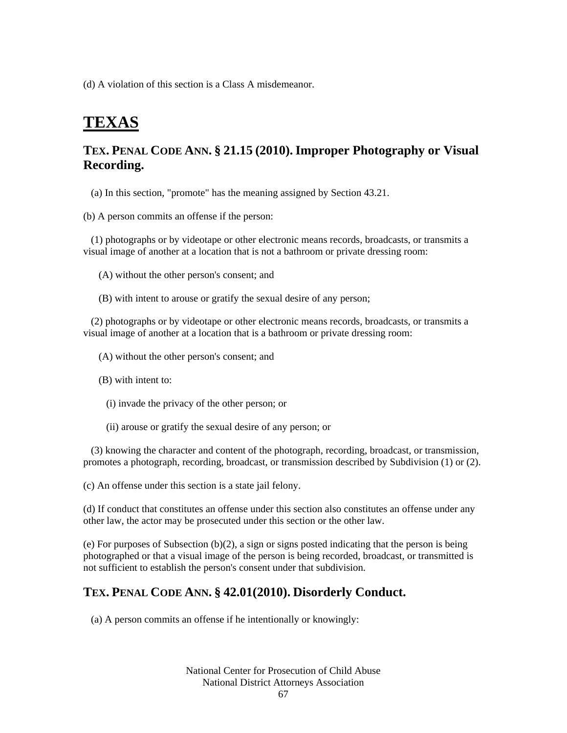(d) A violation of this section is a Class A misdemeanor.

# **TEXAS**

### **TEX. PENAL CODE ANN. § 21.15 (2010).Improper Photography or Visual Recording.**

(a) In this section, "promote" has the meaning assigned by Section 43.21.

(b) A person commits an offense if the person:

 (1) photographs or by videotape or other electronic means records, broadcasts, or transmits a visual image of another at a location that is not a bathroom or private dressing room:

(A) without the other person's consent; and

(B) with intent to arouse or gratify the sexual desire of any person;

 (2) photographs or by videotape or other electronic means records, broadcasts, or transmits a visual image of another at a location that is a bathroom or private dressing room:

- (A) without the other person's consent; and
- (B) with intent to:
	- (i) invade the privacy of the other person; or
	- (ii) arouse or gratify the sexual desire of any person; or

 (3) knowing the character and content of the photograph, recording, broadcast, or transmission, promotes a photograph, recording, broadcast, or transmission described by Subdivision (1) or (2).

(c) An offense under this section is a state jail felony.

(d) If conduct that constitutes an offense under this section also constitutes an offense under any other law, the actor may be prosecuted under this section or the other law.

(e) For purposes of Subsection (b)(2), a sign or signs posted indicating that the person is being photographed or that a visual image of the person is being recorded, broadcast, or transmitted is not sufficient to establish the person's consent under that subdivision.

### **TEX. PENAL CODE ANN. § 42.01(2010). Disorderly Conduct.**

(a) A person commits an offense if he intentionally or knowingly: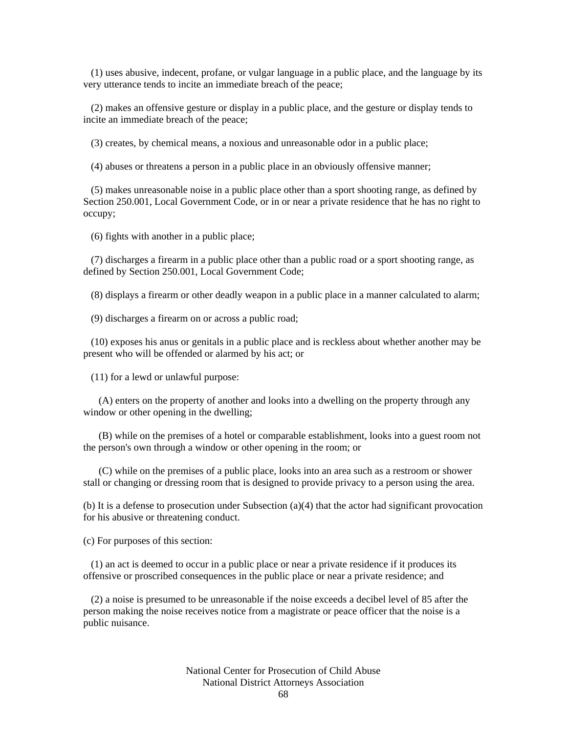(1) uses abusive, indecent, profane, or vulgar language in a public place, and the language by its very utterance tends to incite an immediate breach of the peace;

 (2) makes an offensive gesture or display in a public place, and the gesture or display tends to incite an immediate breach of the peace;

(3) creates, by chemical means, a noxious and unreasonable odor in a public place;

(4) abuses or threatens a person in a public place in an obviously offensive manner;

 (5) makes unreasonable noise in a public place other than a sport shooting range, as defined by Section 250.001, Local Government Code, or in or near a private residence that he has no right to occupy;

(6) fights with another in a public place;

 (7) discharges a firearm in a public place other than a public road or a sport shooting range, as defined by Section 250.001, Local Government Code;

(8) displays a firearm or other deadly weapon in a public place in a manner calculated to alarm;

(9) discharges a firearm on or across a public road;

 (10) exposes his anus or genitals in a public place and is reckless about whether another may be present who will be offended or alarmed by his act; or

(11) for a lewd or unlawful purpose:

 (A) enters on the property of another and looks into a dwelling on the property through any window or other opening in the dwelling;

 (B) while on the premises of a hotel or comparable establishment, looks into a guest room not the person's own through a window or other opening in the room; or

 (C) while on the premises of a public place, looks into an area such as a restroom or shower stall or changing or dressing room that is designed to provide privacy to a person using the area.

(b) It is a defense to prosecution under Subsection (a)(4) that the actor had significant provocation for his abusive or threatening conduct.

(c) For purposes of this section:

 (1) an act is deemed to occur in a public place or near a private residence if it produces its offensive or proscribed consequences in the public place or near a private residence; and

 (2) a noise is presumed to be unreasonable if the noise exceeds a decibel level of 85 after the person making the noise receives notice from a magistrate or peace officer that the noise is a public nuisance.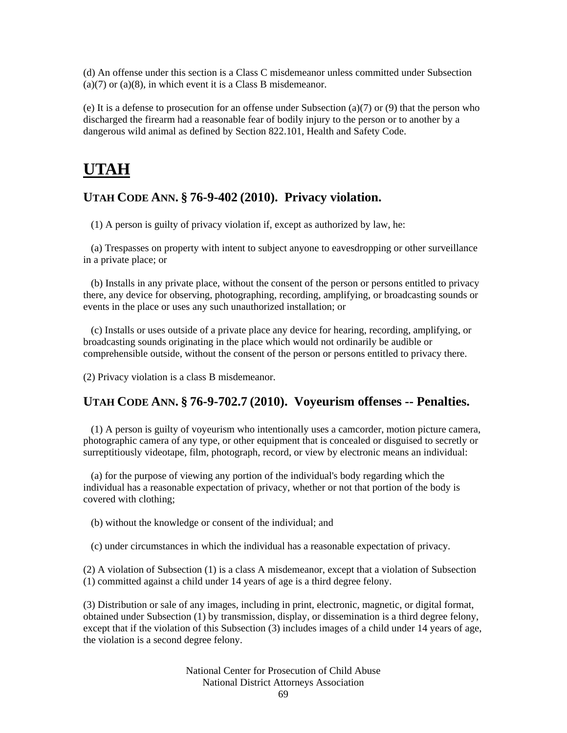(d) An offense under this section is a Class C misdemeanor unless committed under Subsection (a)(7) or (a)(8), in which event it is a Class B misdemeanor.

(e) It is a defense to prosecution for an offense under Subsection (a)(7) or (9) that the person who discharged the firearm had a reasonable fear of bodily injury to the person or to another by a dangerous wild animal as defined by Section 822.101, Health and Safety Code.

# **UTAH**

### **UTAH CODE ANN. § 76-9-402 (2010). Privacy violation.**

(1) A person is guilty of privacy violation if, except as authorized by law, he:

 (a) Trespasses on property with intent to subject anyone to eavesdropping or other surveillance in a private place; or

 (b) Installs in any private place, without the consent of the person or persons entitled to privacy there, any device for observing, photographing, recording, amplifying, or broadcasting sounds or events in the place or uses any such unauthorized installation; or

 (c) Installs or uses outside of a private place any device for hearing, recording, amplifying, or broadcasting sounds originating in the place which would not ordinarily be audible or comprehensible outside, without the consent of the person or persons entitled to privacy there.

(2) Privacy violation is a class B misdemeanor.

### **UTAH CODE ANN. § 76-9-702.7 (2010). Voyeurism offenses -- Penalties.**

 (1) A person is guilty of voyeurism who intentionally uses a camcorder, motion picture camera, photographic camera of any type, or other equipment that is concealed or disguised to secretly or surreptitiously videotape, film, photograph, record, or view by electronic means an individual:

 (a) for the purpose of viewing any portion of the individual's body regarding which the individual has a reasonable expectation of privacy, whether or not that portion of the body is covered with clothing;

(b) without the knowledge or consent of the individual; and

(c) under circumstances in which the individual has a reasonable expectation of privacy.

(2) A violation of Subsection (1) is a class A misdemeanor, except that a violation of Subsection (1) committed against a child under 14 years of age is a third degree felony.

(3) Distribution or sale of any images, including in print, electronic, magnetic, or digital format, obtained under Subsection (1) by transmission, display, or dissemination is a third degree felony, except that if the violation of this Subsection (3) includes images of a child under 14 years of age, the violation is a second degree felony.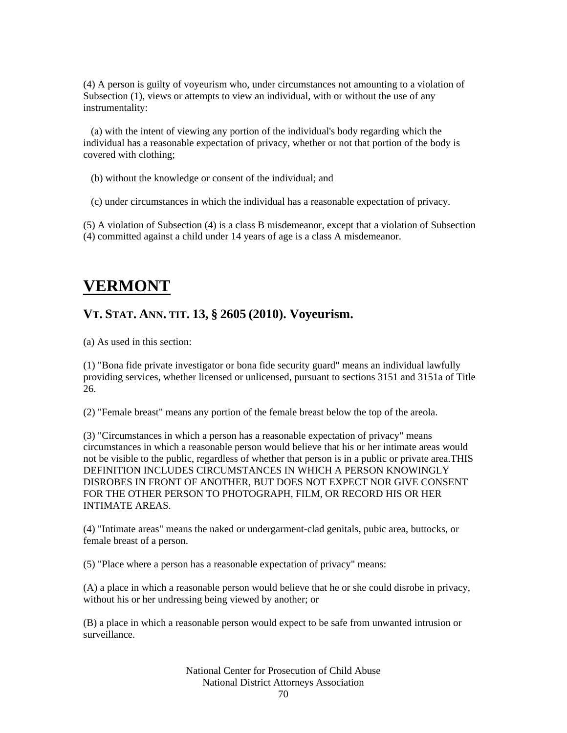(4) A person is guilty of voyeurism who, under circumstances not amounting to a violation of Subsection (1), views or attempts to view an individual, with or without the use of any instrumentality:

 (a) with the intent of viewing any portion of the individual's body regarding which the individual has a reasonable expectation of privacy, whether or not that portion of the body is covered with clothing;

(b) without the knowledge or consent of the individual; and

(c) under circumstances in which the individual has a reasonable expectation of privacy.

(5) A violation of Subsection (4) is a class B misdemeanor, except that a violation of Subsection (4) committed against a child under 14 years of age is a class A misdemeanor.

# **VERMONT**

### **VT. STAT. ANN. TIT. 13, § 2605 (2010). Voyeurism.**

(a) As used in this section:

(1) "Bona fide private investigator or bona fide security guard" means an individual lawfully providing services, whether licensed or unlicensed, pursuant to sections 3151 and 3151a of Title 26.

(2) "Female breast" means any portion of the female breast below the top of the areola.

(3) "Circumstances in which a person has a reasonable expectation of privacy" means circumstances in which a reasonable person would believe that his or her intimate areas would not be visible to the public, regardless of whether that person is in a public or private area.THIS DEFINITION INCLUDES CIRCUMSTANCES IN WHICH A PERSON KNOWINGLY DISROBES IN FRONT OF ANOTHER, BUT DOES NOT EXPECT NOR GIVE CONSENT FOR THE OTHER PERSON TO PHOTOGRAPH, FILM, OR RECORD HIS OR HER INTIMATE AREAS.

(4) "Intimate areas" means the naked or undergarment-clad genitals, pubic area, buttocks, or female breast of a person.

(5) "Place where a person has a reasonable expectation of privacy" means:

(A) a place in which a reasonable person would believe that he or she could disrobe in privacy, without his or her undressing being viewed by another; or

(B) a place in which a reasonable person would expect to be safe from unwanted intrusion or surveillance.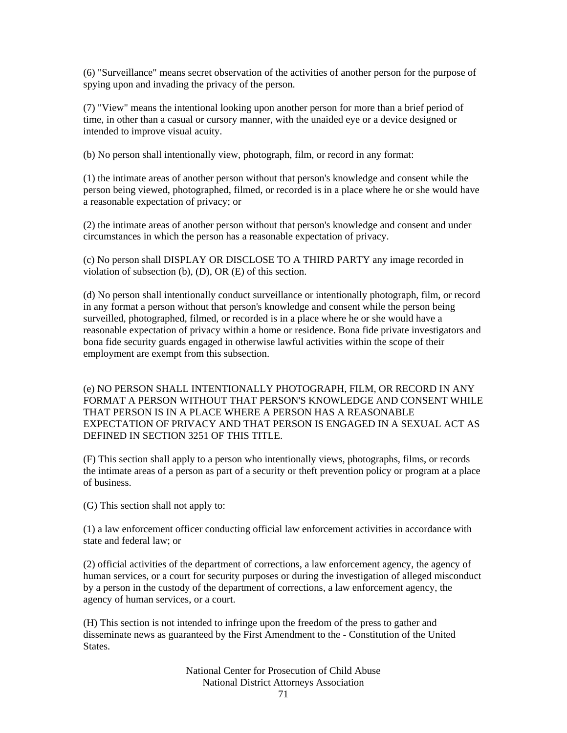(6) "Surveillance" means secret observation of the activities of another person for the purpose of spying upon and invading the privacy of the person.

(7) "View" means the intentional looking upon another person for more than a brief period of time, in other than a casual or cursory manner, with the unaided eye or a device designed or intended to improve visual acuity.

(b) No person shall intentionally view, photograph, film, or record in any format:

(1) the intimate areas of another person without that person's knowledge and consent while the person being viewed, photographed, filmed, or recorded is in a place where he or she would have a reasonable expectation of privacy; or

(2) the intimate areas of another person without that person's knowledge and consent and under circumstances in which the person has a reasonable expectation of privacy.

(c) No person shall DISPLAY OR DISCLOSE TO A THIRD PARTY any image recorded in violation of subsection (b), (D), OR (E) of this section.

(d) No person shall intentionally conduct surveillance or intentionally photograph, film, or record in any format a person without that person's knowledge and consent while the person being surveilled, photographed, filmed, or recorded is in a place where he or she would have a reasonable expectation of privacy within a home or residence. Bona fide private investigators and bona fide security guards engaged in otherwise lawful activities within the scope of their employment are exempt from this subsection.

(e) NO PERSON SHALL INTENTIONALLY PHOTOGRAPH, FILM, OR RECORD IN ANY FORMAT A PERSON WITHOUT THAT PERSON'S KNOWLEDGE AND CONSENT WHILE THAT PERSON IS IN A PLACE WHERE A PERSON HAS A REASONABLE EXPECTATION OF PRIVACY AND THAT PERSON IS ENGAGED IN A SEXUAL ACT AS DEFINED IN SECTION 3251 OF THIS TITLE.

(F) This section shall apply to a person who intentionally views, photographs, films, or records the intimate areas of a person as part of a security or theft prevention policy or program at a place of business.

(G) This section shall not apply to:

(1) a law enforcement officer conducting official law enforcement activities in accordance with state and federal law; or

(2) official activities of the department of corrections, a law enforcement agency, the agency of human services, or a court for security purposes or during the investigation of alleged misconduct by a person in the custody of the department of corrections, a law enforcement agency, the agency of human services, or a court.

(H) This section is not intended to infringe upon the freedom of the press to gather and disseminate news as guaranteed by the First Amendment to the - Constitution of the United States.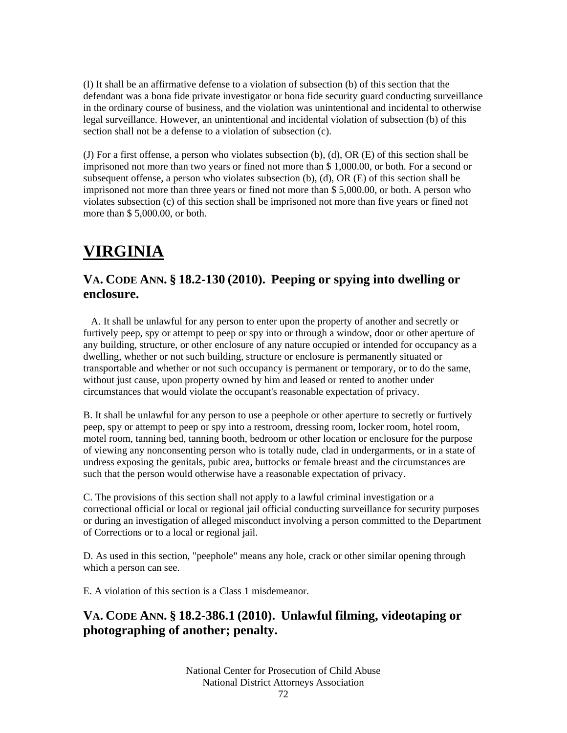(I) It shall be an affirmative defense to a violation of subsection (b) of this section that the defendant was a bona fide private investigator or bona fide security guard conducting surveillance in the ordinary course of business, and the violation was unintentional and incidental to otherwise legal surveillance. However, an unintentional and incidental violation of subsection (b) of this section shall not be a defense to a violation of subsection (c).

(J) For a first offense, a person who violates subsection (b), (d), OR (E) of this section shall be imprisoned not more than two years or fined not more than \$ 1,000.00, or both. For a second or subsequent offense, a person who violates subsection (b), (d), OR (E) of this section shall be imprisoned not more than three years or fined not more than \$ 5,000.00, or both. A person who violates subsection (c) of this section shall be imprisoned not more than five years or fined not more than \$ 5,000.00, or both.

# **VIRGINIA**

### **VA. CODE ANN. § 18.2-130 (2010). Peeping or spying into dwelling or enclosure.**

 A. It shall be unlawful for any person to enter upon the property of another and secretly or furtively peep, spy or attempt to peep or spy into or through a window, door or other aperture of any building, structure, or other enclosure of any nature occupied or intended for occupancy as a dwelling, whether or not such building, structure or enclosure is permanently situated or transportable and whether or not such occupancy is permanent or temporary, or to do the same, without just cause, upon property owned by him and leased or rented to another under circumstances that would violate the occupant's reasonable expectation of privacy.

B. It shall be unlawful for any person to use a peephole or other aperture to secretly or furtively peep, spy or attempt to peep or spy into a restroom, dressing room, locker room, hotel room, motel room, tanning bed, tanning booth, bedroom or other location or enclosure for the purpose of viewing any nonconsenting person who is totally nude, clad in undergarments, or in a state of undress exposing the genitals, pubic area, buttocks or female breast and the circumstances are such that the person would otherwise have a reasonable expectation of privacy.

C. The provisions of this section shall not apply to a lawful criminal investigation or a correctional official or local or regional jail official conducting surveillance for security purposes or during an investigation of alleged misconduct involving a person committed to the Department of Corrections or to a local or regional jail.

D. As used in this section, "peephole" means any hole, crack or other similar opening through which a person can see.

E. A violation of this section is a Class 1 misdemeanor.

### **VA. CODE ANN. § 18.2-386.1 (2010). Unlawful filming, videotaping or photographing of another; penalty.**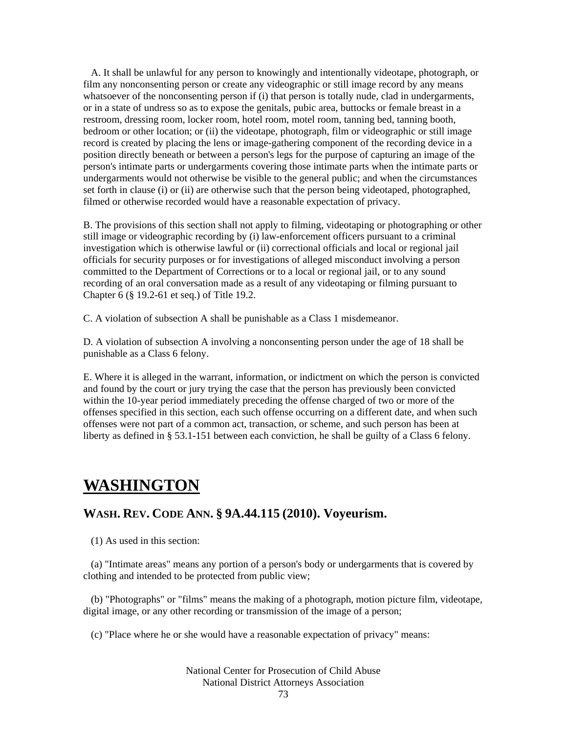A. It shall be unlawful for any person to knowingly and intentionally videotape, photograph, or film any nonconsenting person or create any videographic or still image record by any means whatsoever of the nonconsenting person if (i) that person is totally nude, clad in undergarments, or in a state of undress so as to expose the genitals, pubic area, buttocks or female breast in a restroom, dressing room, locker room, hotel room, motel room, tanning bed, tanning booth, bedroom or other location; or (ii) the videotape, photograph, film or videographic or still image record is created by placing the lens or image-gathering component of the recording device in a position directly beneath or between a person's legs for the purpose of capturing an image of the person's intimate parts or undergarments covering those intimate parts when the intimate parts or undergarments would not otherwise be visible to the general public; and when the circumstances set forth in clause (i) or (ii) are otherwise such that the person being videotaped, photographed, filmed or otherwise recorded would have a reasonable expectation of privacy.

B. The provisions of this section shall not apply to filming, videotaping or photographing or other still image or videographic recording by (i) law-enforcement officers pursuant to a criminal investigation which is otherwise lawful or (ii) correctional officials and local or regional jail officials for security purposes or for investigations of alleged misconduct involving a person committed to the Department of Corrections or to a local or regional jail, or to any sound recording of an oral conversation made as a result of any videotaping or filming pursuant to Chapter 6 (§ 19.2-61 et seq.) of Title 19.2.

C. A violation of subsection A shall be punishable as a Class 1 misdemeanor.

D. A violation of subsection A involving a nonconsenting person under the age of 18 shall be punishable as a Class 6 felony.

E. Where it is alleged in the warrant, information, or indictment on which the person is convicted and found by the court or jury trying the case that the person has previously been convicted within the 10-year period immediately preceding the offense charged of two or more of the offenses specified in this section, each such offense occurring on a different date, and when such offenses were not part of a common act, transaction, or scheme, and such person has been at liberty as defined in § 53.1-151 between each conviction, he shall be guilty of a Class 6 felony.

# **WASHINGTON**

# **WASH. REV. CODE ANN. § 9A.44.115 (2010). Voyeurism.**

(1) As used in this section:

 (a) "Intimate areas" means any portion of a person's body or undergarments that is covered by clothing and intended to be protected from public view;

 (b) "Photographs" or "films" means the making of a photograph, motion picture film, videotape, digital image, or any other recording or transmission of the image of a person;

(c) "Place where he or she would have a reasonable expectation of privacy" means: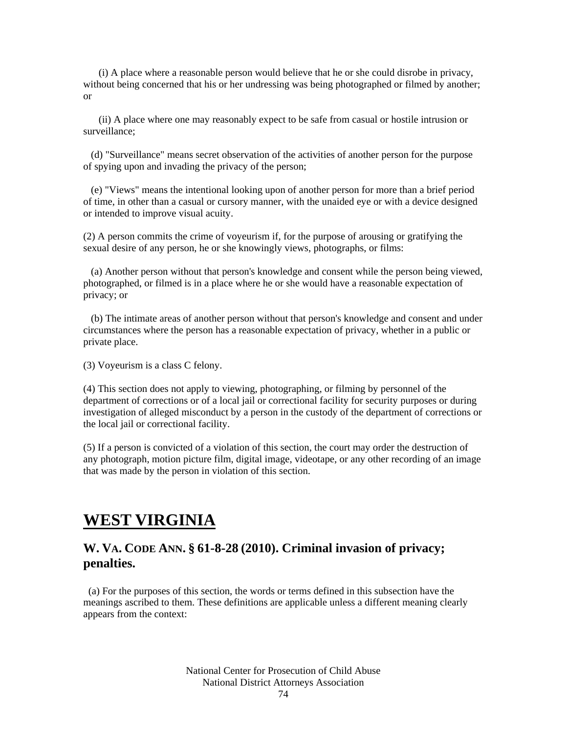(i) A place where a reasonable person would believe that he or she could disrobe in privacy, without being concerned that his or her undressing was being photographed or filmed by another; or

 (ii) A place where one may reasonably expect to be safe from casual or hostile intrusion or surveillance;

 (d) "Surveillance" means secret observation of the activities of another person for the purpose of spying upon and invading the privacy of the person;

 (e) "Views" means the intentional looking upon of another person for more than a brief period of time, in other than a casual or cursory manner, with the unaided eye or with a device designed or intended to improve visual acuity.

(2) A person commits the crime of voyeurism if, for the purpose of arousing or gratifying the sexual desire of any person, he or she knowingly views, photographs, or films:

 (a) Another person without that person's knowledge and consent while the person being viewed, photographed, or filmed is in a place where he or she would have a reasonable expectation of privacy; or

 (b) The intimate areas of another person without that person's knowledge and consent and under circumstances where the person has a reasonable expectation of privacy, whether in a public or private place.

(3) Voyeurism is a class C felony.

(4) This section does not apply to viewing, photographing, or filming by personnel of the department of corrections or of a local jail or correctional facility for security purposes or during investigation of alleged misconduct by a person in the custody of the department of corrections or the local jail or correctional facility.

(5) If a person is convicted of a violation of this section, the court may order the destruction of any photograph, motion picture film, digital image, videotape, or any other recording of an image that was made by the person in violation of this section.

# **WEST VIRGINIA**

# **W. VA. CODE ANN. § 61-8-28 (2010). Criminal invasion of privacy; penalties.**

 (a) For the purposes of this section, the words or terms defined in this subsection have the meanings ascribed to them. These definitions are applicable unless a different meaning clearly appears from the context: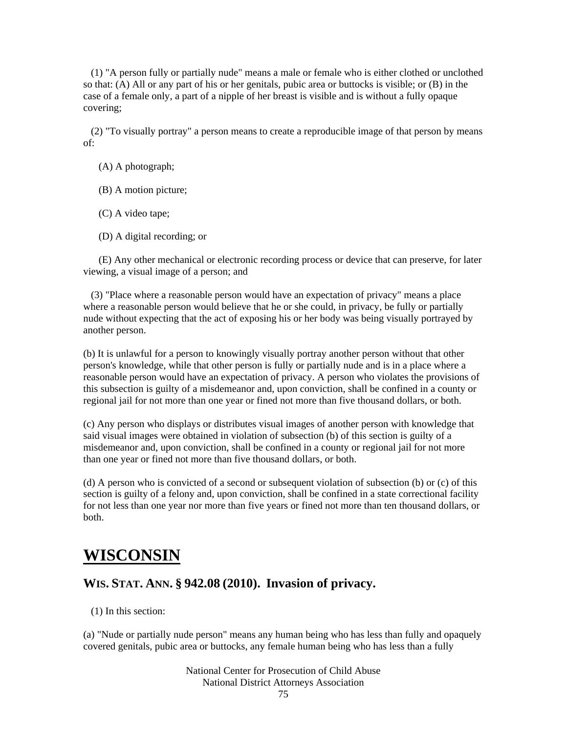(1) "A person fully or partially nude" means a male or female who is either clothed or unclothed so that: (A) All or any part of his or her genitals, pubic area or buttocks is visible; or (B) in the case of a female only, a part of a nipple of her breast is visible and is without a fully opaque covering;

 (2) "To visually portray" a person means to create a reproducible image of that person by means of:

- (A) A photograph;
- (B) A motion picture;
- (C) A video tape;
- (D) A digital recording; or

 (E) Any other mechanical or electronic recording process or device that can preserve, for later viewing, a visual image of a person; and

 (3) "Place where a reasonable person would have an expectation of privacy" means a place where a reasonable person would believe that he or she could, in privacy, be fully or partially nude without expecting that the act of exposing his or her body was being visually portrayed by another person.

(b) It is unlawful for a person to knowingly visually portray another person without that other person's knowledge, while that other person is fully or partially nude and is in a place where a reasonable person would have an expectation of privacy. A person who violates the provisions of this subsection is guilty of a misdemeanor and, upon conviction, shall be confined in a county or regional jail for not more than one year or fined not more than five thousand dollars, or both.

(c) Any person who displays or distributes visual images of another person with knowledge that said visual images were obtained in violation of subsection (b) of this section is guilty of a misdemeanor and, upon conviction, shall be confined in a county or regional jail for not more than one year or fined not more than five thousand dollars, or both.

(d) A person who is convicted of a second or subsequent violation of subsection (b) or (c) of this section is guilty of a felony and, upon conviction, shall be confined in a state correctional facility for not less than one year nor more than five years or fined not more than ten thousand dollars, or both.

# **WISCONSIN**

## **WIS. STAT. ANN. § 942.08 (2010). Invasion of privacy.**

(1) In this section:

(a) "Nude or partially nude person" means any human being who has less than fully and opaquely covered genitals, pubic area or buttocks, any female human being who has less than a fully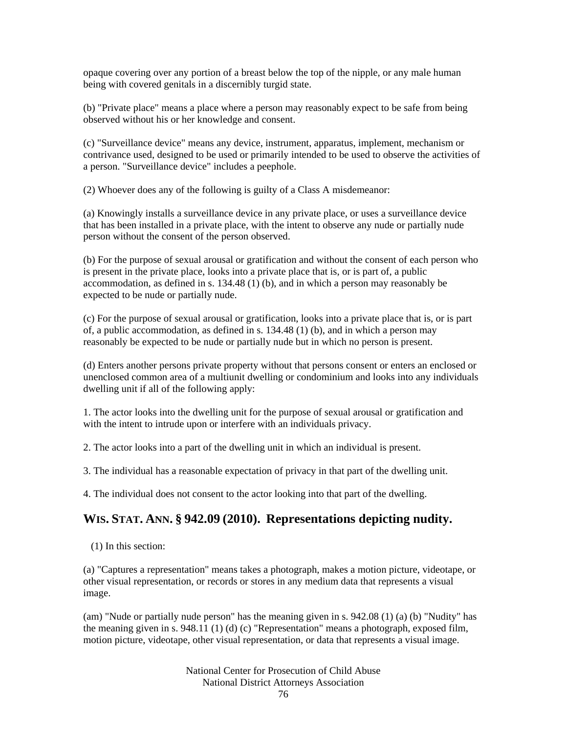opaque covering over any portion of a breast below the top of the nipple, or any male human being with covered genitals in a discernibly turgid state.

(b) "Private place" means a place where a person may reasonably expect to be safe from being observed without his or her knowledge and consent.

(c) "Surveillance device" means any device, instrument, apparatus, implement, mechanism or contrivance used, designed to be used or primarily intended to be used to observe the activities of a person. "Surveillance device" includes a peephole.

(2) Whoever does any of the following is guilty of a Class A misdemeanor:

(a) Knowingly installs a surveillance device in any private place, or uses a surveillance device that has been installed in a private place, with the intent to observe any nude or partially nude person without the consent of the person observed.

(b) For the purpose of sexual arousal or gratification and without the consent of each person who is present in the private place, looks into a private place that is, or is part of, a public accommodation, as defined in s. 134.48 (1) (b), and in which a person may reasonably be expected to be nude or partially nude.

(c) For the purpose of sexual arousal or gratification, looks into a private place that is, or is part of, a public accommodation, as defined in s. 134.48 (1) (b), and in which a person may reasonably be expected to be nude or partially nude but in which no person is present.

(d) Enters another persons private property without that persons consent or enters an enclosed or unenclosed common area of a multiunit dwelling or condominium and looks into any individuals dwelling unit if all of the following apply:

1. The actor looks into the dwelling unit for the purpose of sexual arousal or gratification and with the intent to intrude upon or interfere with an individuals privacy.

2. The actor looks into a part of the dwelling unit in which an individual is present.

3. The individual has a reasonable expectation of privacy in that part of the dwelling unit.

4. The individual does not consent to the actor looking into that part of the dwelling.

# **WIS. STAT. ANN. § 942.09 (2010). Representations depicting nudity.**

(1) In this section:

(a) "Captures a representation" means takes a photograph, makes a motion picture, videotape, or other visual representation, or records or stores in any medium data that represents a visual image.

(am) "Nude or partially nude person" has the meaning given in s. 942.08 (1) (a) (b) "Nudity" has the meaning given in s. 948.11 (1) (d) (c) "Representation" means a photograph, exposed film, motion picture, videotape, other visual representation, or data that represents a visual image.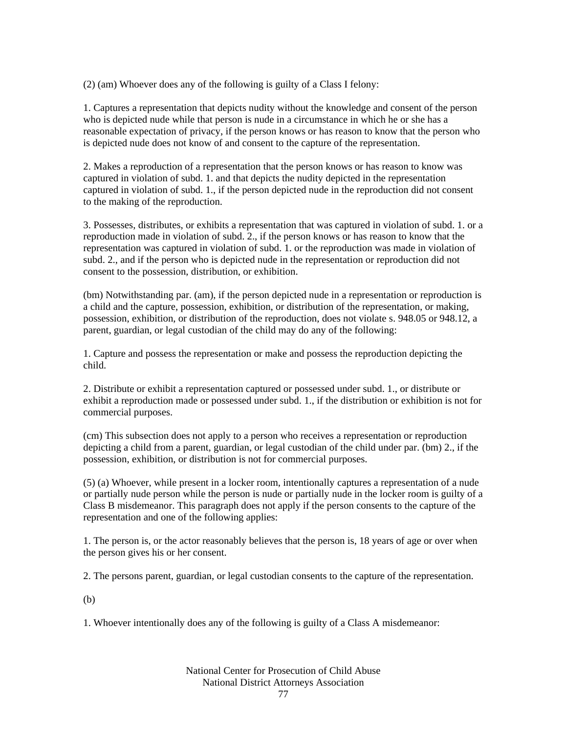(2) (am) Whoever does any of the following is guilty of a Class I felony:

1. Captures a representation that depicts nudity without the knowledge and consent of the person who is depicted nude while that person is nude in a circumstance in which he or she has a reasonable expectation of privacy, if the person knows or has reason to know that the person who is depicted nude does not know of and consent to the capture of the representation.

2. Makes a reproduction of a representation that the person knows or has reason to know was captured in violation of subd. 1. and that depicts the nudity depicted in the representation captured in violation of subd. 1., if the person depicted nude in the reproduction did not consent to the making of the reproduction.

3. Possesses, distributes, or exhibits a representation that was captured in violation of subd. 1. or a reproduction made in violation of subd. 2., if the person knows or has reason to know that the representation was captured in violation of subd. 1. or the reproduction was made in violation of subd. 2., and if the person who is depicted nude in the representation or reproduction did not consent to the possession, distribution, or exhibition.

(bm) Notwithstanding par. (am), if the person depicted nude in a representation or reproduction is a child and the capture, possession, exhibition, or distribution of the representation, or making, possession, exhibition, or distribution of the reproduction, does not violate s. 948.05 or 948.12, a parent, guardian, or legal custodian of the child may do any of the following:

1. Capture and possess the representation or make and possess the reproduction depicting the child.

2. Distribute or exhibit a representation captured or possessed under subd. 1., or distribute or exhibit a reproduction made or possessed under subd. 1., if the distribution or exhibition is not for commercial purposes.

(cm) This subsection does not apply to a person who receives a representation or reproduction depicting a child from a parent, guardian, or legal custodian of the child under par. (bm) 2., if the possession, exhibition, or distribution is not for commercial purposes.

(5) (a) Whoever, while present in a locker room, intentionally captures a representation of a nude or partially nude person while the person is nude or partially nude in the locker room is guilty of a Class B misdemeanor. This paragraph does not apply if the person consents to the capture of the representation and one of the following applies:

1. The person is, or the actor reasonably believes that the person is, 18 years of age or over when the person gives his or her consent.

2. The persons parent, guardian, or legal custodian consents to the capture of the representation.

(b)

1. Whoever intentionally does any of the following is guilty of a Class A misdemeanor: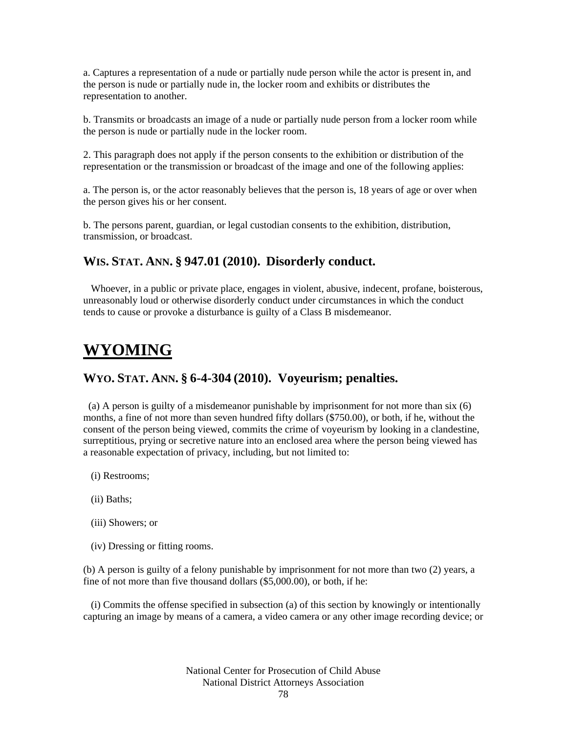a. Captures a representation of a nude or partially nude person while the actor is present in, and the person is nude or partially nude in, the locker room and exhibits or distributes the representation to another.

b. Transmits or broadcasts an image of a nude or partially nude person from a locker room while the person is nude or partially nude in the locker room.

2. This paragraph does not apply if the person consents to the exhibition or distribution of the representation or the transmission or broadcast of the image and one of the following applies:

a. The person is, or the actor reasonably believes that the person is, 18 years of age or over when the person gives his or her consent.

b. The persons parent, guardian, or legal custodian consents to the exhibition, distribution, transmission, or broadcast.

## **WIS. STAT. ANN. § 947.01 (2010). Disorderly conduct.**

 Whoever, in a public or private place, engages in violent, abusive, indecent, profane, boisterous, unreasonably loud or otherwise disorderly conduct under circumstances in which the conduct tends to cause or provoke a disturbance is guilty of a Class B misdemeanor.

# **WYOMING**

# **WYO. STAT. ANN. § 6-4-304 (2010). Voyeurism; penalties.**

 (a) A person is guilty of a misdemeanor punishable by imprisonment for not more than six (6) months, a fine of not more than seven hundred fifty dollars (\$750.00), or both, if he, without the consent of the person being viewed, commits the crime of voyeurism by looking in a clandestine, surreptitious, prying or secretive nature into an enclosed area where the person being viewed has a reasonable expectation of privacy, including, but not limited to:

- (i) Restrooms;
- (ii) Baths;
- (iii) Showers; or
- (iv) Dressing or fitting rooms.

(b) A person is guilty of a felony punishable by imprisonment for not more than two (2) years, a fine of not more than five thousand dollars (\$5,000.00), or both, if he:

 (i) Commits the offense specified in subsection (a) of this section by knowingly or intentionally capturing an image by means of a camera, a video camera or any other image recording device; or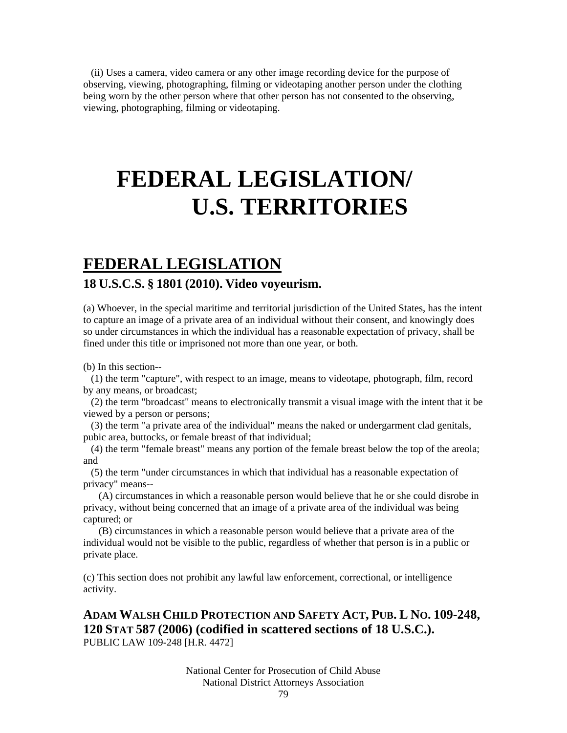(ii) Uses a camera, video camera or any other image recording device for the purpose of observing, viewing, photographing, filming or videotaping another person under the clothing being worn by the other person where that other person has not consented to the observing, viewing, photographing, filming or videotaping.

# **FEDERAL LEGISLATION/ U.S. TERRITORIES**

# **FEDERAL LEGISLATION**

# **18 U.S.C.S. § 1801 (2010). Video voyeurism.**

(a) Whoever, in the special maritime and territorial jurisdiction of the United States, has the intent to capture an image of a private area of an individual without their consent, and knowingly does so under circumstances in which the individual has a reasonable expectation of privacy, shall be fined under this title or imprisoned not more than one year, or both.

(b) In this section--

 (1) the term "capture", with respect to an image, means to videotape, photograph, film, record by any means, or broadcast;

 (2) the term "broadcast" means to electronically transmit a visual image with the intent that it be viewed by a person or persons;

 (3) the term "a private area of the individual" means the naked or undergarment clad genitals, pubic area, buttocks, or female breast of that individual;

 (4) the term "female breast" means any portion of the female breast below the top of the areola; and

 (5) the term "under circumstances in which that individual has a reasonable expectation of privacy" means--

 (A) circumstances in which a reasonable person would believe that he or she could disrobe in privacy, without being concerned that an image of a private area of the individual was being captured; or

 (B) circumstances in which a reasonable person would believe that a private area of the individual would not be visible to the public, regardless of whether that person is in a public or private place.

(c) This section does not prohibit any lawful law enforcement, correctional, or intelligence activity.

## **ADAM WALSH CHILD PROTECTION AND SAFETY ACT, PUB. L NO. 109-248, 120 STAT 587 (2006) (codified in scattered sections of 18 U.S.C.).**  PUBLIC LAW 109-248 [H.R. 4472]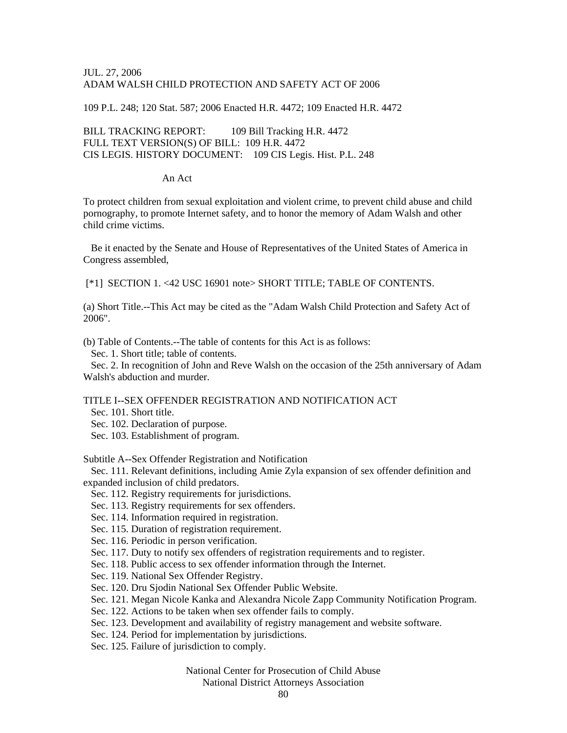#### JUL. 27, 2006 ADAM WALSH CHILD PROTECTION AND SAFETY ACT OF 2006

109 P.L. 248; 120 Stat. 587; 2006 Enacted H.R. 4472; 109 Enacted H.R. 4472

BILL TRACKING REPORT: 109 Bill Tracking H.R. 4472 FULL TEXT VERSION(S) OF BILL: 109 H.R. 4472 CIS LEGIS. HISTORY DOCUMENT: 109 CIS Legis. Hist. P.L. 248

#### An Act

To protect children from sexual exploitation and violent crime, to prevent child abuse and child pornography, to promote Internet safety, and to honor the memory of Adam Walsh and other child crime victims.

 Be it enacted by the Senate and House of Representatives of the United States of America in Congress assembled,

[\*1] SECTION 1. <42 USC 16901 note> SHORT TITLE; TABLE OF CONTENTS.

(a) Short Title.--This Act may be cited as the "Adam Walsh Child Protection and Safety Act of 2006".

(b) Table of Contents.--The table of contents for this Act is as follows:

Sec. 1. Short title; table of contents.

 Sec. 2. In recognition of John and Reve Walsh on the occasion of the 25th anniversary of Adam Walsh's abduction and murder.

TITLE I--SEX OFFENDER REGISTRATION AND NOTIFICATION ACT

Sec. 101. Short title.

Sec. 102. Declaration of purpose.

Sec. 103. Establishment of program.

Subtitle A--Sex Offender Registration and Notification

 Sec. 111. Relevant definitions, including Amie Zyla expansion of sex offender definition and expanded inclusion of child predators.

Sec. 112. Registry requirements for jurisdictions.

- Sec. 113. Registry requirements for sex offenders.
- Sec. 114. Information required in registration.
- Sec. 115. Duration of registration requirement.
- Sec. 116. Periodic in person verification.
- Sec. 117. Duty to notify sex offenders of registration requirements and to register.
- Sec. 118. Public access to sex offender information through the Internet.
- Sec. 119. National Sex Offender Registry.
- Sec. 120. Dru Sjodin National Sex Offender Public Website.
- Sec. 121. Megan Nicole Kanka and Alexandra Nicole Zapp Community Notification Program.
- Sec. 122. Actions to be taken when sex offender fails to comply.
- Sec. 123. Development and availability of registry management and website software.
- Sec. 124. Period for implementation by jurisdictions.
- Sec. 125. Failure of jurisdiction to comply.

National Center for Prosecution of Child Abuse

National District Attorneys Association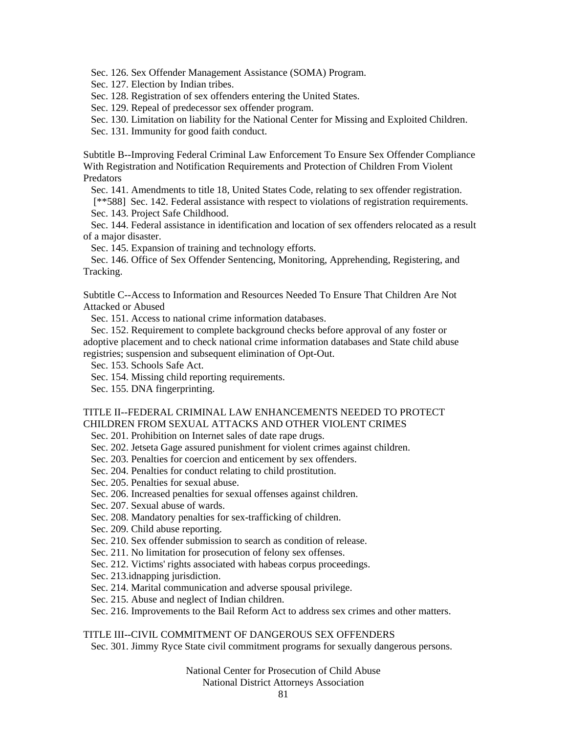Sec. 126. Sex Offender Management Assistance (SOMA) Program.

Sec. 127. Election by Indian tribes.

Sec. 128. Registration of sex offenders entering the United States.

Sec. 129. Repeal of predecessor sex offender program.

Sec. 130. Limitation on liability for the National Center for Missing and Exploited Children.

Sec. 131. Immunity for good faith conduct.

Subtitle B--Improving Federal Criminal Law Enforcement To Ensure Sex Offender Compliance With Registration and Notification Requirements and Protection of Children From Violent Predators

Sec. 141. Amendments to title 18, United States Code, relating to sex offender registration.

 [\*\*588] Sec. 142. Federal assistance with respect to violations of registration requirements. Sec. 143. Project Safe Childhood.

 Sec. 144. Federal assistance in identification and location of sex offenders relocated as a result of a major disaster.

Sec. 145. Expansion of training and technology efforts.

 Sec. 146. Office of Sex Offender Sentencing, Monitoring, Apprehending, Registering, and Tracking.

Subtitle C--Access to Information and Resources Needed To Ensure That Children Are Not Attacked or Abused

Sec. 151. Access to national crime information databases.

 Sec. 152. Requirement to complete background checks before approval of any foster or adoptive placement and to check national crime information databases and State child abuse registries; suspension and subsequent elimination of Opt-Out.

Sec. 153. Schools Safe Act.

Sec. 154. Missing child reporting requirements.

Sec. 155. DNA fingerprinting.

#### TITLE II--FEDERAL CRIMINAL LAW ENHANCEMENTS NEEDED TO PROTECT CHILDREN FROM SEXUAL ATTACKS AND OTHER VIOLENT CRIMES

Sec. 201. Prohibition on Internet sales of date rape drugs.

Sec. 202. Jetseta Gage assured punishment for violent crimes against children.

Sec. 203. Penalties for coercion and enticement by sex offenders.

Sec. 204. Penalties for conduct relating to child prostitution.

Sec. 205. Penalties for sexual abuse.

Sec. 206. Increased penalties for sexual offenses against children.

Sec. 207. Sexual abuse of wards.

Sec. 208. Mandatory penalties for sex-trafficking of children.

Sec. 209. Child abuse reporting.

Sec. 210. Sex offender submission to search as condition of release.

Sec. 211. No limitation for prosecution of felony sex offenses.

Sec. 212. Victims' rights associated with habeas corpus proceedings.

Sec. 213.idnapping jurisdiction.

Sec. 214. Marital communication and adverse spousal privilege.

Sec. 215. Abuse and neglect of Indian children.

Sec. 216. Improvements to the Bail Reform Act to address sex crimes and other matters.

#### TITLE III--CIVIL COMMITMENT OF DANGEROUS SEX OFFENDERS

Sec. 301. Jimmy Ryce State civil commitment programs for sexually dangerous persons.

National Center for Prosecution of Child Abuse

National District Attorneys Association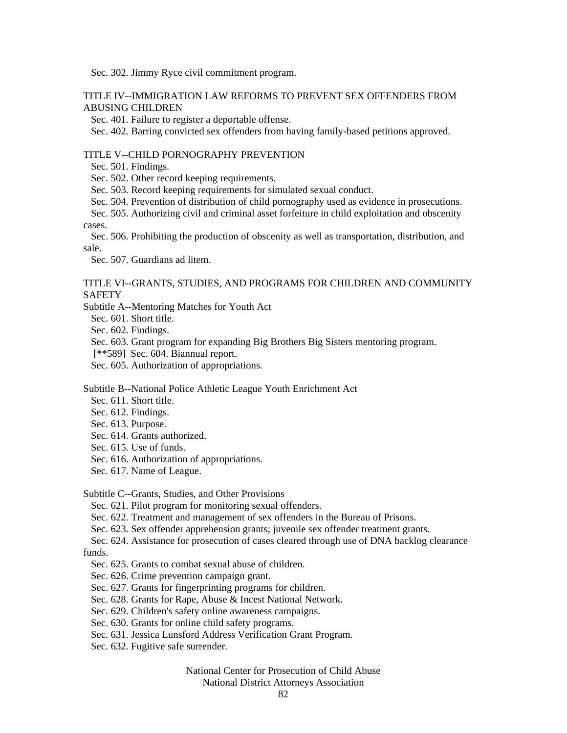Sec. 302. Jimmy Ryce civil commitment program.

TITLE IV--IMMIGRATION LAW REFORMS TO PREVENT SEX OFFENDERS FROM ABUSING CHILDREN

Sec. 401. Failure to register a deportable offense.

Sec. 402. Barring convicted sex offenders from having family-based petitions approved.

#### TITLE V--CHILD PORNOGRAPHY PREVENTION

Sec. 501. Findings.

Sec. 502. Other record keeping requirements.

Sec. 503. Record keeping requirements for simulated sexual conduct.

Sec. 504. Prevention of distribution of child pornography used as evidence in prosecutions.

 Sec. 505. Authorizing civil and criminal asset forfeiture in child exploitation and obscenity cases.

 Sec. 506. Prohibiting the production of obscenity as well as transportation, distribution, and sale.

Sec. 507. Guardians ad litem.

#### TITLE VI--GRANTS, STUDIES, AND PROGRAMS FOR CHILDREN AND COMMUNITY **SAFETY**

Subtitle A--Mentoring Matches for Youth Act

Sec. 601. Short title.

Sec. 602. Findings.

Sec. 603. Grant program for expanding Big Brothers Big Sisters mentoring program.

[\*\*589] Sec. 604. Biannual report.

Sec. 605. Authorization of appropriations.

#### Subtitle B--National Police Athletic League Youth Enrichment Act

- Sec. 611. Short title.
- Sec. 612. Findings.
- Sec. 613. Purpose.
- Sec. 614. Grants authorized.
- Sec. 615. Use of funds.
- Sec. 616. Authorization of appropriations.

Sec. 617. Name of League.

Subtitle C--Grants, Studies, and Other Provisions

Sec. 621. Pilot program for monitoring sexual offenders.

Sec. 622. Treatment and management of sex offenders in the Bureau of Prisons.

Sec. 623. Sex offender apprehension grants; juvenile sex offender treatment grants.

 Sec. 624. Assistance for prosecution of cases cleared through use of DNA backlog clearance funds.

Sec. 625. Grants to combat sexual abuse of children.

Sec. 626. Crime prevention campaign grant.

Sec. 627. Grants for fingerprinting programs for children.

Sec. 628. Grants for Rape, Abuse & Incest National Network.

Sec. 629. Children's safety online awareness campaigns.

Sec. 630. Grants for online child safety programs.

Sec. 631. Jessica Lunsford Address Verification Grant Program.

Sec. 632. Fugitive safe surrender.

National Center for Prosecution of Child Abuse

National District Attorneys Association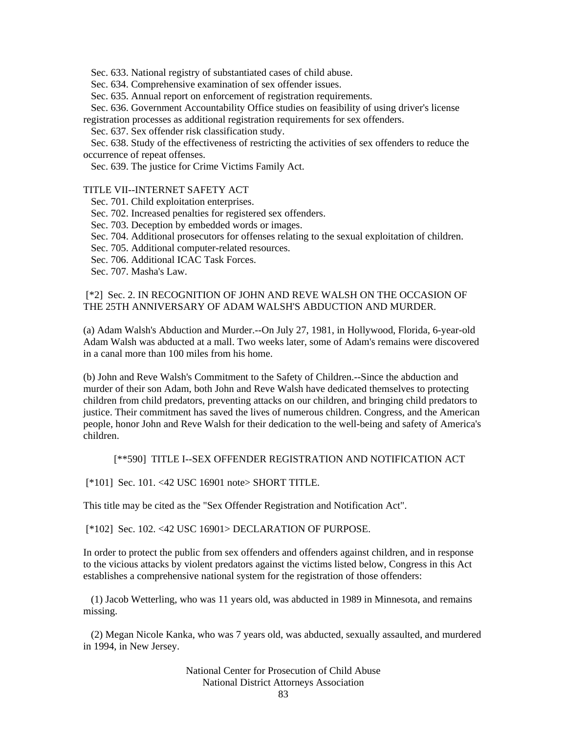Sec. 633. National registry of substantiated cases of child abuse.

Sec. 634. Comprehensive examination of sex offender issues.

Sec. 635. Annual report on enforcement of registration requirements.

Sec. 636. Government Accountability Office studies on feasibility of using driver's license

registration processes as additional registration requirements for sex offenders.

Sec. 637. Sex offender risk classification study.

 Sec. 638. Study of the effectiveness of restricting the activities of sex offenders to reduce the occurrence of repeat offenses.

Sec. 639. The justice for Crime Victims Family Act.

#### TITLE VII--INTERNET SAFETY ACT

Sec. 701. Child exploitation enterprises.

Sec. 702. Increased penalties for registered sex offenders.

Sec. 703. Deception by embedded words or images.

Sec. 704. Additional prosecutors for offenses relating to the sexual exploitation of children.

Sec. 705. Additional computer-related resources.

Sec. 706. Additional ICAC Task Forces.

Sec. 707. Masha's Law.

#### [\*2] Sec. 2. IN RECOGNITION OF JOHN AND REVE WALSH ON THE OCCASION OF THE 25TH ANNIVERSARY OF ADAM WALSH'S ABDUCTION AND MURDER.

(a) Adam Walsh's Abduction and Murder.--On July 27, 1981, in Hollywood, Florida, 6-year-old Adam Walsh was abducted at a mall. Two weeks later, some of Adam's remains were discovered in a canal more than 100 miles from his home.

(b) John and Reve Walsh's Commitment to the Safety of Children.--Since the abduction and murder of their son Adam, both John and Reve Walsh have dedicated themselves to protecting children from child predators, preventing attacks on our children, and bringing child predators to justice. Their commitment has saved the lives of numerous children. Congress, and the American people, honor John and Reve Walsh for their dedication to the well-being and safety of America's children.

[\*\*590] TITLE I--SEX OFFENDER REGISTRATION AND NOTIFICATION ACT

[\*101] Sec. 101. <42 USC 16901 note> SHORT TITLE.

This title may be cited as the "Sex Offender Registration and Notification Act".

[\*102] Sec. 102. <42 USC 16901> DECLARATION OF PURPOSE.

In order to protect the public from sex offenders and offenders against children, and in response to the vicious attacks by violent predators against the victims listed below, Congress in this Act establishes a comprehensive national system for the registration of those offenders:

 (1) Jacob Wetterling, who was 11 years old, was abducted in 1989 in Minnesota, and remains missing.

 (2) Megan Nicole Kanka, who was 7 years old, was abducted, sexually assaulted, and murdered in 1994, in New Jersey.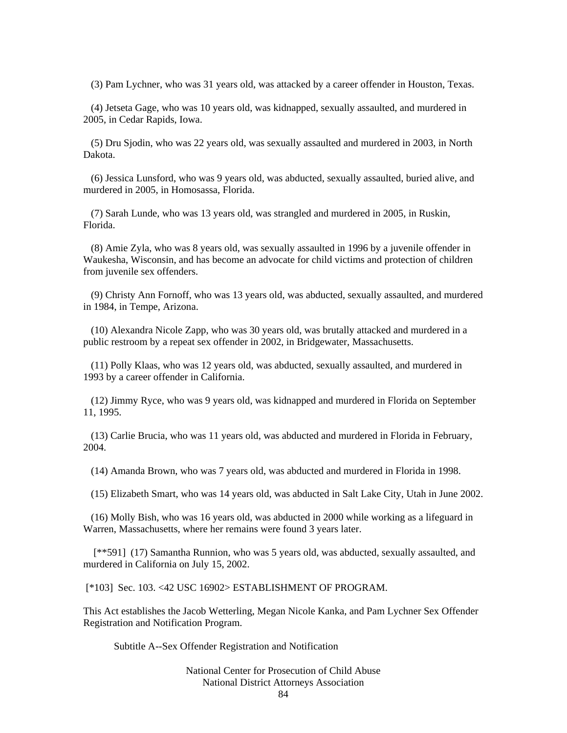(3) Pam Lychner, who was 31 years old, was attacked by a career offender in Houston, Texas.

 (4) Jetseta Gage, who was 10 years old, was kidnapped, sexually assaulted, and murdered in 2005, in Cedar Rapids, Iowa.

 (5) Dru Sjodin, who was 22 years old, was sexually assaulted and murdered in 2003, in North Dakota.

 (6) Jessica Lunsford, who was 9 years old, was abducted, sexually assaulted, buried alive, and murdered in 2005, in Homosassa, Florida.

 (7) Sarah Lunde, who was 13 years old, was strangled and murdered in 2005, in Ruskin, Florida.

 (8) Amie Zyla, who was 8 years old, was sexually assaulted in 1996 by a juvenile offender in Waukesha, Wisconsin, and has become an advocate for child victims and protection of children from juvenile sex offenders.

 (9) Christy Ann Fornoff, who was 13 years old, was abducted, sexually assaulted, and murdered in 1984, in Tempe, Arizona.

 (10) Alexandra Nicole Zapp, who was 30 years old, was brutally attacked and murdered in a public restroom by a repeat sex offender in 2002, in Bridgewater, Massachusetts.

 (11) Polly Klaas, who was 12 years old, was abducted, sexually assaulted, and murdered in 1993 by a career offender in California.

 (12) Jimmy Ryce, who was 9 years old, was kidnapped and murdered in Florida on September 11, 1995.

 (13) Carlie Brucia, who was 11 years old, was abducted and murdered in Florida in February, 2004.

(14) Amanda Brown, who was 7 years old, was abducted and murdered in Florida in 1998.

(15) Elizabeth Smart, who was 14 years old, was abducted in Salt Lake City, Utah in June 2002.

 (16) Molly Bish, who was 16 years old, was abducted in 2000 while working as a lifeguard in Warren, Massachusetts, where her remains were found 3 years later.

 [\*\*591] (17) Samantha Runnion, who was 5 years old, was abducted, sexually assaulted, and murdered in California on July 15, 2002.

[\*103] Sec. 103. <42 USC 16902> ESTABLISHMENT OF PROGRAM.

This Act establishes the Jacob Wetterling, Megan Nicole Kanka, and Pam Lychner Sex Offender Registration and Notification Program.

Subtitle A--Sex Offender Registration and Notification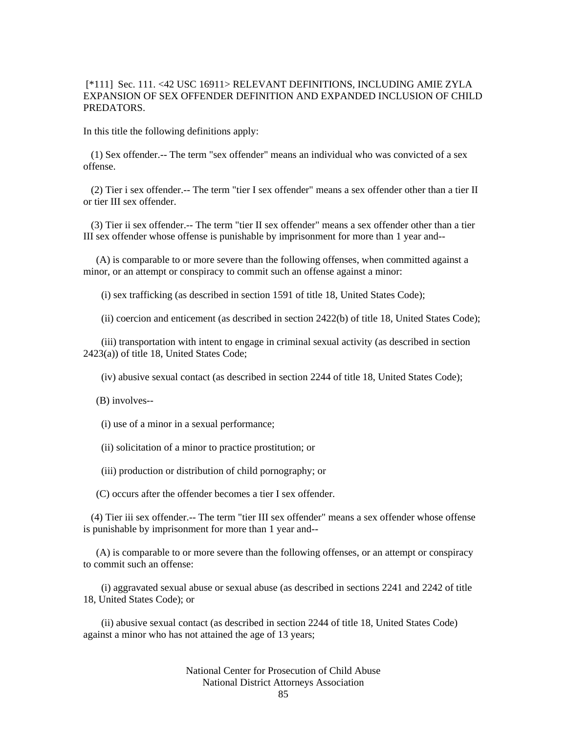#### [\*111] Sec. 111. <42 USC 16911> RELEVANT DEFINITIONS, INCLUDING AMIE ZYLA EXPANSION OF SEX OFFENDER DEFINITION AND EXPANDED INCLUSION OF CHILD PREDATORS.

In this title the following definitions apply:

 (1) Sex offender.-- The term "sex offender" means an individual who was convicted of a sex offense.

 (2) Tier i sex offender.-- The term "tier I sex offender" means a sex offender other than a tier II or tier III sex offender.

 (3) Tier ii sex offender.-- The term "tier II sex offender" means a sex offender other than a tier III sex offender whose offense is punishable by imprisonment for more than 1 year and--

 (A) is comparable to or more severe than the following offenses, when committed against a minor, or an attempt or conspiracy to commit such an offense against a minor:

(i) sex trafficking (as described in section 1591 of title 18, United States Code);

(ii) coercion and enticement (as described in section 2422(b) of title 18, United States Code);

 (iii) transportation with intent to engage in criminal sexual activity (as described in section 2423(a)) of title 18, United States Code;

(iv) abusive sexual contact (as described in section 2244 of title 18, United States Code);

(B) involves--

(i) use of a minor in a sexual performance;

(ii) solicitation of a minor to practice prostitution; or

(iii) production or distribution of child pornography; or

(C) occurs after the offender becomes a tier I sex offender.

 (4) Tier iii sex offender.-- The term "tier III sex offender" means a sex offender whose offense is punishable by imprisonment for more than 1 year and--

 (A) is comparable to or more severe than the following offenses, or an attempt or conspiracy to commit such an offense:

 (i) aggravated sexual abuse or sexual abuse (as described in sections 2241 and 2242 of title 18, United States Code); or

 (ii) abusive sexual contact (as described in section 2244 of title 18, United States Code) against a minor who has not attained the age of 13 years;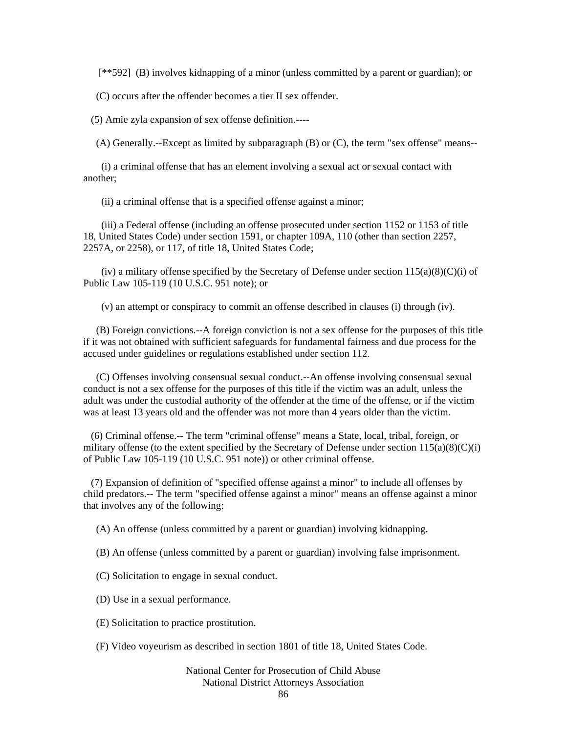[\*\*592] (B) involves kidnapping of a minor (unless committed by a parent or guardian); or

(C) occurs after the offender becomes a tier II sex offender.

(5) Amie zyla expansion of sex offense definition.----

(A) Generally.--Except as limited by subparagraph (B) or (C), the term "sex offense" means--

 (i) a criminal offense that has an element involving a sexual act or sexual contact with another;

(ii) a criminal offense that is a specified offense against a minor;

 (iii) a Federal offense (including an offense prosecuted under section 1152 or 1153 of title 18, United States Code) under section 1591, or chapter 109A, 110 (other than section 2257, 2257A, or 2258), or 117, of title 18, United States Code;

(iv) a military offense specified by the Secretary of Defense under section  $115(a)(8)(C)(i)$  of Public Law 105-119 (10 U.S.C. 951 note); or

(v) an attempt or conspiracy to commit an offense described in clauses (i) through (iv).

 (B) Foreign convictions.--A foreign conviction is not a sex offense for the purposes of this title if it was not obtained with sufficient safeguards for fundamental fairness and due process for the accused under guidelines or regulations established under section 112.

 (C) Offenses involving consensual sexual conduct.--An offense involving consensual sexual conduct is not a sex offense for the purposes of this title if the victim was an adult, unless the adult was under the custodial authority of the offender at the time of the offense, or if the victim was at least 13 years old and the offender was not more than 4 years older than the victim.

 (6) Criminal offense.-- The term "criminal offense" means a State, local, tribal, foreign, or military offense (to the extent specified by the Secretary of Defense under section  $115(a)(8)(C)(i)$ ) of Public Law 105-119 (10 U.S.C. 951 note)) or other criminal offense.

 (7) Expansion of definition of "specified offense against a minor" to include all offenses by child predators.-- The term "specified offense against a minor" means an offense against a minor that involves any of the following:

(A) An offense (unless committed by a parent or guardian) involving kidnapping.

(B) An offense (unless committed by a parent or guardian) involving false imprisonment.

(C) Solicitation to engage in sexual conduct.

(D) Use in a sexual performance.

(E) Solicitation to practice prostitution.

(F) Video voyeurism as described in section 1801 of title 18, United States Code.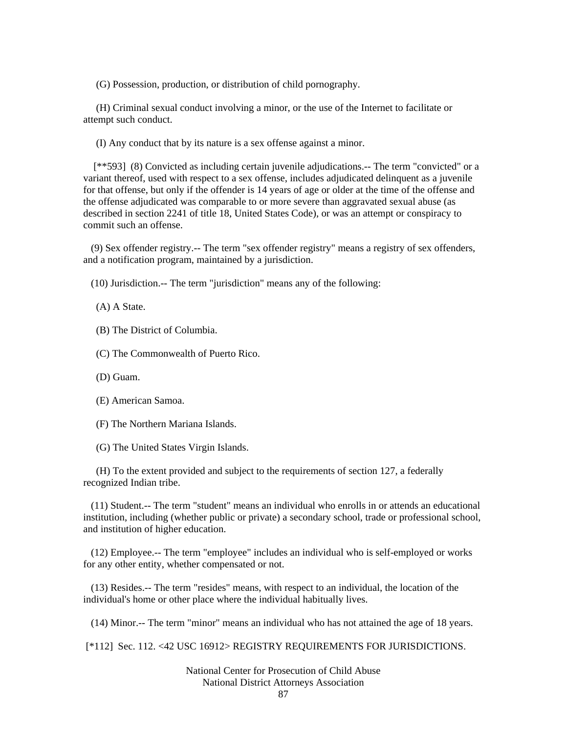(G) Possession, production, or distribution of child pornography.

 (H) Criminal sexual conduct involving a minor, or the use of the Internet to facilitate or attempt such conduct.

(I) Any conduct that by its nature is a sex offense against a minor.

 [\*\*593] (8) Convicted as including certain juvenile adjudications.-- The term "convicted" or a variant thereof, used with respect to a sex offense, includes adjudicated delinquent as a juvenile for that offense, but only if the offender is 14 years of age or older at the time of the offense and the offense adjudicated was comparable to or more severe than aggravated sexual abuse (as described in section 2241 of title 18, United States Code), or was an attempt or conspiracy to commit such an offense.

 (9) Sex offender registry.-- The term "sex offender registry" means a registry of sex offenders, and a notification program, maintained by a jurisdiction.

(10) Jurisdiction.-- The term "jurisdiction" means any of the following:

(A) A State.

(B) The District of Columbia.

(C) The Commonwealth of Puerto Rico.

(D) Guam.

(E) American Samoa.

(F) The Northern Mariana Islands.

(G) The United States Virgin Islands.

 (H) To the extent provided and subject to the requirements of section 127, a federally recognized Indian tribe.

 (11) Student.-- The term "student" means an individual who enrolls in or attends an educational institution, including (whether public or private) a secondary school, trade or professional school, and institution of higher education.

 (12) Employee.-- The term "employee" includes an individual who is self-employed or works for any other entity, whether compensated or not.

 (13) Resides.-- The term "resides" means, with respect to an individual, the location of the individual's home or other place where the individual habitually lives.

(14) Minor.-- The term "minor" means an individual who has not attained the age of 18 years.

[\*112] Sec. 112. <42 USC 16912> REGISTRY REQUIREMENTS FOR JURISDICTIONS.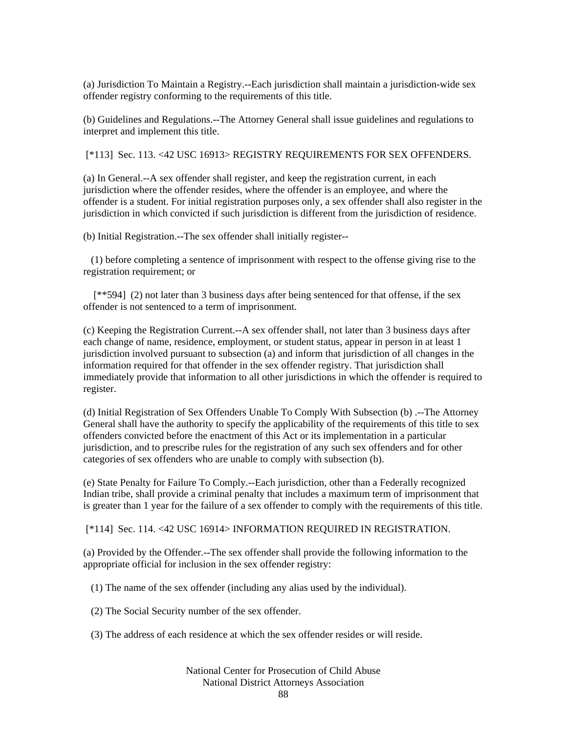(a) Jurisdiction To Maintain a Registry.--Each jurisdiction shall maintain a jurisdiction-wide sex offender registry conforming to the requirements of this title.

(b) Guidelines and Regulations.--The Attorney General shall issue guidelines and regulations to interpret and implement this title.

#### [\*113] Sec. 113. <42 USC 16913> REGISTRY REQUIREMENTS FOR SEX OFFENDERS.

(a) In General.--A sex offender shall register, and keep the registration current, in each jurisdiction where the offender resides, where the offender is an employee, and where the offender is a student. For initial registration purposes only, a sex offender shall also register in the jurisdiction in which convicted if such jurisdiction is different from the jurisdiction of residence.

(b) Initial Registration.--The sex offender shall initially register--

 (1) before completing a sentence of imprisonment with respect to the offense giving rise to the registration requirement; or

 [\*\*594] (2) not later than 3 business days after being sentenced for that offense, if the sex offender is not sentenced to a term of imprisonment.

(c) Keeping the Registration Current.--A sex offender shall, not later than 3 business days after each change of name, residence, employment, or student status, appear in person in at least 1 jurisdiction involved pursuant to subsection (a) and inform that jurisdiction of all changes in the information required for that offender in the sex offender registry. That jurisdiction shall immediately provide that information to all other jurisdictions in which the offender is required to register.

(d) Initial Registration of Sex Offenders Unable To Comply With Subsection (b) .--The Attorney General shall have the authority to specify the applicability of the requirements of this title to sex offenders convicted before the enactment of this Act or its implementation in a particular jurisdiction, and to prescribe rules for the registration of any such sex offenders and for other categories of sex offenders who are unable to comply with subsection (b).

(e) State Penalty for Failure To Comply.--Each jurisdiction, other than a Federally recognized Indian tribe, shall provide a criminal penalty that includes a maximum term of imprisonment that is greater than 1 year for the failure of a sex offender to comply with the requirements of this title.

[\*114] Sec. 114. <42 USC 16914> INFORMATION REQUIRED IN REGISTRATION.

(a) Provided by the Offender.--The sex offender shall provide the following information to the appropriate official for inclusion in the sex offender registry:

(1) The name of the sex offender (including any alias used by the individual).

(2) The Social Security number of the sex offender.

(3) The address of each residence at which the sex offender resides or will reside.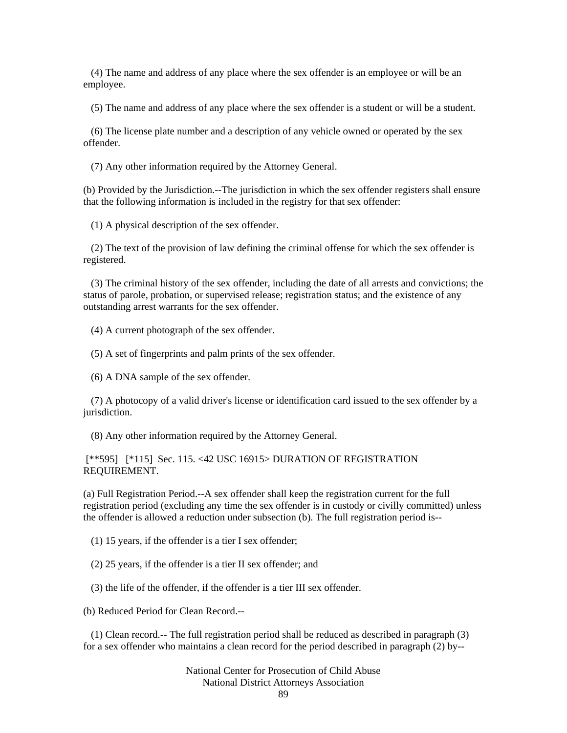(4) The name and address of any place where the sex offender is an employee or will be an employee.

(5) The name and address of any place where the sex offender is a student or will be a student.

 (6) The license plate number and a description of any vehicle owned or operated by the sex offender.

(7) Any other information required by the Attorney General.

(b) Provided by the Jurisdiction.--The jurisdiction in which the sex offender registers shall ensure that the following information is included in the registry for that sex offender:

(1) A physical description of the sex offender.

 (2) The text of the provision of law defining the criminal offense for which the sex offender is registered.

 (3) The criminal history of the sex offender, including the date of all arrests and convictions; the status of parole, probation, or supervised release; registration status; and the existence of any outstanding arrest warrants for the sex offender.

(4) A current photograph of the sex offender.

(5) A set of fingerprints and palm prints of the sex offender.

(6) A DNA sample of the sex offender.

 (7) A photocopy of a valid driver's license or identification card issued to the sex offender by a jurisdiction.

(8) Any other information required by the Attorney General.

 [\*\*595] [\*115] Sec. 115. <42 USC 16915> DURATION OF REGISTRATION REQUIREMENT.

(a) Full Registration Period.--A sex offender shall keep the registration current for the full registration period (excluding any time the sex offender is in custody or civilly committed) unless the offender is allowed a reduction under subsection (b). The full registration period is--

(1) 15 years, if the offender is a tier I sex offender;

(2) 25 years, if the offender is a tier II sex offender; and

(3) the life of the offender, if the offender is a tier III sex offender.

(b) Reduced Period for Clean Record.--

 (1) Clean record.-- The full registration period shall be reduced as described in paragraph (3) for a sex offender who maintains a clean record for the period described in paragraph (2) by--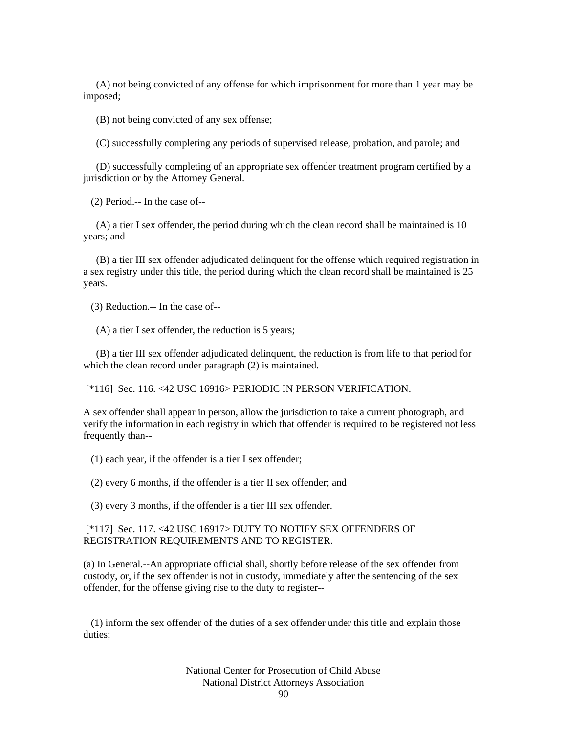(A) not being convicted of any offense for which imprisonment for more than 1 year may be imposed;

(B) not being convicted of any sex offense;

(C) successfully completing any periods of supervised release, probation, and parole; and

 (D) successfully completing of an appropriate sex offender treatment program certified by a jurisdiction or by the Attorney General.

(2) Period.-- In the case of--

 (A) a tier I sex offender, the period during which the clean record shall be maintained is 10 years; and

 (B) a tier III sex offender adjudicated delinquent for the offense which required registration in a sex registry under this title, the period during which the clean record shall be maintained is 25 years.

(3) Reduction.-- In the case of--

(A) a tier I sex offender, the reduction is 5 years;

 (B) a tier III sex offender adjudicated delinquent, the reduction is from life to that period for which the clean record under paragraph  $(2)$  is maintained.

[\*116] Sec. 116. <42 USC 16916> PERIODIC IN PERSON VERIFICATION.

A sex offender shall appear in person, allow the jurisdiction to take a current photograph, and verify the information in each registry in which that offender is required to be registered not less frequently than--

(1) each year, if the offender is a tier I sex offender;

(2) every 6 months, if the offender is a tier II sex offender; and

(3) every 3 months, if the offender is a tier III sex offender.

#### [\*117] Sec. 117. <42 USC 16917> DUTY TO NOTIFY SEX OFFENDERS OF REGISTRATION REQUIREMENTS AND TO REGISTER.

(a) In General.--An appropriate official shall, shortly before release of the sex offender from custody, or, if the sex offender is not in custody, immediately after the sentencing of the sex offender, for the offense giving rise to the duty to register--

 (1) inform the sex offender of the duties of a sex offender under this title and explain those duties;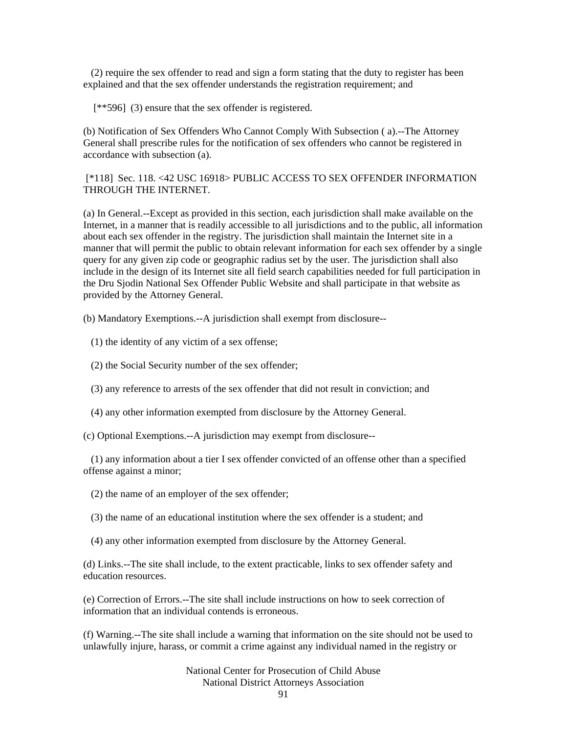(2) require the sex offender to read and sign a form stating that the duty to register has been explained and that the sex offender understands the registration requirement; and

[\*\*596] (3) ensure that the sex offender is registered.

(b) Notification of Sex Offenders Who Cannot Comply With Subsection ( a).--The Attorney General shall prescribe rules for the notification of sex offenders who cannot be registered in accordance with subsection (a).

 [\*118] Sec. 118. <42 USC 16918> PUBLIC ACCESS TO SEX OFFENDER INFORMATION THROUGH THE INTERNET.

(a) In General.--Except as provided in this section, each jurisdiction shall make available on the Internet, in a manner that is readily accessible to all jurisdictions and to the public, all information about each sex offender in the registry. The jurisdiction shall maintain the Internet site in a manner that will permit the public to obtain relevant information for each sex offender by a single query for any given zip code or geographic radius set by the user. The jurisdiction shall also include in the design of its Internet site all field search capabilities needed for full participation in the Dru Sjodin National Sex Offender Public Website and shall participate in that website as provided by the Attorney General.

(b) Mandatory Exemptions.--A jurisdiction shall exempt from disclosure--

- (1) the identity of any victim of a sex offense;
- (2) the Social Security number of the sex offender;
- (3) any reference to arrests of the sex offender that did not result in conviction; and
- (4) any other information exempted from disclosure by the Attorney General.
- (c) Optional Exemptions.--A jurisdiction may exempt from disclosure--

 (1) any information about a tier I sex offender convicted of an offense other than a specified offense against a minor;

- (2) the name of an employer of the sex offender;
- (3) the name of an educational institution where the sex offender is a student; and
- (4) any other information exempted from disclosure by the Attorney General.

(d) Links.--The site shall include, to the extent practicable, links to sex offender safety and education resources.

(e) Correction of Errors.--The site shall include instructions on how to seek correction of information that an individual contends is erroneous.

(f) Warning.--The site shall include a warning that information on the site should not be used to unlawfully injure, harass, or commit a crime against any individual named in the registry or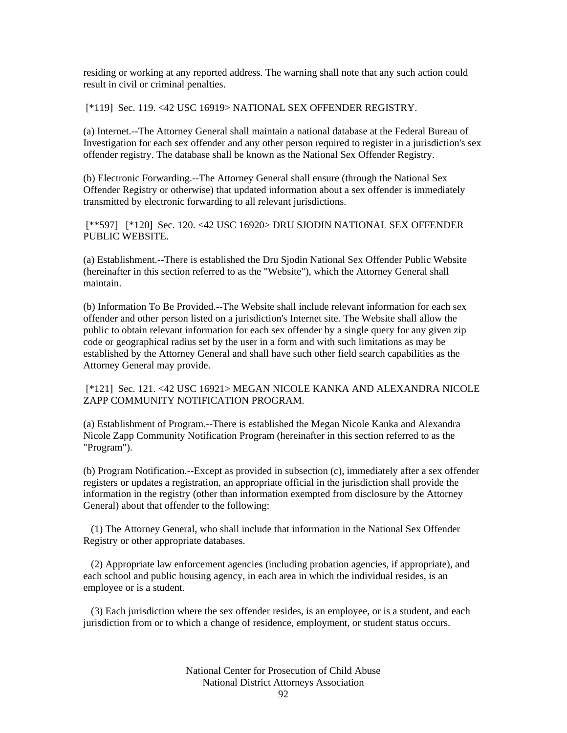residing or working at any reported address. The warning shall note that any such action could result in civil or criminal penalties.

[\*119] Sec. 119. <42 USC 16919> NATIONAL SEX OFFENDER REGISTRY.

(a) Internet.--The Attorney General shall maintain a national database at the Federal Bureau of Investigation for each sex offender and any other person required to register in a jurisdiction's sex offender registry. The database shall be known as the National Sex Offender Registry.

(b) Electronic Forwarding.--The Attorney General shall ensure (through the National Sex Offender Registry or otherwise) that updated information about a sex offender is immediately transmitted by electronic forwarding to all relevant jurisdictions.

 [\*\*597] [\*120] Sec. 120. <42 USC 16920> DRU SJODIN NATIONAL SEX OFFENDER PUBLIC WEBSITE.

(a) Establishment.--There is established the Dru Sjodin National Sex Offender Public Website (hereinafter in this section referred to as the "Website"), which the Attorney General shall maintain.

(b) Information To Be Provided.--The Website shall include relevant information for each sex offender and other person listed on a jurisdiction's Internet site. The Website shall allow the public to obtain relevant information for each sex offender by a single query for any given zip code or geographical radius set by the user in a form and with such limitations as may be established by the Attorney General and shall have such other field search capabilities as the Attorney General may provide.

 [\*121] Sec. 121. <42 USC 16921> MEGAN NICOLE KANKA AND ALEXANDRA NICOLE ZAPP COMMUNITY NOTIFICATION PROGRAM.

(a) Establishment of Program.--There is established the Megan Nicole Kanka and Alexandra Nicole Zapp Community Notification Program (hereinafter in this section referred to as the "Program").

(b) Program Notification.--Except as provided in subsection (c), immediately after a sex offender registers or updates a registration, an appropriate official in the jurisdiction shall provide the information in the registry (other than information exempted from disclosure by the Attorney General) about that offender to the following:

 (1) The Attorney General, who shall include that information in the National Sex Offender Registry or other appropriate databases.

 (2) Appropriate law enforcement agencies (including probation agencies, if appropriate), and each school and public housing agency, in each area in which the individual resides, is an employee or is a student.

 (3) Each jurisdiction where the sex offender resides, is an employee, or is a student, and each jurisdiction from or to which a change of residence, employment, or student status occurs.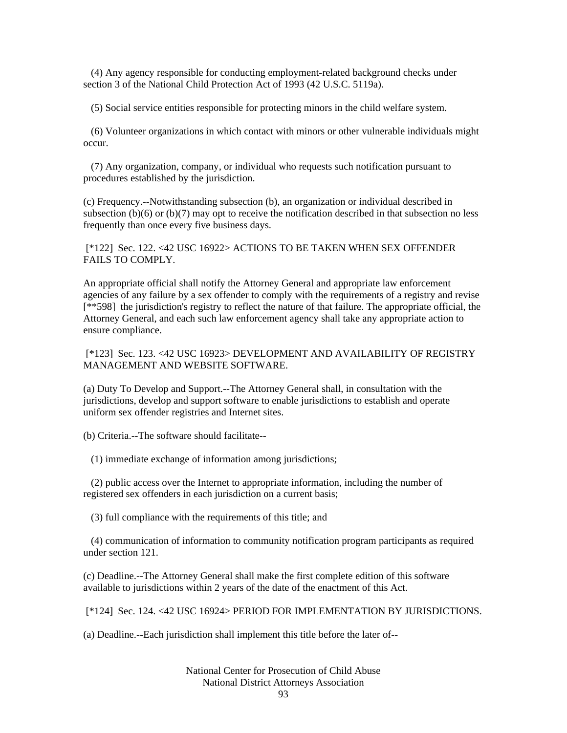(4) Any agency responsible for conducting employment-related background checks under section 3 of the National Child Protection Act of 1993 (42 U.S.C. 5119a).

(5) Social service entities responsible for protecting minors in the child welfare system.

 (6) Volunteer organizations in which contact with minors or other vulnerable individuals might occur.

 (7) Any organization, company, or individual who requests such notification pursuant to procedures established by the jurisdiction.

(c) Frequency.--Notwithstanding subsection (b), an organization or individual described in subsection (b)(6) or (b)(7) may opt to receive the notification described in that subsection no less frequently than once every five business days.

 [\*122] Sec. 122. <42 USC 16922> ACTIONS TO BE TAKEN WHEN SEX OFFENDER FAILS TO COMPLY.

An appropriate official shall notify the Attorney General and appropriate law enforcement agencies of any failure by a sex offender to comply with the requirements of a registry and revise [\*\*598] the jurisdiction's registry to reflect the nature of that failure. The appropriate official, the Attorney General, and each such law enforcement agency shall take any appropriate action to ensure compliance.

 [\*123] Sec. 123. <42 USC 16923> DEVELOPMENT AND AVAILABILITY OF REGISTRY MANAGEMENT AND WEBSITE SOFTWARE.

(a) Duty To Develop and Support.--The Attorney General shall, in consultation with the jurisdictions, develop and support software to enable jurisdictions to establish and operate uniform sex offender registries and Internet sites.

(b) Criteria.--The software should facilitate--

(1) immediate exchange of information among jurisdictions;

 (2) public access over the Internet to appropriate information, including the number of registered sex offenders in each jurisdiction on a current basis;

(3) full compliance with the requirements of this title; and

 (4) communication of information to community notification program participants as required under section 121.

(c) Deadline.--The Attorney General shall make the first complete edition of this software available to jurisdictions within 2 years of the date of the enactment of this Act.

[\*124] Sec. 124. <42 USC 16924> PERIOD FOR IMPLEMENTATION BY JURISDICTIONS.

(a) Deadline.--Each jurisdiction shall implement this title before the later of--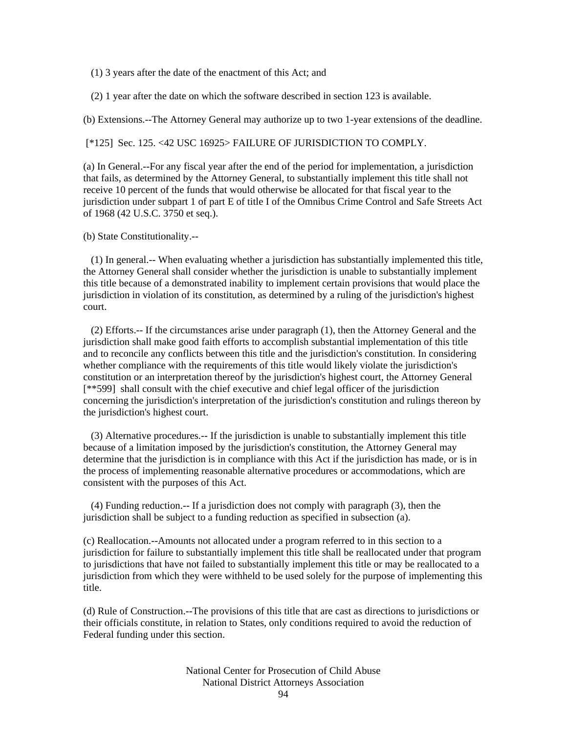(1) 3 years after the date of the enactment of this Act; and

(2) 1 year after the date on which the software described in section 123 is available.

(b) Extensions.--The Attorney General may authorize up to two 1-year extensions of the deadline.

[\*125] Sec. 125. <42 USC 16925> FAILURE OF JURISDICTION TO COMPLY.

(a) In General.--For any fiscal year after the end of the period for implementation, a jurisdiction that fails, as determined by the Attorney General, to substantially implement this title shall not receive 10 percent of the funds that would otherwise be allocated for that fiscal year to the jurisdiction under subpart 1 of part E of title I of the Omnibus Crime Control and Safe Streets Act of 1968 (42 U.S.C. 3750 et seq.).

(b) State Constitutionality.--

 (1) In general.-- When evaluating whether a jurisdiction has substantially implemented this title, the Attorney General shall consider whether the jurisdiction is unable to substantially implement this title because of a demonstrated inability to implement certain provisions that would place the jurisdiction in violation of its constitution, as determined by a ruling of the jurisdiction's highest court.

 (2) Efforts.-- If the circumstances arise under paragraph (1), then the Attorney General and the jurisdiction shall make good faith efforts to accomplish substantial implementation of this title and to reconcile any conflicts between this title and the jurisdiction's constitution. In considering whether compliance with the requirements of this title would likely violate the jurisdiction's constitution or an interpretation thereof by the jurisdiction's highest court, the Attorney General [\*\*599] shall consult with the chief executive and chief legal officer of the jurisdiction concerning the jurisdiction's interpretation of the jurisdiction's constitution and rulings thereon by the jurisdiction's highest court.

 (3) Alternative procedures.-- If the jurisdiction is unable to substantially implement this title because of a limitation imposed by the jurisdiction's constitution, the Attorney General may determine that the jurisdiction is in compliance with this Act if the jurisdiction has made, or is in the process of implementing reasonable alternative procedures or accommodations, which are consistent with the purposes of this Act.

 (4) Funding reduction.-- If a jurisdiction does not comply with paragraph (3), then the jurisdiction shall be subject to a funding reduction as specified in subsection (a).

(c) Reallocation.--Amounts not allocated under a program referred to in this section to a jurisdiction for failure to substantially implement this title shall be reallocated under that program to jurisdictions that have not failed to substantially implement this title or may be reallocated to a jurisdiction from which they were withheld to be used solely for the purpose of implementing this title.

(d) Rule of Construction.--The provisions of this title that are cast as directions to jurisdictions or their officials constitute, in relation to States, only conditions required to avoid the reduction of Federal funding under this section.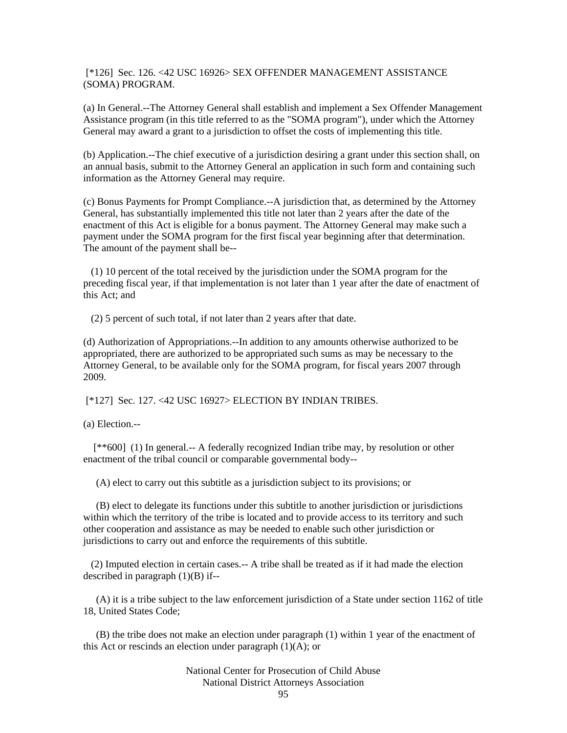[\*126] Sec. 126. <42 USC 16926> SEX OFFENDER MANAGEMENT ASSISTANCE (SOMA) PROGRAM.

(a) In General.--The Attorney General shall establish and implement a Sex Offender Management Assistance program (in this title referred to as the "SOMA program"), under which the Attorney General may award a grant to a jurisdiction to offset the costs of implementing this title.

(b) Application.--The chief executive of a jurisdiction desiring a grant under this section shall, on an annual basis, submit to the Attorney General an application in such form and containing such information as the Attorney General may require.

(c) Bonus Payments for Prompt Compliance.--A jurisdiction that, as determined by the Attorney General, has substantially implemented this title not later than 2 years after the date of the enactment of this Act is eligible for a bonus payment. The Attorney General may make such a payment under the SOMA program for the first fiscal year beginning after that determination. The amount of the payment shall be--

 (1) 10 percent of the total received by the jurisdiction under the SOMA program for the preceding fiscal year, if that implementation is not later than 1 year after the date of enactment of this Act; and

(2) 5 percent of such total, if not later than 2 years after that date.

(d) Authorization of Appropriations.--In addition to any amounts otherwise authorized to be appropriated, there are authorized to be appropriated such sums as may be necessary to the Attorney General, to be available only for the SOMA program, for fiscal years 2007 through 2009.

[\*127] Sec. 127. <42 USC 16927> ELECTION BY INDIAN TRIBES.

(a) Election.--

 [\*\*600] (1) In general.-- A federally recognized Indian tribe may, by resolution or other enactment of the tribal council or comparable governmental body--

(A) elect to carry out this subtitle as a jurisdiction subject to its provisions; or

 (B) elect to delegate its functions under this subtitle to another jurisdiction or jurisdictions within which the territory of the tribe is located and to provide access to its territory and such other cooperation and assistance as may be needed to enable such other jurisdiction or jurisdictions to carry out and enforce the requirements of this subtitle.

 (2) Imputed election in certain cases.-- A tribe shall be treated as if it had made the election described in paragraph (1)(B) if--

 (A) it is a tribe subject to the law enforcement jurisdiction of a State under section 1162 of title 18, United States Code;

 (B) the tribe does not make an election under paragraph (1) within 1 year of the enactment of this Act or rescinds an election under paragraph  $(1)(A)$ ; or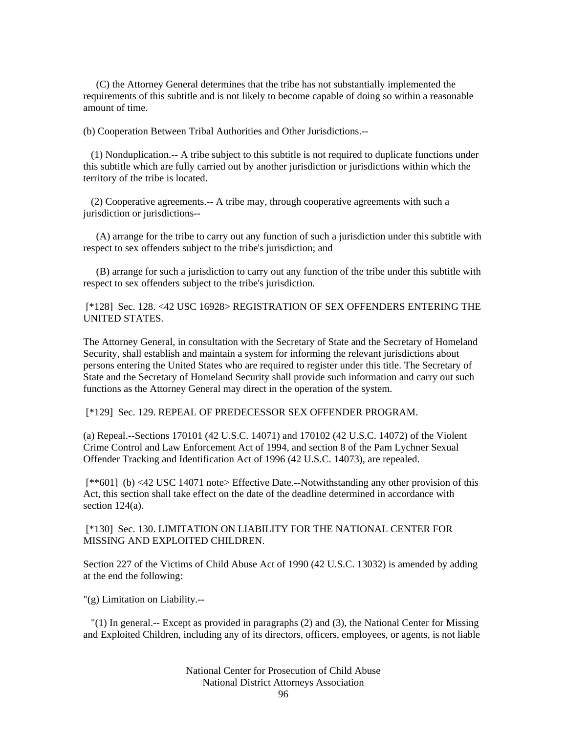(C) the Attorney General determines that the tribe has not substantially implemented the requirements of this subtitle and is not likely to become capable of doing so within a reasonable amount of time.

(b) Cooperation Between Tribal Authorities and Other Jurisdictions.--

 (1) Nonduplication.-- A tribe subject to this subtitle is not required to duplicate functions under this subtitle which are fully carried out by another jurisdiction or jurisdictions within which the territory of the tribe is located.

 (2) Cooperative agreements.-- A tribe may, through cooperative agreements with such a jurisdiction or jurisdictions--

 (A) arrange for the tribe to carry out any function of such a jurisdiction under this subtitle with respect to sex offenders subject to the tribe's jurisdiction; and

 (B) arrange for such a jurisdiction to carry out any function of the tribe under this subtitle with respect to sex offenders subject to the tribe's jurisdiction.

 [\*128] Sec. 128. <42 USC 16928> REGISTRATION OF SEX OFFENDERS ENTERING THE UNITED STATES.

The Attorney General, in consultation with the Secretary of State and the Secretary of Homeland Security, shall establish and maintain a system for informing the relevant jurisdictions about persons entering the United States who are required to register under this title. The Secretary of State and the Secretary of Homeland Security shall provide such information and carry out such functions as the Attorney General may direct in the operation of the system.

[\*129] Sec. 129. REPEAL OF PREDECESSOR SEX OFFENDER PROGRAM.

(a) Repeal.--Sections 170101 (42 U.S.C. 14071) and 170102 (42 U.S.C. 14072) of the Violent Crime Control and Law Enforcement Act of 1994, and section 8 of the Pam Lychner Sexual Offender Tracking and Identification Act of 1996 (42 U.S.C. 14073), are repealed.

 [\*\*601] (b) <42 USC 14071 note> Effective Date.--Notwithstanding any other provision of this Act, this section shall take effect on the date of the deadline determined in accordance with section 124(a).

#### [\*130] Sec. 130. LIMITATION ON LIABILITY FOR THE NATIONAL CENTER FOR MISSING AND EXPLOITED CHILDREN.

Section 227 of the Victims of Child Abuse Act of 1990 (42 U.S.C. 13032) is amended by adding at the end the following:

"(g) Limitation on Liability.--

 "(1) In general.-- Except as provided in paragraphs (2) and (3), the National Center for Missing and Exploited Children, including any of its directors, officers, employees, or agents, is not liable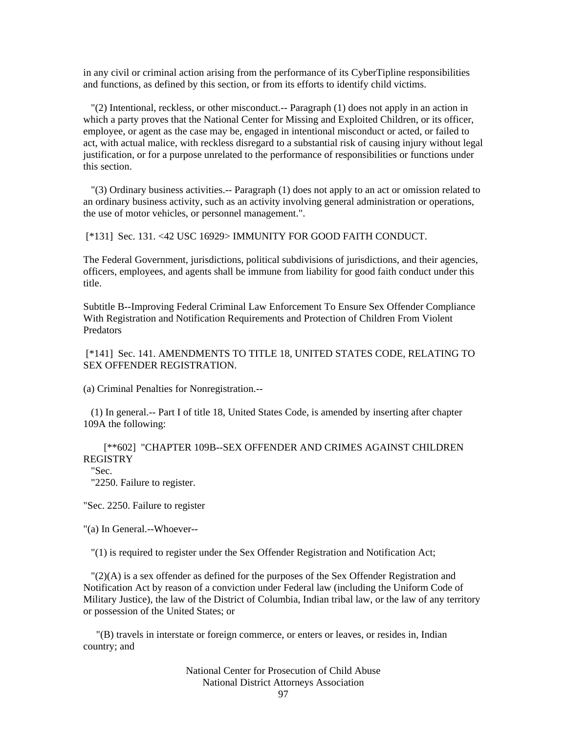in any civil or criminal action arising from the performance of its CyberTipline responsibilities and functions, as defined by this section, or from its efforts to identify child victims.

 "(2) Intentional, reckless, or other misconduct.-- Paragraph (1) does not apply in an action in which a party proves that the National Center for Missing and Exploited Children, or its officer, employee, or agent as the case may be, engaged in intentional misconduct or acted, or failed to act, with actual malice, with reckless disregard to a substantial risk of causing injury without legal justification, or for a purpose unrelated to the performance of responsibilities or functions under this section.

 "(3) Ordinary business activities.-- Paragraph (1) does not apply to an act or omission related to an ordinary business activity, such as an activity involving general administration or operations, the use of motor vehicles, or personnel management.".

[\*131] Sec. 131. <42 USC 16929> IMMUNITY FOR GOOD FAITH CONDUCT.

The Federal Government, jurisdictions, political subdivisions of jurisdictions, and their agencies, officers, employees, and agents shall be immune from liability for good faith conduct under this title.

Subtitle B--Improving Federal Criminal Law Enforcement To Ensure Sex Offender Compliance With Registration and Notification Requirements and Protection of Children From Violent Predators

 [\*141] Sec. 141. AMENDMENTS TO TITLE 18, UNITED STATES CODE, RELATING TO SEX OFFENDER REGISTRATION.

(a) Criminal Penalties for Nonregistration.--

 (1) In general.-- Part I of title 18, United States Code, is amended by inserting after chapter 109A the following:

 [\*\*602] "CHAPTER 109B--SEX OFFENDER AND CRIMES AGAINST CHILDREN REGISTRY

"Sec.

"2250. Failure to register.

"Sec. 2250. Failure to register

"(a) In General.--Whoever--

"(1) is required to register under the Sex Offender Registration and Notification Act;

 $\Gamma(2)$ (A) is a sex offender as defined for the purposes of the Sex Offender Registration and Notification Act by reason of a conviction under Federal law (including the Uniform Code of Military Justice), the law of the District of Columbia, Indian tribal law, or the law of any territory or possession of the United States; or

 "(B) travels in interstate or foreign commerce, or enters or leaves, or resides in, Indian country; and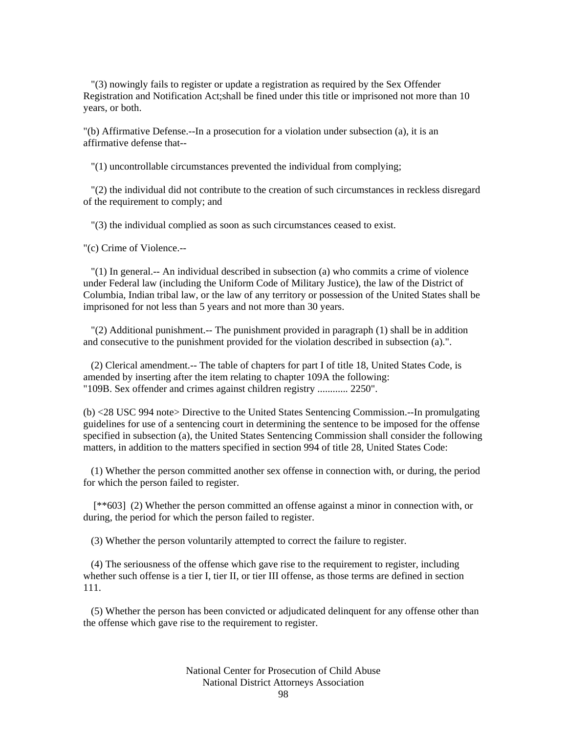"(3) nowingly fails to register or update a registration as required by the Sex Offender Registration and Notification Act;shall be fined under this title or imprisoned not more than 10 years, or both.

"(b) Affirmative Defense.--In a prosecution for a violation under subsection (a), it is an affirmative defense that--

"(1) uncontrollable circumstances prevented the individual from complying;

 "(2) the individual did not contribute to the creation of such circumstances in reckless disregard of the requirement to comply; and

"(3) the individual complied as soon as such circumstances ceased to exist.

"(c) Crime of Violence.--

 "(1) In general.-- An individual described in subsection (a) who commits a crime of violence under Federal law (including the Uniform Code of Military Justice), the law of the District of Columbia, Indian tribal law, or the law of any territory or possession of the United States shall be imprisoned for not less than 5 years and not more than 30 years.

 "(2) Additional punishment.-- The punishment provided in paragraph (1) shall be in addition and consecutive to the punishment provided for the violation described in subsection (a).".

 (2) Clerical amendment.-- The table of chapters for part I of title 18, United States Code, is amended by inserting after the item relating to chapter 109A the following: "109B. Sex offender and crimes against children registry ............ 2250".

(b) <28 USC 994 note> Directive to the United States Sentencing Commission.--In promulgating guidelines for use of a sentencing court in determining the sentence to be imposed for the offense specified in subsection (a), the United States Sentencing Commission shall consider the following matters, in addition to the matters specified in section 994 of title 28, United States Code:

 (1) Whether the person committed another sex offense in connection with, or during, the period for which the person failed to register.

 [\*\*603] (2) Whether the person committed an offense against a minor in connection with, or during, the period for which the person failed to register.

(3) Whether the person voluntarily attempted to correct the failure to register.

 (4) The seriousness of the offense which gave rise to the requirement to register, including whether such offense is a tier I, tier II, or tier III offense, as those terms are defined in section 111.

 (5) Whether the person has been convicted or adjudicated delinquent for any offense other than the offense which gave rise to the requirement to register.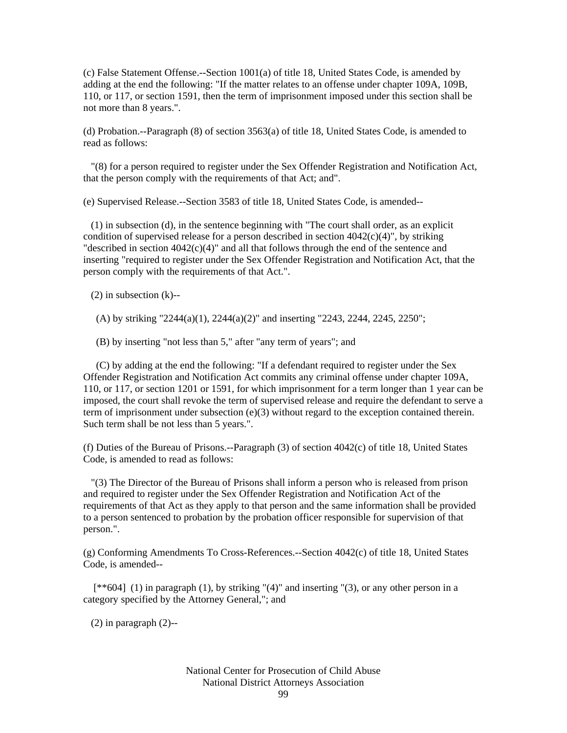(c) False Statement Offense.--Section 1001(a) of title 18, United States Code, is amended by adding at the end the following: "If the matter relates to an offense under chapter 109A, 109B, 110, or 117, or section 1591, then the term of imprisonment imposed under this section shall be not more than 8 years.".

(d) Probation.--Paragraph (8) of section 3563(a) of title 18, United States Code, is amended to read as follows:

 "(8) for a person required to register under the Sex Offender Registration and Notification Act, that the person comply with the requirements of that Act; and".

(e) Supervised Release.--Section 3583 of title 18, United States Code, is amended--

 (1) in subsection (d), in the sentence beginning with "The court shall order, as an explicit condition of supervised release for a person described in section  $4042(c)(4)$ ", by striking "described in section  $4042(c)(4)$ " and all that follows through the end of the sentence and inserting "required to register under the Sex Offender Registration and Notification Act, that the person comply with the requirements of that Act.".

 $(2)$  in subsection  $(k)$ --

(A) by striking "2244(a)(1), 2244(a)(2)" and inserting "2243, 2244, 2245, 2250";

(B) by inserting "not less than 5," after "any term of years"; and

 (C) by adding at the end the following: "If a defendant required to register under the Sex Offender Registration and Notification Act commits any criminal offense under chapter 109A, 110, or 117, or section 1201 or 1591, for which imprisonment for a term longer than 1 year can be imposed, the court shall revoke the term of supervised release and require the defendant to serve a term of imprisonment under subsection (e)(3) without regard to the exception contained therein. Such term shall be not less than 5 years.".

(f) Duties of the Bureau of Prisons.--Paragraph (3) of section 4042(c) of title 18, United States Code, is amended to read as follows:

 "(3) The Director of the Bureau of Prisons shall inform a person who is released from prison and required to register under the Sex Offender Registration and Notification Act of the requirements of that Act as they apply to that person and the same information shall be provided to a person sentenced to probation by the probation officer responsible for supervision of that person.".

(g) Conforming Amendments To Cross-References.--Section 4042(c) of title 18, United States Code, is amended--

 [\*\*604] (1) in paragraph (1), by striking "(4)" and inserting "(3), or any other person in a category specified by the Attorney General,"; and

 $(2)$  in paragraph  $(2)$ --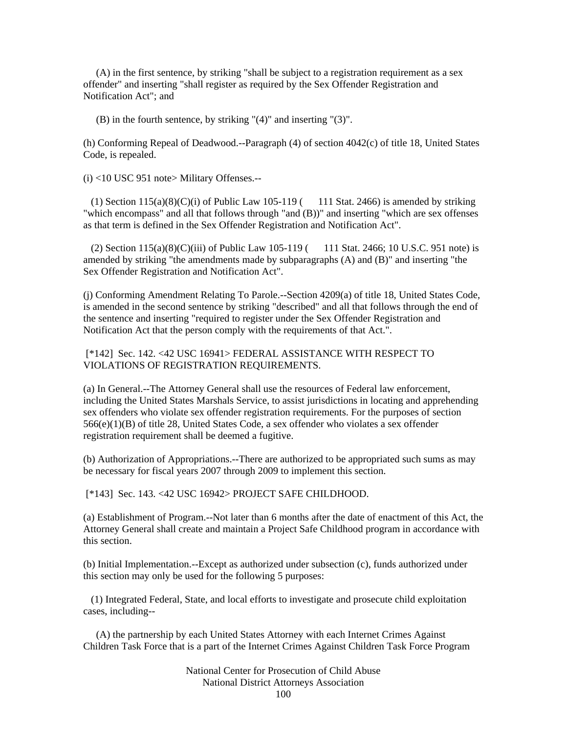(A) in the first sentence, by striking "shall be subject to a registration requirement as a sex offender" and inserting "shall register as required by the Sex Offender Registration and Notification Act"; and

(B) in the fourth sentence, by striking "(4)" and inserting "(3)".

(h) Conforming Repeal of Deadwood.--Paragraph (4) of section 4042(c) of title 18, United States Code, is repealed.

(i) <10 USC 951 note> Military Offenses.--

(1) Section  $115(a)(8)(C)(i)$  of Public Law 105-119 (111 Stat. 2466) is amended by striking "which encompass" and all that follows through "and (B))" and inserting "which are sex offenses as that term is defined in the Sex Offender Registration and Notification Act".

(2) Section  $115(a)(8)(C(iii)$  of Public Law  $105-119$  ( 111 Stat. 2466; 10 U.S.C. 951 note) is amended by striking "the amendments made by subparagraphs (A) and (B)" and inserting "the Sex Offender Registration and Notification Act".

(j) Conforming Amendment Relating To Parole.--Section 4209(a) of title 18, United States Code, is amended in the second sentence by striking "described" and all that follows through the end of the sentence and inserting "required to register under the Sex Offender Registration and Notification Act that the person comply with the requirements of that Act.".

 [\*142] Sec. 142. <42 USC 16941> FEDERAL ASSISTANCE WITH RESPECT TO VIOLATIONS OF REGISTRATION REQUIREMENTS.

(a) In General.--The Attorney General shall use the resources of Federal law enforcement, including the United States Marshals Service, to assist jurisdictions in locating and apprehending sex offenders who violate sex offender registration requirements. For the purposes of section 566(e)(1)(B) of title 28, United States Code, a sex offender who violates a sex offender registration requirement shall be deemed a fugitive.

(b) Authorization of Appropriations.--There are authorized to be appropriated such sums as may be necessary for fiscal years 2007 through 2009 to implement this section.

[\*143] Sec. 143. <42 USC 16942> PROJECT SAFE CHILDHOOD.

(a) Establishment of Program.--Not later than 6 months after the date of enactment of this Act, the Attorney General shall create and maintain a Project Safe Childhood program in accordance with this section.

(b) Initial Implementation.--Except as authorized under subsection (c), funds authorized under this section may only be used for the following 5 purposes:

 (1) Integrated Federal, State, and local efforts to investigate and prosecute child exploitation cases, including--

 (A) the partnership by each United States Attorney with each Internet Crimes Against Children Task Force that is a part of the Internet Crimes Against Children Task Force Program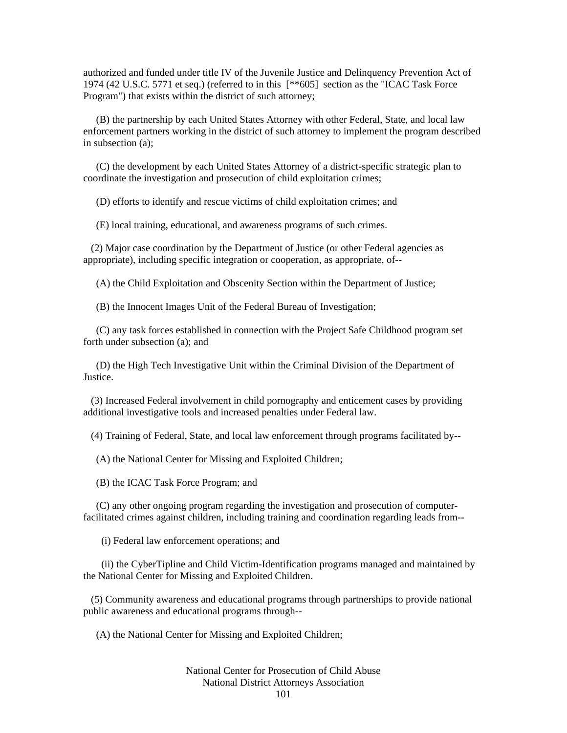authorized and funded under title IV of the Juvenile Justice and Delinquency Prevention Act of 1974 (42 U.S.C. 5771 et seq.) (referred to in this [\*\*605] section as the "ICAC Task Force Program") that exists within the district of such attorney;

 (B) the partnership by each United States Attorney with other Federal, State, and local law enforcement partners working in the district of such attorney to implement the program described in subsection (a);

 (C) the development by each United States Attorney of a district-specific strategic plan to coordinate the investigation and prosecution of child exploitation crimes;

(D) efforts to identify and rescue victims of child exploitation crimes; and

(E) local training, educational, and awareness programs of such crimes.

 (2) Major case coordination by the Department of Justice (or other Federal agencies as appropriate), including specific integration or cooperation, as appropriate, of--

(A) the Child Exploitation and Obscenity Section within the Department of Justice;

(B) the Innocent Images Unit of the Federal Bureau of Investigation;

 (C) any task forces established in connection with the Project Safe Childhood program set forth under subsection (a); and

 (D) the High Tech Investigative Unit within the Criminal Division of the Department of Justice.

 (3) Increased Federal involvement in child pornography and enticement cases by providing additional investigative tools and increased penalties under Federal law.

(4) Training of Federal, State, and local law enforcement through programs facilitated by--

(A) the National Center for Missing and Exploited Children;

(B) the ICAC Task Force Program; and

 (C) any other ongoing program regarding the investigation and prosecution of computerfacilitated crimes against children, including training and coordination regarding leads from--

(i) Federal law enforcement operations; and

 (ii) the CyberTipline and Child Victim-Identification programs managed and maintained by the National Center for Missing and Exploited Children.

 (5) Community awareness and educational programs through partnerships to provide national public awareness and educational programs through--

(A) the National Center for Missing and Exploited Children;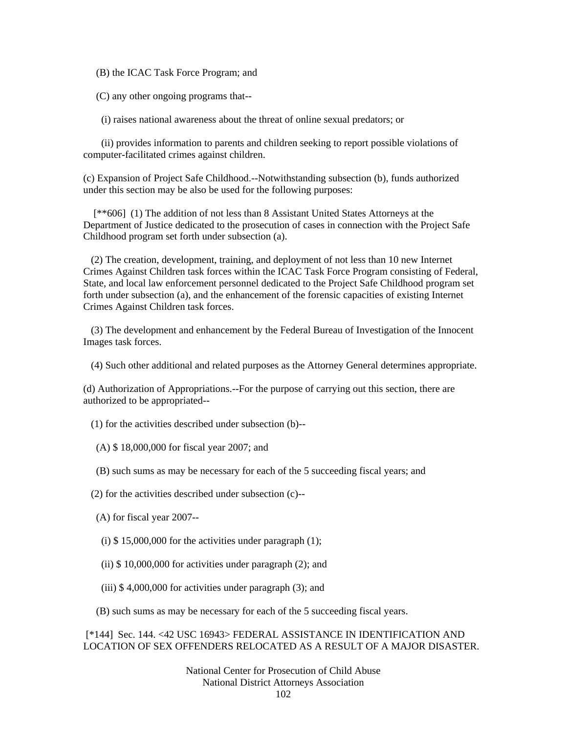(B) the ICAC Task Force Program; and

(C) any other ongoing programs that--

(i) raises national awareness about the threat of online sexual predators; or

 (ii) provides information to parents and children seeking to report possible violations of computer-facilitated crimes against children.

(c) Expansion of Project Safe Childhood.--Notwithstanding subsection (b), funds authorized under this section may be also be used for the following purposes:

[\*\*606] (1) The addition of not less than 8 Assistant United States Attorneys at the Department of Justice dedicated to the prosecution of cases in connection with the Project Safe Childhood program set forth under subsection (a).

 (2) The creation, development, training, and deployment of not less than 10 new Internet Crimes Against Children task forces within the ICAC Task Force Program consisting of Federal, State, and local law enforcement personnel dedicated to the Project Safe Childhood program set forth under subsection (a), and the enhancement of the forensic capacities of existing Internet Crimes Against Children task forces.

 (3) The development and enhancement by the Federal Bureau of Investigation of the Innocent Images task forces.

(4) Such other additional and related purposes as the Attorney General determines appropriate.

(d) Authorization of Appropriations.--For the purpose of carrying out this section, there are authorized to be appropriated--

(1) for the activities described under subsection (b)--

(A) \$ 18,000,000 for fiscal year 2007; and

(B) such sums as may be necessary for each of the 5 succeeding fiscal years; and

(2) for the activities described under subsection (c)--

- (A) for fiscal year 2007--
- (i)  $$ 15,000,000$  for the activities under paragraph (1);
- (ii) \$ 10,000,000 for activities under paragraph (2); and
- (iii) \$ 4,000,000 for activities under paragraph (3); and
- (B) such sums as may be necessary for each of the 5 succeeding fiscal years.

 [\*144] Sec. 144. <42 USC 16943> FEDERAL ASSISTANCE IN IDENTIFICATION AND LOCATION OF SEX OFFENDERS RELOCATED AS A RESULT OF A MAJOR DISASTER.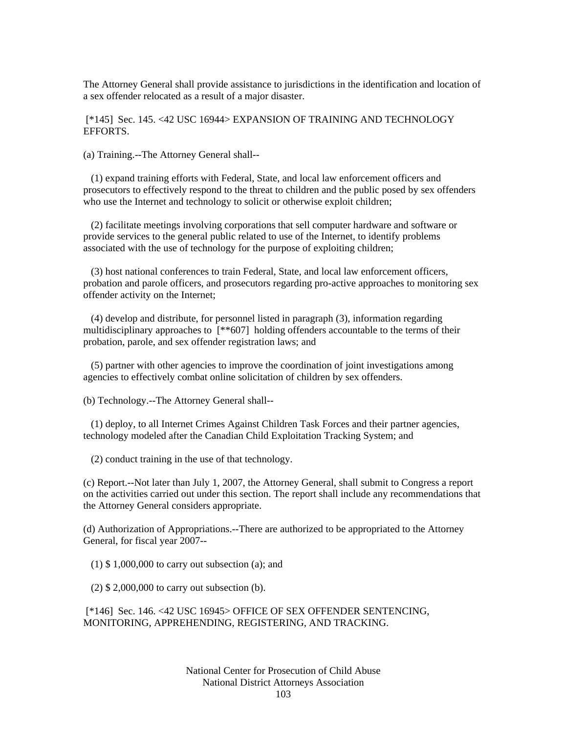The Attorney General shall provide assistance to jurisdictions in the identification and location of a sex offender relocated as a result of a major disaster.

 [\*145] Sec. 145. <42 USC 16944> EXPANSION OF TRAINING AND TECHNOLOGY EFFORTS.

(a) Training.--The Attorney General shall--

 (1) expand training efforts with Federal, State, and local law enforcement officers and prosecutors to effectively respond to the threat to children and the public posed by sex offenders who use the Internet and technology to solicit or otherwise exploit children;

 (2) facilitate meetings involving corporations that sell computer hardware and software or provide services to the general public related to use of the Internet, to identify problems associated with the use of technology for the purpose of exploiting children;

 (3) host national conferences to train Federal, State, and local law enforcement officers, probation and parole officers, and prosecutors regarding pro-active approaches to monitoring sex offender activity on the Internet;

 (4) develop and distribute, for personnel listed in paragraph (3), information regarding multidisciplinary approaches to [\*\*607] holding offenders accountable to the terms of their probation, parole, and sex offender registration laws; and

 (5) partner with other agencies to improve the coordination of joint investigations among agencies to effectively combat online solicitation of children by sex offenders.

(b) Technology.--The Attorney General shall--

 (1) deploy, to all Internet Crimes Against Children Task Forces and their partner agencies, technology modeled after the Canadian Child Exploitation Tracking System; and

(2) conduct training in the use of that technology.

(c) Report.--Not later than July 1, 2007, the Attorney General, shall submit to Congress a report on the activities carried out under this section. The report shall include any recommendations that the Attorney General considers appropriate.

(d) Authorization of Appropriations.--There are authorized to be appropriated to the Attorney General, for fiscal year 2007--

(1) \$ 1,000,000 to carry out subsection (a); and

(2) \$ 2,000,000 to carry out subsection (b).

 [\*146] Sec. 146. <42 USC 16945> OFFICE OF SEX OFFENDER SENTENCING, MONITORING, APPREHENDING, REGISTERING, AND TRACKING.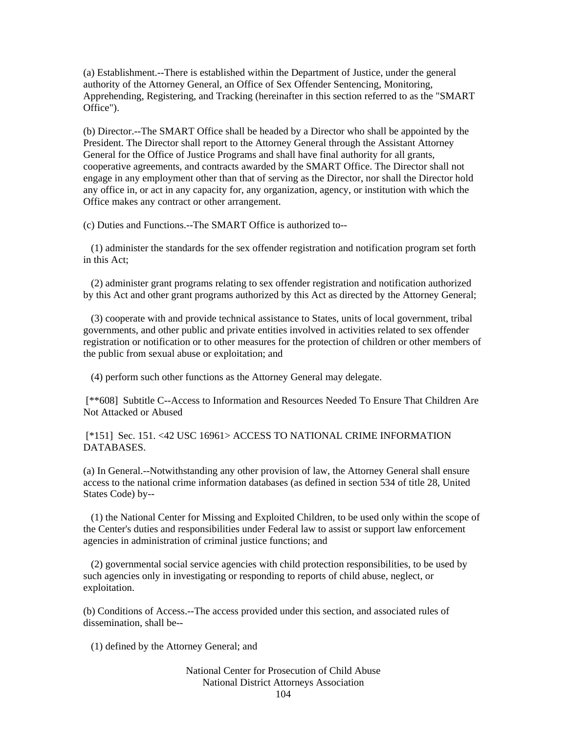(a) Establishment.--There is established within the Department of Justice, under the general authority of the Attorney General, an Office of Sex Offender Sentencing, Monitoring, Apprehending, Registering, and Tracking (hereinafter in this section referred to as the "SMART Office").

(b) Director.--The SMART Office shall be headed by a Director who shall be appointed by the President. The Director shall report to the Attorney General through the Assistant Attorney General for the Office of Justice Programs and shall have final authority for all grants, cooperative agreements, and contracts awarded by the SMART Office. The Director shall not engage in any employment other than that of serving as the Director, nor shall the Director hold any office in, or act in any capacity for, any organization, agency, or institution with which the Office makes any contract or other arrangement.

(c) Duties and Functions.--The SMART Office is authorized to--

 (1) administer the standards for the sex offender registration and notification program set forth in this Act;

 (2) administer grant programs relating to sex offender registration and notification authorized by this Act and other grant programs authorized by this Act as directed by the Attorney General;

 (3) cooperate with and provide technical assistance to States, units of local government, tribal governments, and other public and private entities involved in activities related to sex offender registration or notification or to other measures for the protection of children or other members of the public from sexual abuse or exploitation; and

(4) perform such other functions as the Attorney General may delegate.

 [\*\*608] Subtitle C--Access to Information and Resources Needed To Ensure That Children Are Not Attacked or Abused

 [\*151] Sec. 151. <42 USC 16961> ACCESS TO NATIONAL CRIME INFORMATION DATABASES.

(a) In General.--Notwithstanding any other provision of law, the Attorney General shall ensure access to the national crime information databases (as defined in section 534 of title 28, United States Code) by--

 (1) the National Center for Missing and Exploited Children, to be used only within the scope of the Center's duties and responsibilities under Federal law to assist or support law enforcement agencies in administration of criminal justice functions; and

 (2) governmental social service agencies with child protection responsibilities, to be used by such agencies only in investigating or responding to reports of child abuse, neglect, or exploitation.

(b) Conditions of Access.--The access provided under this section, and associated rules of dissemination, shall be--

(1) defined by the Attorney General; and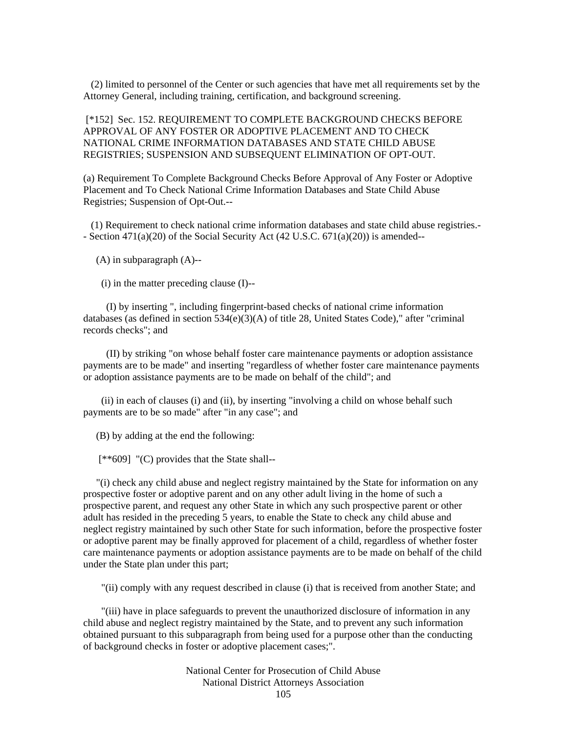(2) limited to personnel of the Center or such agencies that have met all requirements set by the Attorney General, including training, certification, and background screening.

 [\*152] Sec. 152. REQUIREMENT TO COMPLETE BACKGROUND CHECKS BEFORE APPROVAL OF ANY FOSTER OR ADOPTIVE PLACEMENT AND TO CHECK NATIONAL CRIME INFORMATION DATABASES AND STATE CHILD ABUSE REGISTRIES; SUSPENSION AND SUBSEQUENT ELIMINATION OF OPT-OUT.

(a) Requirement To Complete Background Checks Before Approval of Any Foster or Adoptive Placement and To Check National Crime Information Databases and State Child Abuse Registries; Suspension of Opt-Out.--

 (1) Requirement to check national crime information databases and state child abuse registries.- - Section  $471(a)(20)$  of the Social Security Act  $(42 \text{ U.S.C. } 671(a)(20))$  is amended--

(A) in subparagraph (A)--

(i) in the matter preceding clause (I)--

 (I) by inserting ", including fingerprint-based checks of national crime information databases (as defined in section  $534(e)(3)(A)$  of title 28, United States Code)," after "criminal records checks"; and

 (II) by striking "on whose behalf foster care maintenance payments or adoption assistance payments are to be made" and inserting "regardless of whether foster care maintenance payments or adoption assistance payments are to be made on behalf of the child"; and

 (ii) in each of clauses (i) and (ii), by inserting "involving a child on whose behalf such payments are to be so made" after "in any case"; and

(B) by adding at the end the following:

[\*\*609] "(C) provides that the State shall--

 "(i) check any child abuse and neglect registry maintained by the State for information on any prospective foster or adoptive parent and on any other adult living in the home of such a prospective parent, and request any other State in which any such prospective parent or other adult has resided in the preceding 5 years, to enable the State to check any child abuse and neglect registry maintained by such other State for such information, before the prospective foster or adoptive parent may be finally approved for placement of a child, regardless of whether foster care maintenance payments or adoption assistance payments are to be made on behalf of the child under the State plan under this part;

"(ii) comply with any request described in clause (i) that is received from another State; and

 "(iii) have in place safeguards to prevent the unauthorized disclosure of information in any child abuse and neglect registry maintained by the State, and to prevent any such information obtained pursuant to this subparagraph from being used for a purpose other than the conducting of background checks in foster or adoptive placement cases;".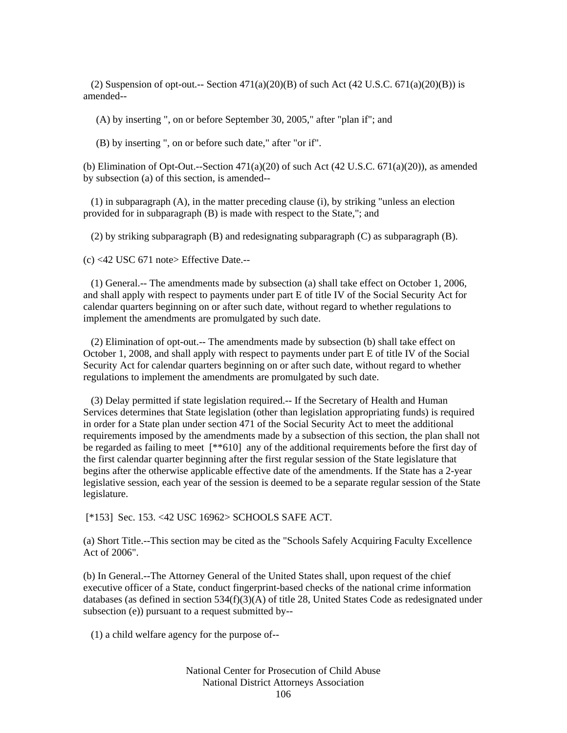(2) Suspension of opt-out.-- Section  $471(a)(20)(B)$  of such Act  $(42 \text{ U.S.C. } 671(a)(20)(B))$  is amended--

(A) by inserting ", on or before September 30, 2005," after "plan if"; and

(B) by inserting ", on or before such date," after "or if".

(b) Elimination of Opt-Out.--Section  $471(a)(20)$  of such Act  $(42 \text{ U.S.C. } 671(a)(20))$ , as amended by subsection (a) of this section, is amended--

 (1) in subparagraph (A), in the matter preceding clause (i), by striking "unless an election provided for in subparagraph (B) is made with respect to the State,"; and

(2) by striking subparagraph (B) and redesignating subparagraph (C) as subparagraph (B).

(c) <42 USC 671 note> Effective Date.--

 (1) General.-- The amendments made by subsection (a) shall take effect on October 1, 2006, and shall apply with respect to payments under part E of title IV of the Social Security Act for calendar quarters beginning on or after such date, without regard to whether regulations to implement the amendments are promulgated by such date.

 (2) Elimination of opt-out.-- The amendments made by subsection (b) shall take effect on October 1, 2008, and shall apply with respect to payments under part E of title IV of the Social Security Act for calendar quarters beginning on or after such date, without regard to whether regulations to implement the amendments are promulgated by such date.

 (3) Delay permitted if state legislation required.-- If the Secretary of Health and Human Services determines that State legislation (other than legislation appropriating funds) is required in order for a State plan under section 471 of the Social Security Act to meet the additional requirements imposed by the amendments made by a subsection of this section, the plan shall not be regarded as failing to meet [\*\*610] any of the additional requirements before the first day of the first calendar quarter beginning after the first regular session of the State legislature that begins after the otherwise applicable effective date of the amendments. If the State has a 2-year legislative session, each year of the session is deemed to be a separate regular session of the State legislature.

[\*153] Sec. 153. <42 USC 16962> SCHOOLS SAFE ACT.

(a) Short Title.--This section may be cited as the "Schools Safely Acquiring Faculty Excellence Act of 2006".

(b) In General.--The Attorney General of the United States shall, upon request of the chief executive officer of a State, conduct fingerprint-based checks of the national crime information databases (as defined in section 534(f)(3)(A) of title 28, United States Code as redesignated under subsection (e)) pursuant to a request submitted by--

(1) a child welfare agency for the purpose of--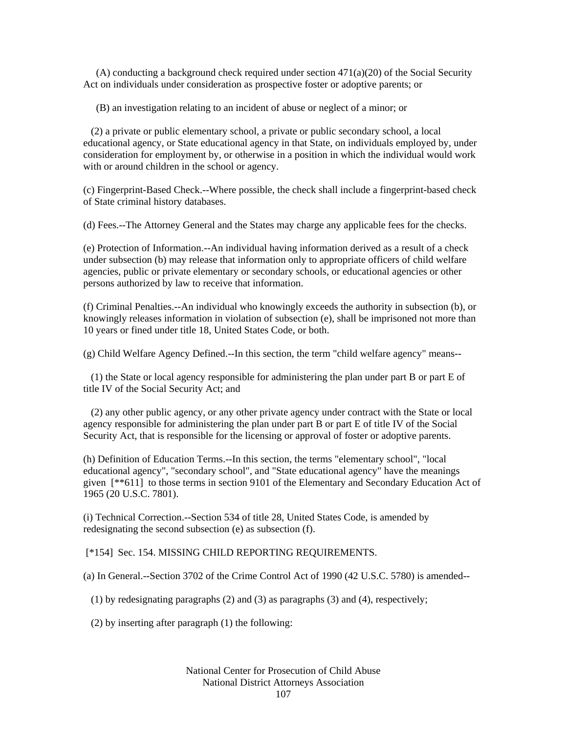$(A)$  conducting a background check required under section  $471(a)(20)$  of the Social Security Act on individuals under consideration as prospective foster or adoptive parents; or

(B) an investigation relating to an incident of abuse or neglect of a minor; or

 (2) a private or public elementary school, a private or public secondary school, a local educational agency, or State educational agency in that State, on individuals employed by, under consideration for employment by, or otherwise in a position in which the individual would work with or around children in the school or agency.

(c) Fingerprint-Based Check.--Where possible, the check shall include a fingerprint-based check of State criminal history databases.

(d) Fees.--The Attorney General and the States may charge any applicable fees for the checks.

(e) Protection of Information.--An individual having information derived as a result of a check under subsection (b) may release that information only to appropriate officers of child welfare agencies, public or private elementary or secondary schools, or educational agencies or other persons authorized by law to receive that information.

(f) Criminal Penalties.--An individual who knowingly exceeds the authority in subsection (b), or knowingly releases information in violation of subsection (e), shall be imprisoned not more than 10 years or fined under title 18, United States Code, or both.

(g) Child Welfare Agency Defined.--In this section, the term "child welfare agency" means--

 (1) the State or local agency responsible for administering the plan under part B or part E of title IV of the Social Security Act; and

 (2) any other public agency, or any other private agency under contract with the State or local agency responsible for administering the plan under part B or part E of title IV of the Social Security Act, that is responsible for the licensing or approval of foster or adoptive parents.

(h) Definition of Education Terms.--In this section, the terms "elementary school", "local educational agency", "secondary school", and "State educational agency" have the meanings given [\*\*611] to those terms in section 9101 of the Elementary and Secondary Education Act of 1965 (20 U.S.C. 7801).

(i) Technical Correction.--Section 534 of title 28, United States Code, is amended by redesignating the second subsection (e) as subsection (f).

[\*154] Sec. 154. MISSING CHILD REPORTING REQUIREMENTS.

(a) In General.--Section 3702 of the Crime Control Act of 1990 (42 U.S.C. 5780) is amended--

(1) by redesignating paragraphs (2) and (3) as paragraphs (3) and (4), respectively;

(2) by inserting after paragraph (1) the following: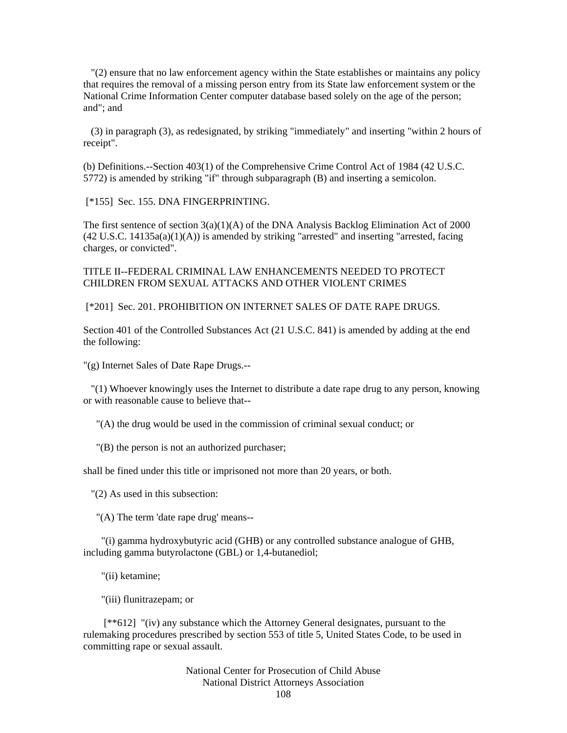"(2) ensure that no law enforcement agency within the State establishes or maintains any policy that requires the removal of a missing person entry from its State law enforcement system or the National Crime Information Center computer database based solely on the age of the person; and"; and

 (3) in paragraph (3), as redesignated, by striking "immediately" and inserting "within 2 hours of receipt".

(b) Definitions.--Section 403(1) of the Comprehensive Crime Control Act of 1984 (42 U.S.C. 5772) is amended by striking "if" through subparagraph (B) and inserting a semicolon.

[\*155] Sec. 155. DNA FINGERPRINTING.

The first sentence of section  $3(a)(1)(A)$  of the DNA Analysis Backlog Elimination Act of 2000  $(42 \text{ U.S.C. } 14135a(a)(1)(A))$  is amended by striking "arrested" and inserting "arrested, facing charges, or convicted".

#### TITLE II--FEDERAL CRIMINAL LAW ENHANCEMENTS NEEDED TO PROTECT CHILDREN FROM SEXUAL ATTACKS AND OTHER VIOLENT CRIMES

[\*201] Sec. 201. PROHIBITION ON INTERNET SALES OF DATE RAPE DRUGS.

Section 401 of the Controlled Substances Act (21 U.S.C. 841) is amended by adding at the end the following:

"(g) Internet Sales of Date Rape Drugs.--

 "(1) Whoever knowingly uses the Internet to distribute a date rape drug to any person, knowing or with reasonable cause to believe that--

"(A) the drug would be used in the commission of criminal sexual conduct; or

"(B) the person is not an authorized purchaser;

shall be fined under this title or imprisoned not more than 20 years, or both.

"(2) As used in this subsection:

"(A) The term 'date rape drug' means--

 "(i) gamma hydroxybutyric acid (GHB) or any controlled substance analogue of GHB, including gamma butyrolactone (GBL) or 1,4-butanediol;

"(ii) ketamine;

"(iii) flunitrazepam; or

 [\*\*612] "(iv) any substance which the Attorney General designates, pursuant to the rulemaking procedures prescribed by section 553 of title 5, United States Code, to be used in committing rape or sexual assault.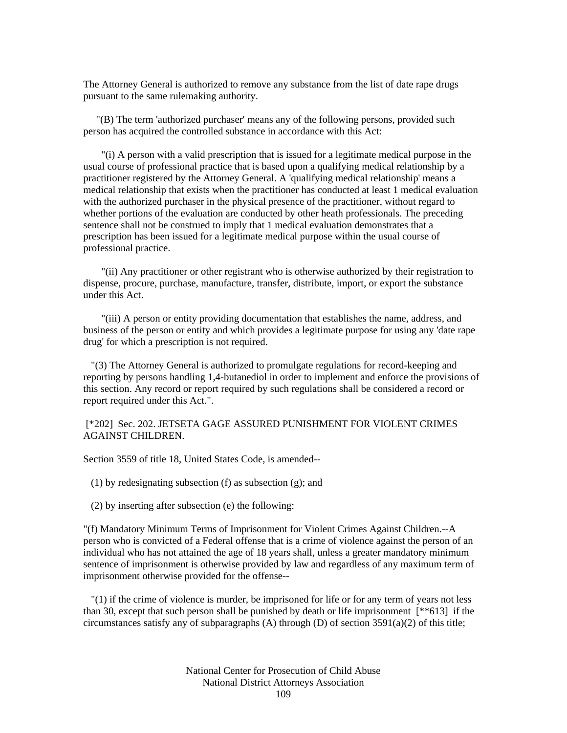The Attorney General is authorized to remove any substance from the list of date rape drugs pursuant to the same rulemaking authority.

 "(B) The term 'authorized purchaser' means any of the following persons, provided such person has acquired the controlled substance in accordance with this Act:

 "(i) A person with a valid prescription that is issued for a legitimate medical purpose in the usual course of professional practice that is based upon a qualifying medical relationship by a practitioner registered by the Attorney General. A 'qualifying medical relationship' means a medical relationship that exists when the practitioner has conducted at least 1 medical evaluation with the authorized purchaser in the physical presence of the practitioner, without regard to whether portions of the evaluation are conducted by other heath professionals. The preceding sentence shall not be construed to imply that 1 medical evaluation demonstrates that a prescription has been issued for a legitimate medical purpose within the usual course of professional practice.

 "(ii) Any practitioner or other registrant who is otherwise authorized by their registration to dispense, procure, purchase, manufacture, transfer, distribute, import, or export the substance under this Act.

 "(iii) A person or entity providing documentation that establishes the name, address, and business of the person or entity and which provides a legitimate purpose for using any 'date rape drug' for which a prescription is not required.

 "(3) The Attorney General is authorized to promulgate regulations for record-keeping and reporting by persons handling 1,4-butanediol in order to implement and enforce the provisions of this section. Any record or report required by such regulations shall be considered a record or report required under this Act.".

 [\*202] Sec. 202. JETSETA GAGE ASSURED PUNISHMENT FOR VIOLENT CRIMES AGAINST CHILDREN.

Section 3559 of title 18, United States Code, is amended--

(1) by redesignating subsection (f) as subsection (g); and

(2) by inserting after subsection (e) the following:

"(f) Mandatory Minimum Terms of Imprisonment for Violent Crimes Against Children.--A person who is convicted of a Federal offense that is a crime of violence against the person of an individual who has not attained the age of 18 years shall, unless a greater mandatory minimum sentence of imprisonment is otherwise provided by law and regardless of any maximum term of imprisonment otherwise provided for the offense--

 "(1) if the crime of violence is murder, be imprisoned for life or for any term of years not less than 30, except that such person shall be punished by death or life imprisonment [\*\*613] if the circumstances satisfy any of subparagraphs  $(A)$  through  $(D)$  of section 3591(a)(2) of this title;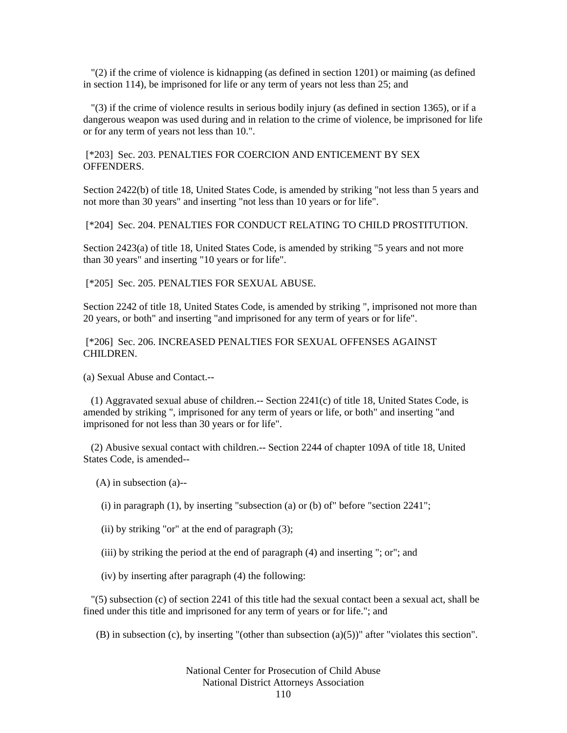"(2) if the crime of violence is kidnapping (as defined in section 1201) or maiming (as defined in section 114), be imprisoned for life or any term of years not less than 25; and

 "(3) if the crime of violence results in serious bodily injury (as defined in section 1365), or if a dangerous weapon was used during and in relation to the crime of violence, be imprisoned for life or for any term of years not less than 10.".

 [\*203] Sec. 203. PENALTIES FOR COERCION AND ENTICEMENT BY SEX OFFENDERS.

Section 2422(b) of title 18, United States Code, is amended by striking "not less than 5 years and not more than 30 years" and inserting "not less than 10 years or for life".

[\*204] Sec. 204. PENALTIES FOR CONDUCT RELATING TO CHILD PROSTITUTION.

Section 2423(a) of title 18, United States Code, is amended by striking "5 years and not more than 30 years" and inserting "10 years or for life".

[\*205] Sec. 205. PENALTIES FOR SEXUAL ABUSE.

Section 2242 of title 18, United States Code, is amended by striking ", imprisoned not more than 20 years, or both" and inserting "and imprisoned for any term of years or for life".

 [\*206] Sec. 206. INCREASED PENALTIES FOR SEXUAL OFFENSES AGAINST CHILDREN.

(a) Sexual Abuse and Contact.--

 (1) Aggravated sexual abuse of children.-- Section 2241(c) of title 18, United States Code, is amended by striking ", imprisoned for any term of years or life, or both" and inserting "and imprisoned for not less than 30 years or for life".

 (2) Abusive sexual contact with children.-- Section 2244 of chapter 109A of title 18, United States Code, is amended--

(A) in subsection (a)--

(i) in paragraph (1), by inserting "subsection (a) or (b) of" before "section 2241";

(ii) by striking "or" at the end of paragraph (3);

(iii) by striking the period at the end of paragraph (4) and inserting "; or"; and

(iv) by inserting after paragraph (4) the following:

 "(5) subsection (c) of section 2241 of this title had the sexual contact been a sexual act, shall be fined under this title and imprisoned for any term of years or for life."; and

 $(B)$  in subsection (c), by inserting "(other than subsection  $(a)(5)$ )" after "violates this section".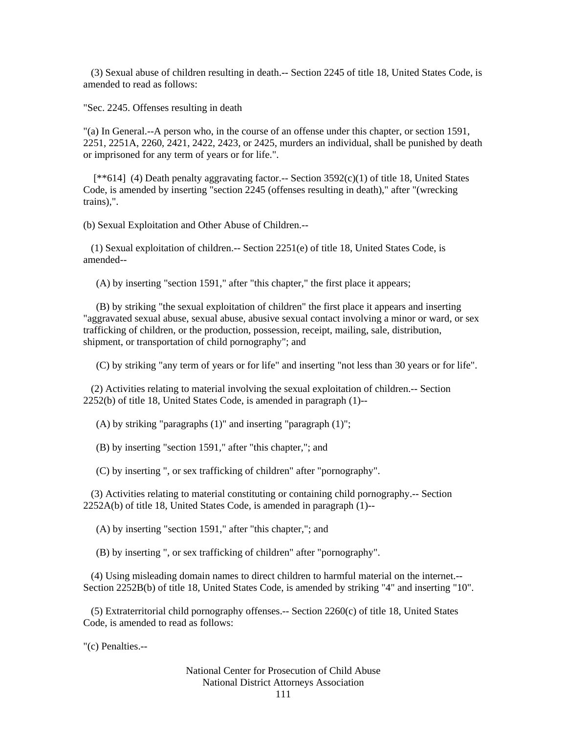(3) Sexual abuse of children resulting in death.-- Section 2245 of title 18, United States Code, is amended to read as follows:

"Sec. 2245. Offenses resulting in death

"(a) In General.--A person who, in the course of an offense under this chapter, or section 1591, 2251, 2251A, 2260, 2421, 2422, 2423, or 2425, murders an individual, shall be punished by death or imprisoned for any term of years or for life.".

[\*\*614] (4) Death penalty aggravating factor.-- Section  $3592(c)(1)$  of title 18, United States Code, is amended by inserting "section 2245 (offenses resulting in death)," after "(wrecking trains),".

(b) Sexual Exploitation and Other Abuse of Children.--

 (1) Sexual exploitation of children.-- Section 2251(e) of title 18, United States Code, is amended--

(A) by inserting "section 1591," after "this chapter," the first place it appears;

 (B) by striking "the sexual exploitation of children" the first place it appears and inserting "aggravated sexual abuse, sexual abuse, abusive sexual contact involving a minor or ward, or sex trafficking of children, or the production, possession, receipt, mailing, sale, distribution, shipment, or transportation of child pornography"; and

(C) by striking "any term of years or for life" and inserting "not less than 30 years or for life".

 (2) Activities relating to material involving the sexual exploitation of children.-- Section 2252(b) of title 18, United States Code, is amended in paragraph (1)--

(A) by striking "paragraphs (1)" and inserting "paragraph (1)";

(B) by inserting "section 1591," after "this chapter,"; and

(C) by inserting ", or sex trafficking of children" after "pornography".

 (3) Activities relating to material constituting or containing child pornography.-- Section 2252A(b) of title 18, United States Code, is amended in paragraph (1)--

(A) by inserting "section 1591," after "this chapter,"; and

(B) by inserting ", or sex trafficking of children" after "pornography".

 (4) Using misleading domain names to direct children to harmful material on the internet.-- Section 2252B(b) of title 18, United States Code, is amended by striking "4" and inserting "10".

 (5) Extraterritorial child pornography offenses.-- Section 2260(c) of title 18, United States Code, is amended to read as follows:

"(c) Penalties.--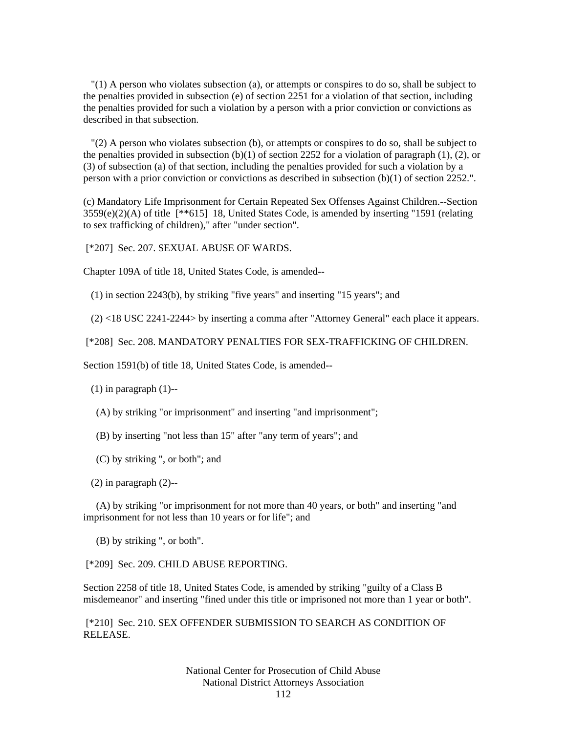"(1) A person who violates subsection (a), or attempts or conspires to do so, shall be subject to the penalties provided in subsection (e) of section 2251 for a violation of that section, including the penalties provided for such a violation by a person with a prior conviction or convictions as described in that subsection.

 "(2) A person who violates subsection (b), or attempts or conspires to do so, shall be subject to the penalties provided in subsection  $(b)(1)$  of section 2252 for a violation of paragraph  $(1)$ ,  $(2)$ , or (3) of subsection (a) of that section, including the penalties provided for such a violation by a person with a prior conviction or convictions as described in subsection (b)(1) of section 2252.".

(c) Mandatory Life Imprisonment for Certain Repeated Sex Offenses Against Children.--Section 3559(e)(2)(A) of title [\*\*615] 18, United States Code, is amended by inserting "1591 (relating to sex trafficking of children)," after "under section".

[\*207] Sec. 207. SEXUAL ABUSE OF WARDS.

Chapter 109A of title 18, United States Code, is amended--

(1) in section 2243(b), by striking "five years" and inserting "15 years"; and

(2) <18 USC 2241-2244> by inserting a comma after "Attorney General" each place it appears.

[\*208] Sec. 208. MANDATORY PENALTIES FOR SEX-TRAFFICKING OF CHILDREN.

Section 1591(b) of title 18, United States Code, is amended--

 $(1)$  in paragraph  $(1)$ --

(A) by striking "or imprisonment" and inserting "and imprisonment";

(B) by inserting "not less than 15" after "any term of years"; and

(C) by striking ", or both"; and

 $(2)$  in paragraph  $(2)$ --

 (A) by striking "or imprisonment for not more than 40 years, or both" and inserting "and imprisonment for not less than 10 years or for life"; and

(B) by striking ", or both".

[\*209] Sec. 209. CHILD ABUSE REPORTING.

Section 2258 of title 18, United States Code, is amended by striking "guilty of a Class B misdemeanor" and inserting "fined under this title or imprisoned not more than 1 year or both".

 [\*210] Sec. 210. SEX OFFENDER SUBMISSION TO SEARCH AS CONDITION OF RELEASE.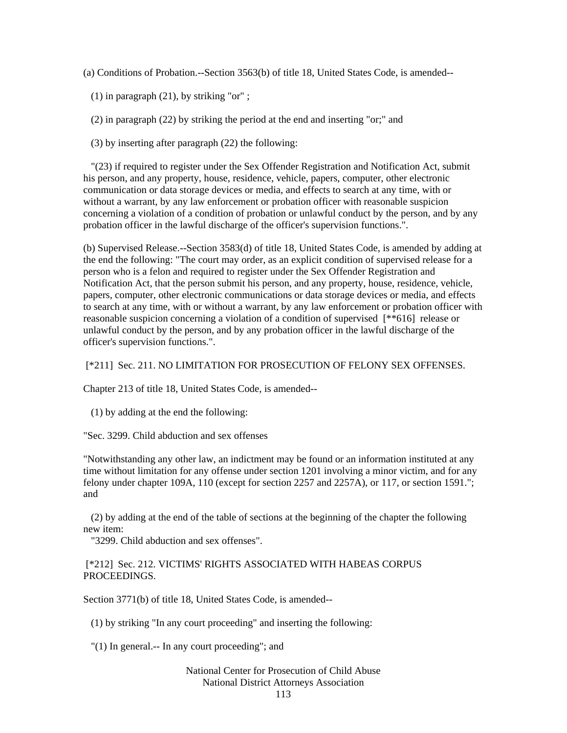(a) Conditions of Probation.--Section 3563(b) of title 18, United States Code, is amended--

(1) in paragraph (21), by striking "or" ;

(2) in paragraph (22) by striking the period at the end and inserting "or;" and

(3) by inserting after paragraph (22) the following:

 "(23) if required to register under the Sex Offender Registration and Notification Act, submit his person, and any property, house, residence, vehicle, papers, computer, other electronic communication or data storage devices or media, and effects to search at any time, with or without a warrant, by any law enforcement or probation officer with reasonable suspicion concerning a violation of a condition of probation or unlawful conduct by the person, and by any probation officer in the lawful discharge of the officer's supervision functions.".

(b) Supervised Release.--Section 3583(d) of title 18, United States Code, is amended by adding at the end the following: "The court may order, as an explicit condition of supervised release for a person who is a felon and required to register under the Sex Offender Registration and Notification Act, that the person submit his person, and any property, house, residence, vehicle, papers, computer, other electronic communications or data storage devices or media, and effects to search at any time, with or without a warrant, by any law enforcement or probation officer with reasonable suspicion concerning a violation of a condition of supervised [\*\*616] release or unlawful conduct by the person, and by any probation officer in the lawful discharge of the officer's supervision functions.".

[\*211] Sec. 211. NO LIMITATION FOR PROSECUTION OF FELONY SEX OFFENSES.

Chapter 213 of title 18, United States Code, is amended--

(1) by adding at the end the following:

"Sec. 3299. Child abduction and sex offenses

"Notwithstanding any other law, an indictment may be found or an information instituted at any time without limitation for any offense under section 1201 involving a minor victim, and for any felony under chapter 109A, 110 (except for section 2257 and 2257A), or 117, or section 1591."; and

 (2) by adding at the end of the table of sections at the beginning of the chapter the following new item:

"3299. Child abduction and sex offenses".

# [\*212] Sec. 212. VICTIMS' RIGHTS ASSOCIATED WITH HABEAS CORPUS PROCEEDINGS.

Section 3771(b) of title 18, United States Code, is amended--

(1) by striking "In any court proceeding" and inserting the following:

"(1) In general.-- In any court proceeding"; and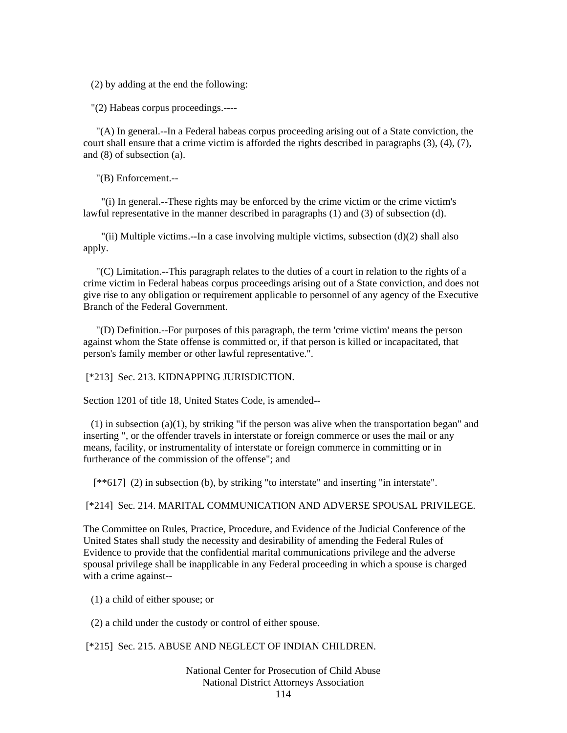(2) by adding at the end the following:

"(2) Habeas corpus proceedings.----

 "(A) In general.--In a Federal habeas corpus proceeding arising out of a State conviction, the court shall ensure that a crime victim is afforded the rights described in paragraphs  $(3)$ ,  $(4)$ ,  $(7)$ , and (8) of subsection (a).

"(B) Enforcement.--

 "(i) In general.--These rights may be enforced by the crime victim or the crime victim's lawful representative in the manner described in paragraphs (1) and (3) of subsection (d).

 "(ii) Multiple victims.--In a case involving multiple victims, subsection (d)(2) shall also apply.

 "(C) Limitation.--This paragraph relates to the duties of a court in relation to the rights of a crime victim in Federal habeas corpus proceedings arising out of a State conviction, and does not give rise to any obligation or requirement applicable to personnel of any agency of the Executive Branch of the Federal Government.

 "(D) Definition.--For purposes of this paragraph, the term 'crime victim' means the person against whom the State offense is committed or, if that person is killed or incapacitated, that person's family member or other lawful representative.".

[\*213] Sec. 213. KIDNAPPING JURISDICTION.

Section 1201 of title 18, United States Code, is amended--

 $(1)$  in subsection  $(a)(1)$ , by striking "if the person was alive when the transportation began" and inserting ", or the offender travels in interstate or foreign commerce or uses the mail or any means, facility, or instrumentality of interstate or foreign commerce in committing or in furtherance of the commission of the offense"; and

[\*\*617] (2) in subsection (b), by striking "to interstate" and inserting "in interstate".

#### [\*214] Sec. 214. MARITAL COMMUNICATION AND ADVERSE SPOUSAL PRIVILEGE.

The Committee on Rules, Practice, Procedure, and Evidence of the Judicial Conference of the United States shall study the necessity and desirability of amending the Federal Rules of Evidence to provide that the confidential marital communications privilege and the adverse spousal privilege shall be inapplicable in any Federal proceeding in which a spouse is charged with a crime against--

(1) a child of either spouse; or

(2) a child under the custody or control of either spouse.

[\*215] Sec. 215. ABUSE AND NEGLECT OF INDIAN CHILDREN.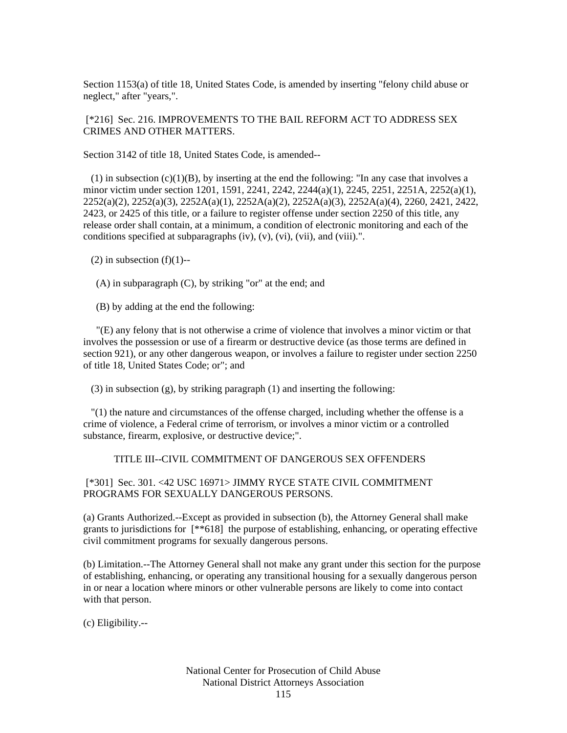Section 1153(a) of title 18, United States Code, is amended by inserting "felony child abuse or neglect," after "years,".

### [\*216] Sec. 216. IMPROVEMENTS TO THE BAIL REFORM ACT TO ADDRESS SEX CRIMES AND OTHER MATTERS.

Section 3142 of title 18, United States Code, is amended--

 $(1)$  in subsection  $(c)(1)(B)$ , by inserting at the end the following: "In any case that involves a minor victim under section 1201, 1591, 2241, 2242, 2244(a)(1), 2245, 2251, 2251A, 2252(a)(1), 2252(a)(2), 2252(a)(3), 2252A(a)(1), 2252A(a)(2), 2252A(a)(3), 2252A(a)(4), 2260, 2421, 2422, 2423, or 2425 of this title, or a failure to register offense under section 2250 of this title, any release order shall contain, at a minimum, a condition of electronic monitoring and each of the conditions specified at subparagraphs  $(iv)$ ,  $(v)$ ,  $(vi)$ ,  $(vii)$ , and  $(viii)$ .".

(2) in subsection  $(f)(1)$ --

(A) in subparagraph (C), by striking "or" at the end; and

(B) by adding at the end the following:

 "(E) any felony that is not otherwise a crime of violence that involves a minor victim or that involves the possession or use of a firearm or destructive device (as those terms are defined in section 921), or any other dangerous weapon, or involves a failure to register under section 2250 of title 18, United States Code; or"; and

(3) in subsection (g), by striking paragraph (1) and inserting the following:

 "(1) the nature and circumstances of the offense charged, including whether the offense is a crime of violence, a Federal crime of terrorism, or involves a minor victim or a controlled substance, firearm, explosive, or destructive device;".

# TITLE III--CIVIL COMMITMENT OF DANGEROUS SEX OFFENDERS

# [\*301] Sec. 301. <42 USC 16971> JIMMY RYCE STATE CIVIL COMMITMENT PROGRAMS FOR SEXUALLY DANGEROUS PERSONS.

(a) Grants Authorized.--Except as provided in subsection (b), the Attorney General shall make grants to jurisdictions for [\*\*618] the purpose of establishing, enhancing, or operating effective civil commitment programs for sexually dangerous persons.

(b) Limitation.--The Attorney General shall not make any grant under this section for the purpose of establishing, enhancing, or operating any transitional housing for a sexually dangerous person in or near a location where minors or other vulnerable persons are likely to come into contact with that person.

(c) Eligibility.--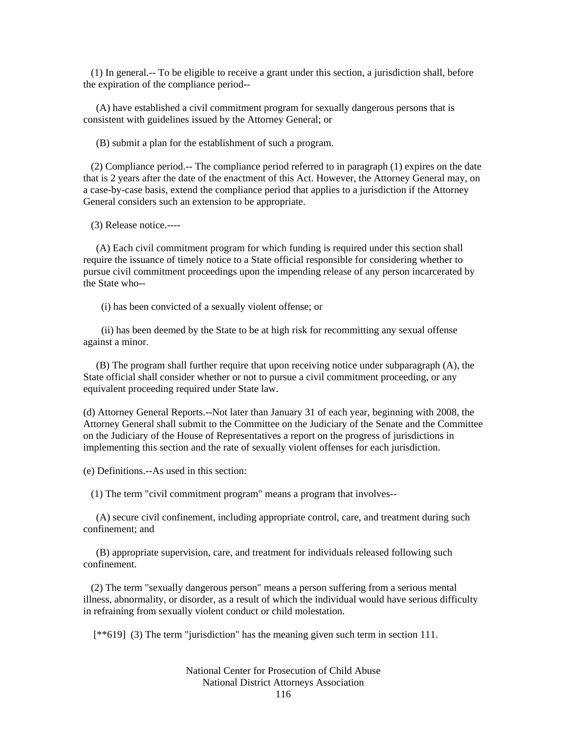(1) In general.-- To be eligible to receive a grant under this section, a jurisdiction shall, before the expiration of the compliance period--

 (A) have established a civil commitment program for sexually dangerous persons that is consistent with guidelines issued by the Attorney General; or

(B) submit a plan for the establishment of such a program.

 (2) Compliance period.-- The compliance period referred to in paragraph (1) expires on the date that is 2 years after the date of the enactment of this Act. However, the Attorney General may, on a case-by-case basis, extend the compliance period that applies to a jurisdiction if the Attorney General considers such an extension to be appropriate.

(3) Release notice.----

 (A) Each civil commitment program for which funding is required under this section shall require the issuance of timely notice to a State official responsible for considering whether to pursue civil commitment proceedings upon the impending release of any person incarcerated by the State who--

(i) has been convicted of a sexually violent offense; or

 (ii) has been deemed by the State to be at high risk for recommitting any sexual offense against a minor.

 (B) The program shall further require that upon receiving notice under subparagraph (A), the State official shall consider whether or not to pursue a civil commitment proceeding, or any equivalent proceeding required under State law.

(d) Attorney General Reports.--Not later than January 31 of each year, beginning with 2008, the Attorney General shall submit to the Committee on the Judiciary of the Senate and the Committee on the Judiciary of the House of Representatives a report on the progress of jurisdictions in implementing this section and the rate of sexually violent offenses for each jurisdiction.

(e) Definitions.--As used in this section:

(1) The term "civil commitment program" means a program that involves--

 (A) secure civil confinement, including appropriate control, care, and treatment during such confinement; and

 (B) appropriate supervision, care, and treatment for individuals released following such confinement.

 (2) The term "sexually dangerous person" means a person suffering from a serious mental illness, abnormality, or disorder, as a result of which the individual would have serious difficulty in refraining from sexually violent conduct or child molestation.

[\*\*619] (3) The term "jurisdiction" has the meaning given such term in section 111.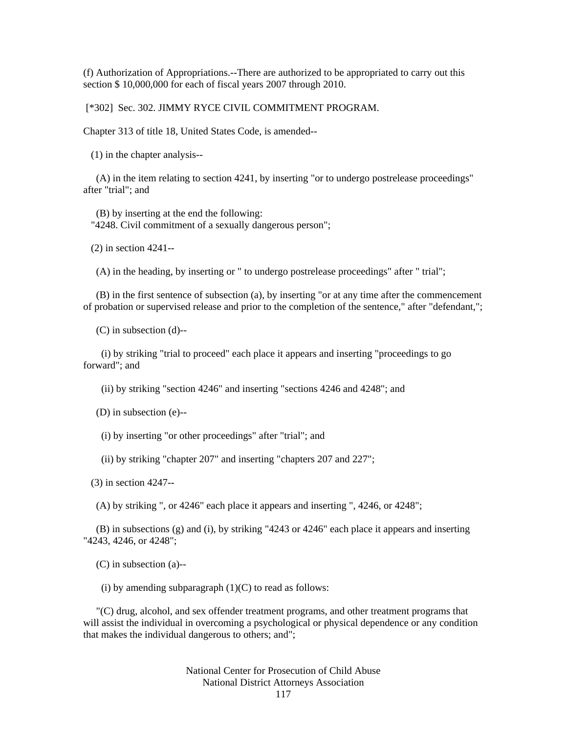(f) Authorization of Appropriations.--There are authorized to be appropriated to carry out this section \$ 10,000,000 for each of fiscal years 2007 through 2010.

[\*302] Sec. 302. JIMMY RYCE CIVIL COMMITMENT PROGRAM.

Chapter 313 of title 18, United States Code, is amended--

(1) in the chapter analysis--

 (A) in the item relating to section 4241, by inserting "or to undergo postrelease proceedings" after "trial"; and

 (B) by inserting at the end the following: "4248. Civil commitment of a sexually dangerous person";

(2) in section 4241--

(A) in the heading, by inserting or " to undergo postrelease proceedings" after " trial";

 (B) in the first sentence of subsection (a), by inserting "or at any time after the commencement of probation or supervised release and prior to the completion of the sentence," after "defendant,";

(C) in subsection (d)--

 (i) by striking "trial to proceed" each place it appears and inserting "proceedings to go forward"; and

(ii) by striking "section 4246" and inserting "sections 4246 and 4248"; and

(D) in subsection (e)--

(i) by inserting "or other proceedings" after "trial"; and

(ii) by striking "chapter 207" and inserting "chapters 207 and 227";

(3) in section 4247--

(A) by striking ", or 4246" each place it appears and inserting ", 4246, or 4248";

 (B) in subsections (g) and (i), by striking "4243 or 4246" each place it appears and inserting "4243, 4246, or 4248";

(C) in subsection (a)--

(i) by amending subparagraph  $(1)(C)$  to read as follows:

 "(C) drug, alcohol, and sex offender treatment programs, and other treatment programs that will assist the individual in overcoming a psychological or physical dependence or any condition that makes the individual dangerous to others; and";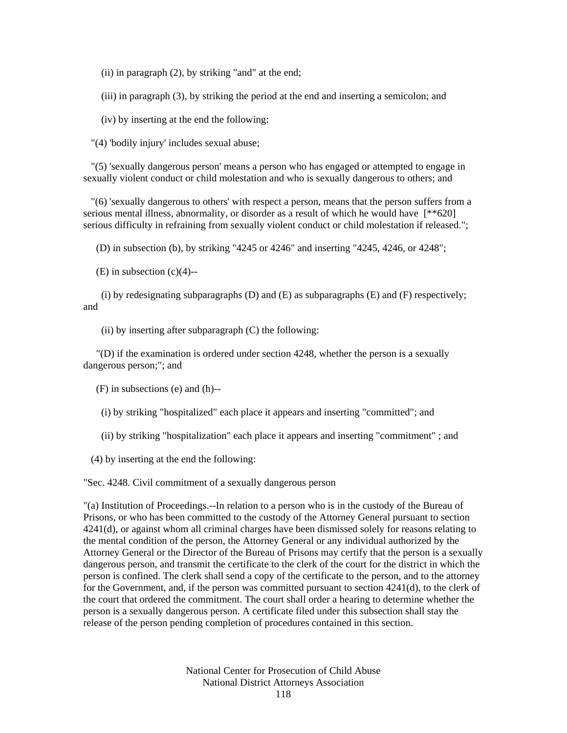(ii) in paragraph (2), by striking "and" at the end;

(iii) in paragraph (3), by striking the period at the end and inserting a semicolon; and

(iv) by inserting at the end the following:

"(4) 'bodily injury' includes sexual abuse;

 "(5) 'sexually dangerous person' means a person who has engaged or attempted to engage in sexually violent conduct or child molestation and who is sexually dangerous to others; and

 "(6) 'sexually dangerous to others' with respect a person, means that the person suffers from a serious mental illness, abnormality, or disorder as a result of which he would have  $[***620]$ serious difficulty in refraining from sexually violent conduct or child molestation if released.";

(D) in subsection (b), by striking "4245 or 4246" and inserting "4245, 4246, or 4248";

 $(E)$  in subsection  $(c)(4)$ --

(i) by redesignating subparagraphs  $(D)$  and  $(E)$  as subparagraphs  $(E)$  and  $(F)$  respectively; and

(ii) by inserting after subparagraph (C) the following:

 "(D) if the examination is ordered under section 4248, whether the person is a sexually dangerous person;"; and

(F) in subsections (e) and (h)--

(i) by striking "hospitalized" each place it appears and inserting "committed"; and

(ii) by striking "hospitalization" each place it appears and inserting "commitment" ; and

(4) by inserting at the end the following:

"Sec. 4248. Civil commitment of a sexually dangerous person

"(a) Institution of Proceedings.--In relation to a person who is in the custody of the Bureau of Prisons, or who has been committed to the custody of the Attorney General pursuant to section 4241(d), or against whom all criminal charges have been dismissed solely for reasons relating to the mental condition of the person, the Attorney General or any individual authorized by the Attorney General or the Director of the Bureau of Prisons may certify that the person is a sexually dangerous person, and transmit the certificate to the clerk of the court for the district in which the person is confined. The clerk shall send a copy of the certificate to the person, and to the attorney for the Government, and, if the person was committed pursuant to section 4241(d), to the clerk of the court that ordered the commitment. The court shall order a hearing to determine whether the person is a sexually dangerous person. A certificate filed under this subsection shall stay the release of the person pending completion of procedures contained in this section.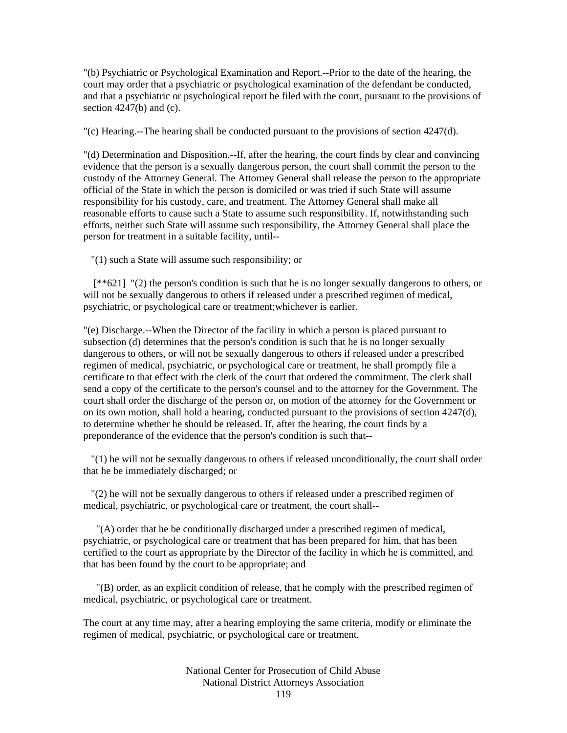"(b) Psychiatric or Psychological Examination and Report.--Prior to the date of the hearing, the court may order that a psychiatric or psychological examination of the defendant be conducted, and that a psychiatric or psychological report be filed with the court, pursuant to the provisions of section  $4247(b)$  and (c).

"(c) Hearing.--The hearing shall be conducted pursuant to the provisions of section 4247(d).

"(d) Determination and Disposition.--If, after the hearing, the court finds by clear and convincing evidence that the person is a sexually dangerous person, the court shall commit the person to the custody of the Attorney General. The Attorney General shall release the person to the appropriate official of the State in which the person is domiciled or was tried if such State will assume responsibility for his custody, care, and treatment. The Attorney General shall make all reasonable efforts to cause such a State to assume such responsibility. If, notwithstanding such efforts, neither such State will assume such responsibility, the Attorney General shall place the person for treatment in a suitable facility, until--

"(1) such a State will assume such responsibility; or

 [\*\*621] "(2) the person's condition is such that he is no longer sexually dangerous to others, or will not be sexually dangerous to others if released under a prescribed regimen of medical, psychiatric, or psychological care or treatment;whichever is earlier.

"(e) Discharge.--When the Director of the facility in which a person is placed pursuant to subsection (d) determines that the person's condition is such that he is no longer sexually dangerous to others, or will not be sexually dangerous to others if released under a prescribed regimen of medical, psychiatric, or psychological care or treatment, he shall promptly file a certificate to that effect with the clerk of the court that ordered the commitment. The clerk shall send a copy of the certificate to the person's counsel and to the attorney for the Government. The court shall order the discharge of the person or, on motion of the attorney for the Government or on its own motion, shall hold a hearing, conducted pursuant to the provisions of section 4247(d), to determine whether he should be released. If, after the hearing, the court finds by a preponderance of the evidence that the person's condition is such that--

 "(1) he will not be sexually dangerous to others if released unconditionally, the court shall order that he be immediately discharged; or

 "(2) he will not be sexually dangerous to others if released under a prescribed regimen of medical, psychiatric, or psychological care or treatment, the court shall--

 "(A) order that he be conditionally discharged under a prescribed regimen of medical, psychiatric, or psychological care or treatment that has been prepared for him, that has been certified to the court as appropriate by the Director of the facility in which he is committed, and that has been found by the court to be appropriate; and

 "(B) order, as an explicit condition of release, that he comply with the prescribed regimen of medical, psychiatric, or psychological care or treatment.

The court at any time may, after a hearing employing the same criteria, modify or eliminate the regimen of medical, psychiatric, or psychological care or treatment.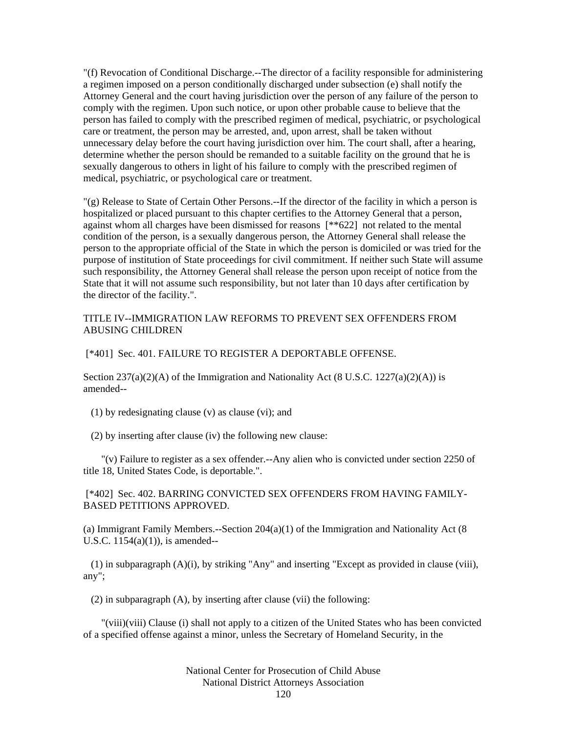"(f) Revocation of Conditional Discharge.--The director of a facility responsible for administering a regimen imposed on a person conditionally discharged under subsection (e) shall notify the Attorney General and the court having jurisdiction over the person of any failure of the person to comply with the regimen. Upon such notice, or upon other probable cause to believe that the person has failed to comply with the prescribed regimen of medical, psychiatric, or psychological care or treatment, the person may be arrested, and, upon arrest, shall be taken without unnecessary delay before the court having jurisdiction over him. The court shall, after a hearing, determine whether the person should be remanded to a suitable facility on the ground that he is sexually dangerous to others in light of his failure to comply with the prescribed regimen of medical, psychiatric, or psychological care or treatment.

"(g) Release to State of Certain Other Persons.--If the director of the facility in which a person is hospitalized or placed pursuant to this chapter certifies to the Attorney General that a person, against whom all charges have been dismissed for reasons  $[***622]$  not related to the mental condition of the person, is a sexually dangerous person, the Attorney General shall release the person to the appropriate official of the State in which the person is domiciled or was tried for the purpose of institution of State proceedings for civil commitment. If neither such State will assume such responsibility, the Attorney General shall release the person upon receipt of notice from the State that it will not assume such responsibility, but not later than 10 days after certification by the director of the facility.".

# TITLE IV--IMMIGRATION LAW REFORMS TO PREVENT SEX OFFENDERS FROM ABUSING CHILDREN

[\*401] Sec. 401. FAILURE TO REGISTER A DEPORTABLE OFFENSE.

Section  $237(a)(2)(A)$  of the Immigration and Nationality Act (8 U.S.C. 1227(a)(2)(A)) is amended--

(1) by redesignating clause (v) as clause (vi); and

(2) by inserting after clause (iv) the following new clause:

 "(v) Failure to register as a sex offender.--Any alien who is convicted under section 2250 of title 18, United States Code, is deportable.".

 [\*402] Sec. 402. BARRING CONVICTED SEX OFFENDERS FROM HAVING FAMILY-BASED PETITIONS APPROVED.

(a) Immigrant Family Members.--Section 204(a)(1) of the Immigration and Nationality Act (8 U.S.C. 1154(a)(1)), is amended--

 (1) in subparagraph (A)(i), by striking "Any" and inserting "Except as provided in clause (viii), any";

(2) in subparagraph (A), by inserting after clause (vii) the following:

 "(viii)(viii) Clause (i) shall not apply to a citizen of the United States who has been convicted of a specified offense against a minor, unless the Secretary of Homeland Security, in the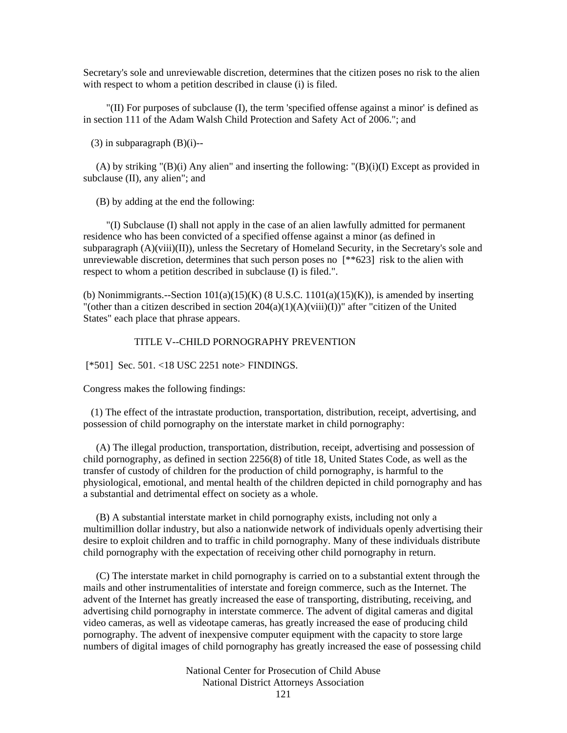Secretary's sole and unreviewable discretion, determines that the citizen poses no risk to the alien with respect to whom a petition described in clause (i) is filed.

 "(II) For purposes of subclause (I), the term 'specified offense against a minor' is defined as in section 111 of the Adam Walsh Child Protection and Safety Act of 2006."; and

 $(3)$  in subparagraph  $(B)(i)$ --

 (A) by striking "(B)(i) Any alien" and inserting the following: "(B)(i)(I) Except as provided in subclause (II), any alien"; and

(B) by adding at the end the following:

 "(I) Subclause (I) shall not apply in the case of an alien lawfully admitted for permanent residence who has been convicted of a specified offense against a minor (as defined in subparagraph (A)(viii)(II)), unless the Secretary of Homeland Security, in the Secretary's sole and unreviewable discretion, determines that such person poses no [\*\*623] risk to the alien with respect to whom a petition described in subclause (I) is filed.".

(b) Nonimmigrants.--Section  $101(a)(15)(K)$  (8 U.S.C.  $1101(a)(15)(K)$ ), is amended by inserting "(other than a citizen described in section  $204(a)(1)(A)(viii)(I)$ " after "citizen of the United" States" each place that phrase appears.

# TITLE V--CHILD PORNOGRAPHY PREVENTION

[\*501] Sec. 501. <18 USC 2251 note> FINDINGS.

Congress makes the following findings:

 (1) The effect of the intrastate production, transportation, distribution, receipt, advertising, and possession of child pornography on the interstate market in child pornography:

 (A) The illegal production, transportation, distribution, receipt, advertising and possession of child pornography, as defined in section 2256(8) of title 18, United States Code, as well as the transfer of custody of children for the production of child pornography, is harmful to the physiological, emotional, and mental health of the children depicted in child pornography and has a substantial and detrimental effect on society as a whole.

 (B) A substantial interstate market in child pornography exists, including not only a multimillion dollar industry, but also a nationwide network of individuals openly advertising their desire to exploit children and to traffic in child pornography. Many of these individuals distribute child pornography with the expectation of receiving other child pornography in return.

 (C) The interstate market in child pornography is carried on to a substantial extent through the mails and other instrumentalities of interstate and foreign commerce, such as the Internet. The advent of the Internet has greatly increased the ease of transporting, distributing, receiving, and advertising child pornography in interstate commerce. The advent of digital cameras and digital video cameras, as well as videotape cameras, has greatly increased the ease of producing child pornography. The advent of inexpensive computer equipment with the capacity to store large numbers of digital images of child pornography has greatly increased the ease of possessing child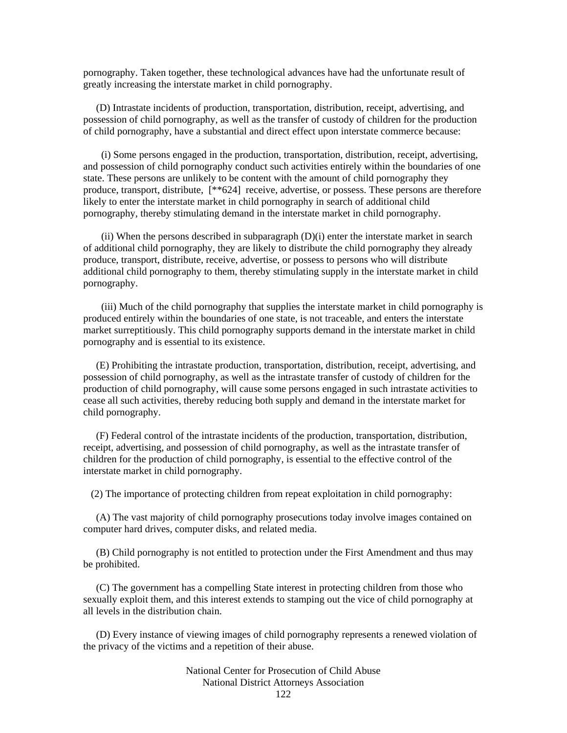pornography. Taken together, these technological advances have had the unfortunate result of greatly increasing the interstate market in child pornography.

 (D) Intrastate incidents of production, transportation, distribution, receipt, advertising, and possession of child pornography, as well as the transfer of custody of children for the production of child pornography, have a substantial and direct effect upon interstate commerce because:

 (i) Some persons engaged in the production, transportation, distribution, receipt, advertising, and possession of child pornography conduct such activities entirely within the boundaries of one state. These persons are unlikely to be content with the amount of child pornography they produce, transport, distribute, [\*\*624] receive, advertise, or possess. These persons are therefore likely to enter the interstate market in child pornography in search of additional child pornography, thereby stimulating demand in the interstate market in child pornography.

(ii) When the persons described in subparagraph  $(D)(i)$  enter the interstate market in search of additional child pornography, they are likely to distribute the child pornography they already produce, transport, distribute, receive, advertise, or possess to persons who will distribute additional child pornography to them, thereby stimulating supply in the interstate market in child pornography.

 (iii) Much of the child pornography that supplies the interstate market in child pornography is produced entirely within the boundaries of one state, is not traceable, and enters the interstate market surreptitiously. This child pornography supports demand in the interstate market in child pornography and is essential to its existence.

 (E) Prohibiting the intrastate production, transportation, distribution, receipt, advertising, and possession of child pornography, as well as the intrastate transfer of custody of children for the production of child pornography, will cause some persons engaged in such intrastate activities to cease all such activities, thereby reducing both supply and demand in the interstate market for child pornography.

 (F) Federal control of the intrastate incidents of the production, transportation, distribution, receipt, advertising, and possession of child pornography, as well as the intrastate transfer of children for the production of child pornography, is essential to the effective control of the interstate market in child pornography.

(2) The importance of protecting children from repeat exploitation in child pornography:

 (A) The vast majority of child pornography prosecutions today involve images contained on computer hard drives, computer disks, and related media.

 (B) Child pornography is not entitled to protection under the First Amendment and thus may be prohibited.

 (C) The government has a compelling State interest in protecting children from those who sexually exploit them, and this interest extends to stamping out the vice of child pornography at all levels in the distribution chain.

 (D) Every instance of viewing images of child pornography represents a renewed violation of the privacy of the victims and a repetition of their abuse.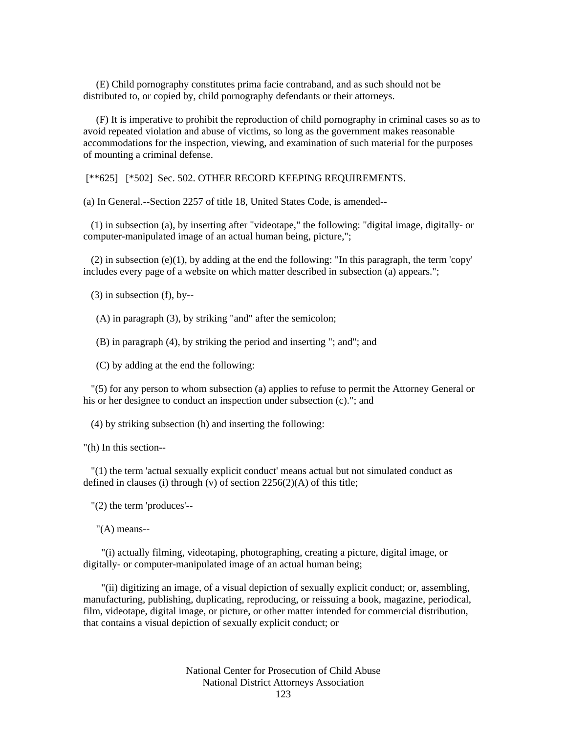(E) Child pornography constitutes prima facie contraband, and as such should not be distributed to, or copied by, child pornography defendants or their attorneys.

 (F) It is imperative to prohibit the reproduction of child pornography in criminal cases so as to avoid repeated violation and abuse of victims, so long as the government makes reasonable accommodations for the inspection, viewing, and examination of such material for the purposes of mounting a criminal defense.

[\*\*625] [\*502] Sec. 502. OTHER RECORD KEEPING REQUIREMENTS.

(a) In General.--Section 2257 of title 18, United States Code, is amended--

 (1) in subsection (a), by inserting after "videotape," the following: "digital image, digitally- or computer-manipulated image of an actual human being, picture,";

 (2) in subsection (e)(1), by adding at the end the following: "In this paragraph, the term 'copy' includes every page of a website on which matter described in subsection (a) appears.";

 $(3)$  in subsection  $(f)$ , by--

(A) in paragraph (3), by striking "and" after the semicolon;

(B) in paragraph (4), by striking the period and inserting "; and"; and

(C) by adding at the end the following:

 "(5) for any person to whom subsection (a) applies to refuse to permit the Attorney General or his or her designee to conduct an inspection under subsection (c)."; and

(4) by striking subsection (h) and inserting the following:

"(h) In this section--

 "(1) the term 'actual sexually explicit conduct' means actual but not simulated conduct as defined in clauses (i) through (v) of section  $2256(2)(A)$  of this title;

"(2) the term 'produces'--

"(A) means--

 "(i) actually filming, videotaping, photographing, creating a picture, digital image, or digitally- or computer-manipulated image of an actual human being;

 "(ii) digitizing an image, of a visual depiction of sexually explicit conduct; or, assembling, manufacturing, publishing, duplicating, reproducing, or reissuing a book, magazine, periodical, film, videotape, digital image, or picture, or other matter intended for commercial distribution, that contains a visual depiction of sexually explicit conduct; or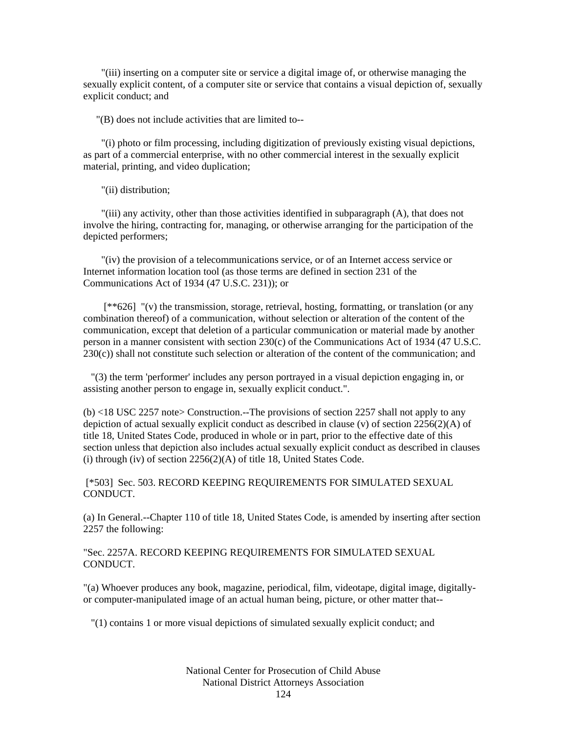"(iii) inserting on a computer site or service a digital image of, or otherwise managing the sexually explicit content, of a computer site or service that contains a visual depiction of, sexually explicit conduct; and

"(B) does not include activities that are limited to--

 "(i) photo or film processing, including digitization of previously existing visual depictions, as part of a commercial enterprise, with no other commercial interest in the sexually explicit material, printing, and video duplication;

"(ii) distribution;

 "(iii) any activity, other than those activities identified in subparagraph (A), that does not involve the hiring, contracting for, managing, or otherwise arranging for the participation of the depicted performers;

 "(iv) the provision of a telecommunications service, or of an Internet access service or Internet information location tool (as those terms are defined in section 231 of the Communications Act of 1934 (47 U.S.C. 231)); or

 [\*\*626] "(v) the transmission, storage, retrieval, hosting, formatting, or translation (or any combination thereof) of a communication, without selection or alteration of the content of the communication, except that deletion of a particular communication or material made by another person in a manner consistent with section 230(c) of the Communications Act of 1934 (47 U.S.C. 230(c)) shall not constitute such selection or alteration of the content of the communication; and

 "(3) the term 'performer' includes any person portrayed in a visual depiction engaging in, or assisting another person to engage in, sexually explicit conduct.".

 $(b)$  <18 USC 2257 note> Construction.--The provisions of section 2257 shall not apply to any depiction of actual sexually explicit conduct as described in clause (v) of section  $2256(2)(A)$  of title 18, United States Code, produced in whole or in part, prior to the effective date of this section unless that depiction also includes actual sexually explicit conduct as described in clauses (i) through (iv) of section  $2256(2)(A)$  of title 18, United States Code.

 [\*503] Sec. 503. RECORD KEEPING REQUIREMENTS FOR SIMULATED SEXUAL CONDUCT.

(a) In General.--Chapter 110 of title 18, United States Code, is amended by inserting after section 2257 the following:

"Sec. 2257A. RECORD KEEPING REQUIREMENTS FOR SIMULATED SEXUAL CONDUCT.

"(a) Whoever produces any book, magazine, periodical, film, videotape, digital image, digitallyor computer-manipulated image of an actual human being, picture, or other matter that--

"(1) contains 1 or more visual depictions of simulated sexually explicit conduct; and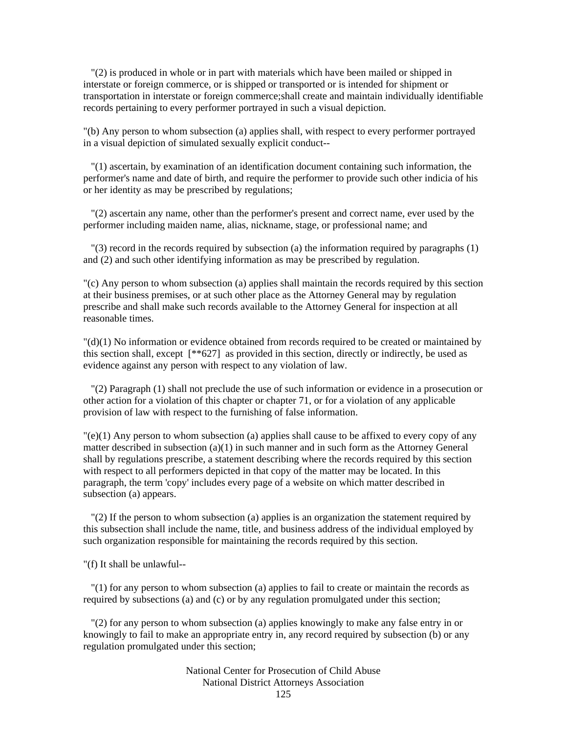"(2) is produced in whole or in part with materials which have been mailed or shipped in interstate or foreign commerce, or is shipped or transported or is intended for shipment or transportation in interstate or foreign commerce;shall create and maintain individually identifiable records pertaining to every performer portrayed in such a visual depiction.

"(b) Any person to whom subsection (a) applies shall, with respect to every performer portrayed in a visual depiction of simulated sexually explicit conduct--

 "(1) ascertain, by examination of an identification document containing such information, the performer's name and date of birth, and require the performer to provide such other indicia of his or her identity as may be prescribed by regulations;

 "(2) ascertain any name, other than the performer's present and correct name, ever used by the performer including maiden name, alias, nickname, stage, or professional name; and

 "(3) record in the records required by subsection (a) the information required by paragraphs (1) and (2) and such other identifying information as may be prescribed by regulation.

"(c) Any person to whom subsection (a) applies shall maintain the records required by this section at their business premises, or at such other place as the Attorney General may by regulation prescribe and shall make such records available to the Attorney General for inspection at all reasonable times.

"(d)(1) No information or evidence obtained from records required to be created or maintained by this section shall, except [\*\*627] as provided in this section, directly or indirectly, be used as evidence against any person with respect to any violation of law.

 "(2) Paragraph (1) shall not preclude the use of such information or evidence in a prosecution or other action for a violation of this chapter or chapter 71, or for a violation of any applicable provision of law with respect to the furnishing of false information.

 $\Gamma$ (e)(1) Any person to whom subsection (a) applies shall cause to be affixed to every copy of any matter described in subsection (a)(1) in such manner and in such form as the Attorney General shall by regulations prescribe, a statement describing where the records required by this section with respect to all performers depicted in that copy of the matter may be located. In this paragraph, the term 'copy' includes every page of a website on which matter described in subsection (a) appears.

 "(2) If the person to whom subsection (a) applies is an organization the statement required by this subsection shall include the name, title, and business address of the individual employed by such organization responsible for maintaining the records required by this section.

"(f) It shall be unlawful--

 "(1) for any person to whom subsection (a) applies to fail to create or maintain the records as required by subsections (a) and (c) or by any regulation promulgated under this section;

 "(2) for any person to whom subsection (a) applies knowingly to make any false entry in or knowingly to fail to make an appropriate entry in, any record required by subsection (b) or any regulation promulgated under this section;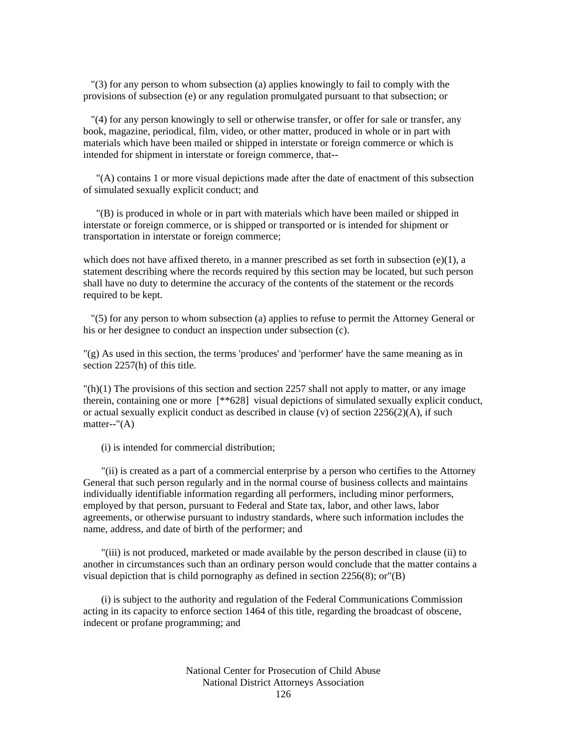"(3) for any person to whom subsection (a) applies knowingly to fail to comply with the provisions of subsection (e) or any regulation promulgated pursuant to that subsection; or

 "(4) for any person knowingly to sell or otherwise transfer, or offer for sale or transfer, any book, magazine, periodical, film, video, or other matter, produced in whole or in part with materials which have been mailed or shipped in interstate or foreign commerce or which is intended for shipment in interstate or foreign commerce, that--

 "(A) contains 1 or more visual depictions made after the date of enactment of this subsection of simulated sexually explicit conduct; and

 "(B) is produced in whole or in part with materials which have been mailed or shipped in interstate or foreign commerce, or is shipped or transported or is intended for shipment or transportation in interstate or foreign commerce;

which does not have affixed thereto, in a manner prescribed as set forth in subsection (e)(1), a statement describing where the records required by this section may be located, but such person shall have no duty to determine the accuracy of the contents of the statement or the records required to be kept.

 "(5) for any person to whom subsection (a) applies to refuse to permit the Attorney General or his or her designee to conduct an inspection under subsection (c).

"(g) As used in this section, the terms 'produces' and 'performer' have the same meaning as in section 2257(h) of this title.

 $\Gamma(h)(1)$  The provisions of this section and section 2257 shall not apply to matter, or any image therein, containing one or more [\*\*628] visual depictions of simulated sexually explicit conduct, or actual sexually explicit conduct as described in clause (v) of section 2256(2)(A), if such matter--" $(A)$ 

(i) is intended for commercial distribution;

 "(ii) is created as a part of a commercial enterprise by a person who certifies to the Attorney General that such person regularly and in the normal course of business collects and maintains individually identifiable information regarding all performers, including minor performers, employed by that person, pursuant to Federal and State tax, labor, and other laws, labor agreements, or otherwise pursuant to industry standards, where such information includes the name, address, and date of birth of the performer; and

 "(iii) is not produced, marketed or made available by the person described in clause (ii) to another in circumstances such than an ordinary person would conclude that the matter contains a visual depiction that is child pornography as defined in section 2256(8); or"(B)

 (i) is subject to the authority and regulation of the Federal Communications Commission acting in its capacity to enforce section 1464 of this title, regarding the broadcast of obscene, indecent or profane programming; and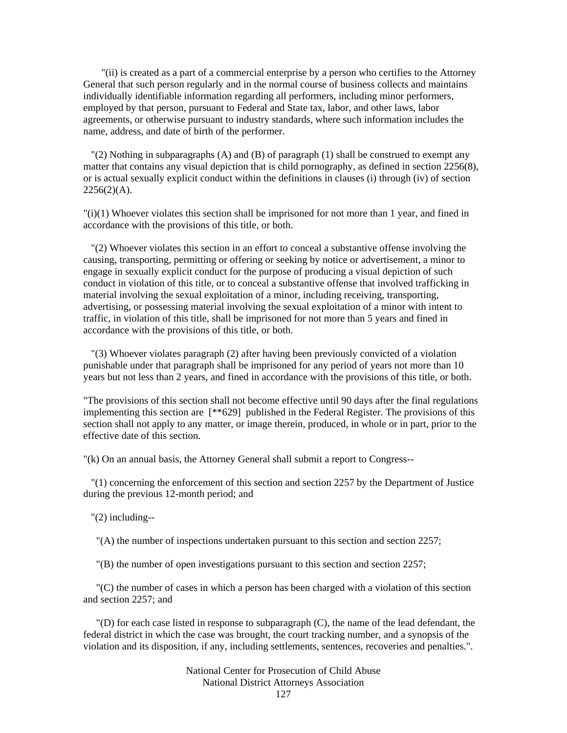"(ii) is created as a part of a commercial enterprise by a person who certifies to the Attorney General that such person regularly and in the normal course of business collects and maintains individually identifiable information regarding all performers, including minor performers, employed by that person, pursuant to Federal and State tax, labor, and other laws, labor agreements, or otherwise pursuant to industry standards, where such information includes the name, address, and date of birth of the performer.

 $\Gamma(2)$  Nothing in subparagraphs (A) and (B) of paragraph (1) shall be construed to exempt any matter that contains any visual depiction that is child pornography, as defined in section 2256(8), or is actual sexually explicit conduct within the definitions in clauses (i) through (iv) of section  $2256(2)(A)$ .

"(i)(1) Whoever violates this section shall be imprisoned for not more than 1 year, and fined in accordance with the provisions of this title, or both.

 "(2) Whoever violates this section in an effort to conceal a substantive offense involving the causing, transporting, permitting or offering or seeking by notice or advertisement, a minor to engage in sexually explicit conduct for the purpose of producing a visual depiction of such conduct in violation of this title, or to conceal a substantive offense that involved trafficking in material involving the sexual exploitation of a minor, including receiving, transporting, advertising, or possessing material involving the sexual exploitation of a minor with intent to traffic, in violation of this title, shall be imprisoned for not more than 5 years and fined in accordance with the provisions of this title, or both.

 "(3) Whoever violates paragraph (2) after having been previously convicted of a violation punishable under that paragraph shall be imprisoned for any period of years not more than 10 years but not less than 2 years, and fined in accordance with the provisions of this title, or both.

"The provisions of this section shall not become effective until 90 days after the final regulations implementing this section are [\*\*629] published in the Federal Register. The provisions of this section shall not apply to any matter, or image therein, produced, in whole or in part, prior to the effective date of this section.

"(k) On an annual basis, the Attorney General shall submit a report to Congress--

 "(1) concerning the enforcement of this section and section 2257 by the Department of Justice during the previous 12-month period; and

"(2) including--

"(A) the number of inspections undertaken pursuant to this section and section 2257;

"(B) the number of open investigations pursuant to this section and section 2257;

 "(C) the number of cases in which a person has been charged with a violation of this section and section 2257; and

 "(D) for each case listed in response to subparagraph (C), the name of the lead defendant, the federal district in which the case was brought, the court tracking number, and a synopsis of the violation and its disposition, if any, including settlements, sentences, recoveries and penalties.".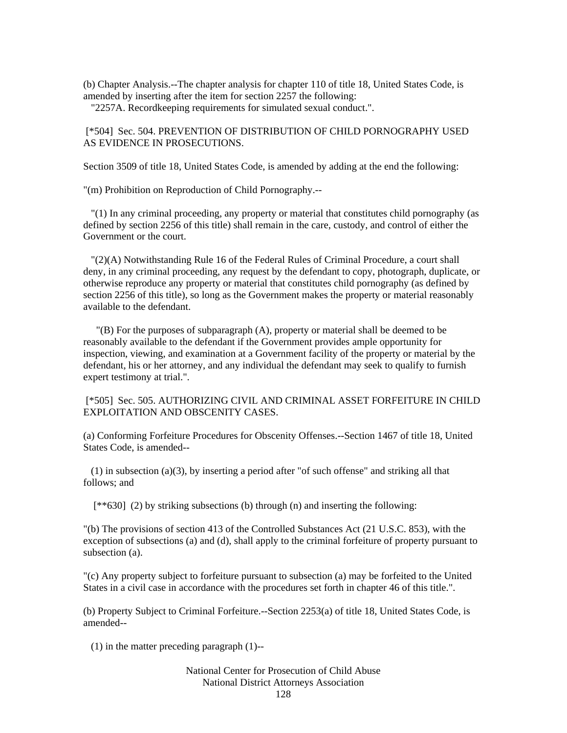(b) Chapter Analysis.--The chapter analysis for chapter 110 of title 18, United States Code, is amended by inserting after the item for section 2257 the following:

"2257A. Recordkeeping requirements for simulated sexual conduct.".

 [\*504] Sec. 504. PREVENTION OF DISTRIBUTION OF CHILD PORNOGRAPHY USED AS EVIDENCE IN PROSECUTIONS.

Section 3509 of title 18, United States Code, is amended by adding at the end the following:

"(m) Prohibition on Reproduction of Child Pornography.--

 "(1) In any criminal proceeding, any property or material that constitutes child pornography (as defined by section 2256 of this title) shall remain in the care, custody, and control of either the Government or the court.

 "(2)(A) Notwithstanding Rule 16 of the Federal Rules of Criminal Procedure, a court shall deny, in any criminal proceeding, any request by the defendant to copy, photograph, duplicate, or otherwise reproduce any property or material that constitutes child pornography (as defined by section 2256 of this title), so long as the Government makes the property or material reasonably available to the defendant.

 "(B) For the purposes of subparagraph (A), property or material shall be deemed to be reasonably available to the defendant if the Government provides ample opportunity for inspection, viewing, and examination at a Government facility of the property or material by the defendant, his or her attorney, and any individual the defendant may seek to qualify to furnish expert testimony at trial.".

 [\*505] Sec. 505. AUTHORIZING CIVIL AND CRIMINAL ASSET FORFEITURE IN CHILD EXPLOITATION AND OBSCENITY CASES.

(a) Conforming Forfeiture Procedures for Obscenity Offenses.--Section 1467 of title 18, United States Code, is amended--

 $(1)$  in subsection  $(a)(3)$ , by inserting a period after "of such offense" and striking all that follows; and

[\*\*630] (2) by striking subsections (b) through (n) and inserting the following:

"(b) The provisions of section 413 of the Controlled Substances Act (21 U.S.C. 853), with the exception of subsections (a) and (d), shall apply to the criminal forfeiture of property pursuant to subsection (a).

"(c) Any property subject to forfeiture pursuant to subsection (a) may be forfeited to the United States in a civil case in accordance with the procedures set forth in chapter 46 of this title.".

(b) Property Subject to Criminal Forfeiture.--Section 2253(a) of title 18, United States Code, is amended--

(1) in the matter preceding paragraph (1)--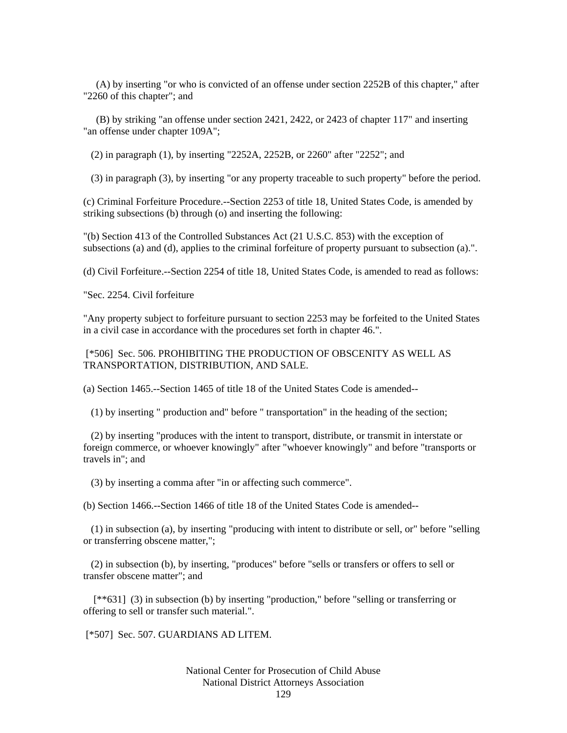(A) by inserting "or who is convicted of an offense under section 2252B of this chapter," after "2260 of this chapter"; and

 (B) by striking "an offense under section 2421, 2422, or 2423 of chapter 117" and inserting "an offense under chapter 109A";

(2) in paragraph (1), by inserting "2252A, 2252B, or 2260" after "2252"; and

(3) in paragraph (3), by inserting "or any property traceable to such property" before the period.

(c) Criminal Forfeiture Procedure.--Section 2253 of title 18, United States Code, is amended by striking subsections (b) through (o) and inserting the following:

"(b) Section 413 of the Controlled Substances Act (21 U.S.C. 853) with the exception of subsections (a) and (d), applies to the criminal forfeiture of property pursuant to subsection (a).".

(d) Civil Forfeiture.--Section 2254 of title 18, United States Code, is amended to read as follows:

"Sec. 2254. Civil forfeiture

"Any property subject to forfeiture pursuant to section 2253 may be forfeited to the United States in a civil case in accordance with the procedures set forth in chapter 46.".

 [\*506] Sec. 506. PROHIBITING THE PRODUCTION OF OBSCENITY AS WELL AS TRANSPORTATION, DISTRIBUTION, AND SALE.

(a) Section 1465.--Section 1465 of title 18 of the United States Code is amended--

(1) by inserting " production and" before " transportation" in the heading of the section;

 (2) by inserting "produces with the intent to transport, distribute, or transmit in interstate or foreign commerce, or whoever knowingly" after "whoever knowingly" and before "transports or travels in"; and

(3) by inserting a comma after "in or affecting such commerce".

(b) Section 1466.--Section 1466 of title 18 of the United States Code is amended--

 (1) in subsection (a), by inserting "producing with intent to distribute or sell, or" before "selling or transferring obscene matter,";

 (2) in subsection (b), by inserting, "produces" before "sells or transfers or offers to sell or transfer obscene matter"; and

 [\*\*631] (3) in subsection (b) by inserting "production," before "selling or transferring or offering to sell or transfer such material.".

[\*507] Sec. 507. GUARDIANS AD LITEM.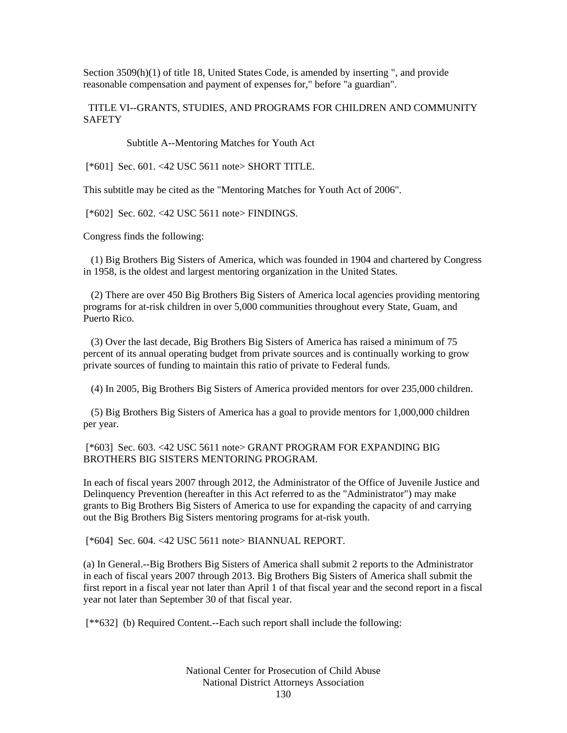Section 3509(h)(1) of title 18, United States Code, is amended by inserting ", and provide reasonable compensation and payment of expenses for," before "a guardian".

 TITLE VI--GRANTS, STUDIES, AND PROGRAMS FOR CHILDREN AND COMMUNITY **SAFETY** 

Subtitle A--Mentoring Matches for Youth Act

[\*601] Sec. 601. <42 USC 5611 note> SHORT TITLE.

This subtitle may be cited as the "Mentoring Matches for Youth Act of 2006".

[\*602] Sec. 602. <42 USC 5611 note> FINDINGS.

Congress finds the following:

 (1) Big Brothers Big Sisters of America, which was founded in 1904 and chartered by Congress in 1958, is the oldest and largest mentoring organization in the United States.

 (2) There are over 450 Big Brothers Big Sisters of America local agencies providing mentoring programs for at-risk children in over 5,000 communities throughout every State, Guam, and Puerto Rico.

 (3) Over the last decade, Big Brothers Big Sisters of America has raised a minimum of 75 percent of its annual operating budget from private sources and is continually working to grow private sources of funding to maintain this ratio of private to Federal funds.

(4) In 2005, Big Brothers Big Sisters of America provided mentors for over 235,000 children.

 (5) Big Brothers Big Sisters of America has a goal to provide mentors for 1,000,000 children per year.

 [\*603] Sec. 603. <42 USC 5611 note> GRANT PROGRAM FOR EXPANDING BIG BROTHERS BIG SISTERS MENTORING PROGRAM.

In each of fiscal years 2007 through 2012, the Administrator of the Office of Juvenile Justice and Delinquency Prevention (hereafter in this Act referred to as the "Administrator") may make grants to Big Brothers Big Sisters of America to use for expanding the capacity of and carrying out the Big Brothers Big Sisters mentoring programs for at-risk youth.

[\*604] Sec. 604. <42 USC 5611 note> BIANNUAL REPORT.

(a) In General.--Big Brothers Big Sisters of America shall submit 2 reports to the Administrator in each of fiscal years 2007 through 2013. Big Brothers Big Sisters of America shall submit the first report in a fiscal year not later than April 1 of that fiscal year and the second report in a fiscal year not later than September 30 of that fiscal year.

[\*\*632] (b) Required Content.--Each such report shall include the following: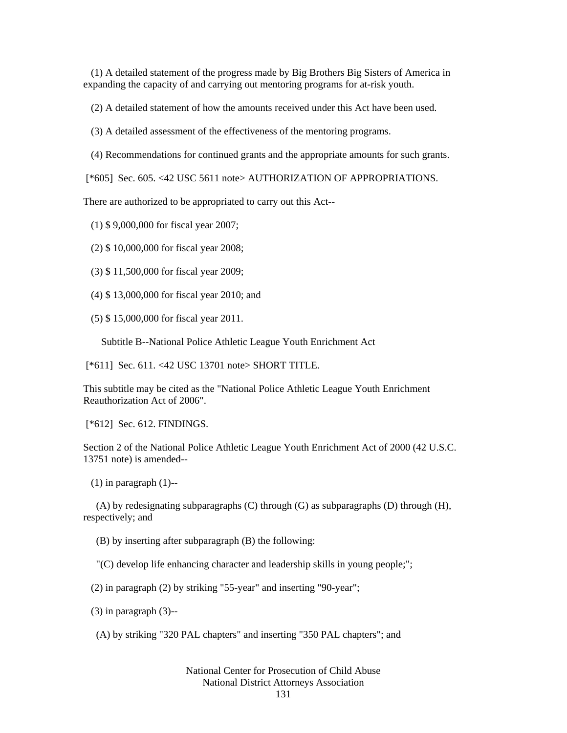(1) A detailed statement of the progress made by Big Brothers Big Sisters of America in expanding the capacity of and carrying out mentoring programs for at-risk youth.

(2) A detailed statement of how the amounts received under this Act have been used.

(3) A detailed assessment of the effectiveness of the mentoring programs.

(4) Recommendations for continued grants and the appropriate amounts for such grants.

[\*605] Sec. 605. <42 USC 5611 note> AUTHORIZATION OF APPROPRIATIONS.

There are authorized to be appropriated to carry out this Act--

(1) \$ 9,000,000 for fiscal year 2007;

(2) \$ 10,000,000 for fiscal year 2008;

(3) \$ 11,500,000 for fiscal year 2009;

(4) \$ 13,000,000 for fiscal year 2010; and

(5) \$ 15,000,000 for fiscal year 2011.

Subtitle B--National Police Athletic League Youth Enrichment Act

[\*611] Sec. 611. <42 USC 13701 note> SHORT TITLE.

This subtitle may be cited as the "National Police Athletic League Youth Enrichment Reauthorization Act of 2006".

[\*612] Sec. 612. FINDINGS.

Section 2 of the National Police Athletic League Youth Enrichment Act of 2000 (42 U.S.C. 13751 note) is amended--

 $(1)$  in paragraph  $(1)$ --

 (A) by redesignating subparagraphs (C) through (G) as subparagraphs (D) through (H), respectively; and

(B) by inserting after subparagraph (B) the following:

"(C) develop life enhancing character and leadership skills in young people;";

(2) in paragraph (2) by striking "55-year" and inserting "90-year";

 $(3)$  in paragraph  $(3)$ --

(A) by striking "320 PAL chapters" and inserting "350 PAL chapters"; and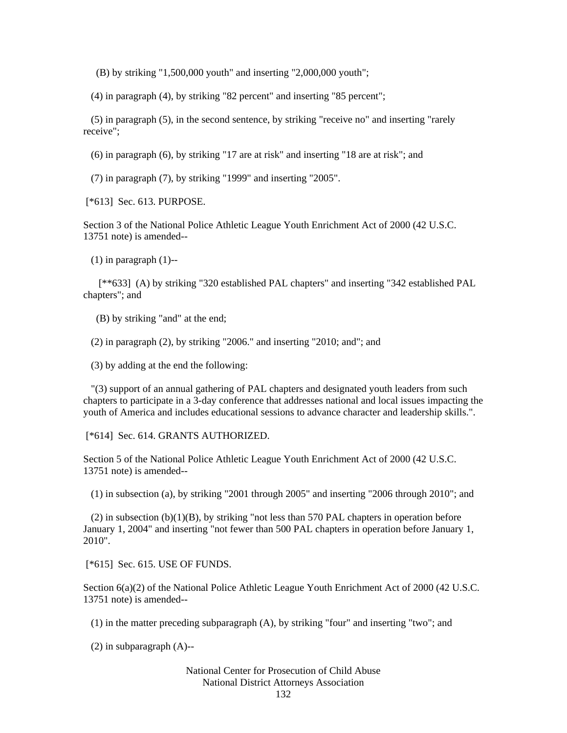(B) by striking "1,500,000 youth" and inserting "2,000,000 youth";

(4) in paragraph (4), by striking "82 percent" and inserting "85 percent";

 (5) in paragraph (5), in the second sentence, by striking "receive no" and inserting "rarely receive";

(6) in paragraph (6), by striking "17 are at risk" and inserting "18 are at risk"; and

(7) in paragraph (7), by striking "1999" and inserting "2005".

[\*613] Sec. 613. PURPOSE.

Section 3 of the National Police Athletic League Youth Enrichment Act of 2000 (42 U.S.C. 13751 note) is amended--

 $(1)$  in paragraph  $(1)$ --

 [\*\*633] (A) by striking "320 established PAL chapters" and inserting "342 established PAL chapters"; and

(B) by striking "and" at the end;

(2) in paragraph (2), by striking "2006." and inserting "2010; and"; and

(3) by adding at the end the following:

 "(3) support of an annual gathering of PAL chapters and designated youth leaders from such chapters to participate in a 3-day conference that addresses national and local issues impacting the youth of America and includes educational sessions to advance character and leadership skills.".

[\*614] Sec. 614. GRANTS AUTHORIZED.

Section 5 of the National Police Athletic League Youth Enrichment Act of 2000 (42 U.S.C. 13751 note) is amended--

(1) in subsection (a), by striking "2001 through 2005" and inserting "2006 through 2010"; and

 $(2)$  in subsection  $(b)(1)(B)$ , by striking "not less than 570 PAL chapters in operation before January 1, 2004" and inserting "not fewer than 500 PAL chapters in operation before January 1, 2010".

[\*615] Sec. 615. USE OF FUNDS.

Section 6(a)(2) of the National Police Athletic League Youth Enrichment Act of 2000 (42 U.S.C. 13751 note) is amended--

(1) in the matter preceding subparagraph (A), by striking "four" and inserting "two"; and

(2) in subparagraph (A)--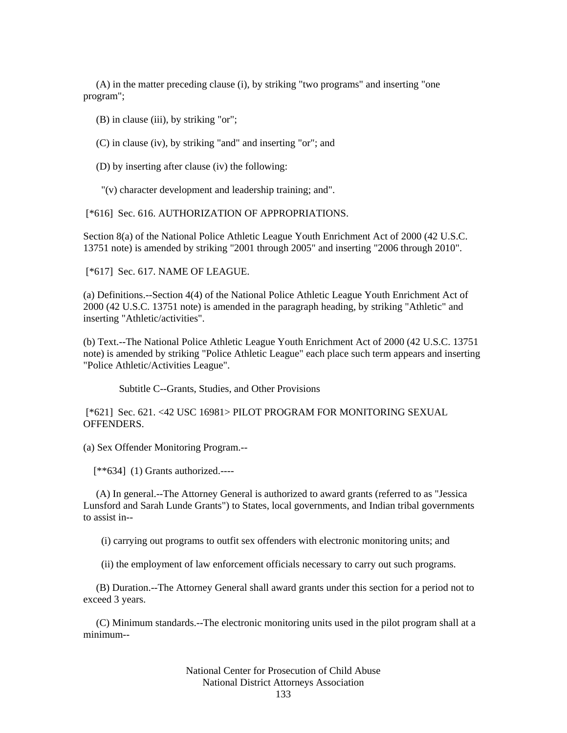(A) in the matter preceding clause (i), by striking "two programs" and inserting "one program";

- (B) in clause (iii), by striking "or";
- (C) in clause (iv), by striking "and" and inserting "or"; and
- (D) by inserting after clause (iv) the following:
- "(v) character development and leadership training; and".

[\*616] Sec. 616. AUTHORIZATION OF APPROPRIATIONS.

Section 8(a) of the National Police Athletic League Youth Enrichment Act of 2000 (42 U.S.C. 13751 note) is amended by striking "2001 through 2005" and inserting "2006 through 2010".

[\*617] Sec. 617. NAME OF LEAGUE.

(a) Definitions.--Section 4(4) of the National Police Athletic League Youth Enrichment Act of 2000 (42 U.S.C. 13751 note) is amended in the paragraph heading, by striking "Athletic" and inserting "Athletic/activities".

(b) Text.--The National Police Athletic League Youth Enrichment Act of 2000 (42 U.S.C. 13751 note) is amended by striking "Police Athletic League" each place such term appears and inserting "Police Athletic/Activities League".

Subtitle C--Grants, Studies, and Other Provisions

 [\*621] Sec. 621. <42 USC 16981> PILOT PROGRAM FOR MONITORING SEXUAL **OFFENDERS** 

(a) Sex Offender Monitoring Program.--

[\*\*634] (1) Grants authorized.----

 (A) In general.--The Attorney General is authorized to award grants (referred to as "Jessica Lunsford and Sarah Lunde Grants") to States, local governments, and Indian tribal governments to assist in--

(i) carrying out programs to outfit sex offenders with electronic monitoring units; and

(ii) the employment of law enforcement officials necessary to carry out such programs.

 (B) Duration.--The Attorney General shall award grants under this section for a period not to exceed 3 years.

 (C) Minimum standards.--The electronic monitoring units used in the pilot program shall at a minimum--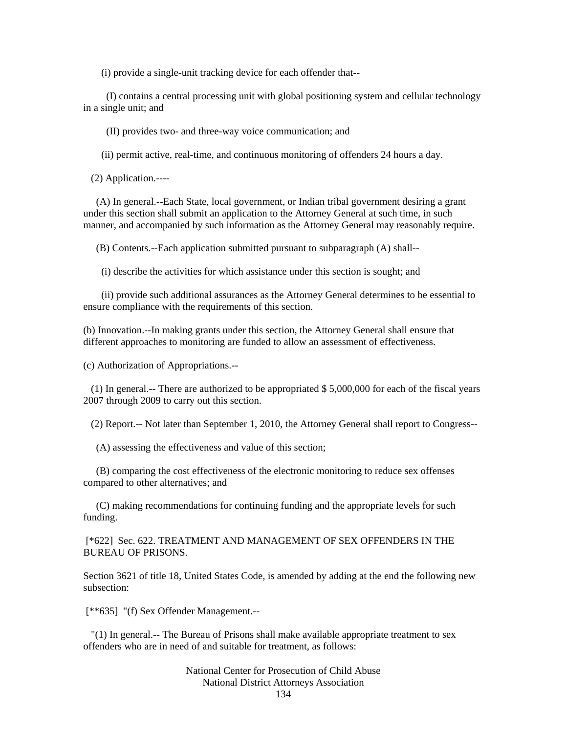(i) provide a single-unit tracking device for each offender that--

 (I) contains a central processing unit with global positioning system and cellular technology in a single unit; and

(II) provides two- and three-way voice communication; and

(ii) permit active, real-time, and continuous monitoring of offenders 24 hours a day.

(2) Application.----

 (A) In general.--Each State, local government, or Indian tribal government desiring a grant under this section shall submit an application to the Attorney General at such time, in such manner, and accompanied by such information as the Attorney General may reasonably require.

(B) Contents.--Each application submitted pursuant to subparagraph (A) shall--

(i) describe the activities for which assistance under this section is sought; and

 (ii) provide such additional assurances as the Attorney General determines to be essential to ensure compliance with the requirements of this section.

(b) Innovation.--In making grants under this section, the Attorney General shall ensure that different approaches to monitoring are funded to allow an assessment of effectiveness.

(c) Authorization of Appropriations.--

 (1) In general.-- There are authorized to be appropriated \$ 5,000,000 for each of the fiscal years 2007 through 2009 to carry out this section.

(2) Report.-- Not later than September 1, 2010, the Attorney General shall report to Congress--

(A) assessing the effectiveness and value of this section;

 (B) comparing the cost effectiveness of the electronic monitoring to reduce sex offenses compared to other alternatives; and

 (C) making recommendations for continuing funding and the appropriate levels for such funding.

 [\*622] Sec. 622. TREATMENT AND MANAGEMENT OF SEX OFFENDERS IN THE BUREAU OF PRISONS.

Section 3621 of title 18, United States Code, is amended by adding at the end the following new subsection:

[\*\*635] "(f) Sex Offender Management.--

 "(1) In general.-- The Bureau of Prisons shall make available appropriate treatment to sex offenders who are in need of and suitable for treatment, as follows: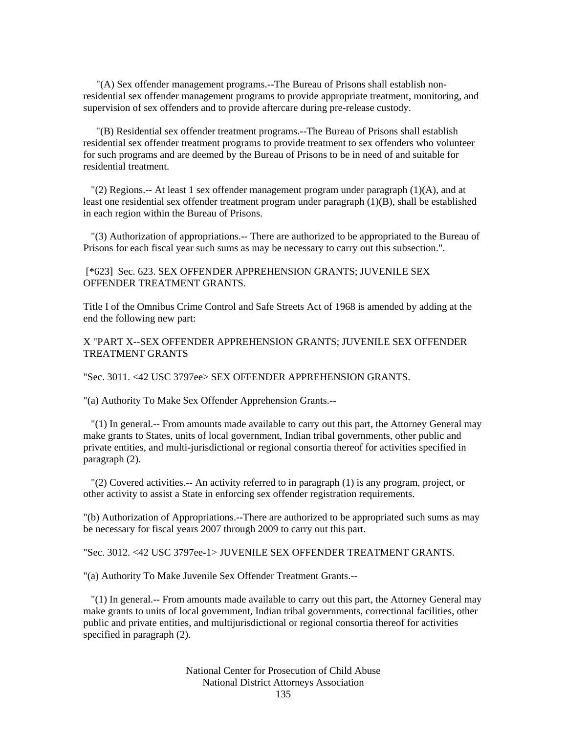"(A) Sex offender management programs.--The Bureau of Prisons shall establish nonresidential sex offender management programs to provide appropriate treatment, monitoring, and supervision of sex offenders and to provide aftercare during pre-release custody.

 "(B) Residential sex offender treatment programs.--The Bureau of Prisons shall establish residential sex offender treatment programs to provide treatment to sex offenders who volunteer for such programs and are deemed by the Bureau of Prisons to be in need of and suitable for residential treatment.

 $\Gamma(2)$  Regions.-- At least 1 sex offender management program under paragraph (1)(A), and at least one residential sex offender treatment program under paragraph (1)(B), shall be established in each region within the Bureau of Prisons.

 "(3) Authorization of appropriations.-- There are authorized to be appropriated to the Bureau of Prisons for each fiscal year such sums as may be necessary to carry out this subsection.".

# [\*623] Sec. 623. SEX OFFENDER APPREHENSION GRANTS; JUVENILE SEX OFFENDER TREATMENT GRANTS.

Title I of the Omnibus Crime Control and Safe Streets Act of 1968 is amended by adding at the end the following new part:

# X "PART X--SEX OFFENDER APPREHENSION GRANTS; JUVENILE SEX OFFENDER TREATMENT GRANTS

"Sec. 3011. <42 USC 3797ee> SEX OFFENDER APPREHENSION GRANTS.

"(a) Authority To Make Sex Offender Apprehension Grants.--

 "(1) In general.-- From amounts made available to carry out this part, the Attorney General may make grants to States, units of local government, Indian tribal governments, other public and private entities, and multi-jurisdictional or regional consortia thereof for activities specified in paragraph (2).

 "(2) Covered activities.-- An activity referred to in paragraph (1) is any program, project, or other activity to assist a State in enforcing sex offender registration requirements.

"(b) Authorization of Appropriations.--There are authorized to be appropriated such sums as may be necessary for fiscal years 2007 through 2009 to carry out this part.

"Sec. 3012. <42 USC 3797ee-1> JUVENILE SEX OFFENDER TREATMENT GRANTS.

"(a) Authority To Make Juvenile Sex Offender Treatment Grants.--

 "(1) In general.-- From amounts made available to carry out this part, the Attorney General may make grants to units of local government, Indian tribal governments, correctional facilities, other public and private entities, and multijurisdictional or regional consortia thereof for activities specified in paragraph (2).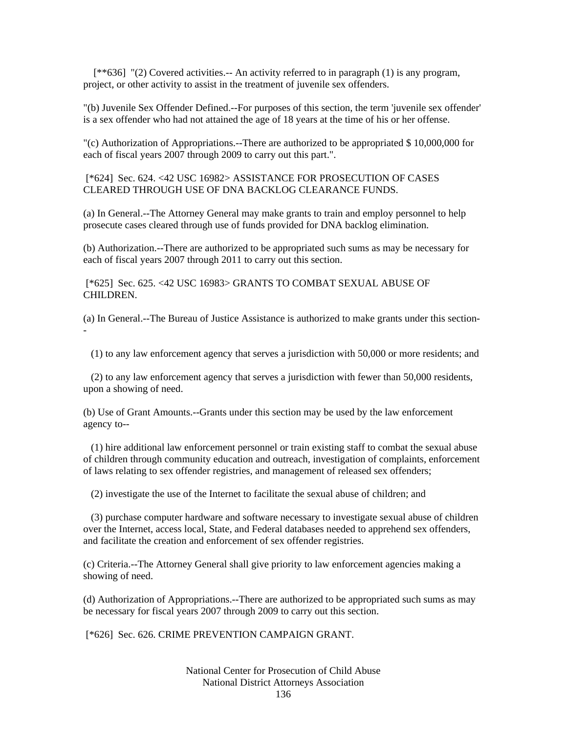[\*\*636] "(2) Covered activities.-- An activity referred to in paragraph (1) is any program, project, or other activity to assist in the treatment of juvenile sex offenders.

"(b) Juvenile Sex Offender Defined.--For purposes of this section, the term 'juvenile sex offender' is a sex offender who had not attained the age of 18 years at the time of his or her offense.

"(c) Authorization of Appropriations.--There are authorized to be appropriated \$ 10,000,000 for each of fiscal years 2007 through 2009 to carry out this part.".

 [\*624] Sec. 624. <42 USC 16982> ASSISTANCE FOR PROSECUTION OF CASES CLEARED THROUGH USE OF DNA BACKLOG CLEARANCE FUNDS.

(a) In General.--The Attorney General may make grants to train and employ personnel to help prosecute cases cleared through use of funds provided for DNA backlog elimination.

(b) Authorization.--There are authorized to be appropriated such sums as may be necessary for each of fiscal years 2007 through 2011 to carry out this section.

 [\*625] Sec. 625. <42 USC 16983> GRANTS TO COMBAT SEXUAL ABUSE OF CHILDREN.

(a) In General.--The Bureau of Justice Assistance is authorized to make grants under this section- -

(1) to any law enforcement agency that serves a jurisdiction with 50,000 or more residents; and

 (2) to any law enforcement agency that serves a jurisdiction with fewer than 50,000 residents, upon a showing of need.

(b) Use of Grant Amounts.--Grants under this section may be used by the law enforcement agency to--

 (1) hire additional law enforcement personnel or train existing staff to combat the sexual abuse of children through community education and outreach, investigation of complaints, enforcement of laws relating to sex offender registries, and management of released sex offenders;

(2) investigate the use of the Internet to facilitate the sexual abuse of children; and

 (3) purchase computer hardware and software necessary to investigate sexual abuse of children over the Internet, access local, State, and Federal databases needed to apprehend sex offenders, and facilitate the creation and enforcement of sex offender registries.

(c) Criteria.--The Attorney General shall give priority to law enforcement agencies making a showing of need.

(d) Authorization of Appropriations.--There are authorized to be appropriated such sums as may be necessary for fiscal years 2007 through 2009 to carry out this section.

[\*626] Sec. 626. CRIME PREVENTION CAMPAIGN GRANT.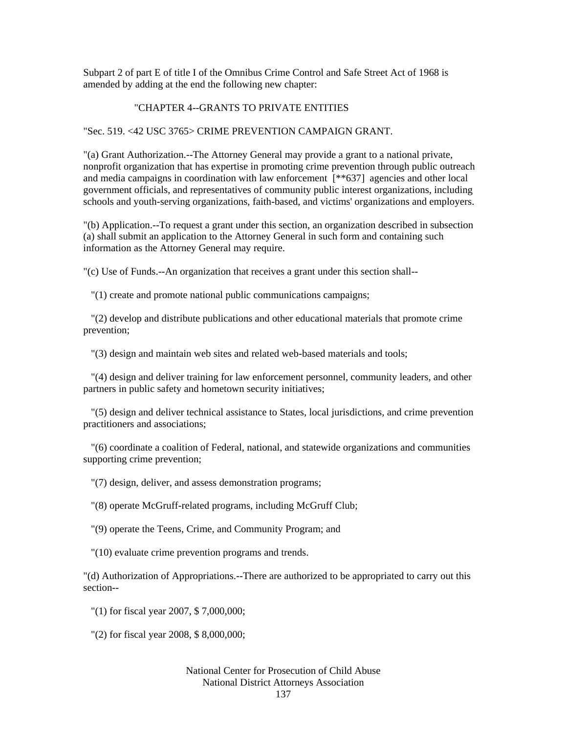Subpart 2 of part E of title I of the Omnibus Crime Control and Safe Street Act of 1968 is amended by adding at the end the following new chapter:

### "CHAPTER 4--GRANTS TO PRIVATE ENTITIES

#### "Sec. 519. <42 USC 3765> CRIME PREVENTION CAMPAIGN GRANT.

"(a) Grant Authorization.--The Attorney General may provide a grant to a national private, nonprofit organization that has expertise in promoting crime prevention through public outreach and media campaigns in coordination with law enforcement [\*\*637] agencies and other local government officials, and representatives of community public interest organizations, including schools and youth-serving organizations, faith-based, and victims' organizations and employers.

"(b) Application.--To request a grant under this section, an organization described in subsection (a) shall submit an application to the Attorney General in such form and containing such information as the Attorney General may require.

"(c) Use of Funds.--An organization that receives a grant under this section shall--

"(1) create and promote national public communications campaigns;

 "(2) develop and distribute publications and other educational materials that promote crime prevention;

"(3) design and maintain web sites and related web-based materials and tools;

 "(4) design and deliver training for law enforcement personnel, community leaders, and other partners in public safety and hometown security initiatives;

 "(5) design and deliver technical assistance to States, local jurisdictions, and crime prevention practitioners and associations;

 "(6) coordinate a coalition of Federal, national, and statewide organizations and communities supporting crime prevention;

"(7) design, deliver, and assess demonstration programs;

"(8) operate McGruff-related programs, including McGruff Club;

"(9) operate the Teens, Crime, and Community Program; and

"(10) evaluate crime prevention programs and trends.

"(d) Authorization of Appropriations.--There are authorized to be appropriated to carry out this section--

- "(1) for fiscal year 2007, \$ 7,000,000;
- "(2) for fiscal year 2008, \$ 8,000,000;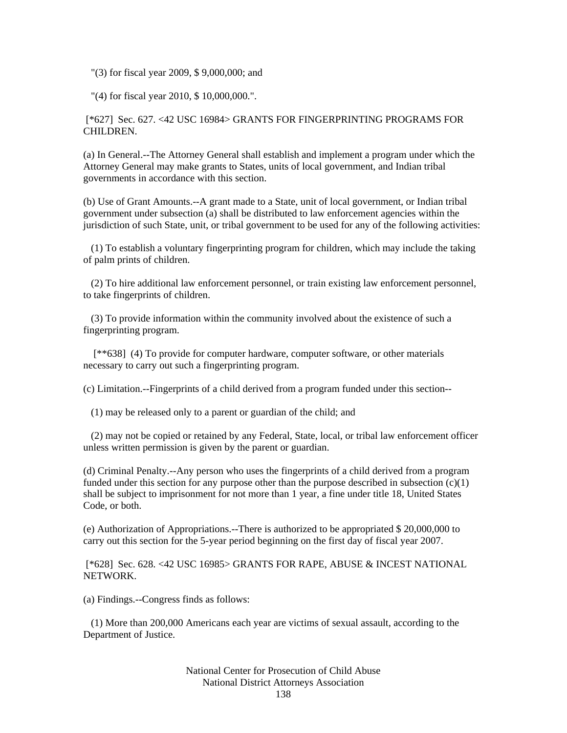"(3) for fiscal year 2009, \$ 9,000,000; and

"(4) for fiscal year 2010, \$ 10,000,000.".

 [\*627] Sec. 627. <42 USC 16984> GRANTS FOR FINGERPRINTING PROGRAMS FOR CHILDREN.

(a) In General.--The Attorney General shall establish and implement a program under which the Attorney General may make grants to States, units of local government, and Indian tribal governments in accordance with this section.

(b) Use of Grant Amounts.--A grant made to a State, unit of local government, or Indian tribal government under subsection (a) shall be distributed to law enforcement agencies within the jurisdiction of such State, unit, or tribal government to be used for any of the following activities:

 (1) To establish a voluntary fingerprinting program for children, which may include the taking of palm prints of children.

 (2) To hire additional law enforcement personnel, or train existing law enforcement personnel, to take fingerprints of children.

 (3) To provide information within the community involved about the existence of such a fingerprinting program.

 [\*\*638] (4) To provide for computer hardware, computer software, or other materials necessary to carry out such a fingerprinting program.

(c) Limitation.--Fingerprints of a child derived from a program funded under this section--

(1) may be released only to a parent or guardian of the child; and

 (2) may not be copied or retained by any Federal, State, local, or tribal law enforcement officer unless written permission is given by the parent or guardian.

(d) Criminal Penalty.--Any person who uses the fingerprints of a child derived from a program funded under this section for any purpose other than the purpose described in subsection (c)(1) shall be subject to imprisonment for not more than 1 year, a fine under title 18, United States Code, or both.

(e) Authorization of Appropriations.--There is authorized to be appropriated \$ 20,000,000 to carry out this section for the 5-year period beginning on the first day of fiscal year 2007.

 [\*628] Sec. 628. <42 USC 16985> GRANTS FOR RAPE, ABUSE & INCEST NATIONAL NETWORK.

(a) Findings.--Congress finds as follows:

 (1) More than 200,000 Americans each year are victims of sexual assault, according to the Department of Justice.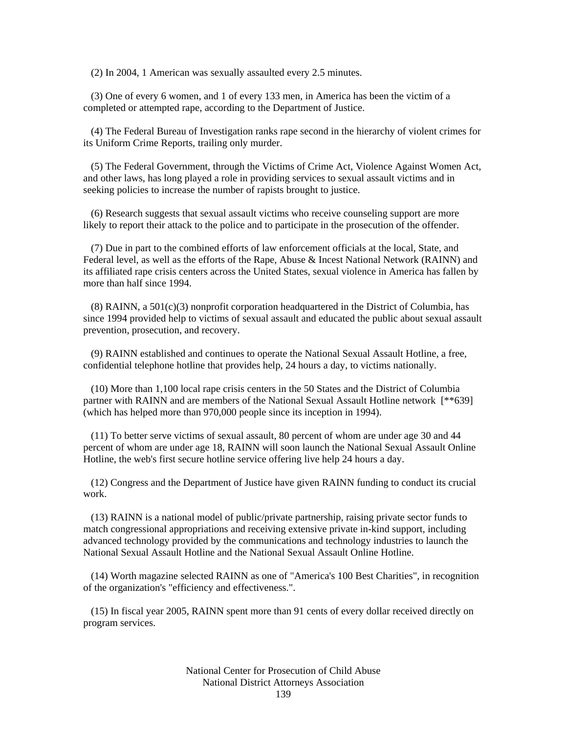(2) In 2004, 1 American was sexually assaulted every 2.5 minutes.

 (3) One of every 6 women, and 1 of every 133 men, in America has been the victim of a completed or attempted rape, according to the Department of Justice.

 (4) The Federal Bureau of Investigation ranks rape second in the hierarchy of violent crimes for its Uniform Crime Reports, trailing only murder.

 (5) The Federal Government, through the Victims of Crime Act, Violence Against Women Act, and other laws, has long played a role in providing services to sexual assault victims and in seeking policies to increase the number of rapists brought to justice.

 (6) Research suggests that sexual assault victims who receive counseling support are more likely to report their attack to the police and to participate in the prosecution of the offender.

 (7) Due in part to the combined efforts of law enforcement officials at the local, State, and Federal level, as well as the efforts of the Rape, Abuse & Incest National Network (RAINN) and its affiliated rape crisis centers across the United States, sexual violence in America has fallen by more than half since 1994.

 $(8)$  RAINN, a  $501(c)(3)$  nonprofit corporation headquartered in the District of Columbia, has since 1994 provided help to victims of sexual assault and educated the public about sexual assault prevention, prosecution, and recovery.

 (9) RAINN established and continues to operate the National Sexual Assault Hotline, a free, confidential telephone hotline that provides help, 24 hours a day, to victims nationally.

 (10) More than 1,100 local rape crisis centers in the 50 States and the District of Columbia partner with RAINN and are members of the National Sexual Assault Hotline network [\*\*639] (which has helped more than 970,000 people since its inception in 1994).

 (11) To better serve victims of sexual assault, 80 percent of whom are under age 30 and 44 percent of whom are under age 18, RAINN will soon launch the National Sexual Assault Online Hotline, the web's first secure hotline service offering live help 24 hours a day.

 (12) Congress and the Department of Justice have given RAINN funding to conduct its crucial work.

 (13) RAINN is a national model of public/private partnership, raising private sector funds to match congressional appropriations and receiving extensive private in-kind support, including advanced technology provided by the communications and technology industries to launch the National Sexual Assault Hotline and the National Sexual Assault Online Hotline.

 (14) Worth magazine selected RAINN as one of "America's 100 Best Charities", in recognition of the organization's "efficiency and effectiveness.".

 (15) In fiscal year 2005, RAINN spent more than 91 cents of every dollar received directly on program services.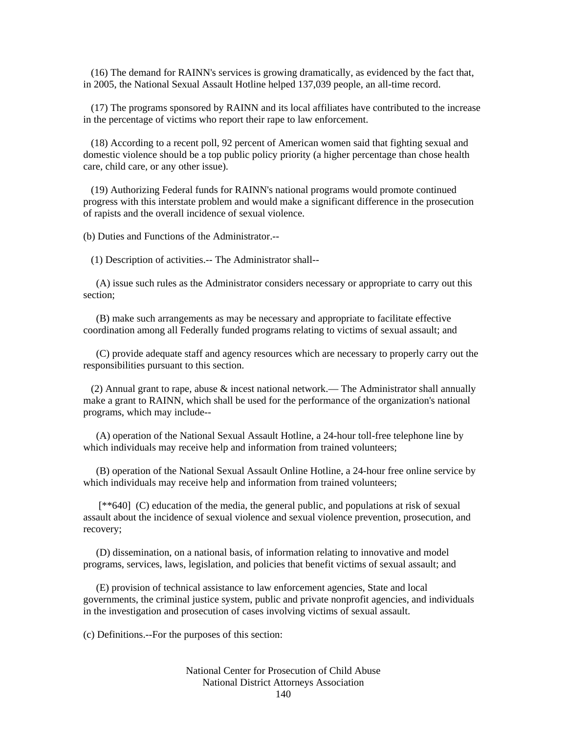(16) The demand for RAINN's services is growing dramatically, as evidenced by the fact that, in 2005, the National Sexual Assault Hotline helped 137,039 people, an all-time record.

 (17) The programs sponsored by RAINN and its local affiliates have contributed to the increase in the percentage of victims who report their rape to law enforcement.

 (18) According to a recent poll, 92 percent of American women said that fighting sexual and domestic violence should be a top public policy priority (a higher percentage than chose health care, child care, or any other issue).

 (19) Authorizing Federal funds for RAINN's national programs would promote continued progress with this interstate problem and would make a significant difference in the prosecution of rapists and the overall incidence of sexual violence.

(b) Duties and Functions of the Administrator.--

(1) Description of activities.-- The Administrator shall--

 (A) issue such rules as the Administrator considers necessary or appropriate to carry out this section;

 (B) make such arrangements as may be necessary and appropriate to facilitate effective coordination among all Federally funded programs relating to victims of sexual assault; and

 (C) provide adequate staff and agency resources which are necessary to properly carry out the responsibilities pursuant to this section.

 (2) Annual grant to rape, abuse & incest national network.— The Administrator shall annually make a grant to RAINN, which shall be used for the performance of the organization's national programs, which may include--

 (A) operation of the National Sexual Assault Hotline, a 24-hour toll-free telephone line by which individuals may receive help and information from trained volunteers;

 (B) operation of the National Sexual Assault Online Hotline, a 24-hour free online service by which individuals may receive help and information from trained volunteers;

 [\*\*640] (C) education of the media, the general public, and populations at risk of sexual assault about the incidence of sexual violence and sexual violence prevention, prosecution, and recovery;

 (D) dissemination, on a national basis, of information relating to innovative and model programs, services, laws, legislation, and policies that benefit victims of sexual assault; and

 (E) provision of technical assistance to law enforcement agencies, State and local governments, the criminal justice system, public and private nonprofit agencies, and individuals in the investigation and prosecution of cases involving victims of sexual assault.

(c) Definitions.--For the purposes of this section: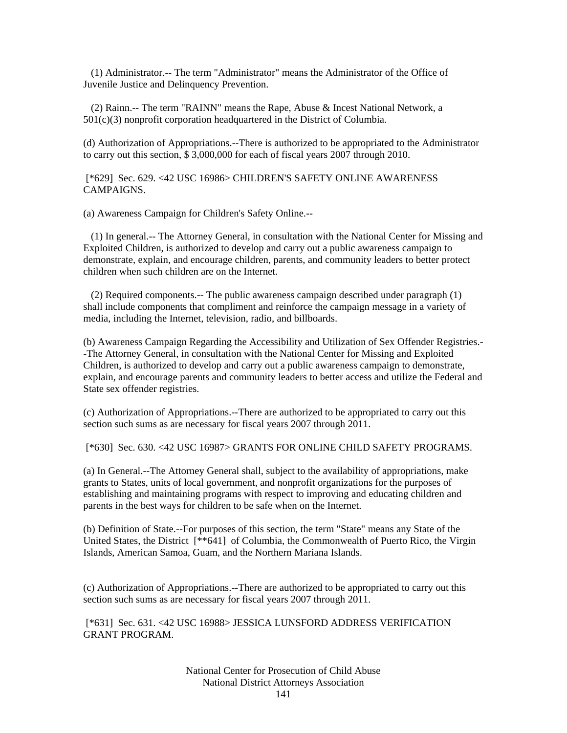(1) Administrator.-- The term "Administrator" means the Administrator of the Office of Juvenile Justice and Delinquency Prevention.

 (2) Rainn.-- The term "RAINN" means the Rape, Abuse & Incest National Network, a 501(c)(3) nonprofit corporation headquartered in the District of Columbia.

(d) Authorization of Appropriations.--There is authorized to be appropriated to the Administrator to carry out this section, \$ 3,000,000 for each of fiscal years 2007 through 2010.

 [\*629] Sec. 629. <42 USC 16986> CHILDREN'S SAFETY ONLINE AWARENESS CAMPAIGNS.

(a) Awareness Campaign for Children's Safety Online.--

 (1) In general.-- The Attorney General, in consultation with the National Center for Missing and Exploited Children, is authorized to develop and carry out a public awareness campaign to demonstrate, explain, and encourage children, parents, and community leaders to better protect children when such children are on the Internet.

 (2) Required components.-- The public awareness campaign described under paragraph (1) shall include components that compliment and reinforce the campaign message in a variety of media, including the Internet, television, radio, and billboards.

(b) Awareness Campaign Regarding the Accessibility and Utilization of Sex Offender Registries.- -The Attorney General, in consultation with the National Center for Missing and Exploited Children, is authorized to develop and carry out a public awareness campaign to demonstrate, explain, and encourage parents and community leaders to better access and utilize the Federal and State sex offender registries.

(c) Authorization of Appropriations.--There are authorized to be appropriated to carry out this section such sums as are necessary for fiscal years 2007 through 2011.

[\*630] Sec. 630. <42 USC 16987> GRANTS FOR ONLINE CHILD SAFETY PROGRAMS.

(a) In General.--The Attorney General shall, subject to the availability of appropriations, make grants to States, units of local government, and nonprofit organizations for the purposes of establishing and maintaining programs with respect to improving and educating children and parents in the best ways for children to be safe when on the Internet.

(b) Definition of State.--For purposes of this section, the term "State" means any State of the United States, the District [\*\*641] of Columbia, the Commonwealth of Puerto Rico, the Virgin Islands, American Samoa, Guam, and the Northern Mariana Islands.

(c) Authorization of Appropriations.--There are authorized to be appropriated to carry out this section such sums as are necessary for fiscal years 2007 through 2011.

 [\*631] Sec. 631. <42 USC 16988> JESSICA LUNSFORD ADDRESS VERIFICATION GRANT PROGRAM.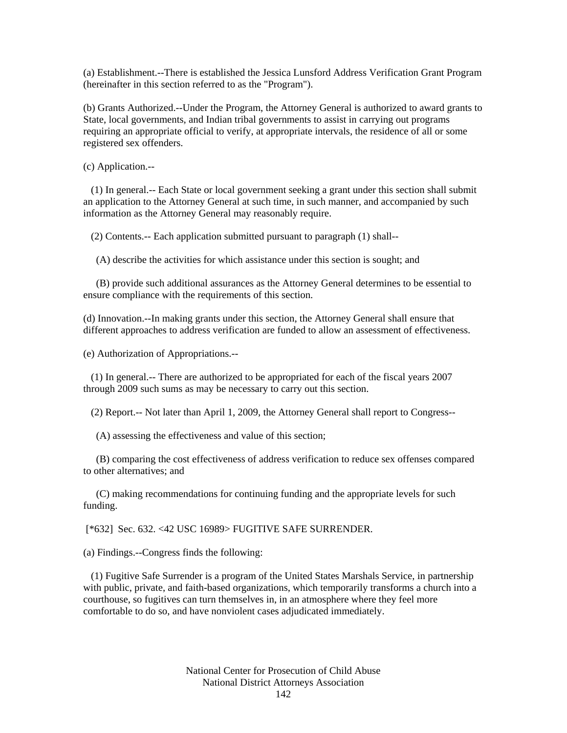(a) Establishment.--There is established the Jessica Lunsford Address Verification Grant Program (hereinafter in this section referred to as the "Program").

(b) Grants Authorized.--Under the Program, the Attorney General is authorized to award grants to State, local governments, and Indian tribal governments to assist in carrying out programs requiring an appropriate official to verify, at appropriate intervals, the residence of all or some registered sex offenders.

(c) Application.--

 (1) In general.-- Each State or local government seeking a grant under this section shall submit an application to the Attorney General at such time, in such manner, and accompanied by such information as the Attorney General may reasonably require.

(2) Contents.-- Each application submitted pursuant to paragraph (1) shall--

(A) describe the activities for which assistance under this section is sought; and

 (B) provide such additional assurances as the Attorney General determines to be essential to ensure compliance with the requirements of this section.

(d) Innovation.--In making grants under this section, the Attorney General shall ensure that different approaches to address verification are funded to allow an assessment of effectiveness.

(e) Authorization of Appropriations.--

 (1) In general.-- There are authorized to be appropriated for each of the fiscal years 2007 through 2009 such sums as may be necessary to carry out this section.

(2) Report.-- Not later than April 1, 2009, the Attorney General shall report to Congress--

(A) assessing the effectiveness and value of this section;

 (B) comparing the cost effectiveness of address verification to reduce sex offenses compared to other alternatives; and

 (C) making recommendations for continuing funding and the appropriate levels for such funding.

[\*632] Sec. 632. <42 USC 16989> FUGITIVE SAFE SURRENDER.

(a) Findings.--Congress finds the following:

 (1) Fugitive Safe Surrender is a program of the United States Marshals Service, in partnership with public, private, and faith-based organizations, which temporarily transforms a church into a courthouse, so fugitives can turn themselves in, in an atmosphere where they feel more comfortable to do so, and have nonviolent cases adjudicated immediately.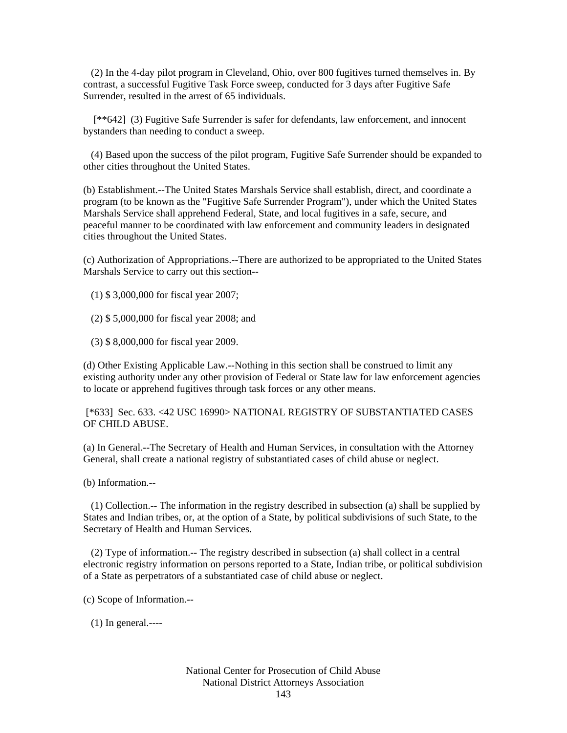(2) In the 4-day pilot program in Cleveland, Ohio, over 800 fugitives turned themselves in. By contrast, a successful Fugitive Task Force sweep, conducted for 3 days after Fugitive Safe Surrender, resulted in the arrest of 65 individuals.

 [\*\*642] (3) Fugitive Safe Surrender is safer for defendants, law enforcement, and innocent bystanders than needing to conduct a sweep.

 (4) Based upon the success of the pilot program, Fugitive Safe Surrender should be expanded to other cities throughout the United States.

(b) Establishment.--The United States Marshals Service shall establish, direct, and coordinate a program (to be known as the "Fugitive Safe Surrender Program"), under which the United States Marshals Service shall apprehend Federal, State, and local fugitives in a safe, secure, and peaceful manner to be coordinated with law enforcement and community leaders in designated cities throughout the United States.

(c) Authorization of Appropriations.--There are authorized to be appropriated to the United States Marshals Service to carry out this section--

(1) \$ 3,000,000 for fiscal year 2007;

(2) \$ 5,000,000 for fiscal year 2008; and

(3) \$ 8,000,000 for fiscal year 2009.

(d) Other Existing Applicable Law.--Nothing in this section shall be construed to limit any existing authority under any other provision of Federal or State law for law enforcement agencies to locate or apprehend fugitives through task forces or any other means.

 [\*633] Sec. 633. <42 USC 16990> NATIONAL REGISTRY OF SUBSTANTIATED CASES OF CHILD ABUSE.

(a) In General.--The Secretary of Health and Human Services, in consultation with the Attorney General, shall create a national registry of substantiated cases of child abuse or neglect.

(b) Information.--

 (1) Collection.-- The information in the registry described in subsection (a) shall be supplied by States and Indian tribes, or, at the option of a State, by political subdivisions of such State, to the Secretary of Health and Human Services.

 (2) Type of information.-- The registry described in subsection (a) shall collect in a central electronic registry information on persons reported to a State, Indian tribe, or political subdivision of a State as perpetrators of a substantiated case of child abuse or neglect.

(c) Scope of Information.--

(1) In general.----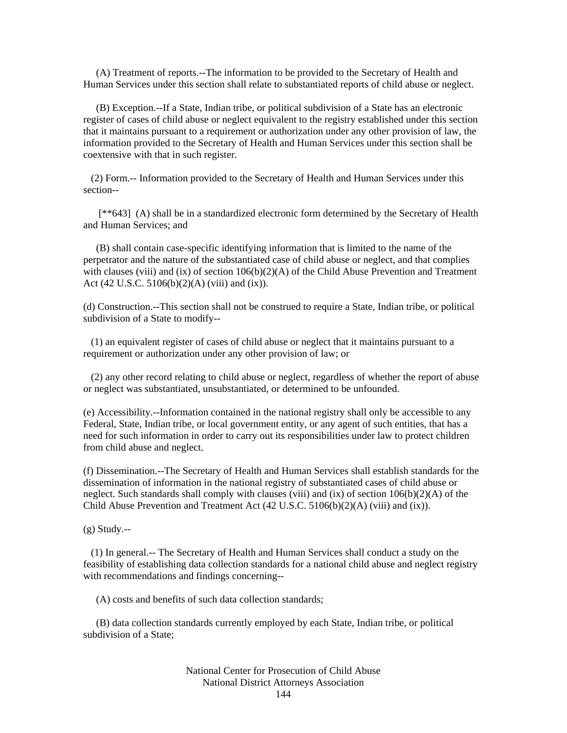(A) Treatment of reports.--The information to be provided to the Secretary of Health and Human Services under this section shall relate to substantiated reports of child abuse or neglect.

 (B) Exception.--If a State, Indian tribe, or political subdivision of a State has an electronic register of cases of child abuse or neglect equivalent to the registry established under this section that it maintains pursuant to a requirement or authorization under any other provision of law, the information provided to the Secretary of Health and Human Services under this section shall be coextensive with that in such register.

 (2) Form.-- Information provided to the Secretary of Health and Human Services under this section--

[\*\*643] (A) shall be in a standardized electronic form determined by the Secretary of Health and Human Services; and

 (B) shall contain case-specific identifying information that is limited to the name of the perpetrator and the nature of the substantiated case of child abuse or neglect, and that complies with clauses (viii) and (ix) of section  $106(b)(2)(A)$  of the Child Abuse Prevention and Treatment Act  $(42 \text{ U.S.C. } 5106(b)(2)(A)$  (viii) and (ix)).

(d) Construction.--This section shall not be construed to require a State, Indian tribe, or political subdivision of a State to modify--

 (1) an equivalent register of cases of child abuse or neglect that it maintains pursuant to a requirement or authorization under any other provision of law; or

 (2) any other record relating to child abuse or neglect, regardless of whether the report of abuse or neglect was substantiated, unsubstantiated, or determined to be unfounded.

(e) Accessibility.--Information contained in the national registry shall only be accessible to any Federal, State, Indian tribe, or local government entity, or any agent of such entities, that has a need for such information in order to carry out its responsibilities under law to protect children from child abuse and neglect.

(f) Dissemination.--The Secretary of Health and Human Services shall establish standards for the dissemination of information in the national registry of substantiated cases of child abuse or neglect. Such standards shall comply with clauses (viii) and (ix) of section 106(b)(2)(A) of the Child Abuse Prevention and Treatment Act (42 U.S.C. 5106(b)(2)(A) (viii) and (ix)).

(g) Study.--

 (1) In general.-- The Secretary of Health and Human Services shall conduct a study on the feasibility of establishing data collection standards for a national child abuse and neglect registry with recommendations and findings concerning--

(A) costs and benefits of such data collection standards;

 (B) data collection standards currently employed by each State, Indian tribe, or political subdivision of a State;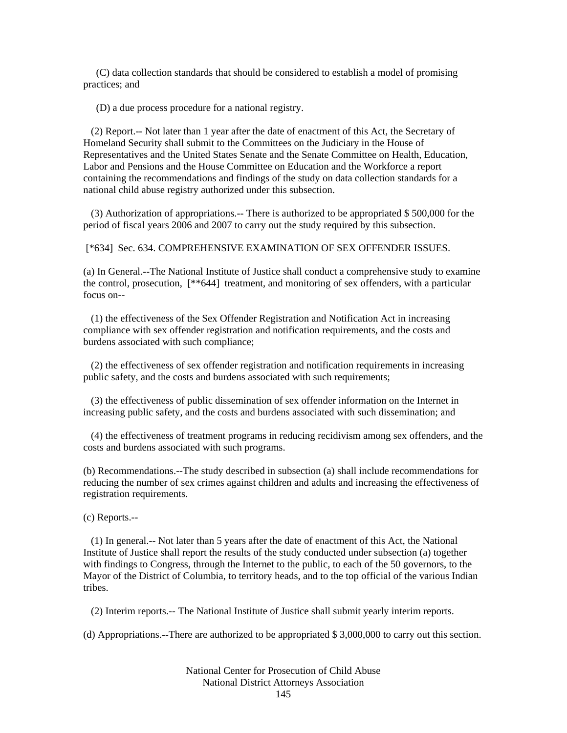(C) data collection standards that should be considered to establish a model of promising practices; and

(D) a due process procedure for a national registry.

 (2) Report.-- Not later than 1 year after the date of enactment of this Act, the Secretary of Homeland Security shall submit to the Committees on the Judiciary in the House of Representatives and the United States Senate and the Senate Committee on Health, Education, Labor and Pensions and the House Committee on Education and the Workforce a report containing the recommendations and findings of the study on data collection standards for a national child abuse registry authorized under this subsection.

 (3) Authorization of appropriations.-- There is authorized to be appropriated \$ 500,000 for the period of fiscal years 2006 and 2007 to carry out the study required by this subsection.

[\*634] Sec. 634. COMPREHENSIVE EXAMINATION OF SEX OFFENDER ISSUES.

(a) In General.--The National Institute of Justice shall conduct a comprehensive study to examine the control, prosecution, [\*\*644] treatment, and monitoring of sex offenders, with a particular focus on--

 (1) the effectiveness of the Sex Offender Registration and Notification Act in increasing compliance with sex offender registration and notification requirements, and the costs and burdens associated with such compliance;

 (2) the effectiveness of sex offender registration and notification requirements in increasing public safety, and the costs and burdens associated with such requirements;

 (3) the effectiveness of public dissemination of sex offender information on the Internet in increasing public safety, and the costs and burdens associated with such dissemination; and

 (4) the effectiveness of treatment programs in reducing recidivism among sex offenders, and the costs and burdens associated with such programs.

(b) Recommendations.--The study described in subsection (a) shall include recommendations for reducing the number of sex crimes against children and adults and increasing the effectiveness of registration requirements.

(c) Reports.--

 (1) In general.-- Not later than 5 years after the date of enactment of this Act, the National Institute of Justice shall report the results of the study conducted under subsection (a) together with findings to Congress, through the Internet to the public, to each of the 50 governors, to the Mayor of the District of Columbia, to territory heads, and to the top official of the various Indian tribes.

(2) Interim reports.-- The National Institute of Justice shall submit yearly interim reports.

(d) Appropriations.--There are authorized to be appropriated \$ 3,000,000 to carry out this section.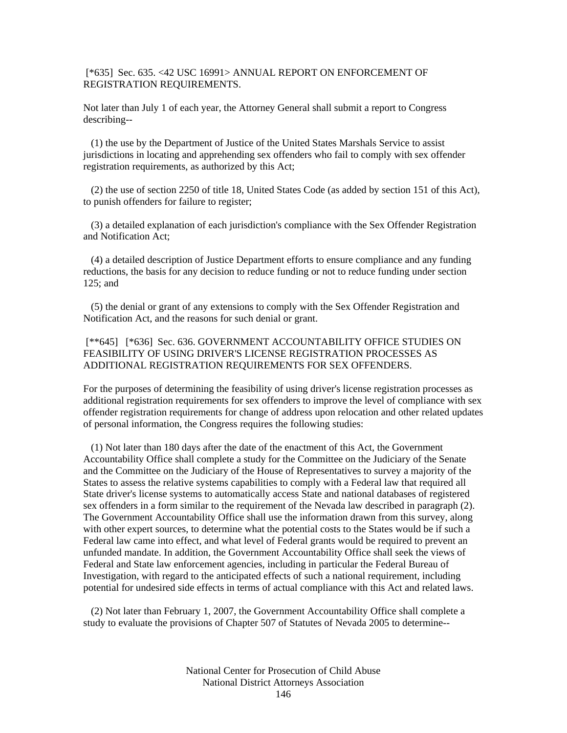#### [\*635] Sec. 635. <42 USC 16991> ANNUAL REPORT ON ENFORCEMENT OF REGISTRATION REQUIREMENTS.

Not later than July 1 of each year, the Attorney General shall submit a report to Congress describing--

 (1) the use by the Department of Justice of the United States Marshals Service to assist jurisdictions in locating and apprehending sex offenders who fail to comply with sex offender registration requirements, as authorized by this Act;

 (2) the use of section 2250 of title 18, United States Code (as added by section 151 of this Act), to punish offenders for failure to register;

 (3) a detailed explanation of each jurisdiction's compliance with the Sex Offender Registration and Notification Act;

 (4) a detailed description of Justice Department efforts to ensure compliance and any funding reductions, the basis for any decision to reduce funding or not to reduce funding under section 125; and

 (5) the denial or grant of any extensions to comply with the Sex Offender Registration and Notification Act, and the reasons for such denial or grant.

 [\*\*645] [\*636] Sec. 636. GOVERNMENT ACCOUNTABILITY OFFICE STUDIES ON FEASIBILITY OF USING DRIVER'S LICENSE REGISTRATION PROCESSES AS ADDITIONAL REGISTRATION REQUIREMENTS FOR SEX OFFENDERS.

For the purposes of determining the feasibility of using driver's license registration processes as additional registration requirements for sex offenders to improve the level of compliance with sex offender registration requirements for change of address upon relocation and other related updates of personal information, the Congress requires the following studies:

 (1) Not later than 180 days after the date of the enactment of this Act, the Government Accountability Office shall complete a study for the Committee on the Judiciary of the Senate and the Committee on the Judiciary of the House of Representatives to survey a majority of the States to assess the relative systems capabilities to comply with a Federal law that required all State driver's license systems to automatically access State and national databases of registered sex offenders in a form similar to the requirement of the Nevada law described in paragraph (2). The Government Accountability Office shall use the information drawn from this survey, along with other expert sources, to determine what the potential costs to the States would be if such a Federal law came into effect, and what level of Federal grants would be required to prevent an unfunded mandate. In addition, the Government Accountability Office shall seek the views of Federal and State law enforcement agencies, including in particular the Federal Bureau of Investigation, with regard to the anticipated effects of such a national requirement, including potential for undesired side effects in terms of actual compliance with this Act and related laws.

 (2) Not later than February 1, 2007, the Government Accountability Office shall complete a study to evaluate the provisions of Chapter 507 of Statutes of Nevada 2005 to determine--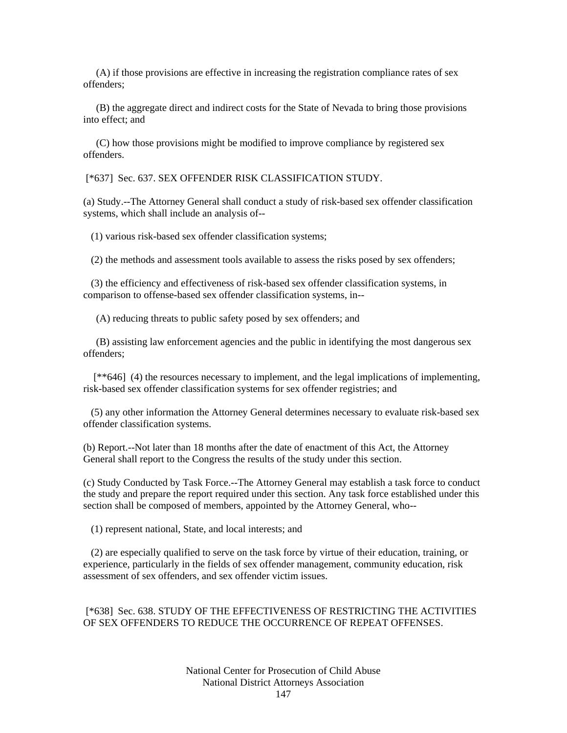(A) if those provisions are effective in increasing the registration compliance rates of sex offenders;

 (B) the aggregate direct and indirect costs for the State of Nevada to bring those provisions into effect; and

 (C) how those provisions might be modified to improve compliance by registered sex offenders.

[\*637] Sec. 637. SEX OFFENDER RISK CLASSIFICATION STUDY.

(a) Study.--The Attorney General shall conduct a study of risk-based sex offender classification systems, which shall include an analysis of--

(1) various risk-based sex offender classification systems;

(2) the methods and assessment tools available to assess the risks posed by sex offenders;

 (3) the efficiency and effectiveness of risk-based sex offender classification systems, in comparison to offense-based sex offender classification systems, in--

(A) reducing threats to public safety posed by sex offenders; and

 (B) assisting law enforcement agencies and the public in identifying the most dangerous sex offenders;

[\*\*646] (4) the resources necessary to implement, and the legal implications of implementing, risk-based sex offender classification systems for sex offender registries; and

 (5) any other information the Attorney General determines necessary to evaluate risk-based sex offender classification systems.

(b) Report.--Not later than 18 months after the date of enactment of this Act, the Attorney General shall report to the Congress the results of the study under this section.

(c) Study Conducted by Task Force.--The Attorney General may establish a task force to conduct the study and prepare the report required under this section. Any task force established under this section shall be composed of members, appointed by the Attorney General, who--

(1) represent national, State, and local interests; and

 (2) are especially qualified to serve on the task force by virtue of their education, training, or experience, particularly in the fields of sex offender management, community education, risk assessment of sex offenders, and sex offender victim issues.

#### [\*638] Sec. 638. STUDY OF THE EFFECTIVENESS OF RESTRICTING THE ACTIVITIES OF SEX OFFENDERS TO REDUCE THE OCCURRENCE OF REPEAT OFFENSES.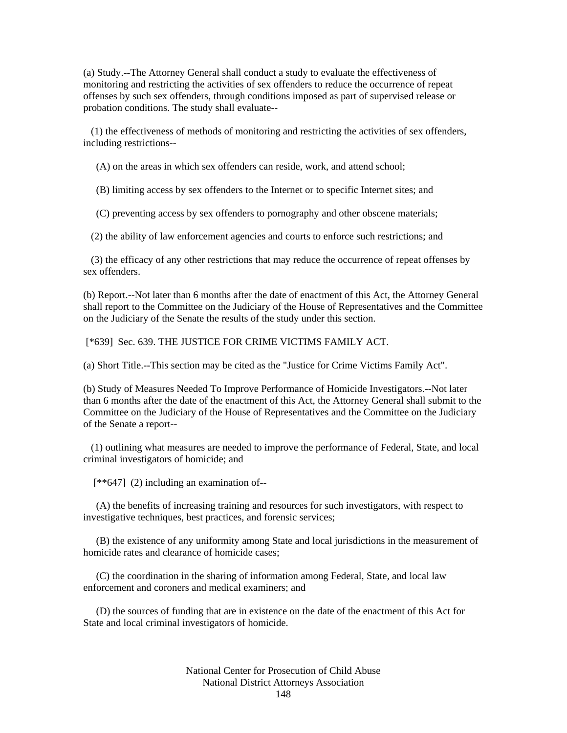(a) Study.--The Attorney General shall conduct a study to evaluate the effectiveness of monitoring and restricting the activities of sex offenders to reduce the occurrence of repeat offenses by such sex offenders, through conditions imposed as part of supervised release or probation conditions. The study shall evaluate--

 (1) the effectiveness of methods of monitoring and restricting the activities of sex offenders, including restrictions--

(A) on the areas in which sex offenders can reside, work, and attend school;

(B) limiting access by sex offenders to the Internet or to specific Internet sites; and

(C) preventing access by sex offenders to pornography and other obscene materials;

(2) the ability of law enforcement agencies and courts to enforce such restrictions; and

 (3) the efficacy of any other restrictions that may reduce the occurrence of repeat offenses by sex offenders.

(b) Report.--Not later than 6 months after the date of enactment of this Act, the Attorney General shall report to the Committee on the Judiciary of the House of Representatives and the Committee on the Judiciary of the Senate the results of the study under this section.

[\*639] Sec. 639. THE JUSTICE FOR CRIME VICTIMS FAMILY ACT.

(a) Short Title.--This section may be cited as the "Justice for Crime Victims Family Act".

(b) Study of Measures Needed To Improve Performance of Homicide Investigators.--Not later than 6 months after the date of the enactment of this Act, the Attorney General shall submit to the Committee on the Judiciary of the House of Representatives and the Committee on the Judiciary of the Senate a report--

 (1) outlining what measures are needed to improve the performance of Federal, State, and local criminal investigators of homicide; and

[\*\*647] (2) including an examination of--

 (A) the benefits of increasing training and resources for such investigators, with respect to investigative techniques, best practices, and forensic services;

 (B) the existence of any uniformity among State and local jurisdictions in the measurement of homicide rates and clearance of homicide cases;

 (C) the coordination in the sharing of information among Federal, State, and local law enforcement and coroners and medical examiners; and

 (D) the sources of funding that are in existence on the date of the enactment of this Act for State and local criminal investigators of homicide.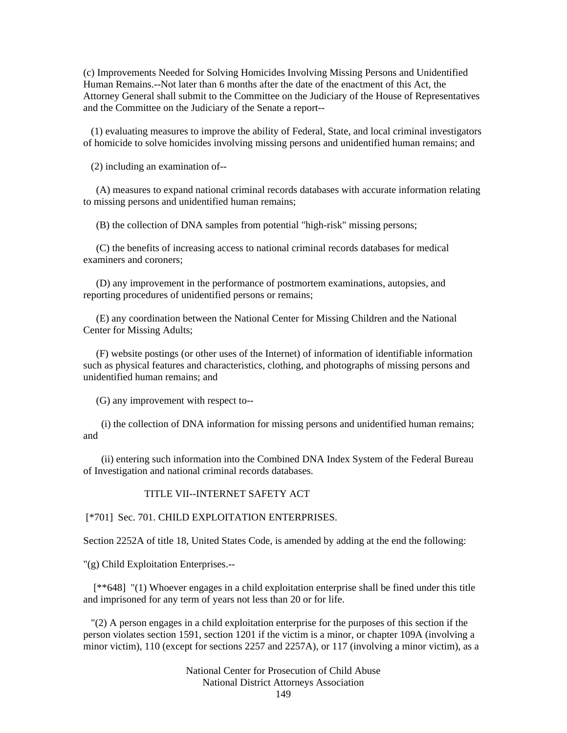(c) Improvements Needed for Solving Homicides Involving Missing Persons and Unidentified Human Remains.--Not later than 6 months after the date of the enactment of this Act, the Attorney General shall submit to the Committee on the Judiciary of the House of Representatives and the Committee on the Judiciary of the Senate a report--

 (1) evaluating measures to improve the ability of Federal, State, and local criminal investigators of homicide to solve homicides involving missing persons and unidentified human remains; and

(2) including an examination of--

 (A) measures to expand national criminal records databases with accurate information relating to missing persons and unidentified human remains;

(B) the collection of DNA samples from potential "high-risk" missing persons;

 (C) the benefits of increasing access to national criminal records databases for medical examiners and coroners;

 (D) any improvement in the performance of postmortem examinations, autopsies, and reporting procedures of unidentified persons or remains;

 (E) any coordination between the National Center for Missing Children and the National Center for Missing Adults;

 (F) website postings (or other uses of the Internet) of information of identifiable information such as physical features and characteristics, clothing, and photographs of missing persons and unidentified human remains; and

(G) any improvement with respect to--

 (i) the collection of DNA information for missing persons and unidentified human remains; and

 (ii) entering such information into the Combined DNA Index System of the Federal Bureau of Investigation and national criminal records databases.

#### TITLE VII--INTERNET SAFETY ACT

[\*701] Sec. 701. CHILD EXPLOITATION ENTERPRISES.

Section 2252A of title 18, United States Code, is amended by adding at the end the following:

"(g) Child Exploitation Enterprises.--

 [\*\*648] "(1) Whoever engages in a child exploitation enterprise shall be fined under this title and imprisoned for any term of years not less than 20 or for life.

 "(2) A person engages in a child exploitation enterprise for the purposes of this section if the person violates section 1591, section 1201 if the victim is a minor, or chapter 109A (involving a minor victim), 110 (except for sections 2257 and 2257A), or 117 (involving a minor victim), as a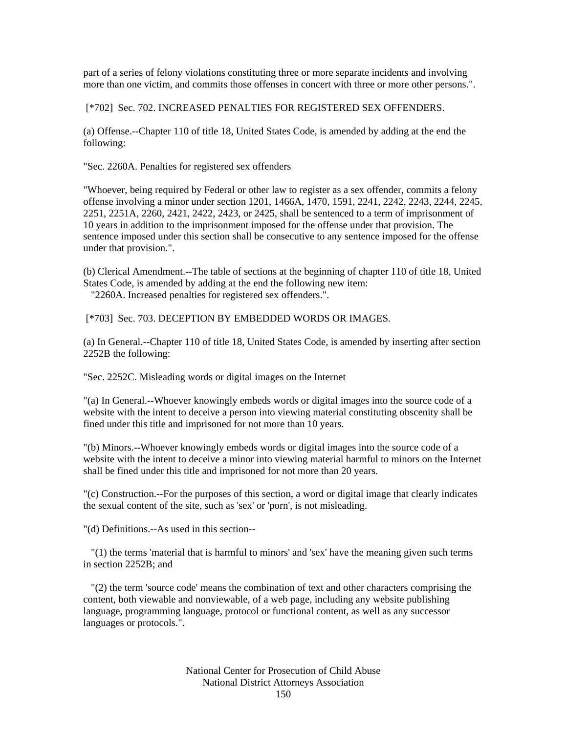part of a series of felony violations constituting three or more separate incidents and involving more than one victim, and commits those offenses in concert with three or more other persons.".

[\*702] Sec. 702. INCREASED PENALTIES FOR REGISTERED SEX OFFENDERS.

(a) Offense.--Chapter 110 of title 18, United States Code, is amended by adding at the end the following:

"Sec. 2260A. Penalties for registered sex offenders

"Whoever, being required by Federal or other law to register as a sex offender, commits a felony offense involving a minor under section 1201, 1466A, 1470, 1591, 2241, 2242, 2243, 2244, 2245, 2251, 2251A, 2260, 2421, 2422, 2423, or 2425, shall be sentenced to a term of imprisonment of 10 years in addition to the imprisonment imposed for the offense under that provision. The sentence imposed under this section shall be consecutive to any sentence imposed for the offense under that provision.".

(b) Clerical Amendment.--The table of sections at the beginning of chapter 110 of title 18, United States Code, is amended by adding at the end the following new item: "2260A. Increased penalties for registered sex offenders.".

[\*703] Sec. 703. DECEPTION BY EMBEDDED WORDS OR IMAGES.

(a) In General.--Chapter 110 of title 18, United States Code, is amended by inserting after section 2252B the following:

"Sec. 2252C. Misleading words or digital images on the Internet

"(a) In General.--Whoever knowingly embeds words or digital images into the source code of a website with the intent to deceive a person into viewing material constituting obscenity shall be fined under this title and imprisoned for not more than 10 years.

"(b) Minors.--Whoever knowingly embeds words or digital images into the source code of a website with the intent to deceive a minor into viewing material harmful to minors on the Internet shall be fined under this title and imprisoned for not more than 20 years.

"(c) Construction.--For the purposes of this section, a word or digital image that clearly indicates the sexual content of the site, such as 'sex' or 'porn', is not misleading.

"(d) Definitions.--As used in this section--

 "(1) the terms 'material that is harmful to minors' and 'sex' have the meaning given such terms in section 2252B; and

 "(2) the term 'source code' means the combination of text and other characters comprising the content, both viewable and nonviewable, of a web page, including any website publishing language, programming language, protocol or functional content, as well as any successor languages or protocols.".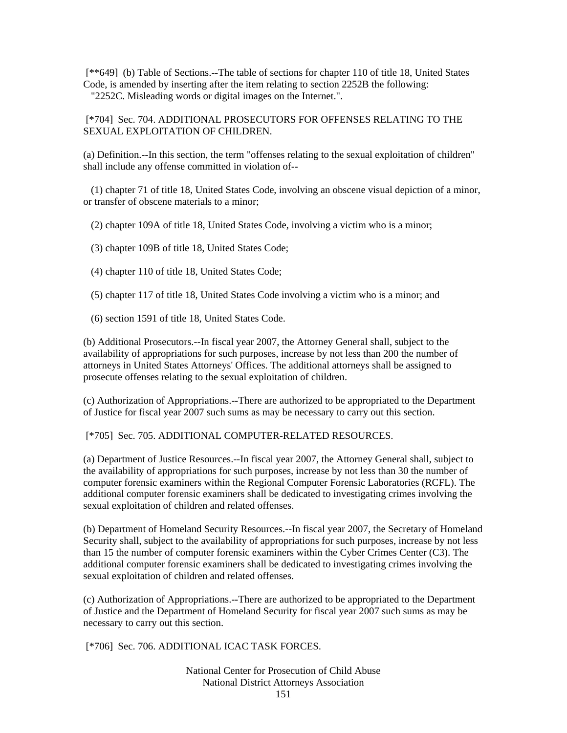[\*\*649] (b) Table of Sections.--The table of sections for chapter 110 of title 18, United States Code, is amended by inserting after the item relating to section 2252B the following: "2252C. Misleading words or digital images on the Internet.".

 [\*704] Sec. 704. ADDITIONAL PROSECUTORS FOR OFFENSES RELATING TO THE SEXUAL EXPLOITATION OF CHILDREN.

(a) Definition.--In this section, the term "offenses relating to the sexual exploitation of children" shall include any offense committed in violation of--

 (1) chapter 71 of title 18, United States Code, involving an obscene visual depiction of a minor, or transfer of obscene materials to a minor;

(2) chapter 109A of title 18, United States Code, involving a victim who is a minor;

(3) chapter 109B of title 18, United States Code;

(4) chapter 110 of title 18, United States Code;

(5) chapter 117 of title 18, United States Code involving a victim who is a minor; and

(6) section 1591 of title 18, United States Code.

(b) Additional Prosecutors.--In fiscal year 2007, the Attorney General shall, subject to the availability of appropriations for such purposes, increase by not less than 200 the number of attorneys in United States Attorneys' Offices. The additional attorneys shall be assigned to prosecute offenses relating to the sexual exploitation of children.

(c) Authorization of Appropriations.--There are authorized to be appropriated to the Department of Justice for fiscal year 2007 such sums as may be necessary to carry out this section.

[\*705] Sec. 705. ADDITIONAL COMPUTER-RELATED RESOURCES.

(a) Department of Justice Resources.--In fiscal year 2007, the Attorney General shall, subject to the availability of appropriations for such purposes, increase by not less than 30 the number of computer forensic examiners within the Regional Computer Forensic Laboratories (RCFL). The additional computer forensic examiners shall be dedicated to investigating crimes involving the sexual exploitation of children and related offenses.

(b) Department of Homeland Security Resources.--In fiscal year 2007, the Secretary of Homeland Security shall, subject to the availability of appropriations for such purposes, increase by not less than 15 the number of computer forensic examiners within the Cyber Crimes Center (C3). The additional computer forensic examiners shall be dedicated to investigating crimes involving the sexual exploitation of children and related offenses.

(c) Authorization of Appropriations.--There are authorized to be appropriated to the Department of Justice and the Department of Homeland Security for fiscal year 2007 such sums as may be necessary to carry out this section.

[\*706] Sec. 706. ADDITIONAL ICAC TASK FORCES.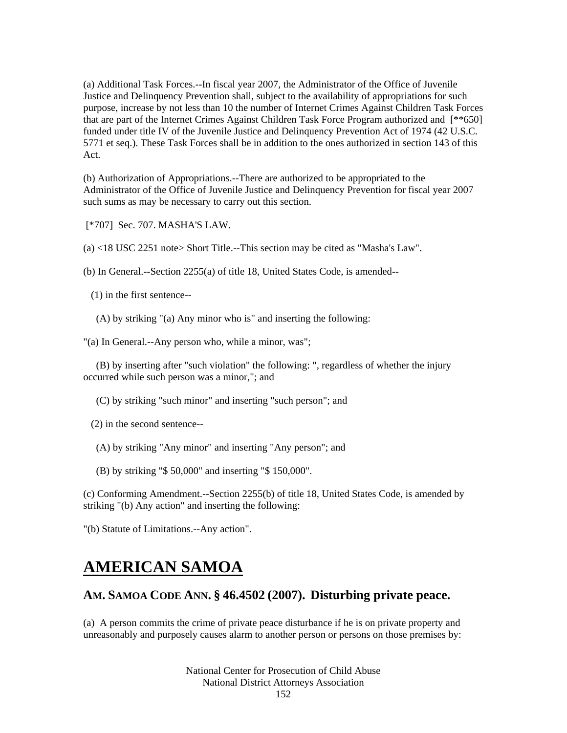(a) Additional Task Forces.--In fiscal year 2007, the Administrator of the Office of Juvenile Justice and Delinquency Prevention shall, subject to the availability of appropriations for such purpose, increase by not less than 10 the number of Internet Crimes Against Children Task Forces that are part of the Internet Crimes Against Children Task Force Program authorized and [\*\*650] funded under title IV of the Juvenile Justice and Delinquency Prevention Act of 1974 (42 U.S.C. 5771 et seq.). These Task Forces shall be in addition to the ones authorized in section 143 of this Act.

(b) Authorization of Appropriations.--There are authorized to be appropriated to the Administrator of the Office of Juvenile Justice and Delinquency Prevention for fiscal year 2007 such sums as may be necessary to carry out this section.

[\*707] Sec. 707. MASHA'S LAW.

(a) <18 USC 2251 note> Short Title.--This section may be cited as "Masha's Law".

(b) In General.--Section 2255(a) of title 18, United States Code, is amended--

(1) in the first sentence--

(A) by striking "(a) Any minor who is" and inserting the following:

"(a) In General.--Any person who, while a minor, was";

 (B) by inserting after "such violation" the following: ", regardless of whether the injury occurred while such person was a minor,"; and

(C) by striking "such minor" and inserting "such person"; and

(2) in the second sentence--

- (A) by striking "Any minor" and inserting "Any person"; and
- (B) by striking "\$ 50,000" and inserting "\$ 150,000".

(c) Conforming Amendment.--Section 2255(b) of title 18, United States Code, is amended by striking "(b) Any action" and inserting the following:

"(b) Statute of Limitations.--Any action".

# **AMERICAN SAMOA**

## **AM. SAMOA CODE ANN. § 46.4502 (2007). Disturbing private peace.**

(a) A person commits the crime of private peace disturbance if he is on private property and unreasonably and purposely causes alarm to another person or persons on those premises by: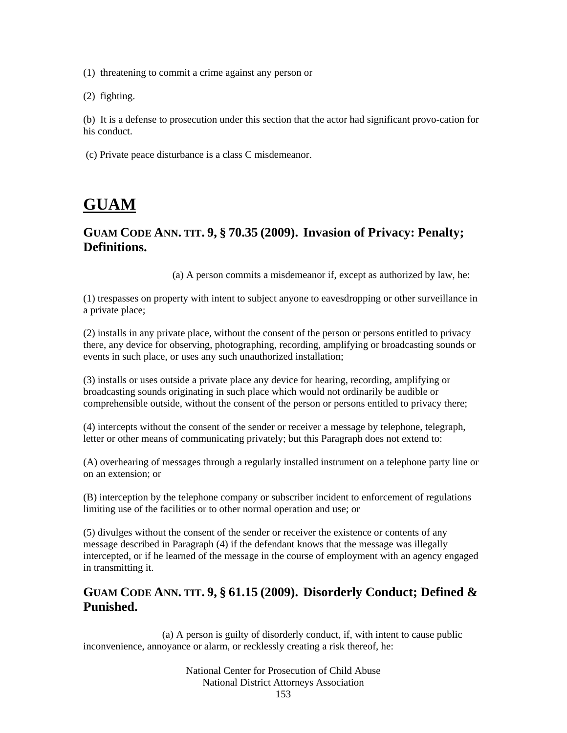(1) threatening to commit a crime against any person or

(2) fighting.

(b) It is a defense to prosecution under this section that the actor had significant provo-cation for his conduct.

(c) Private peace disturbance is a class C misdemeanor.

# **GUAM**

### **GUAM CODE ANN. TIT. 9, § 70.35 (2009). Invasion of Privacy: Penalty; Definitions.**

(a) A person commits a misdemeanor if, except as authorized by law, he:

(1) trespasses on property with intent to subject anyone to eavesdropping or other surveillance in a private place;

(2) installs in any private place, without the consent of the person or persons entitled to privacy there, any device for observing, photographing, recording, amplifying or broadcasting sounds or events in such place, or uses any such unauthorized installation;

(3) installs or uses outside a private place any device for hearing, recording, amplifying or broadcasting sounds originating in such place which would not ordinarily be audible or comprehensible outside, without the consent of the person or persons entitled to privacy there;

(4) intercepts without the consent of the sender or receiver a message by telephone, telegraph, letter or other means of communicating privately; but this Paragraph does not extend to:

(A) overhearing of messages through a regularly installed instrument on a telephone party line or on an extension; or

(B) interception by the telephone company or subscriber incident to enforcement of regulations limiting use of the facilities or to other normal operation and use; or

(5) divulges without the consent of the sender or receiver the existence or contents of any message described in Paragraph (4) if the defendant knows that the message was illegally intercepted, or if he learned of the message in the course of employment with an agency engaged in transmitting it.

## **GUAM CODE ANN. TIT. 9, § 61.15 (2009). Disorderly Conduct; Defined & Punished.**

 (a) A person is guilty of disorderly conduct, if, with intent to cause public inconvenience, annoyance or alarm, or recklessly creating a risk thereof, he: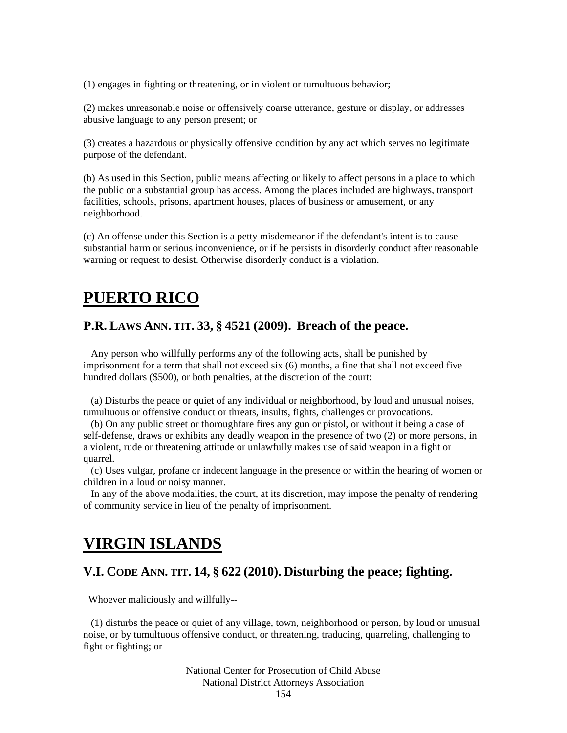(1) engages in fighting or threatening, or in violent or tumultuous behavior;

(2) makes unreasonable noise or offensively coarse utterance, gesture or display, or addresses abusive language to any person present; or

(3) creates a hazardous or physically offensive condition by any act which serves no legitimate purpose of the defendant.

(b) As used in this Section, public means affecting or likely to affect persons in a place to which the public or a substantial group has access. Among the places included are highways, transport facilities, schools, prisons, apartment houses, places of business or amusement, or any neighborhood.

(c) An offense under this Section is a petty misdemeanor if the defendant's intent is to cause substantial harm or serious inconvenience, or if he persists in disorderly conduct after reasonable warning or request to desist. Otherwise disorderly conduct is a violation.

## **PUERTO RICO**

#### **P.R. LAWS ANN. TIT. 33, § 4521 (2009). Breach of the peace.**

 Any person who willfully performs any of the following acts, shall be punished by imprisonment for a term that shall not exceed six (6) months, a fine that shall not exceed five hundred dollars (\$500), or both penalties, at the discretion of the court:

 (a) Disturbs the peace or quiet of any individual or neighborhood, by loud and unusual noises, tumultuous or offensive conduct or threats, insults, fights, challenges or provocations.

 (b) On any public street or thoroughfare fires any gun or pistol, or without it being a case of self-defense, draws or exhibits any deadly weapon in the presence of two (2) or more persons, in a violent, rude or threatening attitude or unlawfully makes use of said weapon in a fight or quarrel.

 (c) Uses vulgar, profane or indecent language in the presence or within the hearing of women or children in a loud or noisy manner.

 In any of the above modalities, the court, at its discretion, may impose the penalty of rendering of community service in lieu of the penalty of imprisonment.

## **VIRGIN ISLANDS**

#### **V.I. CODE ANN. TIT. 14, § 622 (2010). Disturbing the peace; fighting.**

Whoever maliciously and willfully--

 (1) disturbs the peace or quiet of any village, town, neighborhood or person, by loud or unusual noise, or by tumultuous offensive conduct, or threatening, traducing, quarreling, challenging to fight or fighting; or